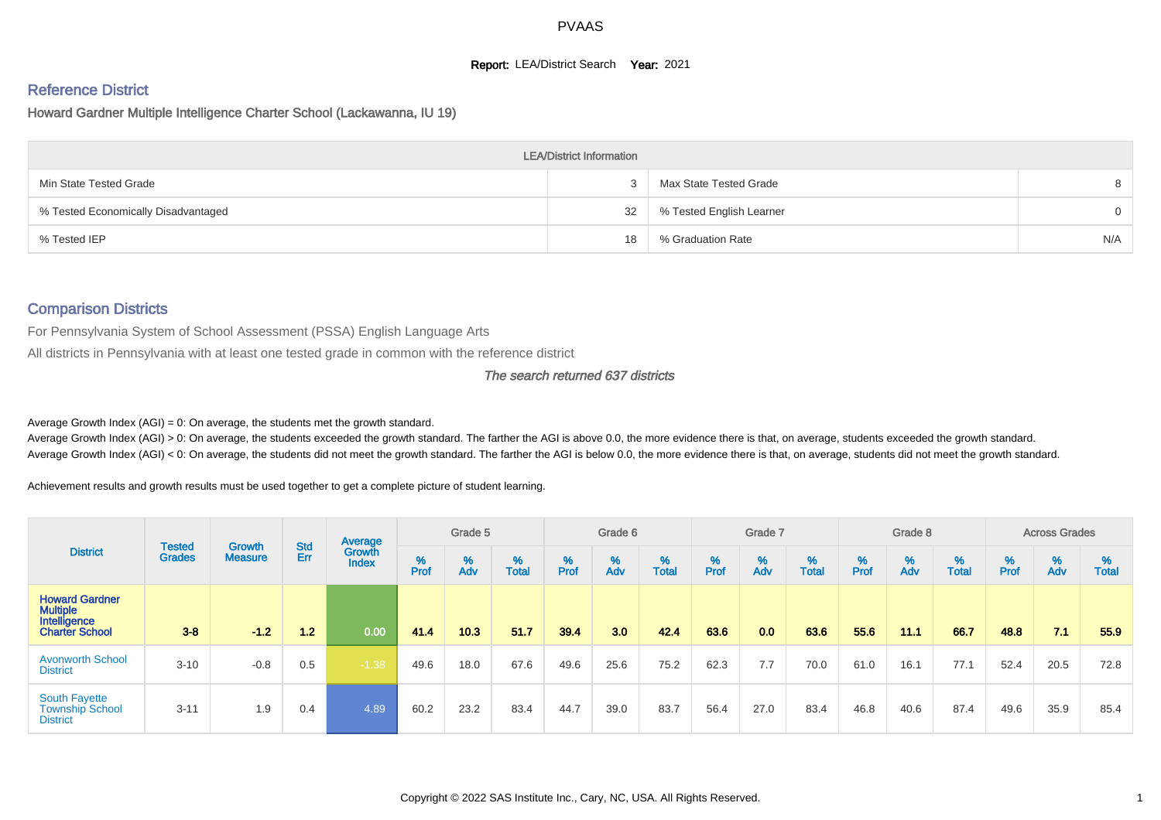#### **Report: LEA/District Search Year: 2021**

# Reference District

Howard Gardner Multiple Intelligence Charter School (Lackawanna, IU 19)

|                                     | <b>LEA/District Information</b> |                          |          |
|-------------------------------------|---------------------------------|--------------------------|----------|
| Min State Tested Grade              |                                 | Max State Tested Grade   | 8        |
| % Tested Economically Disadvantaged | 32                              | % Tested English Learner | $\Omega$ |
| % Tested IEP                        | 18                              | % Graduation Rate        | N/A      |

#### Comparison Districts

For Pennsylvania System of School Assessment (PSSA) English Language Arts

All districts in Pennsylvania with at least one tested grade in common with the reference district

#### The search returned 637 districts

Average Growth Index  $(AGI) = 0$ : On average, the students met the growth standard.

Average Growth Index (AGI) > 0: On average, the students exceeded the growth standard. The farther the AGI is above 0.0, the more evidence there is that, on average, students exceeded the growth standard. Average Growth Index (AGI) < 0: On average, the students did not meet the growth standard. The farther the AGI is below 0.0, the more evidence there is that, on average, students did not meet the growth standard.

Achievement results and growth results must be used together to get a complete picture of student learning.

| <b>District</b>                                                                   |                                |                          |                   | Average                |           | Grade 5  |                   |        | Grade 6  |                   |          | Grade 7  |                   |          | Grade 8  |                   |           | <b>Across Grades</b> |                   |
|-----------------------------------------------------------------------------------|--------------------------------|--------------------------|-------------------|------------------------|-----------|----------|-------------------|--------|----------|-------------------|----------|----------|-------------------|----------|----------|-------------------|-----------|----------------------|-------------------|
|                                                                                   | <b>Tested</b><br><b>Grades</b> | Growth<br><b>Measure</b> | <b>Std</b><br>Err | Growth<br><b>Index</b> | %<br>Prof | %<br>Adv | %<br><b>Total</b> | % Pref | %<br>Adv | %<br><b>Total</b> | $%$ Prof | %<br>Adv | %<br><b>Total</b> | $%$ Prof | %<br>Adv | %<br><b>Total</b> | %<br>Prof | %<br>Adv             | ℅<br><b>Total</b> |
| <b>Howard Gardner</b><br><b>Multiple</b><br>Intelligence<br><b>Charter School</b> | $3 - 8$                        | $-1.2$                   | 1.2               | 0.00                   | 41.4      | 10.3     | 51.7              | 39.4   | 3.0      | 42.4              | 63.6     | 0.0      | 63.6              | 55.6     | 11.1     | 66.7              | 48.8      | 7.1                  | 55.9              |
| <b>Avonworth School</b><br><b>District</b>                                        | $3 - 10$                       | $-0.8$                   | 0.5               | $-1.38$                | 49.6      | 18.0     | 67.6              | 49.6   | 25.6     | 75.2              | 62.3     | 7.7      | 70.0              | 61.0     | 16.1     | 77.1              | 52.4      | 20.5                 | 72.8              |
| <b>South Fayette</b><br><b>Township School</b><br><b>District</b>                 | $3 - 11$                       | 1.9                      | 0.4               | 4.89                   | 60.2      | 23.2     | 83.4              | 44.7   | 39.0     | 83.7              | 56.4     | 27.0     | 83.4              | 46.8     | 40.6     | 87.4              | 49.6      | 35.9                 | 85.4              |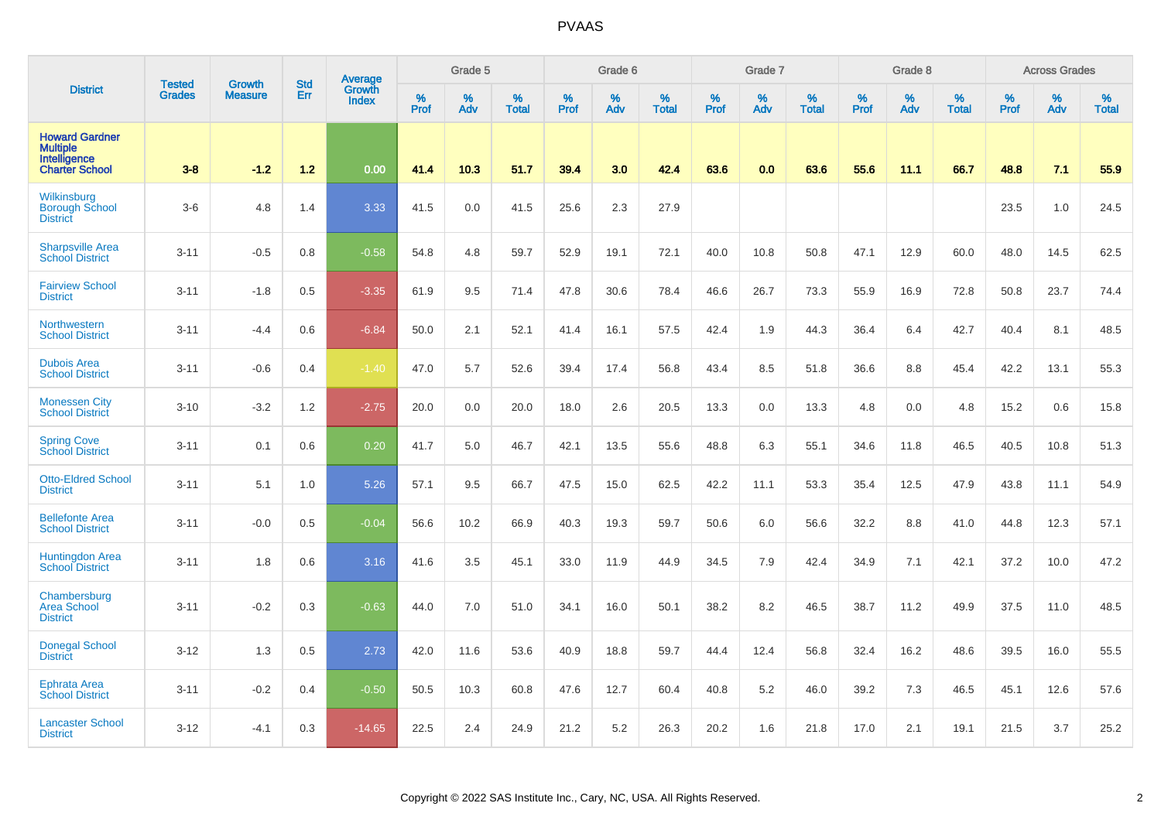|                                                                                   | <b>Tested</b> | <b>Growth</b>  | <b>Std</b> | <b>Average</b><br>Growth |                  | Grade 5  |                   |                  | Grade 6  |                   |                  | Grade 7  |                   |                  | Grade 8     |                   |                  | <b>Across Grades</b> |                   |
|-----------------------------------------------------------------------------------|---------------|----------------|------------|--------------------------|------------------|----------|-------------------|------------------|----------|-------------------|------------------|----------|-------------------|------------------|-------------|-------------------|------------------|----------------------|-------------------|
| <b>District</b>                                                                   | <b>Grades</b> | <b>Measure</b> | Err        | <b>Index</b>             | %<br><b>Prof</b> | %<br>Adv | %<br><b>Total</b> | %<br><b>Prof</b> | %<br>Adv | %<br><b>Total</b> | %<br><b>Prof</b> | %<br>Adv | %<br><b>Total</b> | %<br><b>Prof</b> | $\%$<br>Adv | %<br><b>Total</b> | %<br><b>Prof</b> | %<br>Adv             | %<br><b>Total</b> |
| <b>Howard Gardner</b><br><b>Multiple</b><br>Intelligence<br><b>Charter School</b> | $3-8$         | $-1.2$         | 1.2        | 0.00                     | 41.4             | 10.3     | 51.7              | 39.4             | 3.0      | 42.4              | 63.6             | 0.0      | 63.6              | 55.6             | 11.1        | 66.7              | 48.8             | 7.1                  | 55.9              |
| Wilkinsburg<br><b>Borough School</b><br><b>District</b>                           | $3-6$         | 4.8            | 1.4        | 3.33                     | 41.5             | 0.0      | 41.5              | 25.6             | 2.3      | 27.9              |                  |          |                   |                  |             |                   | 23.5             | 1.0                  | 24.5              |
| <b>Sharpsville Area</b><br><b>School District</b>                                 | $3 - 11$      | $-0.5$         | 0.8        | $-0.58$                  | 54.8             | 4.8      | 59.7              | 52.9             | 19.1     | 72.1              | 40.0             | 10.8     | 50.8              | 47.1             | 12.9        | 60.0              | 48.0             | 14.5                 | 62.5              |
| <b>Fairview School</b><br><b>District</b>                                         | $3 - 11$      | $-1.8$         | 0.5        | $-3.35$                  | 61.9             | 9.5      | 71.4              | 47.8             | 30.6     | 78.4              | 46.6             | 26.7     | 73.3              | 55.9             | 16.9        | 72.8              | 50.8             | 23.7                 | 74.4              |
| Northwestern<br><b>School District</b>                                            | $3 - 11$      | $-4.4$         | 0.6        | $-6.84$                  | 50.0             | 2.1      | 52.1              | 41.4             | 16.1     | 57.5              | 42.4             | 1.9      | 44.3              | 36.4             | 6.4         | 42.7              | 40.4             | 8.1                  | 48.5              |
| <b>Dubois Area</b><br><b>School District</b>                                      | $3 - 11$      | $-0.6$         | 0.4        | $-1.40$                  | 47.0             | 5.7      | 52.6              | 39.4             | 17.4     | 56.8              | 43.4             | 8.5      | 51.8              | 36.6             | 8.8         | 45.4              | 42.2             | 13.1                 | 55.3              |
| <b>Monessen City</b><br><b>School District</b>                                    | $3 - 10$      | $-3.2$         | 1.2        | $-2.75$                  | 20.0             | 0.0      | 20.0              | 18.0             | 2.6      | 20.5              | 13.3             | 0.0      | 13.3              | 4.8              | 0.0         | 4.8               | 15.2             | 0.6                  | 15.8              |
| <b>Spring Cove</b><br>School District                                             | $3 - 11$      | 0.1            | 0.6        | 0.20                     | 41.7             | 5.0      | 46.7              | 42.1             | 13.5     | 55.6              | 48.8             | 6.3      | 55.1              | 34.6             | 11.8        | 46.5              | 40.5             | 10.8                 | 51.3              |
| <b>Otto-Eldred School</b><br><b>District</b>                                      | $3 - 11$      | 5.1            | 1.0        | 5.26                     | 57.1             | 9.5      | 66.7              | 47.5             | 15.0     | 62.5              | 42.2             | 11.1     | 53.3              | 35.4             | 12.5        | 47.9              | 43.8             | 11.1                 | 54.9              |
| <b>Bellefonte Area</b><br><b>School District</b>                                  | $3 - 11$      | $-0.0$         | 0.5        | $-0.04$                  | 56.6             | 10.2     | 66.9              | 40.3             | 19.3     | 59.7              | 50.6             | 6.0      | 56.6              | 32.2             | 8.8         | 41.0              | 44.8             | 12.3                 | 57.1              |
| Huntingdon Area<br><b>School District</b>                                         | $3 - 11$      | 1.8            | 0.6        | 3.16                     | 41.6             | 3.5      | 45.1              | 33.0             | 11.9     | 44.9              | 34.5             | 7.9      | 42.4              | 34.9             | 7.1         | 42.1              | 37.2             | 10.0                 | 47.2              |
| Chambersburg<br><b>Area School</b><br><b>District</b>                             | $3 - 11$      | $-0.2$         | 0.3        | $-0.63$                  | 44.0             | 7.0      | 51.0              | 34.1             | 16.0     | 50.1              | 38.2             | 8.2      | 46.5              | 38.7             | 11.2        | 49.9              | 37.5             | 11.0                 | 48.5              |
| <b>Donegal School</b><br><b>District</b>                                          | $3 - 12$      | 1.3            | 0.5        | 2.73                     | 42.0             | 11.6     | 53.6              | 40.9             | 18.8     | 59.7              | 44.4             | 12.4     | 56.8              | 32.4             | 16.2        | 48.6              | 39.5             | 16.0                 | 55.5              |
| <b>Ephrata Area</b><br><b>School District</b>                                     | $3 - 11$      | $-0.2$         | 0.4        | $-0.50$                  | 50.5             | 10.3     | 60.8              | 47.6             | 12.7     | 60.4              | 40.8             | 5.2      | 46.0              | 39.2             | 7.3         | 46.5              | 45.1             | 12.6                 | 57.6              |
| <b>Lancaster School</b><br><b>District</b>                                        | $3 - 12$      | $-4.1$         | 0.3        | $-14.65$                 | 22.5             | 2.4      | 24.9              | 21.2             | 5.2      | 26.3              | 20.2             | 1.6      | 21.8              | 17.0             | 2.1         | 19.1              | 21.5             | 3.7                  | 25.2              |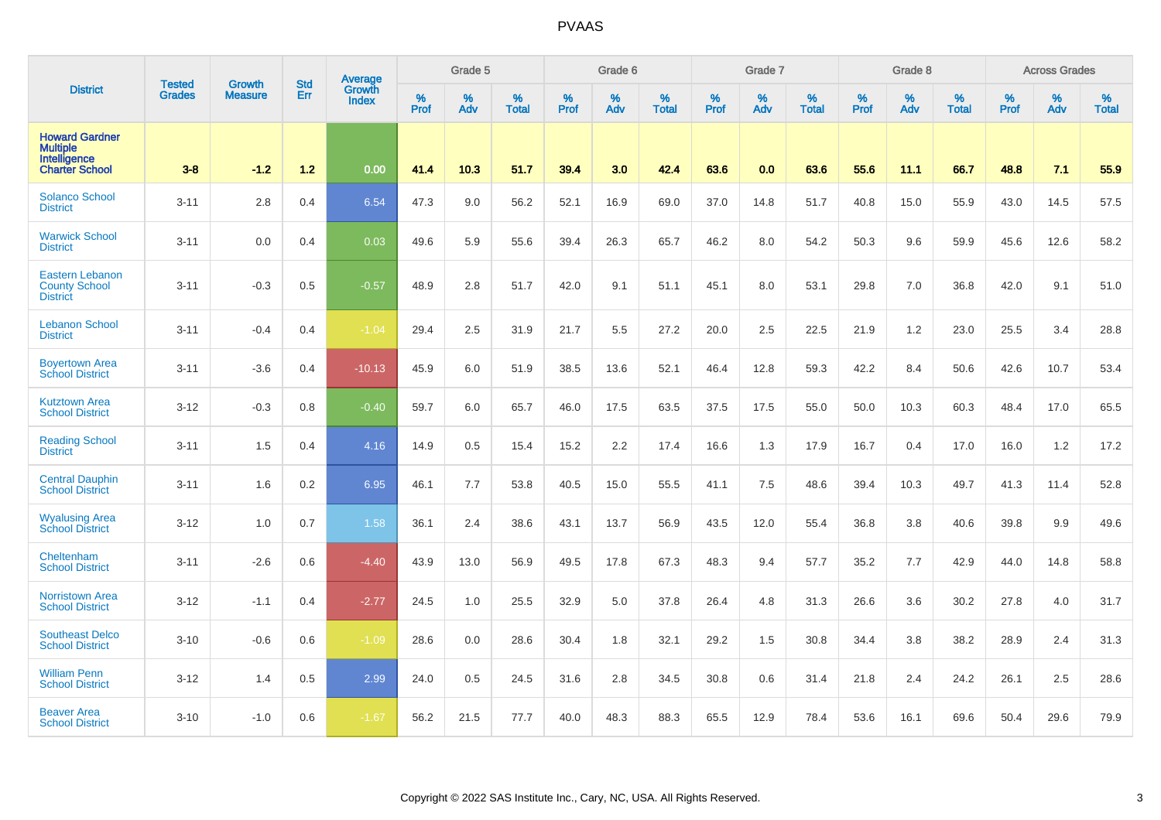|                                                                                   | <b>Tested</b> | <b>Growth</b>  | <b>Std</b> | <b>Average</b>  |                     | Grade 5  |                   |           | Grade 6  |                   |              | Grade 7  |                   |           | Grade 8  |                   |           | <b>Across Grades</b> |                   |
|-----------------------------------------------------------------------------------|---------------|----------------|------------|-----------------|---------------------|----------|-------------------|-----------|----------|-------------------|--------------|----------|-------------------|-----------|----------|-------------------|-----------|----------------------|-------------------|
| <b>District</b>                                                                   | <b>Grades</b> | <b>Measure</b> | Err        | Growth<br>Index | $\%$<br><b>Prof</b> | %<br>Adv | %<br><b>Total</b> | %<br>Prof | %<br>Adv | %<br><b>Total</b> | $\%$<br>Prof | %<br>Adv | %<br><b>Total</b> | %<br>Prof | %<br>Adv | %<br><b>Total</b> | %<br>Prof | %<br>Adv             | %<br><b>Total</b> |
| <b>Howard Gardner</b><br><b>Multiple</b><br>Intelligence<br><b>Charter School</b> | $3 - 8$       | $-1.2$         | 1.2        | 0.00            | 41.4                | 10.3     | 51.7              | 39.4      | 3.0      | 42.4              | 63.6         | 0.0      | 63.6              | 55.6      | 11.1     | 66.7              | 48.8      | 7.1                  | 55.9              |
| <b>Solanco School</b><br><b>District</b>                                          | $3 - 11$      | 2.8            | 0.4        | 6.54            | 47.3                | 9.0      | 56.2              | 52.1      | 16.9     | 69.0              | 37.0         | 14.8     | 51.7              | 40.8      | 15.0     | 55.9              | 43.0      | 14.5                 | 57.5              |
| <b>Warwick School</b><br><b>District</b>                                          | $3 - 11$      | 0.0            | 0.4        | 0.03            | 49.6                | 5.9      | 55.6              | 39.4      | 26.3     | 65.7              | 46.2         | 8.0      | 54.2              | 50.3      | 9.6      | 59.9              | 45.6      | 12.6                 | 58.2              |
| <b>Eastern Lebanon</b><br><b>County School</b><br><b>District</b>                 | $3 - 11$      | $-0.3$         | 0.5        | $-0.57$         | 48.9                | 2.8      | 51.7              | 42.0      | 9.1      | 51.1              | 45.1         | 8.0      | 53.1              | 29.8      | 7.0      | 36.8              | 42.0      | 9.1                  | 51.0              |
| <b>Lebanon School</b><br><b>District</b>                                          | $3 - 11$      | $-0.4$         | 0.4        | $-1.04$         | 29.4                | 2.5      | 31.9              | 21.7      | 5.5      | 27.2              | 20.0         | 2.5      | 22.5              | 21.9      | 1.2      | 23.0              | 25.5      | 3.4                  | 28.8              |
| <b>Boyertown Area</b><br><b>School District</b>                                   | $3 - 11$      | $-3.6$         | 0.4        | $-10.13$        | 45.9                | 6.0      | 51.9              | 38.5      | 13.6     | 52.1              | 46.4         | 12.8     | 59.3              | 42.2      | 8.4      | 50.6              | 42.6      | 10.7                 | 53.4              |
| <b>Kutztown Area</b><br><b>School District</b>                                    | $3 - 12$      | $-0.3$         | 0.8        | $-0.40$         | 59.7                | 6.0      | 65.7              | 46.0      | 17.5     | 63.5              | 37.5         | 17.5     | 55.0              | 50.0      | 10.3     | 60.3              | 48.4      | 17.0                 | 65.5              |
| <b>Reading School</b><br><b>District</b>                                          | $3 - 11$      | 1.5            | 0.4        | 4.16            | 14.9                | 0.5      | 15.4              | 15.2      | 2.2      | 17.4              | 16.6         | 1.3      | 17.9              | 16.7      | 0.4      | 17.0              | 16.0      | 1.2                  | 17.2              |
| <b>Central Dauphin</b><br><b>School District</b>                                  | $3 - 11$      | 1.6            | 0.2        | 6.95            | 46.1                | 7.7      | 53.8              | 40.5      | 15.0     | 55.5              | 41.1         | 7.5      | 48.6              | 39.4      | 10.3     | 49.7              | 41.3      | 11.4                 | 52.8              |
| <b>Wyalusing Area</b><br><b>School District</b>                                   | $3 - 12$      | 1.0            | 0.7        | 1.58            | 36.1                | 2.4      | 38.6              | 43.1      | 13.7     | 56.9              | 43.5         | 12.0     | 55.4              | 36.8      | 3.8      | 40.6              | 39.8      | 9.9                  | 49.6              |
| Cheltenham<br><b>School District</b>                                              | $3 - 11$      | $-2.6$         | 0.6        | $-4.40$         | 43.9                | 13.0     | 56.9              | 49.5      | 17.8     | 67.3              | 48.3         | 9.4      | 57.7              | 35.2      | 7.7      | 42.9              | 44.0      | 14.8                 | 58.8              |
| <b>Norristown Area</b><br><b>School District</b>                                  | $3 - 12$      | $-1.1$         | 0.4        | $-2.77$         | 24.5                | 1.0      | 25.5              | 32.9      | 5.0      | 37.8              | 26.4         | 4.8      | 31.3              | 26.6      | 3.6      | 30.2              | 27.8      | 4.0                  | 31.7              |
| <b>Southeast Delco</b><br><b>School District</b>                                  | $3 - 10$      | $-0.6$         | 0.6        | $-1.09$         | 28.6                | 0.0      | 28.6              | 30.4      | 1.8      | 32.1              | 29.2         | 1.5      | 30.8              | 34.4      | 3.8      | 38.2              | 28.9      | 2.4                  | 31.3              |
| <b>William Penn</b><br><b>School District</b>                                     | $3 - 12$      | 1.4            | 0.5        | 2.99            | 24.0                | 0.5      | 24.5              | 31.6      | 2.8      | 34.5              | 30.8         | 0.6      | 31.4              | 21.8      | 2.4      | 24.2              | 26.1      | 2.5                  | 28.6              |
| <b>Beaver Area</b><br><b>School District</b>                                      | $3 - 10$      | $-1.0$         | 0.6        | $-1.67$         | 56.2                | 21.5     | 77.7              | 40.0      | 48.3     | 88.3              | 65.5         | 12.9     | 78.4              | 53.6      | 16.1     | 69.6              | 50.4      | 29.6                 | 79.9              |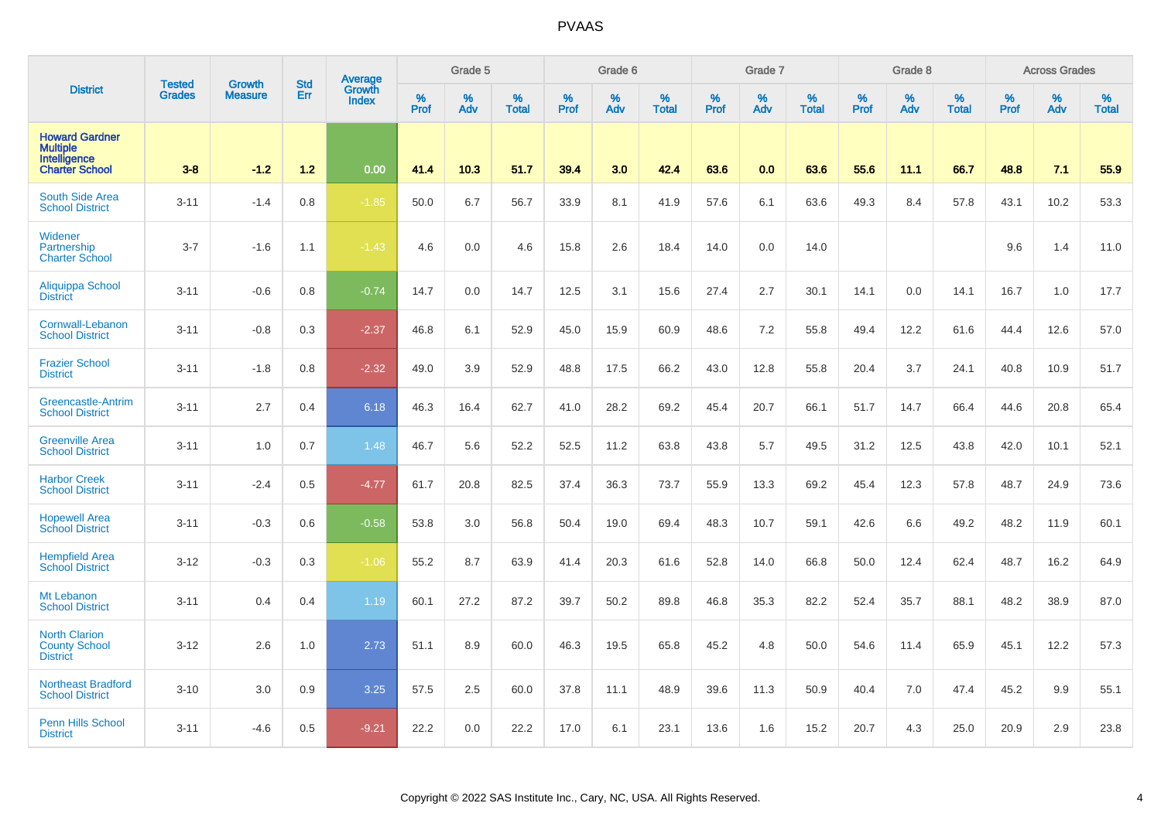|                                                                                   | <b>Tested</b> | Growth         | <b>Std</b> | <b>Average</b><br>Growth |                  | Grade 5  |                   |                  | Grade 6  |                   |           | Grade 7  |                   |           | Grade 8  |                   |           | <b>Across Grades</b> |                   |
|-----------------------------------------------------------------------------------|---------------|----------------|------------|--------------------------|------------------|----------|-------------------|------------------|----------|-------------------|-----------|----------|-------------------|-----------|----------|-------------------|-----------|----------------------|-------------------|
| <b>District</b>                                                                   | <b>Grades</b> | <b>Measure</b> | Err        | <b>Index</b>             | %<br><b>Prof</b> | %<br>Adv | %<br><b>Total</b> | %<br><b>Prof</b> | %<br>Adv | %<br><b>Total</b> | %<br>Prof | %<br>Adv | %<br><b>Total</b> | %<br>Prof | %<br>Adv | %<br><b>Total</b> | %<br>Prof | %<br>Adv             | %<br><b>Total</b> |
| <b>Howard Gardner</b><br><b>Multiple</b><br>Intelligence<br><b>Charter School</b> | $3 - 8$       | $-1.2$         | $1.2$      | 0.00                     | 41.4             | 10.3     | 51.7              | 39.4             | 3.0      | 42.4              | 63.6      | 0.0      | 63.6              | 55.6      | 11.1     | 66.7              | 48.8      | 7.1                  | 55.9              |
| South Side Area<br><b>School District</b>                                         | $3 - 11$      | $-1.4$         | 0.8        | $-1.85$                  | 50.0             | 6.7      | 56.7              | 33.9             | 8.1      | 41.9              | 57.6      | 6.1      | 63.6              | 49.3      | 8.4      | 57.8              | 43.1      | 10.2                 | 53.3              |
| Widener<br>Partnership<br><b>Charter School</b>                                   | $3 - 7$       | $-1.6$         | 1.1        | $-1.43$                  | 4.6              | 0.0      | 4.6               | 15.8             | 2.6      | 18.4              | 14.0      | 0.0      | 14.0              |           |          |                   | 9.6       | 1.4                  | 11.0              |
| Aliquippa School<br><b>District</b>                                               | $3 - 11$      | $-0.6$         | 0.8        | $-0.74$                  | 14.7             | 0.0      | 14.7              | 12.5             | 3.1      | 15.6              | 27.4      | 2.7      | 30.1              | 14.1      | 0.0      | 14.1              | 16.7      | 1.0                  | 17.7              |
| Cornwall-Lebanon<br><b>School District</b>                                        | $3 - 11$      | $-0.8$         | 0.3        | $-2.37$                  | 46.8             | 6.1      | 52.9              | 45.0             | 15.9     | 60.9              | 48.6      | 7.2      | 55.8              | 49.4      | 12.2     | 61.6              | 44.4      | 12.6                 | 57.0              |
| <b>Frazier School</b><br><b>District</b>                                          | $3 - 11$      | $-1.8$         | 0.8        | $-2.32$                  | 49.0             | 3.9      | 52.9              | 48.8             | 17.5     | 66.2              | 43.0      | 12.8     | 55.8              | 20.4      | 3.7      | 24.1              | 40.8      | 10.9                 | 51.7              |
| <b>Greencastle-Antrim</b><br><b>School District</b>                               | $3 - 11$      | 2.7            | 0.4        | 6.18                     | 46.3             | 16.4     | 62.7              | 41.0             | 28.2     | 69.2              | 45.4      | 20.7     | 66.1              | 51.7      | 14.7     | 66.4              | 44.6      | 20.8                 | 65.4              |
| <b>Greenville Area</b><br><b>School District</b>                                  | $3 - 11$      | 1.0            | 0.7        | 1.48                     | 46.7             | 5.6      | 52.2              | 52.5             | 11.2     | 63.8              | 43.8      | 5.7      | 49.5              | 31.2      | 12.5     | 43.8              | 42.0      | 10.1                 | 52.1              |
| <b>Harbor Creek</b><br><b>School District</b>                                     | $3 - 11$      | $-2.4$         | 0.5        | $-4.77$                  | 61.7             | 20.8     | 82.5              | 37.4             | 36.3     | 73.7              | 55.9      | 13.3     | 69.2              | 45.4      | 12.3     | 57.8              | 48.7      | 24.9                 | 73.6              |
| <b>Hopewell Area</b><br><b>School District</b>                                    | $3 - 11$      | $-0.3$         | 0.6        | $-0.58$                  | 53.8             | 3.0      | 56.8              | 50.4             | 19.0     | 69.4              | 48.3      | 10.7     | 59.1              | 42.6      | 6.6      | 49.2              | 48.2      | 11.9                 | 60.1              |
| <b>Hempfield Area</b><br><b>School District</b>                                   | $3 - 12$      | $-0.3$         | 0.3        | $-1.06$                  | 55.2             | 8.7      | 63.9              | 41.4             | 20.3     | 61.6              | 52.8      | 14.0     | 66.8              | 50.0      | 12.4     | 62.4              | 48.7      | 16.2                 | 64.9              |
| Mt Lebanon<br><b>School District</b>                                              | $3 - 11$      | 0.4            | 0.4        | 1.19                     | 60.1             | 27.2     | 87.2              | 39.7             | 50.2     | 89.8              | 46.8      | 35.3     | 82.2              | 52.4      | 35.7     | 88.1              | 48.2      | 38.9                 | 87.0              |
| <b>North Clarion</b><br><b>County School</b><br><b>District</b>                   | $3 - 12$      | 2.6            | 1.0        | 2.73                     | 51.1             | 8.9      | 60.0              | 46.3             | 19.5     | 65.8              | 45.2      | 4.8      | 50.0              | 54.6      | 11.4     | 65.9              | 45.1      | 12.2                 | 57.3              |
| Northeast Bradford<br><b>School District</b>                                      | $3 - 10$      | 3.0            | 0.9        | 3.25                     | 57.5             | 2.5      | 60.0              | 37.8             | 11.1     | 48.9              | 39.6      | 11.3     | 50.9              | 40.4      | 7.0      | 47.4              | 45.2      | 9.9                  | 55.1              |
| <b>Penn Hills School</b><br><b>District</b>                                       | $3 - 11$      | -4.6           | 0.5        | $-9.21$                  | 22.2             | 0.0      | 22.2              | 17.0             | 6.1      | 23.1              | 13.6      | 1.6      | 15.2              | 20.7      | 4.3      | 25.0              | 20.9      | 2.9                  | 23.8              |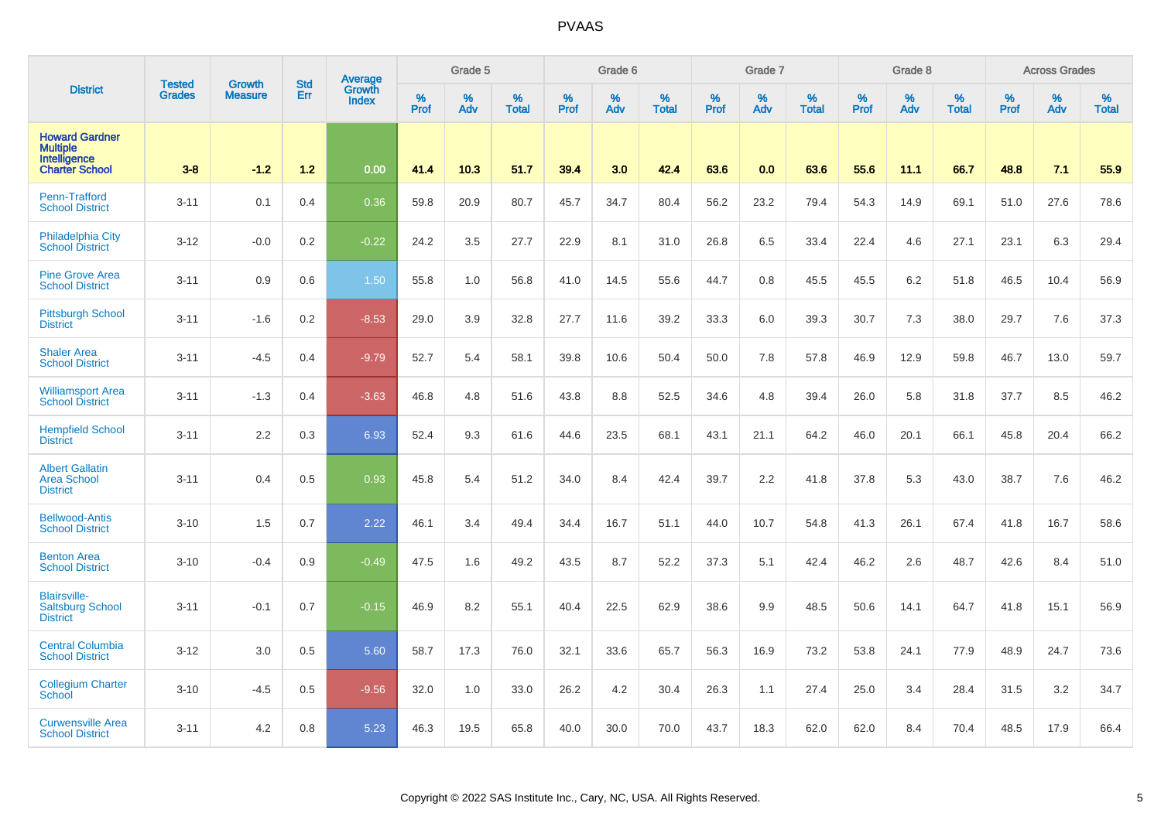|                                                                                   | <b>Tested</b> | <b>Growth</b>  | <b>Std</b> | <b>Average</b><br>Growth |                  | Grade 5  |                   |                  | Grade 6  |                   |           | Grade 7  |                   |           | Grade 8  |                   |                  | <b>Across Grades</b> |                   |
|-----------------------------------------------------------------------------------|---------------|----------------|------------|--------------------------|------------------|----------|-------------------|------------------|----------|-------------------|-----------|----------|-------------------|-----------|----------|-------------------|------------------|----------------------|-------------------|
| <b>District</b>                                                                   | <b>Grades</b> | <b>Measure</b> | Err        | <b>Index</b>             | %<br><b>Prof</b> | %<br>Adv | %<br><b>Total</b> | %<br><b>Prof</b> | %<br>Adv | %<br><b>Total</b> | %<br>Prof | %<br>Adv | %<br><b>Total</b> | %<br>Prof | %<br>Adv | %<br><b>Total</b> | %<br><b>Prof</b> | %<br>Adv             | %<br><b>Total</b> |
| <b>Howard Gardner</b><br><b>Multiple</b><br>Intelligence<br><b>Charter School</b> | $3 - 8$       | $-1.2$         | 1.2        | 0.00                     | 41.4             | 10.3     | 51.7              | 39.4             | 3.0      | 42.4              | 63.6      | 0.0      | 63.6              | 55.6      | 11.1     | 66.7              | 48.8             | 7.1                  | 55.9              |
| Penn-Trafford<br><b>School District</b>                                           | $3 - 11$      | 0.1            | 0.4        | 0.36                     | 59.8             | 20.9     | 80.7              | 45.7             | 34.7     | 80.4              | 56.2      | 23.2     | 79.4              | 54.3      | 14.9     | 69.1              | 51.0             | 27.6                 | 78.6              |
| <b>Philadelphia City</b><br><b>School District</b>                                | $3 - 12$      | $-0.0$         | 0.2        | $-0.22$                  | 24.2             | 3.5      | 27.7              | 22.9             | 8.1      | 31.0              | 26.8      | 6.5      | 33.4              | 22.4      | 4.6      | 27.1              | 23.1             | 6.3                  | 29.4              |
| <b>Pine Grove Area</b><br><b>School District</b>                                  | $3 - 11$      | 0.9            | 0.6        | 1.50                     | 55.8             | 1.0      | 56.8              | 41.0             | 14.5     | 55.6              | 44.7      | 0.8      | 45.5              | 45.5      | 6.2      | 51.8              | 46.5             | 10.4                 | 56.9              |
| <b>Pittsburgh School</b><br><b>District</b>                                       | $3 - 11$      | $-1.6$         | 0.2        | $-8.53$                  | 29.0             | 3.9      | 32.8              | 27.7             | 11.6     | 39.2              | 33.3      | 6.0      | 39.3              | 30.7      | 7.3      | 38.0              | 29.7             | 7.6                  | 37.3              |
| <b>Shaler Area</b><br><b>School District</b>                                      | $3 - 11$      | $-4.5$         | 0.4        | $-9.79$                  | 52.7             | 5.4      | 58.1              | 39.8             | 10.6     | 50.4              | 50.0      | 7.8      | 57.8              | 46.9      | 12.9     | 59.8              | 46.7             | 13.0                 | 59.7              |
| <b>Williamsport Area</b><br><b>School District</b>                                | $3 - 11$      | $-1.3$         | 0.4        | $-3.63$                  | 46.8             | 4.8      | 51.6              | 43.8             | 8.8      | 52.5              | 34.6      | 4.8      | 39.4              | 26.0      | 5.8      | 31.8              | 37.7             | 8.5                  | 46.2              |
| <b>Hempfield School</b><br><b>District</b>                                        | $3 - 11$      | 2.2            | 0.3        | 6.93                     | 52.4             | 9.3      | 61.6              | 44.6             | 23.5     | 68.1              | 43.1      | 21.1     | 64.2              | 46.0      | 20.1     | 66.1              | 45.8             | 20.4                 | 66.2              |
| <b>Albert Gallatin</b><br><b>Area School</b><br><b>District</b>                   | $3 - 11$      | 0.4            | 0.5        | 0.93                     | 45.8             | 5.4      | 51.2              | 34.0             | 8.4      | 42.4              | 39.7      | 2.2      | 41.8              | 37.8      | 5.3      | 43.0              | 38.7             | 7.6                  | 46.2              |
| <b>Bellwood-Antis</b><br><b>School District</b>                                   | $3 - 10$      | 1.5            | 0.7        | 2.22                     | 46.1             | 3.4      | 49.4              | 34.4             | 16.7     | 51.1              | 44.0      | 10.7     | 54.8              | 41.3      | 26.1     | 67.4              | 41.8             | 16.7                 | 58.6              |
| <b>Benton Area</b><br><b>School District</b>                                      | $3 - 10$      | $-0.4$         | 0.9        | $-0.49$                  | 47.5             | 1.6      | 49.2              | 43.5             | 8.7      | 52.2              | 37.3      | 5.1      | 42.4              | 46.2      | 2.6      | 48.7              | 42.6             | 8.4                  | 51.0              |
| <b>Blairsville-</b><br><b>Saltsburg School</b><br><b>District</b>                 | $3 - 11$      | $-0.1$         | 0.7        | $-0.15$                  | 46.9             | 8.2      | 55.1              | 40.4             | 22.5     | 62.9              | 38.6      | 9.9      | 48.5              | 50.6      | 14.1     | 64.7              | 41.8             | 15.1                 | 56.9              |
| <b>Central Columbia</b><br><b>School District</b>                                 | $3 - 12$      | 3.0            | 0.5        | 5.60                     | 58.7             | 17.3     | 76.0              | 32.1             | 33.6     | 65.7              | 56.3      | 16.9     | 73.2              | 53.8      | 24.1     | 77.9              | 48.9             | 24.7                 | 73.6              |
| <b>Collegium Charter</b><br>School                                                | $3 - 10$      | $-4.5$         | 0.5        | $-9.56$                  | 32.0             | 1.0      | 33.0              | 26.2             | 4.2      | 30.4              | 26.3      | 1.1      | 27.4              | 25.0      | 3.4      | 28.4              | 31.5             | 3.2                  | 34.7              |
| <b>Curwensville Area</b><br><b>School District</b>                                | $3 - 11$      | 4.2            | 0.8        | 5.23                     | 46.3             | 19.5     | 65.8              | 40.0             | 30.0     | 70.0              | 43.7      | 18.3     | 62.0              | 62.0      | 8.4      | 70.4              | 48.5             | 17.9                 | 66.4              |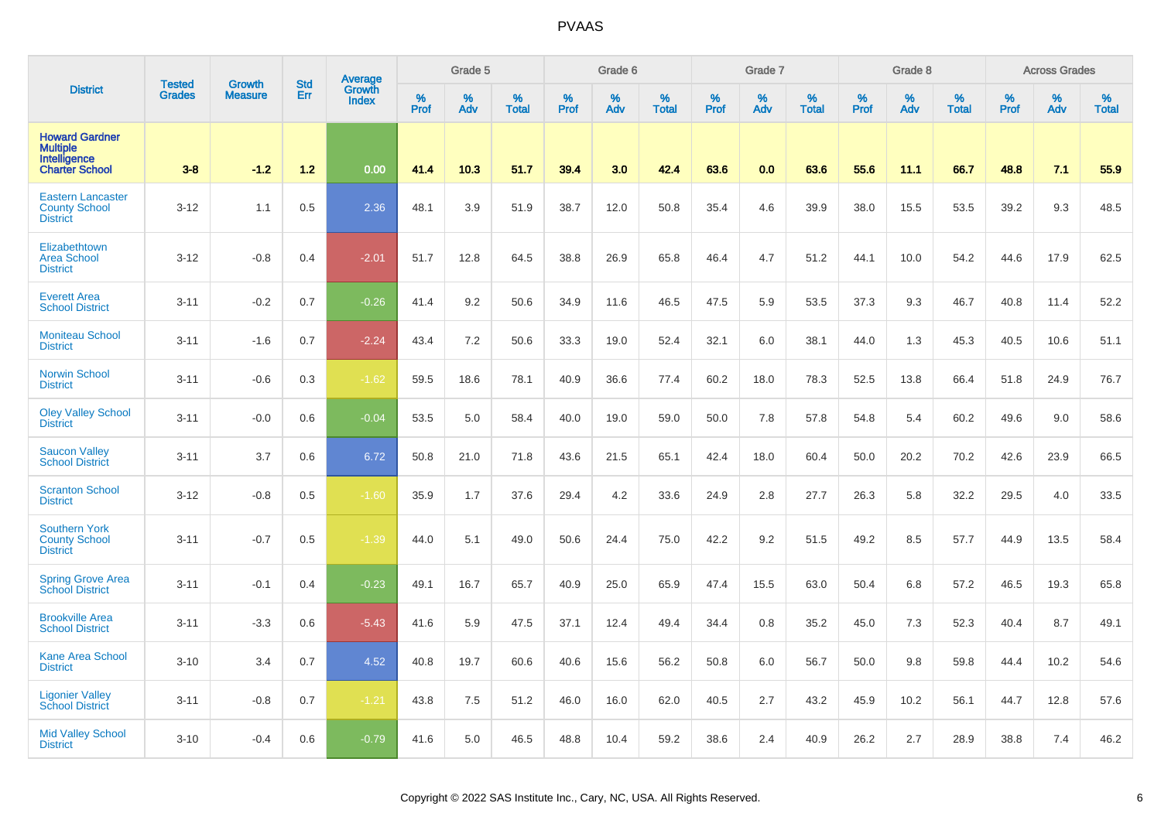|                                                                                   | <b>Tested</b> | <b>Growth</b>  | <b>Std</b> | <b>Average</b><br>Growth |                     | Grade 5  |                   |                  | Grade 6  |                   |                  | Grade 7  |                   |           | Grade 8  |                   |           | <b>Across Grades</b> |                   |
|-----------------------------------------------------------------------------------|---------------|----------------|------------|--------------------------|---------------------|----------|-------------------|------------------|----------|-------------------|------------------|----------|-------------------|-----------|----------|-------------------|-----------|----------------------|-------------------|
| <b>District</b>                                                                   | <b>Grades</b> | <b>Measure</b> | Err        | <b>Index</b>             | $\%$<br><b>Prof</b> | %<br>Adv | %<br><b>Total</b> | %<br><b>Prof</b> | %<br>Adv | %<br><b>Total</b> | %<br><b>Prof</b> | %<br>Adv | %<br><b>Total</b> | %<br>Prof | %<br>Adv | %<br><b>Total</b> | %<br>Prof | %<br>Adv             | %<br><b>Total</b> |
| <b>Howard Gardner</b><br><b>Multiple</b><br>Intelligence<br><b>Charter School</b> | $3 - 8$       | $-1.2$         | $1.2$      | 0.00                     | 41.4                | 10.3     | 51.7              | 39.4             | 3.0      | 42.4              | 63.6             | 0.0      | 63.6              | 55.6      | 11.1     | 66.7              | 48.8      | 7.1                  | 55.9              |
| <b>Eastern Lancaster</b><br><b>County School</b><br><b>District</b>               | $3 - 12$      | 1.1            | 0.5        | 2.36                     | 48.1                | 3.9      | 51.9              | 38.7             | 12.0     | 50.8              | 35.4             | 4.6      | 39.9              | 38.0      | 15.5     | 53.5              | 39.2      | 9.3                  | 48.5              |
| Elizabethtown<br><b>Area School</b><br><b>District</b>                            | $3 - 12$      | $-0.8$         | 0.4        | $-2.01$                  | 51.7                | 12.8     | 64.5              | 38.8             | 26.9     | 65.8              | 46.4             | 4.7      | 51.2              | 44.1      | 10.0     | 54.2              | 44.6      | 17.9                 | 62.5              |
| <b>Everett Area</b><br><b>School District</b>                                     | $3 - 11$      | $-0.2$         | 0.7        | $-0.26$                  | 41.4                | 9.2      | 50.6              | 34.9             | 11.6     | 46.5              | 47.5             | 5.9      | 53.5              | 37.3      | 9.3      | 46.7              | 40.8      | 11.4                 | 52.2              |
| <b>Moniteau School</b><br><b>District</b>                                         | $3 - 11$      | $-1.6$         | 0.7        | $-2.24$                  | 43.4                | 7.2      | 50.6              | 33.3             | 19.0     | 52.4              | 32.1             | 6.0      | 38.1              | 44.0      | 1.3      | 45.3              | 40.5      | 10.6                 | 51.1              |
| <b>Norwin School</b><br><b>District</b>                                           | $3 - 11$      | $-0.6$         | 0.3        | $-1.62$                  | 59.5                | 18.6     | 78.1              | 40.9             | 36.6     | 77.4              | 60.2             | 18.0     | 78.3              | 52.5      | 13.8     | 66.4              | 51.8      | 24.9                 | 76.7              |
| <b>Oley Valley School</b><br><b>District</b>                                      | $3 - 11$      | $-0.0$         | 0.6        | $-0.04$                  | 53.5                | 5.0      | 58.4              | 40.0             | 19.0     | 59.0              | 50.0             | 7.8      | 57.8              | 54.8      | 5.4      | 60.2              | 49.6      | 9.0                  | 58.6              |
| <b>Saucon Valley</b><br><b>School District</b>                                    | $3 - 11$      | 3.7            | 0.6        | 6.72                     | 50.8                | 21.0     | 71.8              | 43.6             | 21.5     | 65.1              | 42.4             | 18.0     | 60.4              | 50.0      | 20.2     | 70.2              | 42.6      | 23.9                 | 66.5              |
| <b>Scranton School</b><br><b>District</b>                                         | $3 - 12$      | $-0.8$         | 0.5        | $-1.60$                  | 35.9                | 1.7      | 37.6              | 29.4             | 4.2      | 33.6              | 24.9             | 2.8      | 27.7              | 26.3      | 5.8      | 32.2              | 29.5      | 4.0                  | 33.5              |
| <b>Southern York</b><br><b>County School</b><br><b>District</b>                   | $3 - 11$      | $-0.7$         | 0.5        | $-1.39$                  | 44.0                | 5.1      | 49.0              | 50.6             | 24.4     | 75.0              | 42.2             | 9.2      | 51.5              | 49.2      | 8.5      | 57.7              | 44.9      | 13.5                 | 58.4              |
| <b>Spring Grove Area</b><br><b>School District</b>                                | $3 - 11$      | $-0.1$         | 0.4        | $-0.23$                  | 49.1                | 16.7     | 65.7              | 40.9             | 25.0     | 65.9              | 47.4             | 15.5     | 63.0              | 50.4      | 6.8      | 57.2              | 46.5      | 19.3                 | 65.8              |
| <b>Brookville Area</b><br><b>School District</b>                                  | $3 - 11$      | $-3.3$         | 0.6        | $-5.43$                  | 41.6                | 5.9      | 47.5              | 37.1             | 12.4     | 49.4              | 34.4             | 0.8      | 35.2              | 45.0      | 7.3      | 52.3              | 40.4      | 8.7                  | 49.1              |
| <b>Kane Area School</b><br><b>District</b>                                        | $3 - 10$      | 3.4            | 0.7        | 4.52                     | 40.8                | 19.7     | 60.6              | 40.6             | 15.6     | 56.2              | 50.8             | 6.0      | 56.7              | 50.0      | 9.8      | 59.8              | 44.4      | 10.2                 | 54.6              |
| <b>Ligonier Valley</b><br><b>School District</b>                                  | $3 - 11$      | $-0.8$         | 0.7        | $-1.21$                  | 43.8                | 7.5      | 51.2              | 46.0             | 16.0     | 62.0              | 40.5             | 2.7      | 43.2              | 45.9      | 10.2     | 56.1              | 44.7      | 12.8                 | 57.6              |
| <b>Mid Valley School</b><br><b>District</b>                                       | $3 - 10$      | $-0.4$         | 0.6        | $-0.79$                  | 41.6                | 5.0      | 46.5              | 48.8             | 10.4     | 59.2              | 38.6             | 2.4      | 40.9              | 26.2      | 2.7      | 28.9              | 38.8      | 7.4                  | 46.2              |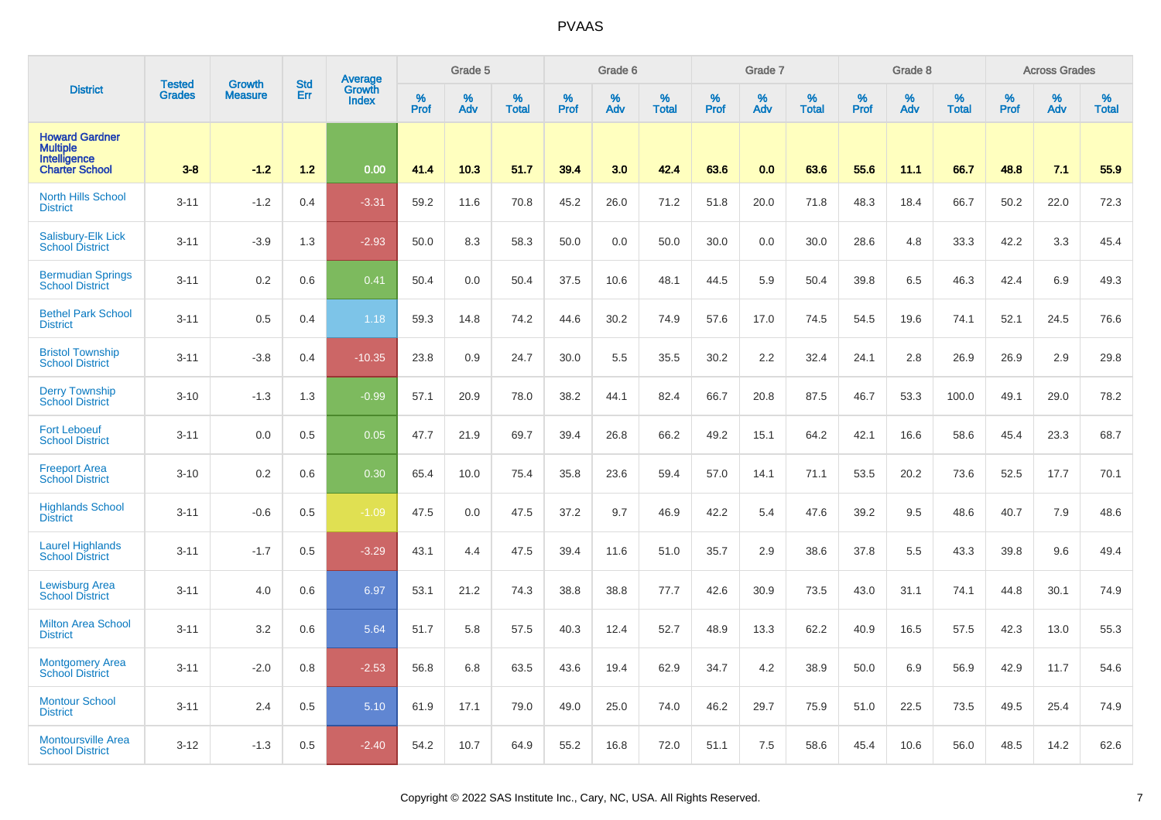|                                                                                   | <b>Tested</b> |                                 | <b>Std</b> | Average                       |                  | Grade 5  |                   |           | Grade 6  |                   |           | Grade 7  |                   |           | Grade 8  |                   |           | <b>Across Grades</b> |                   |
|-----------------------------------------------------------------------------------|---------------|---------------------------------|------------|-------------------------------|------------------|----------|-------------------|-----------|----------|-------------------|-----------|----------|-------------------|-----------|----------|-------------------|-----------|----------------------|-------------------|
| <b>District</b>                                                                   | <b>Grades</b> | <b>Growth</b><br><b>Measure</b> | Err        | <b>Growth</b><br><b>Index</b> | %<br><b>Prof</b> | %<br>Adv | %<br><b>Total</b> | %<br>Prof | %<br>Adv | %<br><b>Total</b> | %<br>Prof | %<br>Adv | %<br><b>Total</b> | %<br>Prof | %<br>Adv | %<br><b>Total</b> | %<br>Prof | $\%$<br>Adv          | %<br><b>Total</b> |
| <b>Howard Gardner</b><br><b>Multiple</b><br>Intelligence<br><b>Charter School</b> | $3 - 8$       | $-1.2$                          | 1.2        | 0.00                          | 41.4             | 10.3     | 51.7              | 39.4      | 3.0      | 42.4              | 63.6      | 0.0      | 63.6              | 55.6      | 11.1     | 66.7              | 48.8      | 7.1                  | 55.9              |
| <b>North Hills School</b><br><b>District</b>                                      | $3 - 11$      | $-1.2$                          | 0.4        | $-3.31$                       | 59.2             | 11.6     | 70.8              | 45.2      | 26.0     | 71.2              | 51.8      | 20.0     | 71.8              | 48.3      | 18.4     | 66.7              | 50.2      | 22.0                 | 72.3              |
| Salisbury-Elk Lick<br><b>School District</b>                                      | $3 - 11$      | $-3.9$                          | 1.3        | $-2.93$                       | 50.0             | 8.3      | 58.3              | 50.0      | 0.0      | 50.0              | 30.0      | 0.0      | 30.0              | 28.6      | 4.8      | 33.3              | 42.2      | 3.3                  | 45.4              |
| <b>Bermudian Springs</b><br><b>School District</b>                                | $3 - 11$      | 0.2                             | 0.6        | 0.41                          | 50.4             | 0.0      | 50.4              | 37.5      | 10.6     | 48.1              | 44.5      | 5.9      | 50.4              | 39.8      | 6.5      | 46.3              | 42.4      | 6.9                  | 49.3              |
| <b>Bethel Park School</b><br><b>District</b>                                      | $3 - 11$      | 0.5                             | 0.4        | 1.18                          | 59.3             | 14.8     | 74.2              | 44.6      | 30.2     | 74.9              | 57.6      | 17.0     | 74.5              | 54.5      | 19.6     | 74.1              | 52.1      | 24.5                 | 76.6              |
| <b>Bristol Township</b><br><b>School District</b>                                 | $3 - 11$      | $-3.8$                          | 0.4        | $-10.35$                      | 23.8             | 0.9      | 24.7              | 30.0      | 5.5      | 35.5              | 30.2      | 2.2      | 32.4              | 24.1      | 2.8      | 26.9              | 26.9      | 2.9                  | 29.8              |
| <b>Derry Township</b><br><b>School District</b>                                   | $3 - 10$      | $-1.3$                          | 1.3        | $-0.99$                       | 57.1             | 20.9     | 78.0              | 38.2      | 44.1     | 82.4              | 66.7      | 20.8     | 87.5              | 46.7      | 53.3     | 100.0             | 49.1      | 29.0                 | 78.2              |
| <b>Fort Leboeuf</b><br><b>School District</b>                                     | $3 - 11$      | 0.0                             | 0.5        | 0.05                          | 47.7             | 21.9     | 69.7              | 39.4      | 26.8     | 66.2              | 49.2      | 15.1     | 64.2              | 42.1      | 16.6     | 58.6              | 45.4      | 23.3                 | 68.7              |
| <b>Freeport Area</b><br><b>School District</b>                                    | $3 - 10$      | 0.2                             | 0.6        | 0.30                          | 65.4             | 10.0     | 75.4              | 35.8      | 23.6     | 59.4              | 57.0      | 14.1     | 71.1              | 53.5      | 20.2     | 73.6              | 52.5      | 17.7                 | 70.1              |
| <b>Highlands School</b><br><b>District</b>                                        | $3 - 11$      | $-0.6$                          | 0.5        | $-1.09$                       | 47.5             | 0.0      | 47.5              | 37.2      | 9.7      | 46.9              | 42.2      | 5.4      | 47.6              | 39.2      | 9.5      | 48.6              | 40.7      | 7.9                  | 48.6              |
| <b>Laurel Highlands</b><br><b>School District</b>                                 | $3 - 11$      | $-1.7$                          | 0.5        | $-3.29$                       | 43.1             | 4.4      | 47.5              | 39.4      | 11.6     | 51.0              | 35.7      | 2.9      | 38.6              | 37.8      | 5.5      | 43.3              | 39.8      | 9.6                  | 49.4              |
| Lewisburg Area<br><b>School District</b>                                          | $3 - 11$      | 4.0                             | 0.6        | 6.97                          | 53.1             | 21.2     | 74.3              | 38.8      | 38.8     | 77.7              | 42.6      | 30.9     | 73.5              | 43.0      | 31.1     | 74.1              | 44.8      | 30.1                 | 74.9              |
| <b>Milton Area School</b><br><b>District</b>                                      | $3 - 11$      | 3.2                             | 0.6        | 5.64                          | 51.7             | 5.8      | 57.5              | 40.3      | 12.4     | 52.7              | 48.9      | 13.3     | 62.2              | 40.9      | 16.5     | 57.5              | 42.3      | 13.0                 | 55.3              |
| <b>Montgomery Area</b><br><b>School District</b>                                  | $3 - 11$      | $-2.0$                          | 0.8        | $-2.53$                       | 56.8             | 6.8      | 63.5              | 43.6      | 19.4     | 62.9              | 34.7      | 4.2      | 38.9              | 50.0      | 6.9      | 56.9              | 42.9      | 11.7                 | 54.6              |
| <b>Montour School</b><br><b>District</b>                                          | $3 - 11$      | 2.4                             | 0.5        | 5.10                          | 61.9             | 17.1     | 79.0              | 49.0      | 25.0     | 74.0              | 46.2      | 29.7     | 75.9              | 51.0      | 22.5     | 73.5              | 49.5      | 25.4                 | 74.9              |
| <b>Montoursville Area</b><br><b>School District</b>                               | $3 - 12$      | $-1.3$                          | 0.5        | $-2.40$                       | 54.2             | 10.7     | 64.9              | 55.2      | 16.8     | 72.0              | 51.1      | 7.5      | 58.6              | 45.4      | 10.6     | 56.0              | 48.5      | 14.2                 | 62.6              |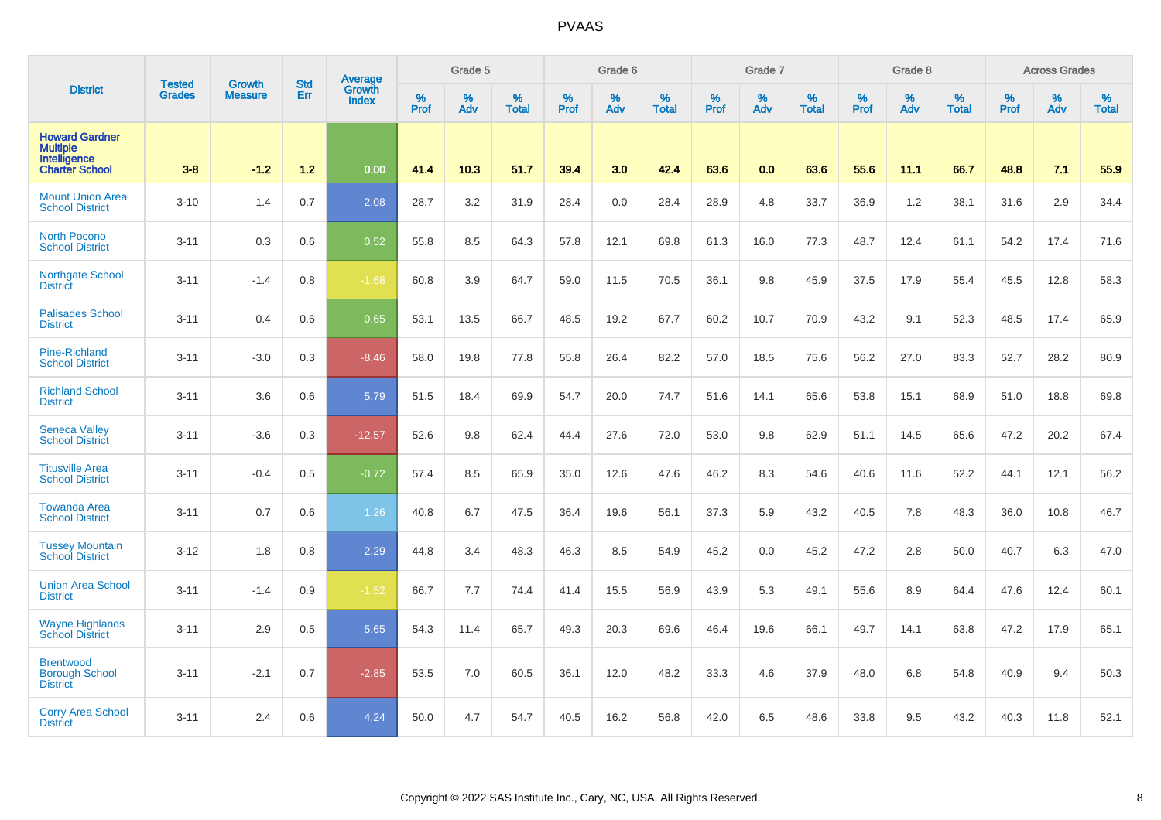|                                                                            | <b>Tested</b> | <b>Growth</b>  | <b>Std</b> | Average<br>Growth |                     | Grade 5  |                   |                  | Grade 6  |                   |           | Grade 7  |                   |           | Grade 8  |                   |                  | <b>Across Grades</b> |                   |
|----------------------------------------------------------------------------|---------------|----------------|------------|-------------------|---------------------|----------|-------------------|------------------|----------|-------------------|-----------|----------|-------------------|-----------|----------|-------------------|------------------|----------------------|-------------------|
| <b>District</b>                                                            | <b>Grades</b> | <b>Measure</b> | Err        | <b>Index</b>      | $\%$<br><b>Prof</b> | %<br>Adv | %<br><b>Total</b> | %<br><b>Prof</b> | %<br>Adv | %<br><b>Total</b> | %<br>Prof | %<br>Adv | %<br><b>Total</b> | %<br>Prof | %<br>Adv | %<br><b>Total</b> | %<br><b>Prof</b> | %<br>Adv             | %<br><b>Total</b> |
| <b>Howard Gardner</b><br>Multiple<br>Intelligence<br><b>Charter School</b> | $3 - 8$       | $-1.2$         | 1.2        | 0.00              | 41.4                | 10.3     | 51.7              | 39.4             | 3.0      | 42.4              | 63.6      | 0.0      | 63.6              | 55.6      | 11.1     | 66.7              | 48.8             | 7.1                  | 55.9              |
| <b>Mount Union Area</b><br><b>School District</b>                          | $3 - 10$      | 1.4            | 0.7        | 2.08              | 28.7                | 3.2      | 31.9              | 28.4             | 0.0      | 28.4              | 28.9      | 4.8      | 33.7              | 36.9      | 1.2      | 38.1              | 31.6             | 2.9                  | 34.4              |
| <b>North Pocono</b><br><b>School District</b>                              | $3 - 11$      | 0.3            | 0.6        | 0.52              | 55.8                | 8.5      | 64.3              | 57.8             | 12.1     | 69.8              | 61.3      | 16.0     | 77.3              | 48.7      | 12.4     | 61.1              | 54.2             | 17.4                 | 71.6              |
| <b>Northgate School</b><br><b>District</b>                                 | $3 - 11$      | $-1.4$         | 0.8        | $-1.68$           | 60.8                | 3.9      | 64.7              | 59.0             | 11.5     | 70.5              | 36.1      | 9.8      | 45.9              | 37.5      | 17.9     | 55.4              | 45.5             | 12.8                 | 58.3              |
| <b>Palisades School</b><br><b>District</b>                                 | $3 - 11$      | 0.4            | 0.6        | 0.65              | 53.1                | 13.5     | 66.7              | 48.5             | 19.2     | 67.7              | 60.2      | 10.7     | 70.9              | 43.2      | 9.1      | 52.3              | 48.5             | 17.4                 | 65.9              |
| <b>Pine-Richland</b><br><b>School District</b>                             | $3 - 11$      | $-3.0$         | 0.3        | $-8.46$           | 58.0                | 19.8     | 77.8              | 55.8             | 26.4     | 82.2              | 57.0      | 18.5     | 75.6              | 56.2      | 27.0     | 83.3              | 52.7             | 28.2                 | 80.9              |
| <b>Richland School</b><br><b>District</b>                                  | $3 - 11$      | 3.6            | 0.6        | 5.79              | 51.5                | 18.4     | 69.9              | 54.7             | 20.0     | 74.7              | 51.6      | 14.1     | 65.6              | 53.8      | 15.1     | 68.9              | 51.0             | 18.8                 | 69.8              |
| <b>Seneca Valley</b><br><b>School District</b>                             | $3 - 11$      | $-3.6$         | 0.3        | $-12.57$          | 52.6                | 9.8      | 62.4              | 44.4             | 27.6     | 72.0              | 53.0      | 9.8      | 62.9              | 51.1      | 14.5     | 65.6              | 47.2             | 20.2                 | 67.4              |
| <b>Titusville Area</b><br><b>School District</b>                           | $3 - 11$      | $-0.4$         | 0.5        | $-0.72$           | 57.4                | 8.5      | 65.9              | 35.0             | 12.6     | 47.6              | 46.2      | 8.3      | 54.6              | 40.6      | 11.6     | 52.2              | 44.1             | 12.1                 | 56.2              |
| <b>Towanda Area</b><br><b>School District</b>                              | $3 - 11$      | 0.7            | 0.6        | 1.26              | 40.8                | 6.7      | 47.5              | 36.4             | 19.6     | 56.1              | 37.3      | 5.9      | 43.2              | 40.5      | 7.8      | 48.3              | 36.0             | 10.8                 | 46.7              |
| <b>Tussey Mountain</b><br><b>School District</b>                           | $3 - 12$      | 1.8            | 0.8        | 2.29              | 44.8                | 3.4      | 48.3              | 46.3             | 8.5      | 54.9              | 45.2      | 0.0      | 45.2              | 47.2      | 2.8      | 50.0              | 40.7             | 6.3                  | 47.0              |
| <b>Union Area School</b><br><b>District</b>                                | $3 - 11$      | $-1.4$         | 0.9        | $-1.52$           | 66.7                | 7.7      | 74.4              | 41.4             | 15.5     | 56.9              | 43.9      | 5.3      | 49.1              | 55.6      | 8.9      | 64.4              | 47.6             | 12.4                 | 60.1              |
| <b>Wayne Highlands</b><br><b>School District</b>                           | $3 - 11$      | 2.9            | 0.5        | 5.65              | 54.3                | 11.4     | 65.7              | 49.3             | 20.3     | 69.6              | 46.4      | 19.6     | 66.1              | 49.7      | 14.1     | 63.8              | 47.2             | 17.9                 | 65.1              |
| <b>Brentwood</b><br><b>Borough School</b><br><b>District</b>               | $3 - 11$      | $-2.1$         | 0.7        | $-2.85$           | 53.5                | 7.0      | 60.5              | 36.1             | 12.0     | 48.2              | 33.3      | 4.6      | 37.9              | 48.0      | 6.8      | 54.8              | 40.9             | 9.4                  | 50.3              |
| <b>Corry Area School</b><br><b>District</b>                                | $3 - 11$      | 2.4            | 0.6        | 4.24              | 50.0                | 4.7      | 54.7              | 40.5             | 16.2     | 56.8              | 42.0      | 6.5      | 48.6              | 33.8      | 9.5      | 43.2              | 40.3             | 11.8                 | 52.1              |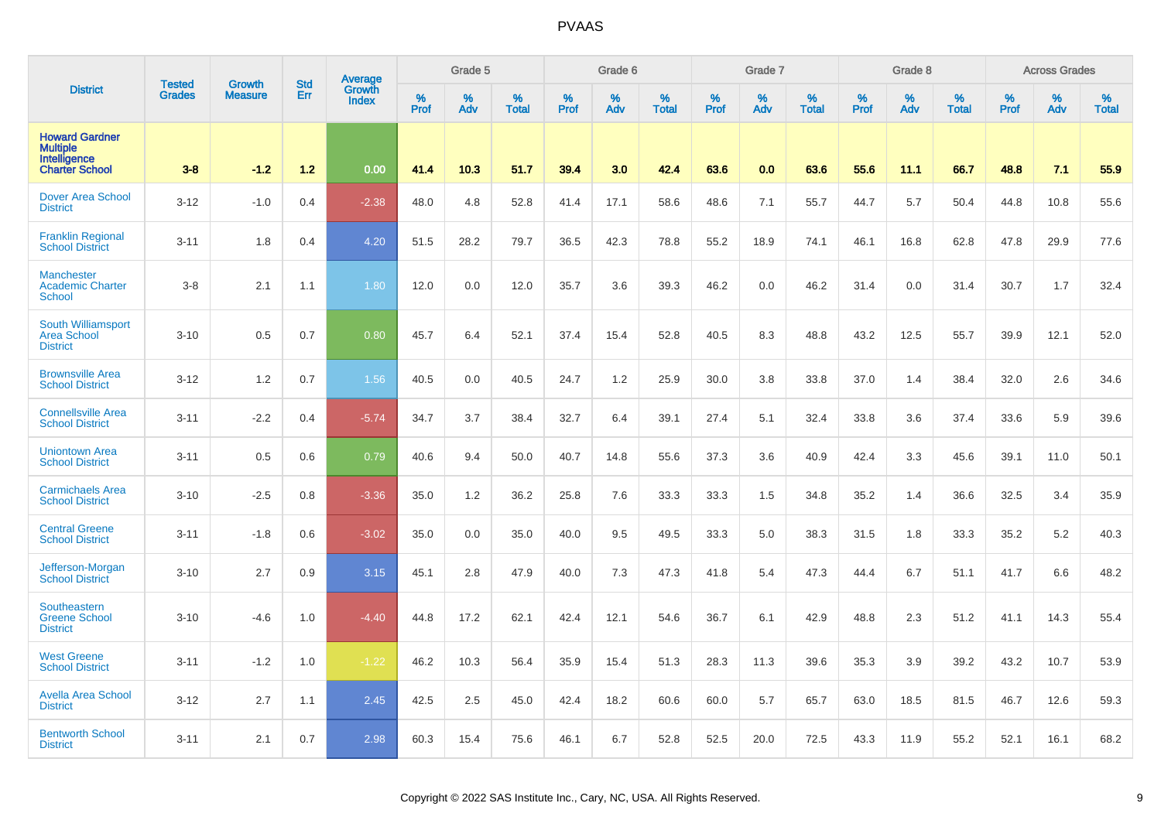|                                                                                   | <b>Tested</b> | Growth         | <b>Std</b> | <b>Average</b><br>Growth |           | Grade 5  |                   |                  | Grade 6  |                   |           | Grade 7  |                   |           | Grade 8  |                   |           | <b>Across Grades</b> |                   |
|-----------------------------------------------------------------------------------|---------------|----------------|------------|--------------------------|-----------|----------|-------------------|------------------|----------|-------------------|-----------|----------|-------------------|-----------|----------|-------------------|-----------|----------------------|-------------------|
| <b>District</b>                                                                   | <b>Grades</b> | <b>Measure</b> | Err        | <b>Index</b>             | %<br>Prof | %<br>Adv | %<br><b>Total</b> | %<br><b>Prof</b> | %<br>Adv | %<br><b>Total</b> | %<br>Prof | %<br>Adv | %<br><b>Total</b> | %<br>Prof | %<br>Adv | %<br><b>Total</b> | %<br>Prof | %<br>Adv             | %<br><b>Total</b> |
| <b>Howard Gardner</b><br><b>Multiple</b><br>Intelligence<br><b>Charter School</b> | $3-8$         | $-1.2$         | $1.2$      | 0.00                     | 41.4      | 10.3     | 51.7              | 39.4             | 3.0      | 42.4              | 63.6      | 0.0      | 63.6              | 55.6      | 11.1     | 66.7              | 48.8      | 7.1                  | 55.9              |
| <b>Dover Area School</b><br><b>District</b>                                       | $3 - 12$      | $-1.0$         | 0.4        | $-2.38$                  | 48.0      | 4.8      | 52.8              | 41.4             | 17.1     | 58.6              | 48.6      | 7.1      | 55.7              | 44.7      | 5.7      | 50.4              | 44.8      | 10.8                 | 55.6              |
| <b>Franklin Regional</b><br><b>School District</b>                                | $3 - 11$      | 1.8            | 0.4        | 4.20                     | 51.5      | 28.2     | 79.7              | 36.5             | 42.3     | 78.8              | 55.2      | 18.9     | 74.1              | 46.1      | 16.8     | 62.8              | 47.8      | 29.9                 | 77.6              |
| <b>Manchester</b><br><b>Academic Charter</b><br><b>School</b>                     | $3 - 8$       | 2.1            | 1.1        | 1.80                     | 12.0      | 0.0      | 12.0              | 35.7             | 3.6      | 39.3              | 46.2      | 0.0      | 46.2              | 31.4      | 0.0      | 31.4              | 30.7      | 1.7                  | 32.4              |
| <b>South Williamsport</b><br><b>Area School</b><br><b>District</b>                | $3 - 10$      | 0.5            | 0.7        | 0.80                     | 45.7      | 6.4      | 52.1              | 37.4             | 15.4     | 52.8              | 40.5      | 8.3      | 48.8              | 43.2      | 12.5     | 55.7              | 39.9      | 12.1                 | 52.0              |
| <b>Brownsville Area</b><br><b>School District</b>                                 | $3 - 12$      | 1.2            | 0.7        | 1.56                     | 40.5      | 0.0      | 40.5              | 24.7             | 1.2      | 25.9              | 30.0      | 3.8      | 33.8              | 37.0      | 1.4      | 38.4              | 32.0      | 2.6                  | 34.6              |
| <b>Connellsville Area</b><br><b>School District</b>                               | $3 - 11$      | $-2.2$         | 0.4        | $-5.74$                  | 34.7      | 3.7      | 38.4              | 32.7             | 6.4      | 39.1              | 27.4      | 5.1      | 32.4              | 33.8      | 3.6      | 37.4              | 33.6      | 5.9                  | 39.6              |
| <b>Uniontown Area</b><br><b>School District</b>                                   | $3 - 11$      | 0.5            | 0.6        | 0.79                     | 40.6      | 9.4      | 50.0              | 40.7             | 14.8     | 55.6              | 37.3      | 3.6      | 40.9              | 42.4      | 3.3      | 45.6              | 39.1      | 11.0                 | 50.1              |
| <b>Carmichaels Area</b><br><b>School District</b>                                 | $3 - 10$      | $-2.5$         | 0.8        | $-3.36$                  | 35.0      | 1.2      | 36.2              | 25.8             | 7.6      | 33.3              | 33.3      | 1.5      | 34.8              | 35.2      | 1.4      | 36.6              | 32.5      | 3.4                  | 35.9              |
| <b>Central Greene</b><br><b>School District</b>                                   | $3 - 11$      | $-1.8$         | 0.6        | $-3.02$                  | 35.0      | 0.0      | 35.0              | 40.0             | 9.5      | 49.5              | 33.3      | 5.0      | 38.3              | 31.5      | 1.8      | 33.3              | 35.2      | 5.2                  | 40.3              |
| Jefferson-Morgan<br><b>School District</b>                                        | $3 - 10$      | 2.7            | 0.9        | 3.15                     | 45.1      | 2.8      | 47.9              | 40.0             | 7.3      | 47.3              | 41.8      | 5.4      | 47.3              | 44.4      | 6.7      | 51.1              | 41.7      | 6.6                  | 48.2              |
| <b>Southeastern</b><br><b>Greene School</b><br><b>District</b>                    | $3 - 10$      | $-4.6$         | 1.0        | $-4.40$                  | 44.8      | 17.2     | 62.1              | 42.4             | 12.1     | 54.6              | 36.7      | 6.1      | 42.9              | 48.8      | 2.3      | 51.2              | 41.1      | 14.3                 | 55.4              |
| <b>West Greene</b><br><b>School District</b>                                      | $3 - 11$      | $-1.2$         | 1.0        | $-1.22$                  | 46.2      | 10.3     | 56.4              | 35.9             | 15.4     | 51.3              | 28.3      | 11.3     | 39.6              | 35.3      | 3.9      | 39.2              | 43.2      | 10.7                 | 53.9              |
| <b>Avella Area School</b><br><b>District</b>                                      | $3 - 12$      | 2.7            | 1.1        | 2.45                     | 42.5      | 2.5      | 45.0              | 42.4             | 18.2     | 60.6              | 60.0      | 5.7      | 65.7              | 63.0      | 18.5     | 81.5              | 46.7      | 12.6                 | 59.3              |
| <b>Bentworth School</b><br><b>District</b>                                        | $3 - 11$      | 2.1            | 0.7        | 2.98                     | 60.3      | 15.4     | 75.6              | 46.1             | 6.7      | 52.8              | 52.5      | 20.0     | 72.5              | 43.3      | 11.9     | 55.2              | 52.1      | 16.1                 | 68.2              |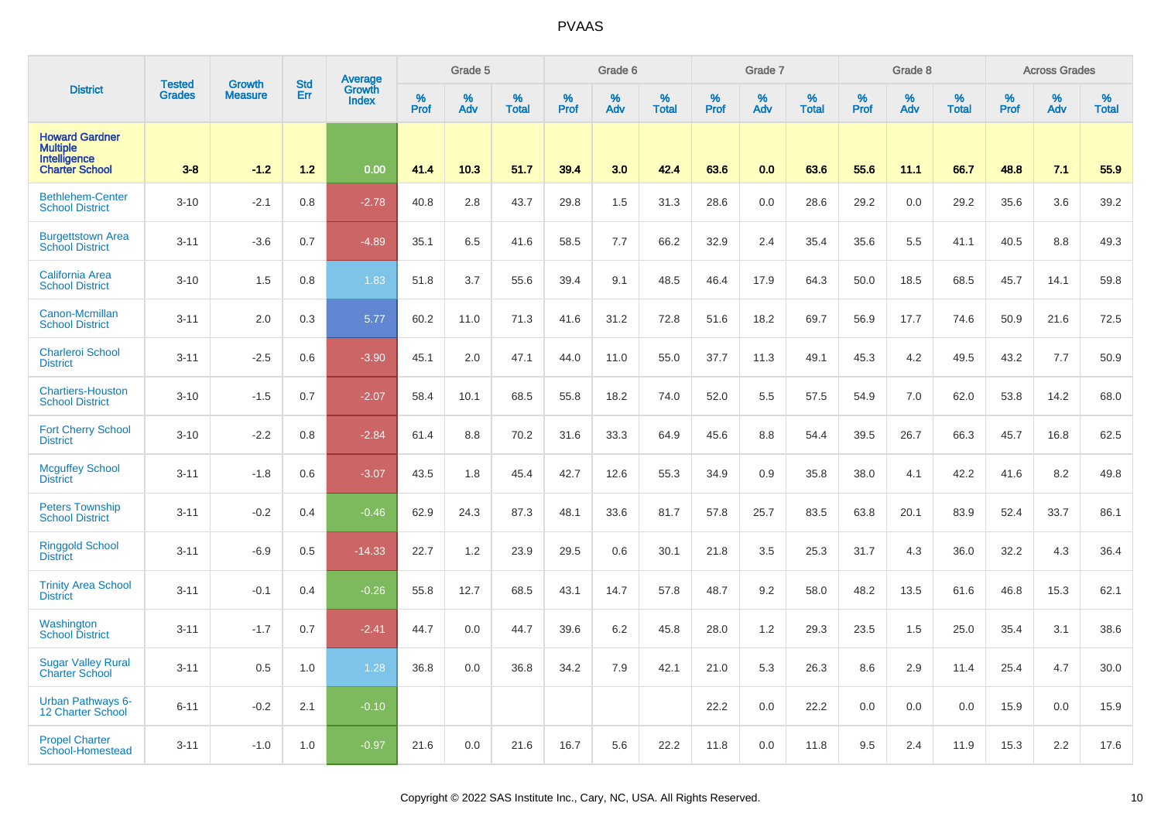|                                                                                   | <b>Tested</b> | <b>Growth</b>  | <b>Std</b> | Average                |           | Grade 5  |                   |           | Grade 6  |                   |           | Grade 7  |                   |           | Grade 8  |                   |           | <b>Across Grades</b> |                   |
|-----------------------------------------------------------------------------------|---------------|----------------|------------|------------------------|-----------|----------|-------------------|-----------|----------|-------------------|-----------|----------|-------------------|-----------|----------|-------------------|-----------|----------------------|-------------------|
| <b>District</b>                                                                   | <b>Grades</b> | <b>Measure</b> | Err        | Growth<br><b>Index</b> | %<br>Prof | %<br>Adv | %<br><b>Total</b> | %<br>Prof | %<br>Adv | %<br><b>Total</b> | %<br>Prof | %<br>Adv | %<br><b>Total</b> | %<br>Prof | %<br>Adv | %<br><b>Total</b> | %<br>Prof | %<br>Adv             | %<br><b>Total</b> |
| <b>Howard Gardner</b><br><b>Multiple</b><br>Intelligence<br><b>Charter School</b> | $3 - 8$       | $-1.2$         | 1.2        | 0.00                   | 41.4      | 10.3     | 51.7              | 39.4      | 3.0      | 42.4              | 63.6      | 0.0      | 63.6              | 55.6      | 11.1     | 66.7              | 48.8      | 7.1                  | 55.9              |
| <b>Bethlehem-Center</b><br><b>School District</b>                                 | $3 - 10$      | $-2.1$         | 0.8        | $-2.78$                | 40.8      | 2.8      | 43.7              | 29.8      | 1.5      | 31.3              | 28.6      | 0.0      | 28.6              | 29.2      | 0.0      | 29.2              | 35.6      | 3.6                  | 39.2              |
| <b>Burgettstown Area</b><br><b>School District</b>                                | $3 - 11$      | $-3.6$         | 0.7        | $-4.89$                | 35.1      | 6.5      | 41.6              | 58.5      | 7.7      | 66.2              | 32.9      | 2.4      | 35.4              | 35.6      | 5.5      | 41.1              | 40.5      | 8.8                  | 49.3              |
| California Area<br><b>School District</b>                                         | $3 - 10$      | 1.5            | 0.8        | 1.83                   | 51.8      | 3.7      | 55.6              | 39.4      | 9.1      | 48.5              | 46.4      | 17.9     | 64.3              | 50.0      | 18.5     | 68.5              | 45.7      | 14.1                 | 59.8              |
| Canon-Mcmillan<br><b>School District</b>                                          | $3 - 11$      | 2.0            | 0.3        | 5.77                   | 60.2      | 11.0     | 71.3              | 41.6      | 31.2     | 72.8              | 51.6      | 18.2     | 69.7              | 56.9      | 17.7     | 74.6              | 50.9      | 21.6                 | 72.5              |
| <b>Charleroi School</b><br><b>District</b>                                        | $3 - 11$      | $-2.5$         | 0.6        | $-3.90$                | 45.1      | 2.0      | 47.1              | 44.0      | 11.0     | 55.0              | 37.7      | 11.3     | 49.1              | 45.3      | 4.2      | 49.5              | 43.2      | 7.7                  | 50.9              |
| <b>Chartiers-Houston</b><br><b>School District</b>                                | $3 - 10$      | $-1.5$         | 0.7        | $-2.07$                | 58.4      | 10.1     | 68.5              | 55.8      | 18.2     | 74.0              | 52.0      | 5.5      | 57.5              | 54.9      | 7.0      | 62.0              | 53.8      | 14.2                 | 68.0              |
| <b>Fort Cherry School</b><br><b>District</b>                                      | $3 - 10$      | $-2.2$         | 0.8        | $-2.84$                | 61.4      | 8.8      | 70.2              | 31.6      | 33.3     | 64.9              | 45.6      | 8.8      | 54.4              | 39.5      | 26.7     | 66.3              | 45.7      | 16.8                 | 62.5              |
| <b>Mcguffey School</b><br><b>District</b>                                         | $3 - 11$      | $-1.8$         | 0.6        | $-3.07$                | 43.5      | 1.8      | 45.4              | 42.7      | 12.6     | 55.3              | 34.9      | 0.9      | 35.8              | 38.0      | 4.1      | 42.2              | 41.6      | 8.2                  | 49.8              |
| <b>Peters Township</b><br><b>School District</b>                                  | $3 - 11$      | $-0.2$         | 0.4        | $-0.46$                | 62.9      | 24.3     | 87.3              | 48.1      | 33.6     | 81.7              | 57.8      | 25.7     | 83.5              | 63.8      | 20.1     | 83.9              | 52.4      | 33.7                 | 86.1              |
| <b>Ringgold School</b><br><b>District</b>                                         | $3 - 11$      | $-6.9$         | 0.5        | $-14.33$               | 22.7      | 1.2      | 23.9              | 29.5      | 0.6      | 30.1              | 21.8      | 3.5      | 25.3              | 31.7      | 4.3      | 36.0              | 32.2      | 4.3                  | 36.4              |
| <b>Trinity Area School</b><br><b>District</b>                                     | $3 - 11$      | $-0.1$         | 0.4        | $-0.26$                | 55.8      | 12.7     | 68.5              | 43.1      | 14.7     | 57.8              | 48.7      | 9.2      | 58.0              | 48.2      | 13.5     | 61.6              | 46.8      | 15.3                 | 62.1              |
| Washington<br><b>School District</b>                                              | $3 - 11$      | $-1.7$         | 0.7        | $-2.41$                | 44.7      | 0.0      | 44.7              | 39.6      | 6.2      | 45.8              | 28.0      | 1.2      | 29.3              | 23.5      | 1.5      | 25.0              | 35.4      | 3.1                  | 38.6              |
| <b>Sugar Valley Rural</b><br><b>Charter School</b>                                | $3 - 11$      | 0.5            | 1.0        | 1.28                   | 36.8      | 0.0      | 36.8              | 34.2      | 7.9      | 42.1              | 21.0      | 5.3      | 26.3              | 8.6       | 2.9      | 11.4              | 25.4      | 4.7                  | 30.0              |
| <b>Urban Pathways 6-</b><br><b>12 Charter School</b>                              | $6 - 11$      | $-0.2$         | 2.1        | $-0.10$                |           |          |                   |           |          |                   | 22.2      | 0.0      | 22.2              | 0.0       | 0.0      | 0.0               | 15.9      | 0.0                  | 15.9              |
| <b>Propel Charter</b><br>School-Homestead                                         | $3 - 11$      | $-1.0$         | 1.0        | $-0.97$                | 21.6      | 0.0      | 21.6              | 16.7      | 5.6      | 22.2              | 11.8      | 0.0      | 11.8              | 9.5       | 2.4      | 11.9              | 15.3      | 2.2                  | 17.6              |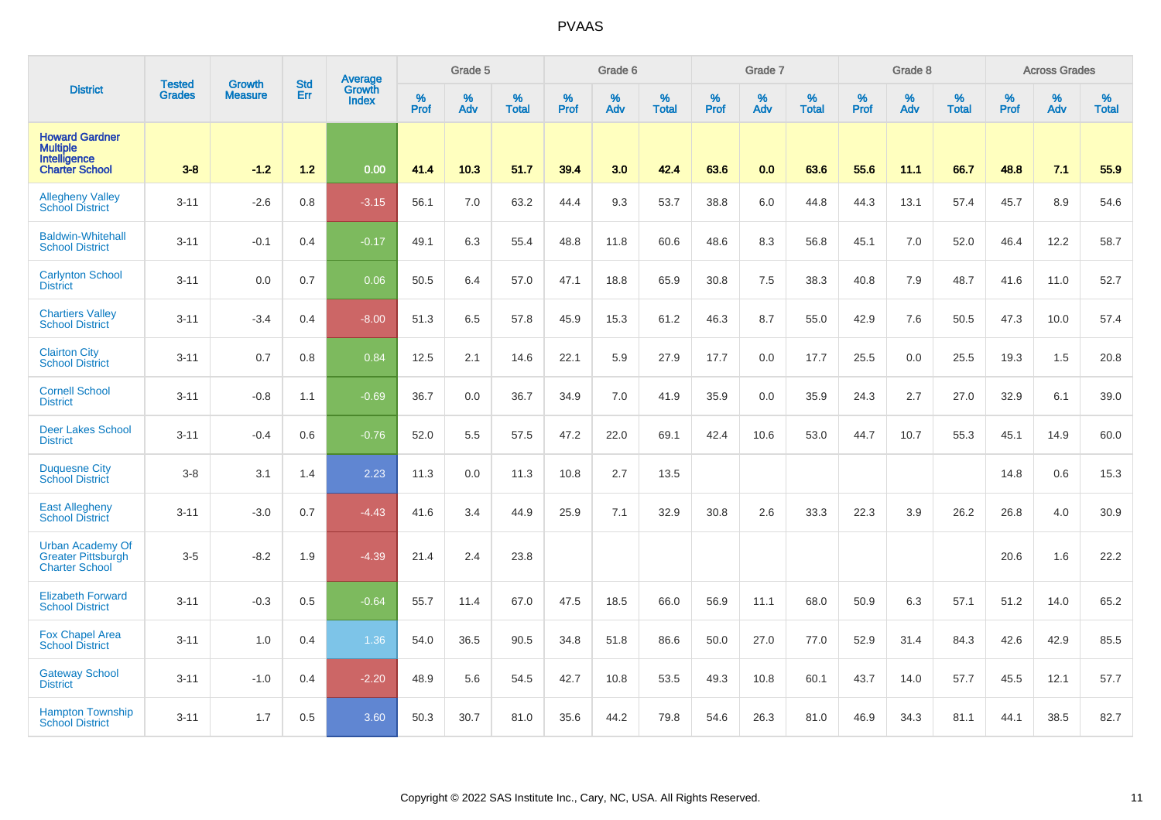|                                                                                   | <b>Tested</b> | <b>Growth</b>  | <b>Std</b> | Average         |                     | Grade 5  |                   |           | Grade 6  |                   |              | Grade 7  |                   |           | Grade 8  |                   |           | <b>Across Grades</b> |                   |
|-----------------------------------------------------------------------------------|---------------|----------------|------------|-----------------|---------------------|----------|-------------------|-----------|----------|-------------------|--------------|----------|-------------------|-----------|----------|-------------------|-----------|----------------------|-------------------|
| <b>District</b>                                                                   | <b>Grades</b> | <b>Measure</b> | Err        | Growth<br>Index | $\%$<br><b>Prof</b> | %<br>Adv | %<br><b>Total</b> | %<br>Prof | %<br>Adv | %<br><b>Total</b> | $\%$<br>Prof | %<br>Adv | %<br><b>Total</b> | %<br>Prof | %<br>Adv | %<br><b>Total</b> | %<br>Prof | %<br>Adv             | %<br><b>Total</b> |
| <b>Howard Gardner</b><br><b>Multiple</b><br>Intelligence<br><b>Charter School</b> | $3 - 8$       | $-1.2$         | 1.2        | 0.00            | 41.4                | 10.3     | 51.7              | 39.4      | 3.0      | 42.4              | 63.6         | 0.0      | 63.6              | 55.6      | 11.1     | 66.7              | 48.8      | 7.1                  | 55.9              |
| <b>Allegheny Valley</b><br><b>School District</b>                                 | $3 - 11$      | $-2.6$         | 0.8        | $-3.15$         | 56.1                | 7.0      | 63.2              | 44.4      | 9.3      | 53.7              | 38.8         | 6.0      | 44.8              | 44.3      | 13.1     | 57.4              | 45.7      | 8.9                  | 54.6              |
| <b>Baldwin-Whitehall</b><br><b>School District</b>                                | $3 - 11$      | $-0.1$         | 0.4        | $-0.17$         | 49.1                | 6.3      | 55.4              | 48.8      | 11.8     | 60.6              | 48.6         | 8.3      | 56.8              | 45.1      | 7.0      | 52.0              | 46.4      | 12.2                 | 58.7              |
| <b>Carlynton School</b><br><b>District</b>                                        | $3 - 11$      | 0.0            | 0.7        | 0.06            | 50.5                | 6.4      | 57.0              | 47.1      | 18.8     | 65.9              | 30.8         | 7.5      | 38.3              | 40.8      | 7.9      | 48.7              | 41.6      | 11.0                 | 52.7              |
| <b>Chartiers Valley</b><br><b>School District</b>                                 | $3 - 11$      | $-3.4$         | 0.4        | $-8.00$         | 51.3                | 6.5      | 57.8              | 45.9      | 15.3     | 61.2              | 46.3         | 8.7      | 55.0              | 42.9      | 7.6      | 50.5              | 47.3      | 10.0                 | 57.4              |
| <b>Clairton City</b><br><b>School District</b>                                    | $3 - 11$      | 0.7            | 0.8        | 0.84            | 12.5                | 2.1      | 14.6              | 22.1      | 5.9      | 27.9              | 17.7         | 0.0      | 17.7              | 25.5      | 0.0      | 25.5              | 19.3      | 1.5                  | 20.8              |
| <b>Cornell School</b><br><b>District</b>                                          | $3 - 11$      | $-0.8$         | 1.1        | $-0.69$         | 36.7                | 0.0      | 36.7              | 34.9      | 7.0      | 41.9              | 35.9         | 0.0      | 35.9              | 24.3      | 2.7      | 27.0              | 32.9      | 6.1                  | 39.0              |
| <b>Deer Lakes School</b><br><b>District</b>                                       | $3 - 11$      | $-0.4$         | 0.6        | $-0.76$         | 52.0                | 5.5      | 57.5              | 47.2      | 22.0     | 69.1              | 42.4         | 10.6     | 53.0              | 44.7      | 10.7     | 55.3              | 45.1      | 14.9                 | 60.0              |
| <b>Duquesne City</b><br><b>School District</b>                                    | $3 - 8$       | 3.1            | 1.4        | 2.23            | 11.3                | 0.0      | 11.3              | 10.8      | 2.7      | 13.5              |              |          |                   |           |          |                   | 14.8      | 0.6                  | 15.3              |
| <b>East Allegheny</b><br><b>School District</b>                                   | $3 - 11$      | $-3.0$         | 0.7        | $-4.43$         | 41.6                | 3.4      | 44.9              | 25.9      | 7.1      | 32.9              | 30.8         | 2.6      | 33.3              | 22.3      | 3.9      | 26.2              | 26.8      | 4.0                  | 30.9              |
| <b>Urban Academy Of</b><br><b>Greater Pittsburgh</b><br><b>Charter School</b>     | $3-5$         | $-8.2$         | 1.9        | $-4.39$         | 21.4                | 2.4      | 23.8              |           |          |                   |              |          |                   |           |          |                   | 20.6      | 1.6                  | 22.2              |
| <b>Elizabeth Forward</b><br><b>School District</b>                                | $3 - 11$      | $-0.3$         | 0.5        | $-0.64$         | 55.7                | 11.4     | 67.0              | 47.5      | 18.5     | 66.0              | 56.9         | 11.1     | 68.0              | 50.9      | 6.3      | 57.1              | 51.2      | 14.0                 | 65.2              |
| <b>Fox Chapel Area</b><br><b>School District</b>                                  | $3 - 11$      | 1.0            | 0.4        | 1.36            | 54.0                | 36.5     | 90.5              | 34.8      | 51.8     | 86.6              | 50.0         | 27.0     | 77.0              | 52.9      | 31.4     | 84.3              | 42.6      | 42.9                 | 85.5              |
| <b>Gateway School</b><br><b>District</b>                                          | $3 - 11$      | $-1.0$         | 0.4        | $-2.20$         | 48.9                | 5.6      | 54.5              | 42.7      | 10.8     | 53.5              | 49.3         | 10.8     | 60.1              | 43.7      | 14.0     | 57.7              | 45.5      | 12.1                 | 57.7              |
| <b>Hampton Township</b><br><b>School District</b>                                 | $3 - 11$      | 1.7            | 0.5        | 3.60            | 50.3                | 30.7     | 81.0              | 35.6      | 44.2     | 79.8              | 54.6         | 26.3     | 81.0              | 46.9      | 34.3     | 81.1              | 44.1      | 38.5                 | 82.7              |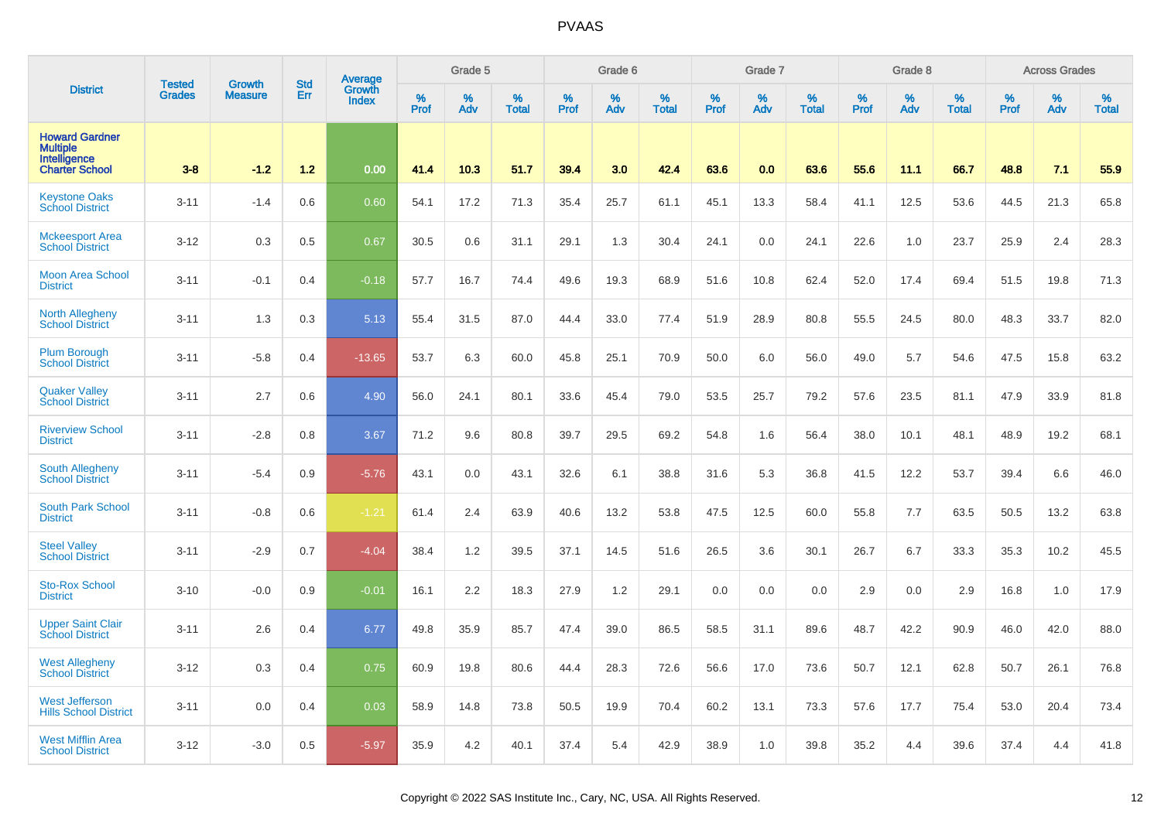|                                                                                   | <b>Tested</b> |                          | <b>Std</b> | <b>Average</b>         |           | Grade 5  |                   |           | Grade 6  |                   |           | Grade 7  |                   |           | Grade 8  |                   |           | <b>Across Grades</b> |                   |
|-----------------------------------------------------------------------------------|---------------|--------------------------|------------|------------------------|-----------|----------|-------------------|-----------|----------|-------------------|-----------|----------|-------------------|-----------|----------|-------------------|-----------|----------------------|-------------------|
| <b>District</b>                                                                   | <b>Grades</b> | Growth<br><b>Measure</b> | Err        | Growth<br><b>Index</b> | %<br>Prof | %<br>Adv | %<br><b>Total</b> | %<br>Prof | %<br>Adv | %<br><b>Total</b> | %<br>Prof | %<br>Adv | %<br><b>Total</b> | %<br>Prof | %<br>Adv | %<br><b>Total</b> | %<br>Prof | %<br>Adv             | %<br><b>Total</b> |
| <b>Howard Gardner</b><br><b>Multiple</b><br>Intelligence<br><b>Charter School</b> | $3 - 8$       | $-1.2$                   | 1.2        | 0.00                   | 41.4      | 10.3     | 51.7              | 39.4      | 3.0      | 42.4              | 63.6      | 0.0      | 63.6              | 55.6      | 11.1     | 66.7              | 48.8      | 7.1                  | 55.9              |
| <b>Keystone Oaks</b><br><b>School District</b>                                    | $3 - 11$      | $-1.4$                   | 0.6        | 0.60                   | 54.1      | 17.2     | 71.3              | 35.4      | 25.7     | 61.1              | 45.1      | 13.3     | 58.4              | 41.1      | 12.5     | 53.6              | 44.5      | 21.3                 | 65.8              |
| <b>Mckeesport Area</b><br><b>School District</b>                                  | $3 - 12$      | 0.3                      | 0.5        | 0.67                   | 30.5      | 0.6      | 31.1              | 29.1      | 1.3      | 30.4              | 24.1      | 0.0      | 24.1              | 22.6      | 1.0      | 23.7              | 25.9      | 2.4                  | 28.3              |
| <b>Moon Area School</b><br><b>District</b>                                        | $3 - 11$      | $-0.1$                   | 0.4        | $-0.18$                | 57.7      | 16.7     | 74.4              | 49.6      | 19.3     | 68.9              | 51.6      | 10.8     | 62.4              | 52.0      | 17.4     | 69.4              | 51.5      | 19.8                 | 71.3              |
| <b>North Allegheny</b><br><b>School District</b>                                  | $3 - 11$      | 1.3                      | 0.3        | 5.13                   | 55.4      | 31.5     | 87.0              | 44.4      | 33.0     | 77.4              | 51.9      | 28.9     | 80.8              | 55.5      | 24.5     | 80.0              | 48.3      | 33.7                 | 82.0              |
| <b>Plum Borough</b><br><b>School District</b>                                     | $3 - 11$      | $-5.8$                   | 0.4        | $-13.65$               | 53.7      | 6.3      | 60.0              | 45.8      | 25.1     | 70.9              | 50.0      | 6.0      | 56.0              | 49.0      | 5.7      | 54.6              | 47.5      | 15.8                 | 63.2              |
| <b>Quaker Valley</b><br><b>School District</b>                                    | $3 - 11$      | 2.7                      | 0.6        | 4.90                   | 56.0      | 24.1     | 80.1              | 33.6      | 45.4     | 79.0              | 53.5      | 25.7     | 79.2              | 57.6      | 23.5     | 81.1              | 47.9      | 33.9                 | 81.8              |
| <b>Riverview School</b><br><b>District</b>                                        | $3 - 11$      | $-2.8$                   | 0.8        | 3.67                   | 71.2      | 9.6      | 80.8              | 39.7      | 29.5     | 69.2              | 54.8      | 1.6      | 56.4              | 38.0      | 10.1     | 48.1              | 48.9      | 19.2                 | 68.1              |
| <b>South Allegheny</b><br><b>School District</b>                                  | $3 - 11$      | $-5.4$                   | 0.9        | $-5.76$                | 43.1      | 0.0      | 43.1              | 32.6      | 6.1      | 38.8              | 31.6      | 5.3      | 36.8              | 41.5      | 12.2     | 53.7              | 39.4      | 6.6                  | 46.0              |
| <b>South Park School</b><br><b>District</b>                                       | $3 - 11$      | $-0.8$                   | 0.6        | $-1.21$                | 61.4      | 2.4      | 63.9              | 40.6      | 13.2     | 53.8              | 47.5      | 12.5     | 60.0              | 55.8      | 7.7      | 63.5              | 50.5      | 13.2                 | 63.8              |
| <b>Steel Vallev</b><br><b>School District</b>                                     | $3 - 11$      | $-2.9$                   | 0.7        | $-4.04$                | 38.4      | 1.2      | 39.5              | 37.1      | 14.5     | 51.6              | 26.5      | 3.6      | 30.1              | 26.7      | 6.7      | 33.3              | 35.3      | 10.2                 | 45.5              |
| <b>Sto-Rox School</b><br><b>District</b>                                          | $3 - 10$      | $-0.0$                   | 0.9        | $-0.01$                | 16.1      | 2.2      | 18.3              | 27.9      | 1.2      | 29.1              | 0.0       | 0.0      | 0.0               | 2.9       | 0.0      | 2.9               | 16.8      | 1.0                  | 17.9              |
| <b>Upper Saint Clair</b><br><b>School District</b>                                | $3 - 11$      | 2.6                      | 0.4        | 6.77                   | 49.8      | 35.9     | 85.7              | 47.4      | 39.0     | 86.5              | 58.5      | 31.1     | 89.6              | 48.7      | 42.2     | 90.9              | 46.0      | 42.0                 | 88.0              |
| <b>West Allegheny</b><br><b>School District</b>                                   | $3 - 12$      | 0.3                      | 0.4        | 0.75                   | 60.9      | 19.8     | 80.6              | 44.4      | 28.3     | 72.6              | 56.6      | 17.0     | 73.6              | 50.7      | 12.1     | 62.8              | 50.7      | 26.1                 | 76.8              |
| <b>West Jefferson</b><br><b>Hills School District</b>                             | $3 - 11$      | 0.0                      | 0.4        | 0.03                   | 58.9      | 14.8     | 73.8              | 50.5      | 19.9     | 70.4              | 60.2      | 13.1     | 73.3              | 57.6      | 17.7     | 75.4              | 53.0      | 20.4                 | 73.4              |
| <b>West Mifflin Area</b><br><b>School District</b>                                | $3 - 12$      | $-3.0$                   | 0.5        | $-5.97$                | 35.9      | 4.2      | 40.1              | 37.4      | 5.4      | 42.9              | 38.9      | 1.0      | 39.8              | 35.2      | 4.4      | 39.6              | 37.4      | 4.4                  | 41.8              |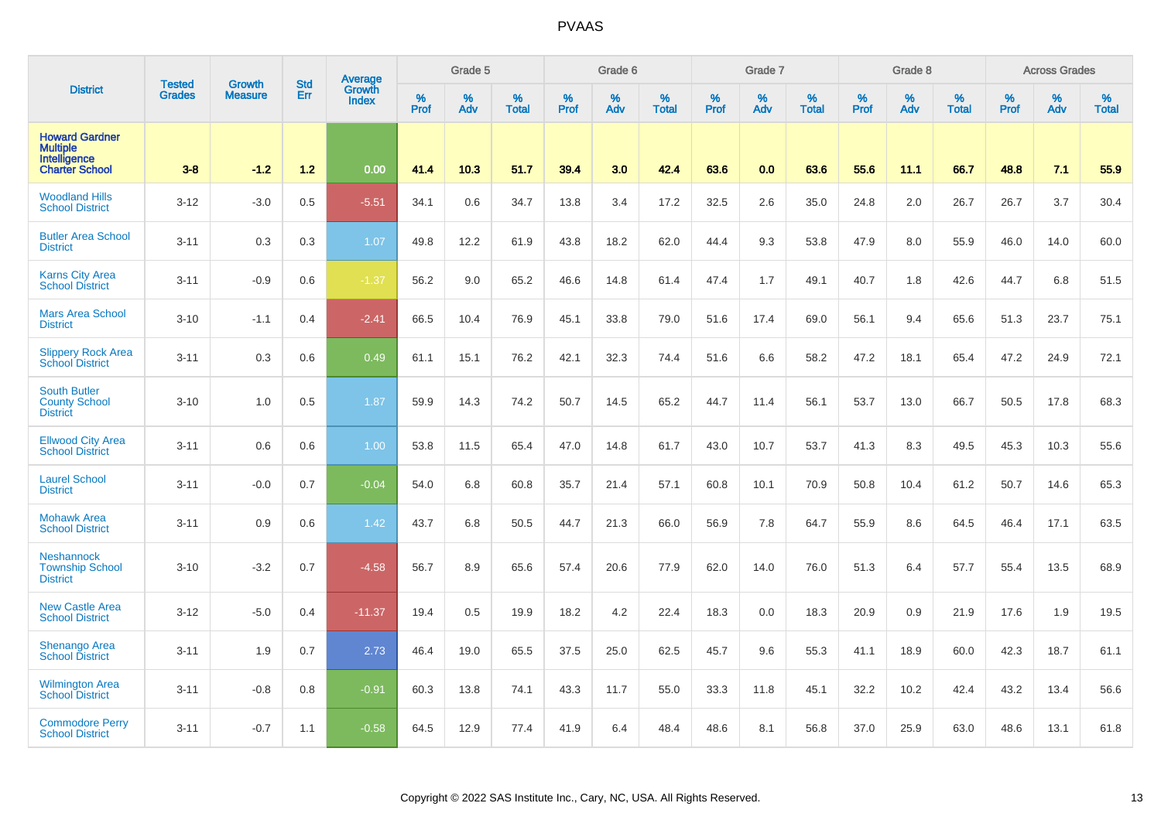|                                                                                   | <b>Tested</b> | <b>Growth</b>  | <b>Std</b> | <b>Average</b>         |                  | Grade 5  |                   |           | Grade 6  |                   |           | Grade 7  |                   |           | Grade 8  |                   |           | <b>Across Grades</b> |                   |
|-----------------------------------------------------------------------------------|---------------|----------------|------------|------------------------|------------------|----------|-------------------|-----------|----------|-------------------|-----------|----------|-------------------|-----------|----------|-------------------|-----------|----------------------|-------------------|
| <b>District</b>                                                                   | <b>Grades</b> | <b>Measure</b> | Err        | Growth<br><b>Index</b> | %<br><b>Prof</b> | %<br>Adv | %<br><b>Total</b> | %<br>Prof | %<br>Adv | %<br><b>Total</b> | %<br>Prof | %<br>Adv | %<br><b>Total</b> | %<br>Prof | %<br>Adv | %<br><b>Total</b> | %<br>Prof | %<br>Adv             | %<br><b>Total</b> |
| <b>Howard Gardner</b><br><b>Multiple</b><br>Intelligence<br><b>Charter School</b> | $3 - 8$       | $-1.2$         | 1.2        | 0.00                   | 41.4             | 10.3     | 51.7              | 39.4      | 3.0      | 42.4              | 63.6      | 0.0      | 63.6              | 55.6      | 11.1     | 66.7              | 48.8      | 7.1                  | 55.9              |
| <b>Woodland Hills</b><br><b>School District</b>                                   | $3 - 12$      | $-3.0$         | 0.5        | $-5.51$                | 34.1             | 0.6      | 34.7              | 13.8      | 3.4      | 17.2              | 32.5      | 2.6      | 35.0              | 24.8      | 2.0      | 26.7              | 26.7      | 3.7                  | 30.4              |
| <b>Butler Area School</b><br><b>District</b>                                      | $3 - 11$      | 0.3            | 0.3        | 1.07                   | 49.8             | 12.2     | 61.9              | 43.8      | 18.2     | 62.0              | 44.4      | 9.3      | 53.8              | 47.9      | 8.0      | 55.9              | 46.0      | 14.0                 | 60.0              |
| <b>Karns City Area</b><br><b>School District</b>                                  | $3 - 11$      | $-0.9$         | 0.6        | $-1.37$                | 56.2             | 9.0      | 65.2              | 46.6      | 14.8     | 61.4              | 47.4      | 1.7      | 49.1              | 40.7      | 1.8      | 42.6              | 44.7      | 6.8                  | 51.5              |
| <b>Mars Area School</b><br><b>District</b>                                        | $3 - 10$      | $-1.1$         | 0.4        | $-2.41$                | 66.5             | 10.4     | 76.9              | 45.1      | 33.8     | 79.0              | 51.6      | 17.4     | 69.0              | 56.1      | 9.4      | 65.6              | 51.3      | 23.7                 | 75.1              |
| <b>Slippery Rock Area</b><br><b>School District</b>                               | $3 - 11$      | 0.3            | 0.6        | 0.49                   | 61.1             | 15.1     | 76.2              | 42.1      | 32.3     | 74.4              | 51.6      | 6.6      | 58.2              | 47.2      | 18.1     | 65.4              | 47.2      | 24.9                 | 72.1              |
| <b>South Butler</b><br><b>County School</b><br><b>District</b>                    | $3 - 10$      | 1.0            | 0.5        | 1.87                   | 59.9             | 14.3     | 74.2              | 50.7      | 14.5     | 65.2              | 44.7      | 11.4     | 56.1              | 53.7      | 13.0     | 66.7              | 50.5      | 17.8                 | 68.3              |
| <b>Ellwood City Area</b><br><b>School District</b>                                | $3 - 11$      | 0.6            | 0.6        | 1.00 <sub>1</sub>      | 53.8             | 11.5     | 65.4              | 47.0      | 14.8     | 61.7              | 43.0      | 10.7     | 53.7              | 41.3      | 8.3      | 49.5              | 45.3      | 10.3                 | 55.6              |
| <b>Laurel School</b><br><b>District</b>                                           | $3 - 11$      | $-0.0$         | 0.7        | $-0.04$                | 54.0             | 6.8      | 60.8              | 35.7      | 21.4     | 57.1              | 60.8      | 10.1     | 70.9              | 50.8      | 10.4     | 61.2              | 50.7      | 14.6                 | 65.3              |
| <b>Mohawk Area</b><br><b>School District</b>                                      | $3 - 11$      | 0.9            | 0.6        | 1.42                   | 43.7             | 6.8      | 50.5              | 44.7      | 21.3     | 66.0              | 56.9      | 7.8      | 64.7              | 55.9      | 8.6      | 64.5              | 46.4      | 17.1                 | 63.5              |
| <b>Neshannock</b><br><b>Township School</b><br><b>District</b>                    | $3 - 10$      | $-3.2$         | 0.7        | $-4.58$                | 56.7             | 8.9      | 65.6              | 57.4      | 20.6     | 77.9              | 62.0      | 14.0     | 76.0              | 51.3      | 6.4      | 57.7              | 55.4      | 13.5                 | 68.9              |
| <b>New Castle Area</b><br><b>School District</b>                                  | $3 - 12$      | $-5.0$         | 0.4        | $-11.37$               | 19.4             | 0.5      | 19.9              | 18.2      | 4.2      | 22.4              | 18.3      | 0.0      | 18.3              | 20.9      | 0.9      | 21.9              | 17.6      | 1.9                  | 19.5              |
| <b>Shenango Area</b><br><b>School District</b>                                    | $3 - 11$      | 1.9            | 0.7        | 2.73                   | 46.4             | 19.0     | 65.5              | 37.5      | 25.0     | 62.5              | 45.7      | 9.6      | 55.3              | 41.1      | 18.9     | 60.0              | 42.3      | 18.7                 | 61.1              |
| <b>Wilmington Area</b><br><b>School District</b>                                  | $3 - 11$      | $-0.8$         | 0.8        | $-0.91$                | 60.3             | 13.8     | 74.1              | 43.3      | 11.7     | 55.0              | 33.3      | 11.8     | 45.1              | 32.2      | 10.2     | 42.4              | 43.2      | 13.4                 | 56.6              |
| <b>Commodore Perry</b><br><b>School District</b>                                  | $3 - 11$      | $-0.7$         | 1.1        | $-0.58$                | 64.5             | 12.9     | 77.4              | 41.9      | 6.4      | 48.4              | 48.6      | 8.1      | 56.8              | 37.0      | 25.9     | 63.0              | 48.6      | 13.1                 | 61.8              |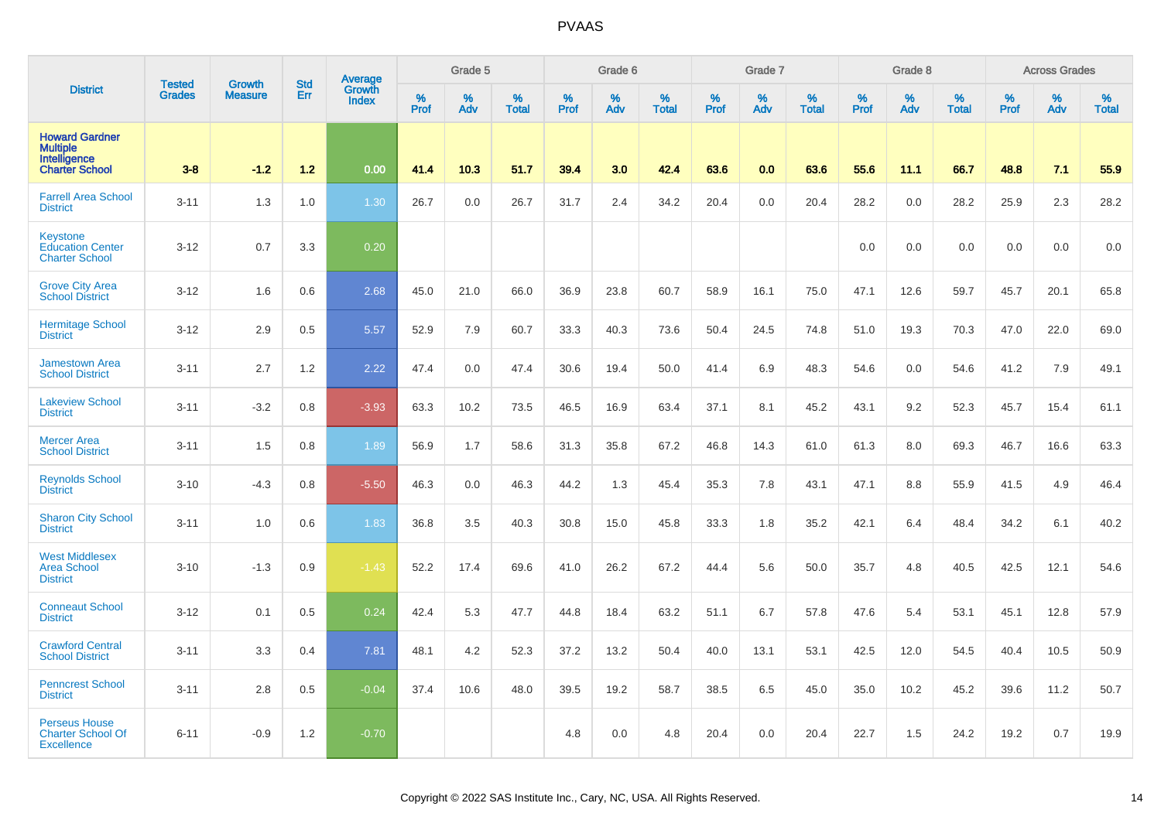|                                                                                   |                                |                          |                   | <b>Average</b>         |                  | Grade 5  |                   |           | Grade 6  |                   |           | Grade 7  |                   |           | Grade 8  |                   |           | <b>Across Grades</b> |                   |
|-----------------------------------------------------------------------------------|--------------------------------|--------------------------|-------------------|------------------------|------------------|----------|-------------------|-----------|----------|-------------------|-----------|----------|-------------------|-----------|----------|-------------------|-----------|----------------------|-------------------|
| <b>District</b>                                                                   | <b>Tested</b><br><b>Grades</b> | Growth<br><b>Measure</b> | <b>Std</b><br>Err | Growth<br><b>Index</b> | %<br><b>Prof</b> | %<br>Adv | %<br><b>Total</b> | %<br>Prof | %<br>Adv | %<br><b>Total</b> | %<br>Prof | %<br>Adv | %<br><b>Total</b> | %<br>Prof | %<br>Adv | %<br><b>Total</b> | %<br>Prof | %<br>Adv             | %<br><b>Total</b> |
| <b>Howard Gardner</b><br><b>Multiple</b><br>Intelligence<br><b>Charter School</b> | $3 - 8$                        | $-1.2$                   | 1.2               | 0.00                   | 41.4             | 10.3     | 51.7              | 39.4      | 3.0      | 42.4              | 63.6      | 0.0      | 63.6              | 55.6      | 11.1     | 66.7              | 48.8      | 7.1                  | 55.9              |
| <b>Farrell Area School</b><br><b>District</b>                                     | $3 - 11$                       | 1.3                      | 1.0               | 1.30                   | 26.7             | 0.0      | 26.7              | 31.7      | 2.4      | 34.2              | 20.4      | 0.0      | 20.4              | 28.2      | 0.0      | 28.2              | 25.9      | 2.3                  | 28.2              |
| <b>Keystone</b><br><b>Education Center</b><br><b>Charter School</b>               | $3 - 12$                       | 0.7                      | 3.3               | 0.20                   |                  |          |                   |           |          |                   |           |          |                   | 0.0       | 0.0      | 0.0               | 0.0       | 0.0                  | 0.0               |
| <b>Grove City Area</b><br><b>School District</b>                                  | $3 - 12$                       | 1.6                      | 0.6               | 2.68                   | 45.0             | 21.0     | 66.0              | 36.9      | 23.8     | 60.7              | 58.9      | 16.1     | 75.0              | 47.1      | 12.6     | 59.7              | 45.7      | 20.1                 | 65.8              |
| <b>Hermitage School</b><br><b>District</b>                                        | $3 - 12$                       | 2.9                      | 0.5               | 5.57                   | 52.9             | 7.9      | 60.7              | 33.3      | 40.3     | 73.6              | 50.4      | 24.5     | 74.8              | 51.0      | 19.3     | 70.3              | 47.0      | 22.0                 | 69.0              |
| <b>Jamestown Area</b><br><b>School District</b>                                   | $3 - 11$                       | 2.7                      | 1.2               | 2.22                   | 47.4             | 0.0      | 47.4              | 30.6      | 19.4     | 50.0              | 41.4      | 6.9      | 48.3              | 54.6      | 0.0      | 54.6              | 41.2      | 7.9                  | 49.1              |
| <b>Lakeview School</b><br><b>District</b>                                         | $3 - 11$                       | $-3.2$                   | 0.8               | $-3.93$                | 63.3             | 10.2     | 73.5              | 46.5      | 16.9     | 63.4              | 37.1      | 8.1      | 45.2              | 43.1      | 9.2      | 52.3              | 45.7      | 15.4                 | 61.1              |
| <b>Mercer Area</b><br><b>School District</b>                                      | $3 - 11$                       | 1.5                      | 0.8               | 1.89                   | 56.9             | 1.7      | 58.6              | 31.3      | 35.8     | 67.2              | 46.8      | 14.3     | 61.0              | 61.3      | 8.0      | 69.3              | 46.7      | 16.6                 | 63.3              |
| <b>Reynolds School</b><br><b>District</b>                                         | $3 - 10$                       | $-4.3$                   | 0.8               | $-5.50$                | 46.3             | 0.0      | 46.3              | 44.2      | 1.3      | 45.4              | 35.3      | 7.8      | 43.1              | 47.1      | 8.8      | 55.9              | 41.5      | 4.9                  | 46.4              |
| <b>Sharon City School</b><br><b>District</b>                                      | $3 - 11$                       | 1.0                      | 0.6               | 1.83                   | 36.8             | 3.5      | 40.3              | 30.8      | 15.0     | 45.8              | 33.3      | 1.8      | 35.2              | 42.1      | 6.4      | 48.4              | 34.2      | 6.1                  | 40.2              |
| <b>West Middlesex</b><br><b>Area School</b><br><b>District</b>                    | $3 - 10$                       | $-1.3$                   | 0.9               | $-1.43$                | 52.2             | 17.4     | 69.6              | 41.0      | 26.2     | 67.2              | 44.4      | 5.6      | 50.0              | 35.7      | 4.8      | 40.5              | 42.5      | 12.1                 | 54.6              |
| <b>Conneaut School</b><br><b>District</b>                                         | $3 - 12$                       | 0.1                      | 0.5               | 0.24                   | 42.4             | 5.3      | 47.7              | 44.8      | 18.4     | 63.2              | 51.1      | 6.7      | 57.8              | 47.6      | 5.4      | 53.1              | 45.1      | 12.8                 | 57.9              |
| <b>Crawford Central</b><br><b>School District</b>                                 | $3 - 11$                       | 3.3                      | 0.4               | 7.81                   | 48.1             | 4.2      | 52.3              | 37.2      | 13.2     | 50.4              | 40.0      | 13.1     | 53.1              | 42.5      | 12.0     | 54.5              | 40.4      | 10.5                 | 50.9              |
| <b>Penncrest School</b><br><b>District</b>                                        | $3 - 11$                       | 2.8                      | 0.5               | $-0.04$                | 37.4             | 10.6     | 48.0              | 39.5      | 19.2     | 58.7              | 38.5      | 6.5      | 45.0              | 35.0      | 10.2     | 45.2              | 39.6      | 11.2                 | 50.7              |
| <b>Perseus House</b><br><b>Charter School Of</b><br><b>Excellence</b>             | $6 - 11$                       | $-0.9$                   | 1.2               | $-0.70$                |                  |          |                   | 4.8       | 0.0      | 4.8               | 20.4      | 0.0      | 20.4              | 22.7      | 1.5      | 24.2              | 19.2      | 0.7                  | 19.9              |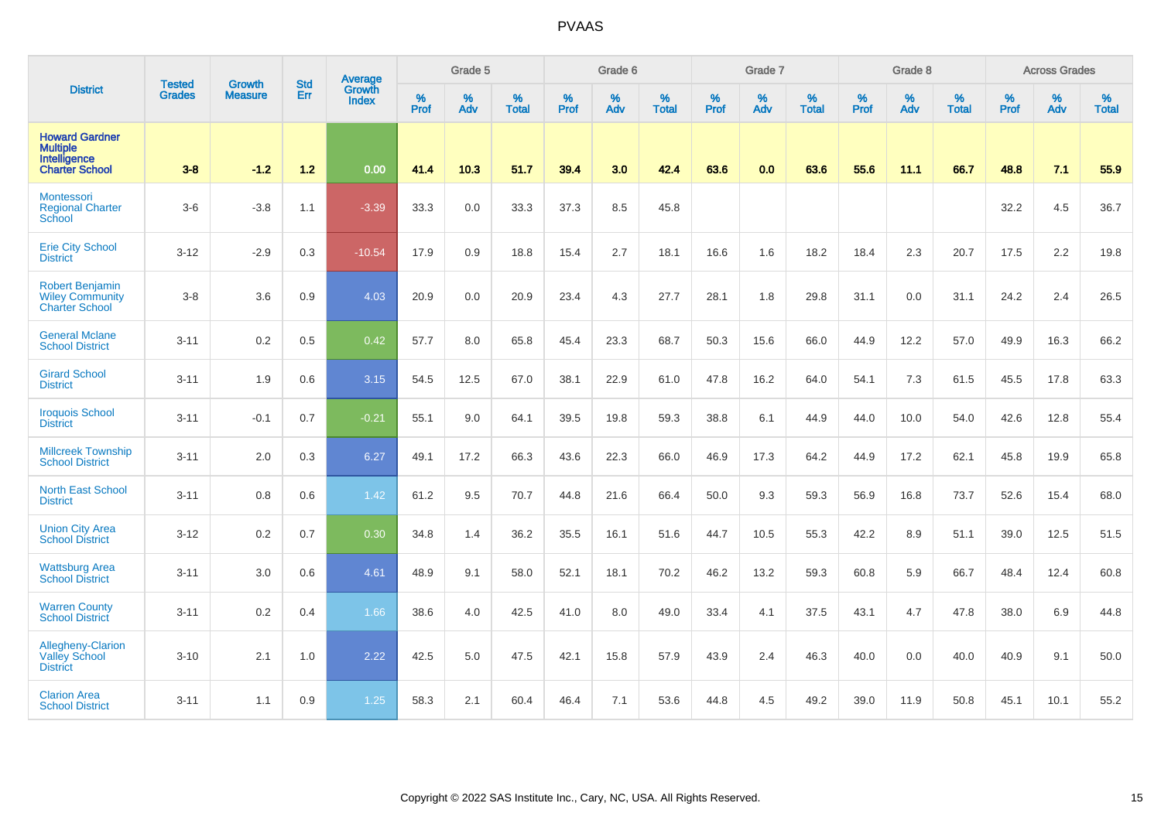|                                                                                   | <b>Tested</b> | <b>Growth</b>  | <b>Std</b> | Average                |                     | Grade 5  |                   |                     | Grade 6  |                   |                     | Grade 7     |                   |           | Grade 8  |                   |                  | <b>Across Grades</b> |                   |
|-----------------------------------------------------------------------------------|---------------|----------------|------------|------------------------|---------------------|----------|-------------------|---------------------|----------|-------------------|---------------------|-------------|-------------------|-----------|----------|-------------------|------------------|----------------------|-------------------|
| <b>District</b>                                                                   | <b>Grades</b> | <b>Measure</b> | Err        | Growth<br><b>Index</b> | $\%$<br><b>Prof</b> | %<br>Adv | %<br><b>Total</b> | $\%$<br><b>Prof</b> | %<br>Adv | %<br><b>Total</b> | $\%$<br><b>Prof</b> | $\%$<br>Adv | %<br><b>Total</b> | %<br>Prof | %<br>Adv | %<br><b>Total</b> | %<br><b>Prof</b> | %<br>Adv             | %<br><b>Total</b> |
| <b>Howard Gardner</b><br><b>Multiple</b><br>Intelligence<br><b>Charter School</b> | $3 - 8$       | $-1.2$         | $1.2$      | 0.00                   | 41.4                | 10.3     | 51.7              | 39.4                | 3.0      | 42.4              | 63.6                | 0.0         | 63.6              | 55.6      | 11.1     | 66.7              | 48.8             | 7.1                  | 55.9              |
| <b>Montessori</b><br><b>Regional Charter</b><br>School                            | $3-6$         | $-3.8$         | 1.1        | $-3.39$                | 33.3                | 0.0      | 33.3              | 37.3                | 8.5      | 45.8              |                     |             |                   |           |          |                   | 32.2             | 4.5                  | 36.7              |
| <b>Erie City School</b><br><b>District</b>                                        | $3 - 12$      | $-2.9$         | 0.3        | $-10.54$               | 17.9                | 0.9      | 18.8              | 15.4                | 2.7      | 18.1              | 16.6                | 1.6         | 18.2              | 18.4      | 2.3      | 20.7              | 17.5             | 2.2                  | 19.8              |
| <b>Robert Benjamin</b><br><b>Wiley Community</b><br><b>Charter School</b>         | $3-8$         | 3.6            | 0.9        | 4.03                   | 20.9                | 0.0      | 20.9              | 23.4                | 4.3      | 27.7              | 28.1                | 1.8         | 29.8              | 31.1      | 0.0      | 31.1              | 24.2             | 2.4                  | 26.5              |
| <b>General Mclane</b><br><b>School District</b>                                   | $3 - 11$      | 0.2            | 0.5        | 0.42                   | 57.7                | 8.0      | 65.8              | 45.4                | 23.3     | 68.7              | 50.3                | 15.6        | 66.0              | 44.9      | 12.2     | 57.0              | 49.9             | 16.3                 | 66.2              |
| <b>Girard School</b><br><b>District</b>                                           | $3 - 11$      | 1.9            | 0.6        | 3.15                   | 54.5                | 12.5     | 67.0              | 38.1                | 22.9     | 61.0              | 47.8                | 16.2        | 64.0              | 54.1      | 7.3      | 61.5              | 45.5             | 17.8                 | 63.3              |
| <b>Iroquois School</b><br><b>District</b>                                         | $3 - 11$      | $-0.1$         | 0.7        | $-0.21$                | 55.1                | 9.0      | 64.1              | 39.5                | 19.8     | 59.3              | 38.8                | 6.1         | 44.9              | 44.0      | 10.0     | 54.0              | 42.6             | 12.8                 | 55.4              |
| <b>Millcreek Township</b><br><b>School District</b>                               | $3 - 11$      | 2.0            | 0.3        | 6.27                   | 49.1                | 17.2     | 66.3              | 43.6                | 22.3     | 66.0              | 46.9                | 17.3        | 64.2              | 44.9      | 17.2     | 62.1              | 45.8             | 19.9                 | 65.8              |
| <b>North East School</b><br><b>District</b>                                       | $3 - 11$      | 0.8            | 0.6        | 1.42                   | 61.2                | 9.5      | 70.7              | 44.8                | 21.6     | 66.4              | 50.0                | 9.3         | 59.3              | 56.9      | 16.8     | 73.7              | 52.6             | 15.4                 | 68.0              |
| <b>Union City Area</b><br><b>School District</b>                                  | $3 - 12$      | 0.2            | 0.7        | 0.30                   | 34.8                | 1.4      | 36.2              | 35.5                | 16.1     | 51.6              | 44.7                | 10.5        | 55.3              | 42.2      | 8.9      | 51.1              | 39.0             | 12.5                 | 51.5              |
| <b>Wattsburg Area</b><br><b>School District</b>                                   | $3 - 11$      | 3.0            | 0.6        | 4.61                   | 48.9                | 9.1      | 58.0              | 52.1                | 18.1     | 70.2              | 46.2                | 13.2        | 59.3              | 60.8      | 5.9      | 66.7              | 48.4             | 12.4                 | 60.8              |
| <b>Warren County</b><br><b>School District</b>                                    | $3 - 11$      | 0.2            | 0.4        | 1.66                   | 38.6                | 4.0      | 42.5              | 41.0                | 8.0      | 49.0              | 33.4                | 4.1         | 37.5              | 43.1      | 4.7      | 47.8              | 38.0             | 6.9                  | 44.8              |
| Allegheny-Clarion<br><b>Valley School</b><br><b>District</b>                      | $3 - 10$      | 2.1            | 1.0        | 2.22                   | 42.5                | 5.0      | 47.5              | 42.1                | 15.8     | 57.9              | 43.9                | 2.4         | 46.3              | 40.0      | 0.0      | 40.0              | 40.9             | 9.1                  | 50.0              |
| <b>Clarion Area</b><br><b>School District</b>                                     | $3 - 11$      | 1.1            | 0.9        | 1.25                   | 58.3                | 2.1      | 60.4              | 46.4                | 7.1      | 53.6              | 44.8                | 4.5         | 49.2              | 39.0      | 11.9     | 50.8              | 45.1             | 10.1                 | 55.2              |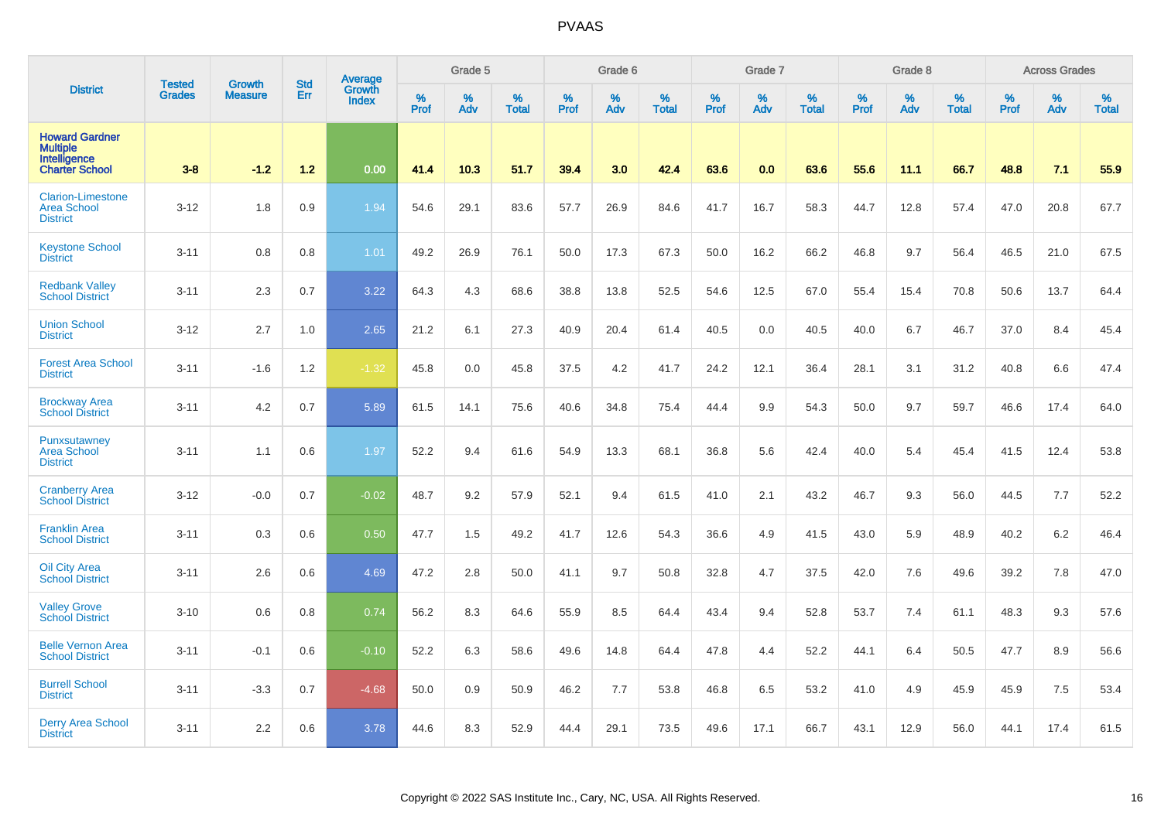|                                                                                   | <b>Tested</b> | <b>Growth</b>  | <b>Std</b> | Average<br>Growth |                     | Grade 5  |                   |           | Grade 6  |                   |                  | Grade 7  |                   |                  | Grade 8  |                   |                  | <b>Across Grades</b> |                   |
|-----------------------------------------------------------------------------------|---------------|----------------|------------|-------------------|---------------------|----------|-------------------|-----------|----------|-------------------|------------------|----------|-------------------|------------------|----------|-------------------|------------------|----------------------|-------------------|
| <b>District</b>                                                                   | <b>Grades</b> | <b>Measure</b> | Err        | <b>Index</b>      | $\%$<br><b>Prof</b> | %<br>Adv | %<br><b>Total</b> | %<br>Prof | %<br>Adv | %<br><b>Total</b> | %<br><b>Prof</b> | %<br>Adv | %<br><b>Total</b> | %<br><b>Prof</b> | %<br>Adv | %<br><b>Total</b> | %<br><b>Prof</b> | %<br>Adv             | %<br><b>Total</b> |
| <b>Howard Gardner</b><br><b>Multiple</b><br>Intelligence<br><b>Charter School</b> | $3-8$         | $-1.2$         | 1.2        | 0.00              | 41.4                | 10.3     | 51.7              | 39.4      | 3.0      | 42.4              | 63.6             | 0.0      | 63.6              | 55.6             | 11.1     | 66.7              | 48.8             | 7.1                  | 55.9              |
| <b>Clarion-Limestone</b><br><b>Area School</b><br><b>District</b>                 | $3 - 12$      | 1.8            | 0.9        | 1.94              | 54.6                | 29.1     | 83.6              | 57.7      | 26.9     | 84.6              | 41.7             | 16.7     | 58.3              | 44.7             | 12.8     | 57.4              | 47.0             | 20.8                 | 67.7              |
| <b>Keystone School</b><br><b>District</b>                                         | $3 - 11$      | 0.8            | 0.8        | 1.01              | 49.2                | 26.9     | 76.1              | 50.0      | 17.3     | 67.3              | 50.0             | 16.2     | 66.2              | 46.8             | 9.7      | 56.4              | 46.5             | 21.0                 | 67.5              |
| <b>Redbank Valley</b><br><b>School District</b>                                   | $3 - 11$      | 2.3            | 0.7        | 3.22              | 64.3                | 4.3      | 68.6              | 38.8      | 13.8     | 52.5              | 54.6             | 12.5     | 67.0              | 55.4             | 15.4     | 70.8              | 50.6             | 13.7                 | 64.4              |
| <b>Union School</b><br><b>District</b>                                            | $3 - 12$      | 2.7            | 1.0        | 2.65              | 21.2                | 6.1      | 27.3              | 40.9      | 20.4     | 61.4              | 40.5             | 0.0      | 40.5              | 40.0             | 6.7      | 46.7              | 37.0             | 8.4                  | 45.4              |
| <b>Forest Area School</b><br><b>District</b>                                      | $3 - 11$      | $-1.6$         | 1.2        | $-1.32$           | 45.8                | 0.0      | 45.8              | 37.5      | 4.2      | 41.7              | 24.2             | 12.1     | 36.4              | 28.1             | 3.1      | 31.2              | 40.8             | 6.6                  | 47.4              |
| <b>Brockway Area</b><br><b>School District</b>                                    | $3 - 11$      | 4.2            | 0.7        | 5.89              | 61.5                | 14.1     | 75.6              | 40.6      | 34.8     | 75.4              | 44.4             | 9.9      | 54.3              | 50.0             | 9.7      | 59.7              | 46.6             | 17.4                 | 64.0              |
| Punxsutawney<br><b>Area School</b><br><b>District</b>                             | $3 - 11$      | 1.1            | 0.6        | 1.97              | 52.2                | 9.4      | 61.6              | 54.9      | 13.3     | 68.1              | 36.8             | 5.6      | 42.4              | 40.0             | 5.4      | 45.4              | 41.5             | 12.4                 | 53.8              |
| <b>Cranberry Area</b><br><b>School District</b>                                   | $3 - 12$      | $-0.0$         | 0.7        | $-0.02$           | 48.7                | 9.2      | 57.9              | 52.1      | 9.4      | 61.5              | 41.0             | 2.1      | 43.2              | 46.7             | 9.3      | 56.0              | 44.5             | 7.7                  | 52.2              |
| <b>Franklin Area</b><br><b>School District</b>                                    | $3 - 11$      | 0.3            | 0.6        | 0.50              | 47.7                | 1.5      | 49.2              | 41.7      | 12.6     | 54.3              | 36.6             | 4.9      | 41.5              | 43.0             | 5.9      | 48.9              | 40.2             | 6.2                  | 46.4              |
| <b>Oil City Area</b><br><b>School District</b>                                    | $3 - 11$      | 2.6            | 0.6        | 4.69              | 47.2                | 2.8      | 50.0              | 41.1      | 9.7      | 50.8              | 32.8             | 4.7      | 37.5              | 42.0             | 7.6      | 49.6              | 39.2             | 7.8                  | 47.0              |
| <b>Valley Grove</b><br><b>School District</b>                                     | $3 - 10$      | 0.6            | 0.8        | 0.74              | 56.2                | 8.3      | 64.6              | 55.9      | 8.5      | 64.4              | 43.4             | 9.4      | 52.8              | 53.7             | 7.4      | 61.1              | 48.3             | 9.3                  | 57.6              |
| <b>Belle Vernon Area</b><br><b>School District</b>                                | $3 - 11$      | $-0.1$         | 0.6        | $-0.10$           | 52.2                | 6.3      | 58.6              | 49.6      | 14.8     | 64.4              | 47.8             | 4.4      | 52.2              | 44.1             | 6.4      | 50.5              | 47.7             | 8.9                  | 56.6              |
| <b>Burrell School</b><br><b>District</b>                                          | $3 - 11$      | $-3.3$         | 0.7        | $-4.68$           | 50.0                | 0.9      | 50.9              | 46.2      | 7.7      | 53.8              | 46.8             | 6.5      | 53.2              | 41.0             | 4.9      | 45.9              | 45.9             | 7.5                  | 53.4              |
| <b>Derry Area School</b><br><b>District</b>                                       | $3 - 11$      | 2.2            | 0.6        | 3.78              | 44.6                | 8.3      | 52.9              | 44.4      | 29.1     | 73.5              | 49.6             | 17.1     | 66.7              | 43.1             | 12.9     | 56.0              | 44.1             | 17.4                 | 61.5              |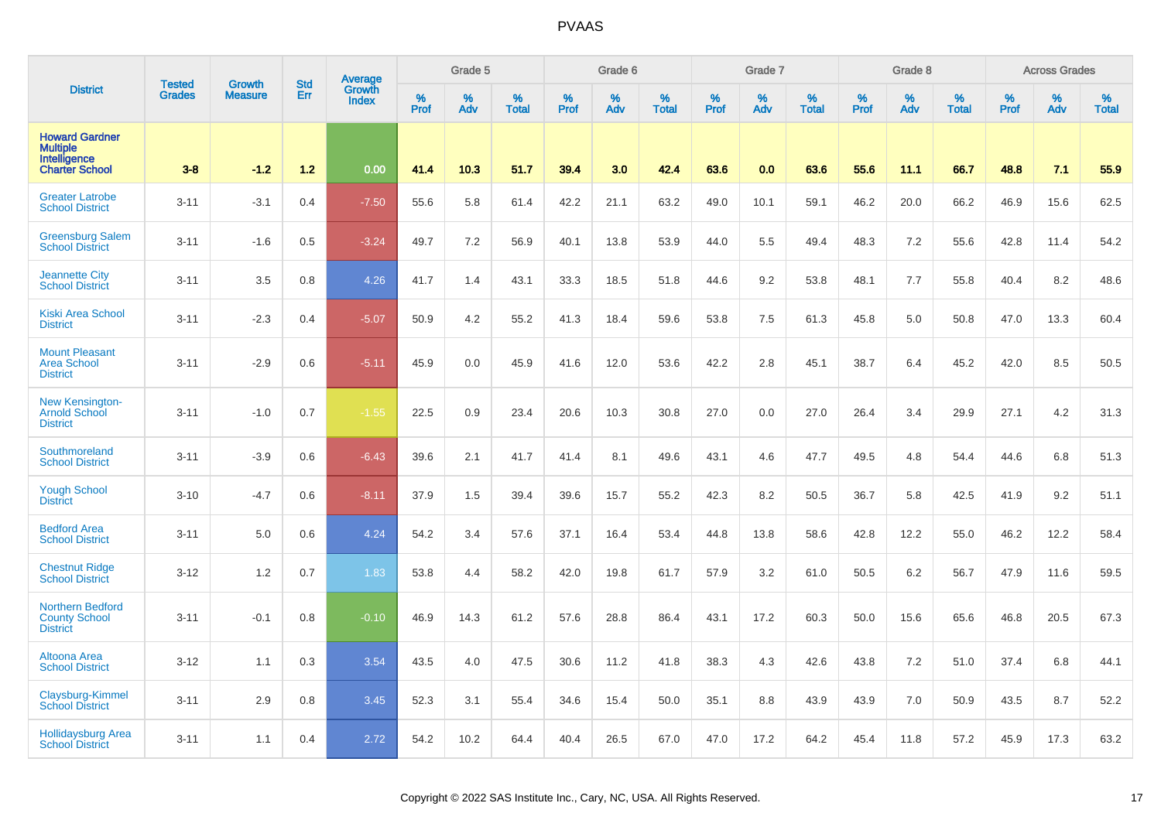|                                                                                   | <b>Tested</b> | <b>Growth</b>  | <b>Std</b> | Average                |                  | Grade 5  |                   |           | Grade 6  |                   |           | Grade 7  |                   |           | Grade 8  |                   |           | <b>Across Grades</b> |                   |
|-----------------------------------------------------------------------------------|---------------|----------------|------------|------------------------|------------------|----------|-------------------|-----------|----------|-------------------|-----------|----------|-------------------|-----------|----------|-------------------|-----------|----------------------|-------------------|
| <b>District</b>                                                                   | <b>Grades</b> | <b>Measure</b> | Err        | Growth<br><b>Index</b> | %<br><b>Prof</b> | %<br>Adv | %<br><b>Total</b> | %<br>Prof | %<br>Adv | %<br><b>Total</b> | %<br>Prof | %<br>Adv | %<br><b>Total</b> | %<br>Prof | %<br>Adv | %<br><b>Total</b> | %<br>Prof | %<br>Adv             | %<br><b>Total</b> |
| <b>Howard Gardner</b><br><b>Multiple</b><br>Intelligence<br><b>Charter School</b> | $3 - 8$       | $-1.2$         | $1.2$      | 0.00                   | 41.4             | 10.3     | 51.7              | 39.4      | 3.0      | 42.4              | 63.6      | 0.0      | 63.6              | 55.6      | 11.1     | 66.7              | 48.8      | 7.1                  | 55.9              |
| <b>Greater Latrobe</b><br><b>School District</b>                                  | $3 - 11$      | $-3.1$         | 0.4        | $-7.50$                | 55.6             | 5.8      | 61.4              | 42.2      | 21.1     | 63.2              | 49.0      | 10.1     | 59.1              | 46.2      | 20.0     | 66.2              | 46.9      | 15.6                 | 62.5              |
| <b>Greensburg Salem</b><br><b>School District</b>                                 | $3 - 11$      | $-1.6$         | 0.5        | $-3.24$                | 49.7             | 7.2      | 56.9              | 40.1      | 13.8     | 53.9              | 44.0      | 5.5      | 49.4              | 48.3      | 7.2      | 55.6              | 42.8      | 11.4                 | 54.2              |
| <b>Jeannette City</b><br><b>School District</b>                                   | $3 - 11$      | 3.5            | 0.8        | 4.26                   | 41.7             | 1.4      | 43.1              | 33.3      | 18.5     | 51.8              | 44.6      | 9.2      | 53.8              | 48.1      | 7.7      | 55.8              | 40.4      | 8.2                  | 48.6              |
| <b>Kiski Area School</b><br><b>District</b>                                       | $3 - 11$      | $-2.3$         | 0.4        | $-5.07$                | 50.9             | 4.2      | 55.2              | 41.3      | 18.4     | 59.6              | 53.8      | $7.5\,$  | 61.3              | 45.8      | 5.0      | 50.8              | 47.0      | 13.3                 | 60.4              |
| <b>Mount Pleasant</b><br><b>Area School</b><br><b>District</b>                    | $3 - 11$      | $-2.9$         | 0.6        | $-5.11$                | 45.9             | 0.0      | 45.9              | 41.6      | 12.0     | 53.6              | 42.2      | 2.8      | 45.1              | 38.7      | 6.4      | 45.2              | 42.0      | 8.5                  | 50.5              |
| <b>New Kensington-</b><br><b>Arnold School</b><br><b>District</b>                 | $3 - 11$      | $-1.0$         | 0.7        | $-1.55$                | 22.5             | 0.9      | 23.4              | 20.6      | 10.3     | 30.8              | 27.0      | 0.0      | 27.0              | 26.4      | 3.4      | 29.9              | 27.1      | 4.2                  | 31.3              |
| Southmoreland<br><b>School District</b>                                           | $3 - 11$      | $-3.9$         | 0.6        | $-6.43$                | 39.6             | 2.1      | 41.7              | 41.4      | 8.1      | 49.6              | 43.1      | 4.6      | 47.7              | 49.5      | 4.8      | 54.4              | 44.6      | 6.8                  | 51.3              |
| <b>Yough School</b><br><b>District</b>                                            | $3 - 10$      | $-4.7$         | 0.6        | $-8.11$                | 37.9             | 1.5      | 39.4              | 39.6      | 15.7     | 55.2              | 42.3      | 8.2      | 50.5              | 36.7      | 5.8      | 42.5              | 41.9      | 9.2                  | 51.1              |
| <b>Bedford Area</b><br><b>School District</b>                                     | $3 - 11$      | 5.0            | 0.6        | 4.24                   | 54.2             | 3.4      | 57.6              | 37.1      | 16.4     | 53.4              | 44.8      | 13.8     | 58.6              | 42.8      | 12.2     | 55.0              | 46.2      | 12.2                 | 58.4              |
| <b>Chestnut Ridge</b><br><b>School District</b>                                   | $3 - 12$      | 1.2            | 0.7        | 1.83                   | 53.8             | 4.4      | 58.2              | 42.0      | 19.8     | 61.7              | 57.9      | 3.2      | 61.0              | 50.5      | 6.2      | 56.7              | 47.9      | 11.6                 | 59.5              |
| <b>Northern Bedford</b><br><b>County School</b><br><b>District</b>                | $3 - 11$      | $-0.1$         | 0.8        | $-0.10$                | 46.9             | 14.3     | 61.2              | 57.6      | 28.8     | 86.4              | 43.1      | 17.2     | 60.3              | 50.0      | 15.6     | 65.6              | 46.8      | 20.5                 | 67.3              |
| <b>Altoona Area</b><br><b>School District</b>                                     | $3 - 12$      | 1.1            | 0.3        | 3.54                   | 43.5             | 4.0      | 47.5              | 30.6      | 11.2     | 41.8              | 38.3      | 4.3      | 42.6              | 43.8      | 7.2      | 51.0              | 37.4      | 6.8                  | 44.1              |
| Claysburg-Kimmel<br><b>School District</b>                                        | $3 - 11$      | 2.9            | 0.8        | 3.45                   | 52.3             | 3.1      | 55.4              | 34.6      | 15.4     | 50.0              | 35.1      | 8.8      | 43.9              | 43.9      | 7.0      | 50.9              | 43.5      | 8.7                  | 52.2              |
| <b>Hollidaysburg Area</b><br><b>School</b> District                               | $3 - 11$      | 1.1            | 0.4        | 2.72                   | 54.2             | 10.2     | 64.4              | 40.4      | 26.5     | 67.0              | 47.0      | 17.2     | 64.2              | 45.4      | 11.8     | 57.2              | 45.9      | 17.3                 | 63.2              |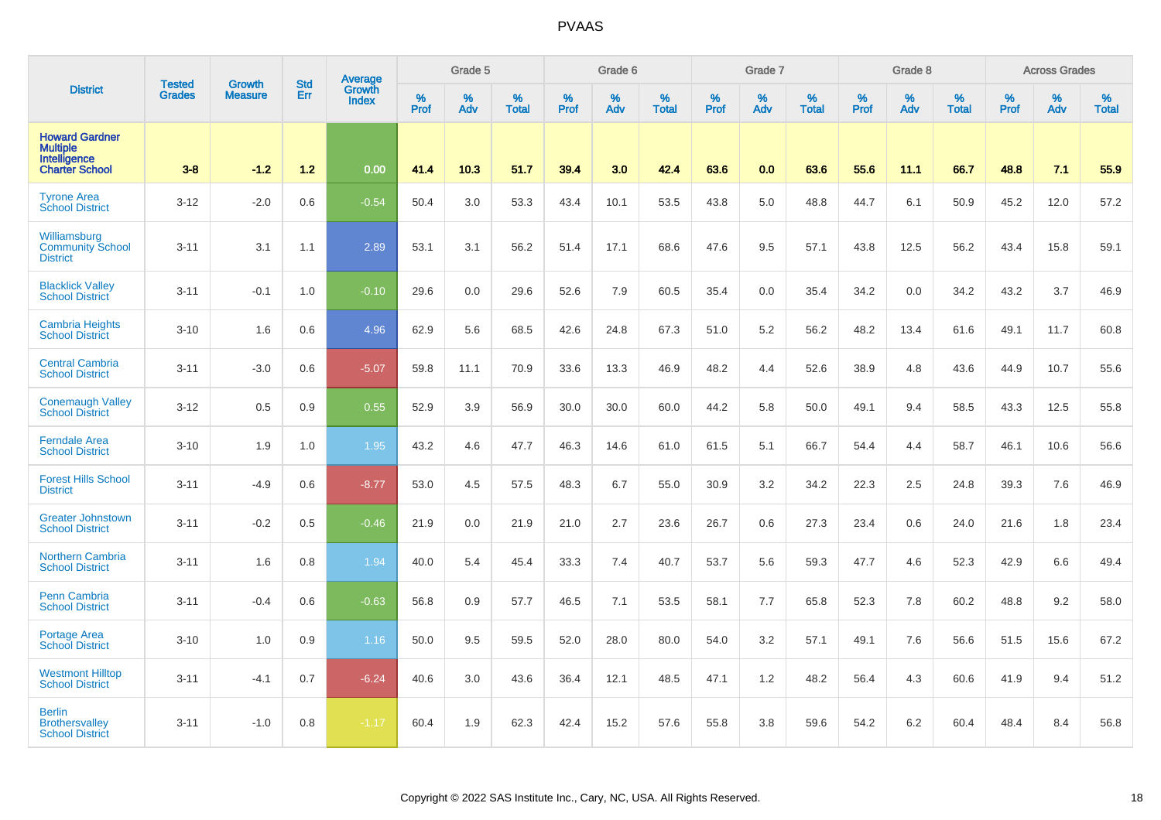|                                                                            | <b>Tested</b> | <b>Growth</b>  | <b>Std</b> | Average                |                     | Grade 5  |                   |           | Grade 6  |                   |           | Grade 7  |                   |           | Grade 8  |                   |           | <b>Across Grades</b> |                   |
|----------------------------------------------------------------------------|---------------|----------------|------------|------------------------|---------------------|----------|-------------------|-----------|----------|-------------------|-----------|----------|-------------------|-----------|----------|-------------------|-----------|----------------------|-------------------|
| <b>District</b>                                                            | <b>Grades</b> | <b>Measure</b> | Err        | Growth<br><b>Index</b> | $\%$<br><b>Prof</b> | %<br>Adv | %<br><b>Total</b> | %<br>Prof | %<br>Adv | %<br><b>Total</b> | %<br>Prof | %<br>Adv | %<br><b>Total</b> | %<br>Prof | %<br>Adv | %<br><b>Total</b> | %<br>Prof | %<br>Adv             | %<br><b>Total</b> |
| <b>Howard Gardner</b><br>Multiple<br>Intelligence<br><b>Charter School</b> | $3 - 8$       | $-1.2$         | 1.2        | 0.00                   | 41.4                | 10.3     | 51.7              | 39.4      | 3.0      | 42.4              | 63.6      | 0.0      | 63.6              | 55.6      | 11.1     | 66.7              | 48.8      | 7.1                  | 55.9              |
| <b>Tyrone Area</b><br><b>School District</b>                               | $3 - 12$      | $-2.0$         | 0.6        | $-0.54$                | 50.4                | 3.0      | 53.3              | 43.4      | 10.1     | 53.5              | 43.8      | 5.0      | 48.8              | 44.7      | 6.1      | 50.9              | 45.2      | 12.0                 | 57.2              |
| Williamsburg<br><b>Community School</b><br><b>District</b>                 | $3 - 11$      | 3.1            | 1.1        | 2.89                   | 53.1                | 3.1      | 56.2              | 51.4      | 17.1     | 68.6              | 47.6      | 9.5      | 57.1              | 43.8      | 12.5     | 56.2              | 43.4      | 15.8                 | 59.1              |
| <b>Blacklick Valley</b><br><b>School District</b>                          | $3 - 11$      | $-0.1$         | 1.0        | $-0.10$                | 29.6                | 0.0      | 29.6              | 52.6      | 7.9      | 60.5              | 35.4      | 0.0      | 35.4              | 34.2      | 0.0      | 34.2              | 43.2      | 3.7                  | 46.9              |
| <b>Cambria Heights</b><br><b>School District</b>                           | $3 - 10$      | 1.6            | 0.6        | 4.96                   | 62.9                | 5.6      | 68.5              | 42.6      | 24.8     | 67.3              | 51.0      | 5.2      | 56.2              | 48.2      | 13.4     | 61.6              | 49.1      | 11.7                 | 60.8              |
| <b>Central Cambria</b><br><b>School District</b>                           | $3 - 11$      | $-3.0$         | 0.6        | $-5.07$                | 59.8                | 11.1     | 70.9              | 33.6      | 13.3     | 46.9              | 48.2      | 4.4      | 52.6              | 38.9      | 4.8      | 43.6              | 44.9      | 10.7                 | 55.6              |
| <b>Conemaugh Valley</b><br><b>School District</b>                          | $3 - 12$      | 0.5            | 0.9        | 0.55                   | 52.9                | 3.9      | 56.9              | 30.0      | 30.0     | 60.0              | 44.2      | 5.8      | 50.0              | 49.1      | 9.4      | 58.5              | 43.3      | 12.5                 | 55.8              |
| <b>Ferndale Area</b><br><b>School District</b>                             | $3 - 10$      | 1.9            | 1.0        | 1.95                   | 43.2                | 4.6      | 47.7              | 46.3      | 14.6     | 61.0              | 61.5      | 5.1      | 66.7              | 54.4      | 4.4      | 58.7              | 46.1      | 10.6                 | 56.6              |
| <b>Forest Hills School</b><br><b>District</b>                              | $3 - 11$      | $-4.9$         | 0.6        | $-8.77$                | 53.0                | 4.5      | 57.5              | 48.3      | 6.7      | 55.0              | 30.9      | 3.2      | 34.2              | 22.3      | 2.5      | 24.8              | 39.3      | 7.6                  | 46.9              |
| <b>Greater Johnstown</b><br><b>School District</b>                         | $3 - 11$      | $-0.2$         | 0.5        | $-0.46$                | 21.9                | 0.0      | 21.9              | 21.0      | 2.7      | 23.6              | 26.7      | 0.6      | 27.3              | 23.4      | 0.6      | 24.0              | 21.6      | 1.8                  | 23.4              |
| <b>Northern Cambria</b><br><b>School District</b>                          | $3 - 11$      | 1.6            | 0.8        | 1.94                   | 40.0                | 5.4      | 45.4              | 33.3      | 7.4      | 40.7              | 53.7      | 5.6      | 59.3              | 47.7      | 4.6      | 52.3              | 42.9      | 6.6                  | 49.4              |
| <b>Penn Cambria</b><br><b>School District</b>                              | $3 - 11$      | $-0.4$         | 0.6        | $-0.63$                | 56.8                | 0.9      | 57.7              | 46.5      | 7.1      | 53.5              | 58.1      | 7.7      | 65.8              | 52.3      | 7.8      | 60.2              | 48.8      | 9.2                  | 58.0              |
| <b>Portage Area</b><br><b>School District</b>                              | $3 - 10$      | 1.0            | 0.9        | 1.16                   | 50.0                | 9.5      | 59.5              | 52.0      | 28.0     | 80.0              | 54.0      | 3.2      | 57.1              | 49.1      | 7.6      | 56.6              | 51.5      | 15.6                 | 67.2              |
| <b>Westmont Hilltop</b><br><b>School District</b>                          | $3 - 11$      | $-4.1$         | 0.7        | $-6.24$                | 40.6                | 3.0      | 43.6              | 36.4      | 12.1     | 48.5              | 47.1      | 1.2      | 48.2              | 56.4      | 4.3      | 60.6              | 41.9      | 9.4                  | 51.2              |
| <b>Berlin</b><br><b>Brothersvalley</b><br><b>School District</b>           | $3 - 11$      | $-1.0$         | 0.8        | $-1.17$                | 60.4                | 1.9      | 62.3              | 42.4      | 15.2     | 57.6              | 55.8      | 3.8      | 59.6              | 54.2      | 6.2      | 60.4              | 48.4      | 8.4                  | 56.8              |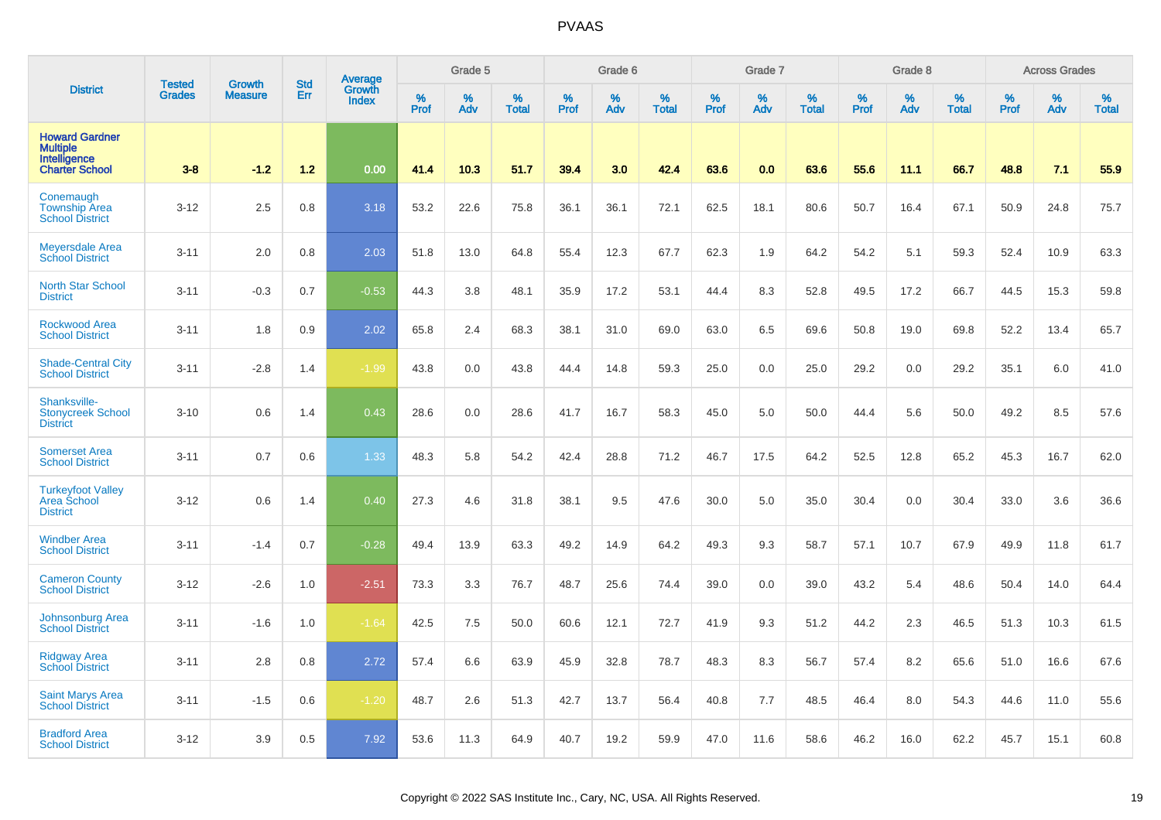|                                                                                   | <b>Tested</b> | <b>Growth</b>  | <b>Std</b> | Average                |                     | Grade 5  |                   |                  | Grade 6  |                   |                  | Grade 7  |                   |           | Grade 8  |                   |           | <b>Across Grades</b> |                   |
|-----------------------------------------------------------------------------------|---------------|----------------|------------|------------------------|---------------------|----------|-------------------|------------------|----------|-------------------|------------------|----------|-------------------|-----------|----------|-------------------|-----------|----------------------|-------------------|
| <b>District</b>                                                                   | <b>Grades</b> | <b>Measure</b> | Err        | Growth<br><b>Index</b> | $\%$<br><b>Prof</b> | %<br>Adv | %<br><b>Total</b> | %<br><b>Prof</b> | %<br>Adv | %<br><b>Total</b> | %<br><b>Prof</b> | %<br>Adv | %<br><b>Total</b> | %<br>Prof | %<br>Adv | %<br><b>Total</b> | %<br>Prof | %<br>Adv             | %<br><b>Total</b> |
| <b>Howard Gardner</b><br><b>Multiple</b><br>Intelligence<br><b>Charter School</b> | $3 - 8$       | $-1.2$         | $1.2$      | 0.00                   | 41.4                | 10.3     | 51.7              | 39.4             | 3.0      | 42.4              | 63.6             | 0.0      | 63.6              | 55.6      | 11.1     | 66.7              | 48.8      | 7.1                  | 55.9              |
| Conemaugh<br><b>Township Area</b><br><b>School District</b>                       | $3 - 12$      | 2.5            | 0.8        | 3.18                   | 53.2                | 22.6     | 75.8              | 36.1             | 36.1     | 72.1              | 62.5             | 18.1     | 80.6              | 50.7      | 16.4     | 67.1              | 50.9      | 24.8                 | 75.7              |
| <b>Meyersdale Area</b><br><b>School District</b>                                  | $3 - 11$      | 2.0            | 0.8        | 2.03                   | 51.8                | 13.0     | 64.8              | 55.4             | 12.3     | 67.7              | 62.3             | 1.9      | 64.2              | 54.2      | 5.1      | 59.3              | 52.4      | 10.9                 | 63.3              |
| <b>North Star School</b><br><b>District</b>                                       | $3 - 11$      | $-0.3$         | 0.7        | $-0.53$                | 44.3                | 3.8      | 48.1              | 35.9             | 17.2     | 53.1              | 44.4             | 8.3      | 52.8              | 49.5      | 17.2     | 66.7              | 44.5      | 15.3                 | 59.8              |
| <b>Rockwood Area</b><br><b>School District</b>                                    | $3 - 11$      | 1.8            | 0.9        | 2.02                   | 65.8                | 2.4      | 68.3              | 38.1             | 31.0     | 69.0              | 63.0             | 6.5      | 69.6              | 50.8      | 19.0     | 69.8              | 52.2      | 13.4                 | 65.7              |
| <b>Shade-Central City</b><br><b>School District</b>                               | $3 - 11$      | $-2.8$         | 1.4        | $-1.99$                | 43.8                | 0.0      | 43.8              | 44.4             | 14.8     | 59.3              | 25.0             | 0.0      | 25.0              | 29.2      | 0.0      | 29.2              | 35.1      | 6.0                  | 41.0              |
| Shanksville-<br><b>Stonycreek School</b><br><b>District</b>                       | $3 - 10$      | 0.6            | 1.4        | 0.43                   | 28.6                | 0.0      | 28.6              | 41.7             | 16.7     | 58.3              | 45.0             | 5.0      | 50.0              | 44.4      | 5.6      | 50.0              | 49.2      | 8.5                  | 57.6              |
| <b>Somerset Area</b><br><b>School District</b>                                    | $3 - 11$      | 0.7            | 0.6        | 1.33                   | 48.3                | 5.8      | 54.2              | 42.4             | 28.8     | 71.2              | 46.7             | 17.5     | 64.2              | 52.5      | 12.8     | 65.2              | 45.3      | 16.7                 | 62.0              |
| <b>Turkeyfoot Valley</b><br>Area School<br><b>District</b>                        | $3 - 12$      | 0.6            | 1.4        | 0.40                   | 27.3                | 4.6      | 31.8              | 38.1             | 9.5      | 47.6              | 30.0             | 5.0      | 35.0              | 30.4      | 0.0      | 30.4              | 33.0      | 3.6                  | 36.6              |
| <b>Windber Area</b><br><b>School District</b>                                     | $3 - 11$      | $-1.4$         | 0.7        | $-0.28$                | 49.4                | 13.9     | 63.3              | 49.2             | 14.9     | 64.2              | 49.3             | 9.3      | 58.7              | 57.1      | 10.7     | 67.9              | 49.9      | 11.8                 | 61.7              |
| <b>Cameron County</b><br><b>School District</b>                                   | $3 - 12$      | $-2.6$         | 1.0        | $-2.51$                | 73.3                | 3.3      | 76.7              | 48.7             | 25.6     | 74.4              | 39.0             | 0.0      | 39.0              | 43.2      | 5.4      | 48.6              | 50.4      | 14.0                 | 64.4              |
| <b>Johnsonburg Area</b><br><b>School District</b>                                 | $3 - 11$      | $-1.6$         | 1.0        | $-1.64$                | 42.5                | 7.5      | 50.0              | 60.6             | 12.1     | 72.7              | 41.9             | 9.3      | 51.2              | 44.2      | 2.3      | 46.5              | 51.3      | 10.3                 | 61.5              |
| <b>Ridgway Area</b><br><b>School District</b>                                     | $3 - 11$      | 2.8            | 0.8        | 2.72                   | 57.4                | 6.6      | 63.9              | 45.9             | 32.8     | 78.7              | 48.3             | 8.3      | 56.7              | 57.4      | 8.2      | 65.6              | 51.0      | 16.6                 | 67.6              |
| <b>Saint Marys Area</b><br><b>School District</b>                                 | $3 - 11$      | $-1.5$         | 0.6        | $-1.20$                | 48.7                | 2.6      | 51.3              | 42.7             | 13.7     | 56.4              | 40.8             | 7.7      | 48.5              | 46.4      | 8.0      | 54.3              | 44.6      | 11.0                 | 55.6              |
| <b>Bradford Area</b><br><b>School District</b>                                    | $3 - 12$      | 3.9            | 0.5        | 7.92                   | 53.6                | 11.3     | 64.9              | 40.7             | 19.2     | 59.9              | 47.0             | 11.6     | 58.6              | 46.2      | 16.0     | 62.2              | 45.7      | 15.1                 | 60.8              |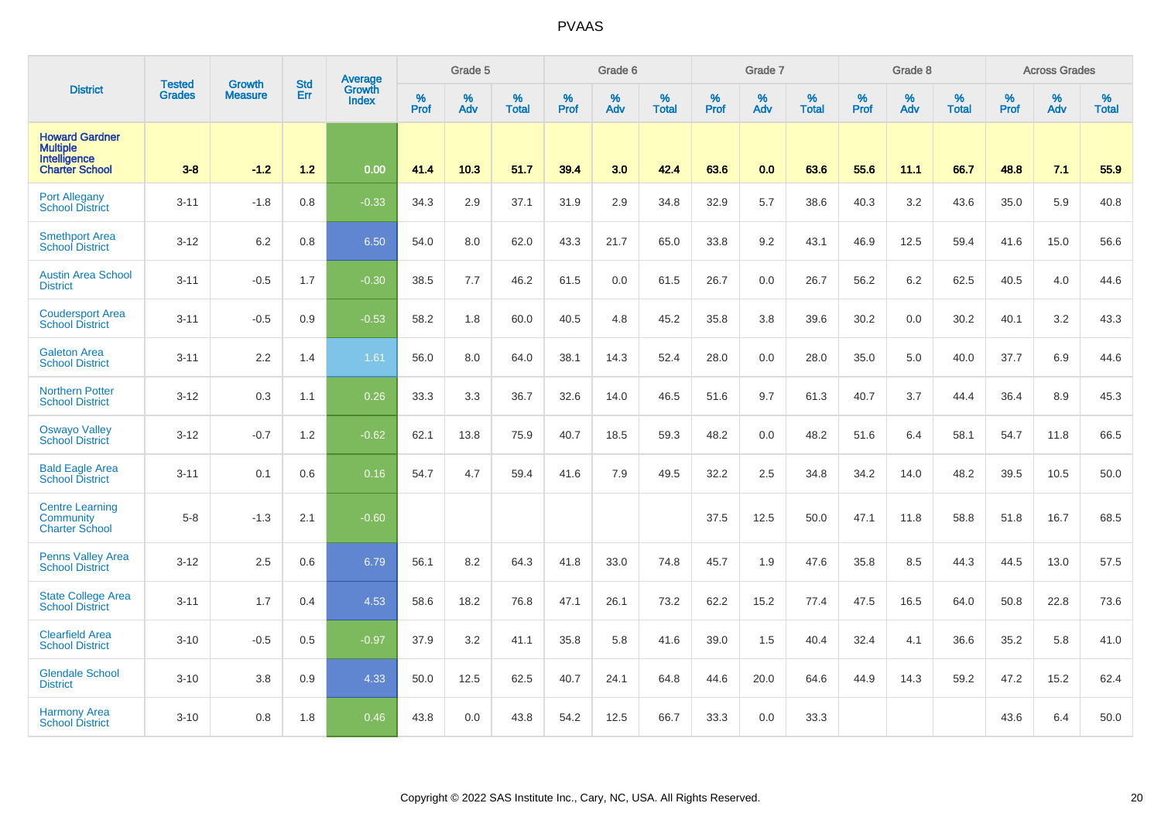|                                                                                   | <b>Tested</b> | <b>Growth</b>  | <b>Std</b> | Average                |              | Grade 5  | Grade 6<br>%<br>% |           |      |                   |              | Grade 7  |                   |           | Grade 8  |                   |           | <b>Across Grades</b> |                   |
|-----------------------------------------------------------------------------------|---------------|----------------|------------|------------------------|--------------|----------|-------------------|-----------|------|-------------------|--------------|----------|-------------------|-----------|----------|-------------------|-----------|----------------------|-------------------|
| <b>District</b>                                                                   | <b>Grades</b> | <b>Measure</b> | Err        | Growth<br><b>Index</b> | $\%$<br>Prof | %<br>Adv | <b>Total</b>      | %<br>Prof | Adv  | %<br><b>Total</b> | $\%$<br>Prof | %<br>Adv | %<br><b>Total</b> | %<br>Prof | %<br>Adv | %<br><b>Total</b> | %<br>Prof | %<br>Adv             | %<br><b>Total</b> |
| <b>Howard Gardner</b><br><b>Multiple</b><br>Intelligence<br><b>Charter School</b> | $3-8$         | $-1.2$         | 1.2        | 0.00                   | 41.4         | 10.3     | 51.7              | 39.4      | 3.0  | 42.4              | 63.6         | 0.0      | 63.6              | 55.6      | 11.1     | 66.7              | 48.8      | 7.1                  | 55.9              |
| <b>Port Allegany</b><br><b>School District</b>                                    | $3 - 11$      | $-1.8$         | 0.8        | $-0.33$                | 34.3         | 2.9      | 37.1              | 31.9      | 2.9  | 34.8              | 32.9         | 5.7      | 38.6              | 40.3      | 3.2      | 43.6              | 35.0      | 5.9                  | 40.8              |
| <b>Smethport Area</b><br><b>School District</b>                                   | $3 - 12$      | 6.2            | 0.8        | 6.50                   | 54.0         | 8.0      | 62.0              | 43.3      | 21.7 | 65.0              | 33.8         | 9.2      | 43.1              | 46.9      | 12.5     | 59.4              | 41.6      | 15.0                 | 56.6              |
| <b>Austin Area School</b><br><b>District</b>                                      | $3 - 11$      | $-0.5$         | 1.7        | $-0.30$                | 38.5         | 7.7      | 46.2              | 61.5      | 0.0  | 61.5              | 26.7         | 0.0      | 26.7              | 56.2      | 6.2      | 62.5              | 40.5      | 4.0                  | 44.6              |
| <b>Coudersport Area</b><br><b>School District</b>                                 | $3 - 11$      | $-0.5$         | 0.9        | $-0.53$                | 58.2         | 1.8      | 60.0              | 40.5      | 4.8  | 45.2              | 35.8         | 3.8      | 39.6              | 30.2      | 0.0      | 30.2              | 40.1      | 3.2                  | 43.3              |
| <b>Galeton Area</b><br><b>School District</b>                                     | $3 - 11$      | 2.2            | 1.4        | 1.61                   | 56.0         | 8.0      | 64.0              | 38.1      | 14.3 | 52.4              | 28.0         | 0.0      | 28.0              | 35.0      | 5.0      | 40.0              | 37.7      | 6.9                  | 44.6              |
| <b>Northern Potter</b><br><b>School District</b>                                  | $3 - 12$      | 0.3            | 1.1        | 0.26                   | 33.3         | 3.3      | 36.7              | 32.6      | 14.0 | 46.5              | 51.6         | 9.7      | 61.3              | 40.7      | 3.7      | 44.4              | 36.4      | 8.9                  | 45.3              |
| <b>Oswayo Valley</b><br>School District                                           | $3 - 12$      | $-0.7$         | 1.2        | $-0.62$                | 62.1         | 13.8     | 75.9              | 40.7      | 18.5 | 59.3              | 48.2         | 0.0      | 48.2              | 51.6      | 6.4      | 58.1              | 54.7      | 11.8                 | 66.5              |
| <b>Bald Eagle Area</b><br><b>School District</b>                                  | $3 - 11$      | 0.1            | 0.6        | 0.16                   | 54.7         | 4.7      | 59.4              | 41.6      | 7.9  | 49.5              | 32.2         | 2.5      | 34.8              | 34.2      | 14.0     | 48.2              | 39.5      | 10.5                 | 50.0              |
| <b>Centre Learning</b><br>Community<br><b>Charter School</b>                      | $5-8$         | $-1.3$         | 2.1        | $-0.60$                |              |          |                   |           |      |                   | 37.5         | 12.5     | 50.0              | 47.1      | 11.8     | 58.8              | 51.8      | 16.7                 | 68.5              |
| <b>Penns Valley Area</b><br><b>School District</b>                                | $3 - 12$      | 2.5            | 0.6        | 6.79                   | 56.1         | 8.2      | 64.3              | 41.8      | 33.0 | 74.8              | 45.7         | 1.9      | 47.6              | 35.8      | 8.5      | 44.3              | 44.5      | 13.0                 | 57.5              |
| <b>State College Area</b><br><b>School District</b>                               | $3 - 11$      | 1.7            | 0.4        | 4.53                   | 58.6         | 18.2     | 76.8              | 47.1      | 26.1 | 73.2              | 62.2         | 15.2     | 77.4              | 47.5      | 16.5     | 64.0              | 50.8      | 22.8                 | 73.6              |
| <b>Clearfield Area</b><br><b>School District</b>                                  | $3 - 10$      | $-0.5$         | 0.5        | $-0.97$                | 37.9         | 3.2      | 41.1              | 35.8      | 5.8  | 41.6              | 39.0         | 1.5      | 40.4              | 32.4      | 4.1      | 36.6              | 35.2      | 5.8                  | 41.0              |
| <b>Glendale School</b><br><b>District</b>                                         | $3 - 10$      | 3.8            | 0.9        | 4.33                   | 50.0         | 12.5     | 62.5              | 40.7      | 24.1 | 64.8              | 44.6         | 20.0     | 64.6              | 44.9      | 14.3     | 59.2              | 47.2      | 15.2                 | 62.4              |
| <b>Harmony Area</b><br><b>School District</b>                                     | $3 - 10$      | 0.8            | 1.8        | 0.46                   | 43.8         | 0.0      | 43.8              | 54.2      | 12.5 | 66.7              | 33.3         | 0.0      | 33.3              |           |          |                   | 43.6      | 6.4                  | 50.0              |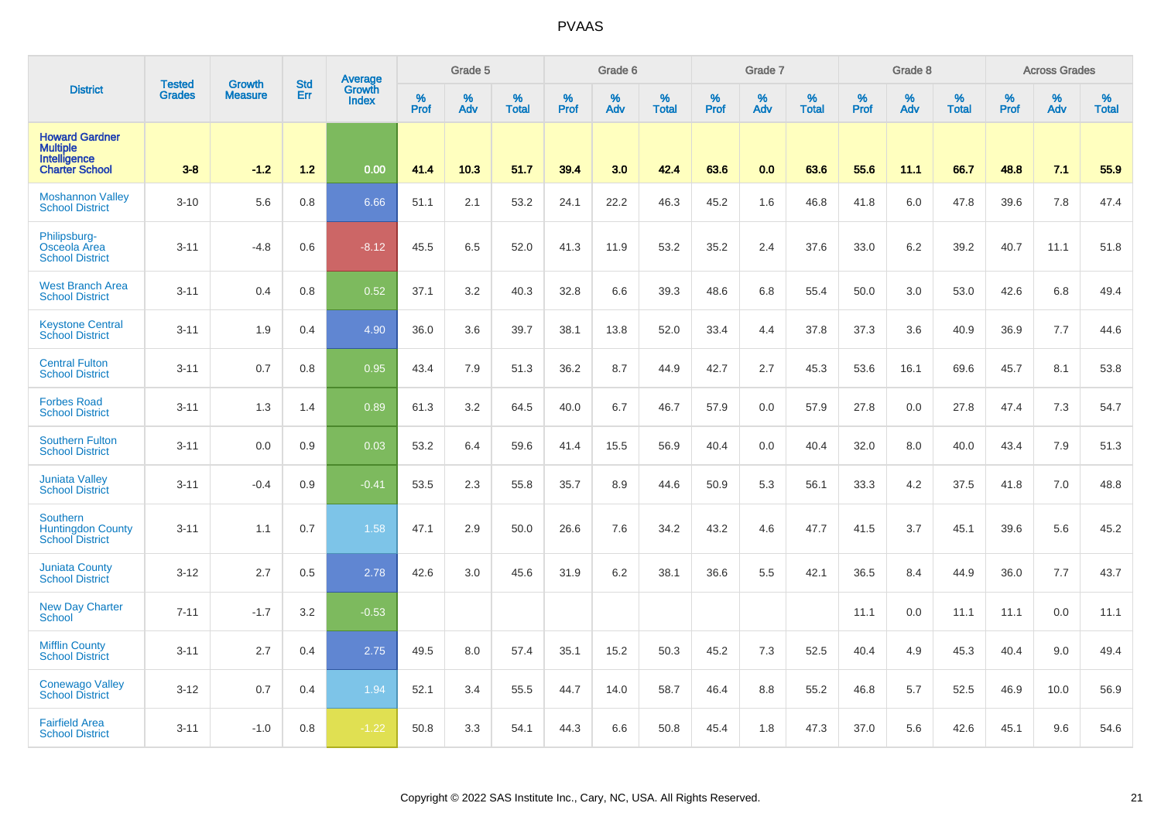|                                                                                   | <b>Tested</b> | <b>Growth</b>  | <b>Std</b> | Average<br>Growth |                  | Grade 5  |                   |           | Grade 6  |                   |           | Grade 7  |                   |           | Grade 8  |                   |           | <b>Across Grades</b> |                   |
|-----------------------------------------------------------------------------------|---------------|----------------|------------|-------------------|------------------|----------|-------------------|-----------|----------|-------------------|-----------|----------|-------------------|-----------|----------|-------------------|-----------|----------------------|-------------------|
| <b>District</b>                                                                   | <b>Grades</b> | <b>Measure</b> | Err        | <b>Index</b>      | %<br><b>Prof</b> | %<br>Adv | %<br><b>Total</b> | %<br>Prof | %<br>Adv | %<br><b>Total</b> | %<br>Prof | %<br>Adv | %<br><b>Total</b> | %<br>Prof | %<br>Adv | %<br><b>Total</b> | %<br>Prof | %<br>Adv             | %<br><b>Total</b> |
| <b>Howard Gardner</b><br><b>Multiple</b><br>Intelligence<br><b>Charter School</b> | $3-8$         | $-1.2$         | $1.2$      | 0.00              | 41.4             | 10.3     | 51.7              | 39.4      | 3.0      | 42.4              | 63.6      | 0.0      | 63.6              | 55.6      | 11.1     | 66.7              | 48.8      | 7.1                  | 55.9              |
| <b>Moshannon Valley</b><br><b>School District</b>                                 | $3 - 10$      | 5.6            | 0.8        | 6.66              | 51.1             | 2.1      | 53.2              | 24.1      | 22.2     | 46.3              | 45.2      | 1.6      | 46.8              | 41.8      | 6.0      | 47.8              | 39.6      | 7.8                  | 47.4              |
| Philipsburg-<br>Osceola Area<br><b>School District</b>                            | $3 - 11$      | $-4.8$         | 0.6        | $-8.12$           | 45.5             | 6.5      | 52.0              | 41.3      | 11.9     | 53.2              | 35.2      | 2.4      | 37.6              | 33.0      | 6.2      | 39.2              | 40.7      | 11.1                 | 51.8              |
| <b>West Branch Area</b><br><b>School District</b>                                 | $3 - 11$      | 0.4            | 0.8        | 0.52              | 37.1             | 3.2      | 40.3              | 32.8      | 6.6      | 39.3              | 48.6      | 6.8      | 55.4              | 50.0      | 3.0      | 53.0              | 42.6      | 6.8                  | 49.4              |
| <b>Keystone Central</b><br><b>School District</b>                                 | $3 - 11$      | 1.9            | 0.4        | 4.90              | 36.0             | 3.6      | 39.7              | 38.1      | 13.8     | 52.0              | 33.4      | 4.4      | 37.8              | 37.3      | 3.6      | 40.9              | 36.9      | 7.7                  | 44.6              |
| <b>Central Fulton</b><br><b>School District</b>                                   | $3 - 11$      | 0.7            | 0.8        | 0.95              | 43.4             | 7.9      | 51.3              | 36.2      | 8.7      | 44.9              | 42.7      | 2.7      | 45.3              | 53.6      | 16.1     | 69.6              | 45.7      | 8.1                  | 53.8              |
| <b>Forbes Road</b><br><b>School District</b>                                      | $3 - 11$      | 1.3            | 1.4        | 0.89              | 61.3             | 3.2      | 64.5              | 40.0      | 6.7      | 46.7              | 57.9      | 0.0      | 57.9              | 27.8      | 0.0      | 27.8              | 47.4      | 7.3                  | 54.7              |
| <b>Southern Fulton</b><br><b>School District</b>                                  | $3 - 11$      | 0.0            | 0.9        | 0.03              | 53.2             | 6.4      | 59.6              | 41.4      | 15.5     | 56.9              | 40.4      | 0.0      | 40.4              | 32.0      | 8.0      | 40.0              | 43.4      | 7.9                  | 51.3              |
| <b>Juniata Valley</b><br><b>School District</b>                                   | $3 - 11$      | $-0.4$         | 0.9        | $-0.41$           | 53.5             | 2.3      | 55.8              | 35.7      | 8.9      | 44.6              | 50.9      | 5.3      | 56.1              | 33.3      | 4.2      | 37.5              | 41.8      | 7.0                  | 48.8              |
| <b>Southern</b><br><b>Huntingdon County</b><br><b>School District</b>             | $3 - 11$      | 1.1            | 0.7        | 1.58              | 47.1             | 2.9      | 50.0              | 26.6      | 7.6      | 34.2              | 43.2      | 4.6      | 47.7              | 41.5      | 3.7      | 45.1              | 39.6      | 5.6                  | 45.2              |
| <b>Juniata County</b><br><b>School District</b>                                   | $3 - 12$      | 2.7            | 0.5        | 2.78              | 42.6             | 3.0      | 45.6              | 31.9      | $6.2\,$  | 38.1              | 36.6      | 5.5      | 42.1              | 36.5      | 8.4      | 44.9              | 36.0      | 7.7                  | 43.7              |
| <b>New Day Charter</b><br><b>School</b>                                           | $7 - 11$      | $-1.7$         | 3.2        | $-0.53$           |                  |          |                   |           |          |                   |           |          |                   | 11.1      | 0.0      | 11.1              | 11.1      | 0.0                  | 11.1              |
| <b>Mifflin County</b><br><b>School District</b>                                   | $3 - 11$      | 2.7            | 0.4        | 2.75              | 49.5             | 8.0      | 57.4              | 35.1      | 15.2     | 50.3              | 45.2      | 7.3      | 52.5              | 40.4      | 4.9      | 45.3              | 40.4      | 9.0                  | 49.4              |
| <b>Conewago Valley</b><br><b>School District</b>                                  | $3 - 12$      | 0.7            | 0.4        | 1.94              | 52.1             | 3.4      | 55.5              | 44.7      | 14.0     | 58.7              | 46.4      | 8.8      | 55.2              | 46.8      | 5.7      | 52.5              | 46.9      | 10.0                 | 56.9              |
| <b>Fairfield Area</b><br><b>School District</b>                                   | $3 - 11$      | $-1.0$         | 0.8        | $-1.22$           | 50.8             | 3.3      | 54.1              | 44.3      | 6.6      | 50.8              | 45.4      | 1.8      | 47.3              | 37.0      | 5.6      | 42.6              | 45.1      | 9.6                  | 54.6              |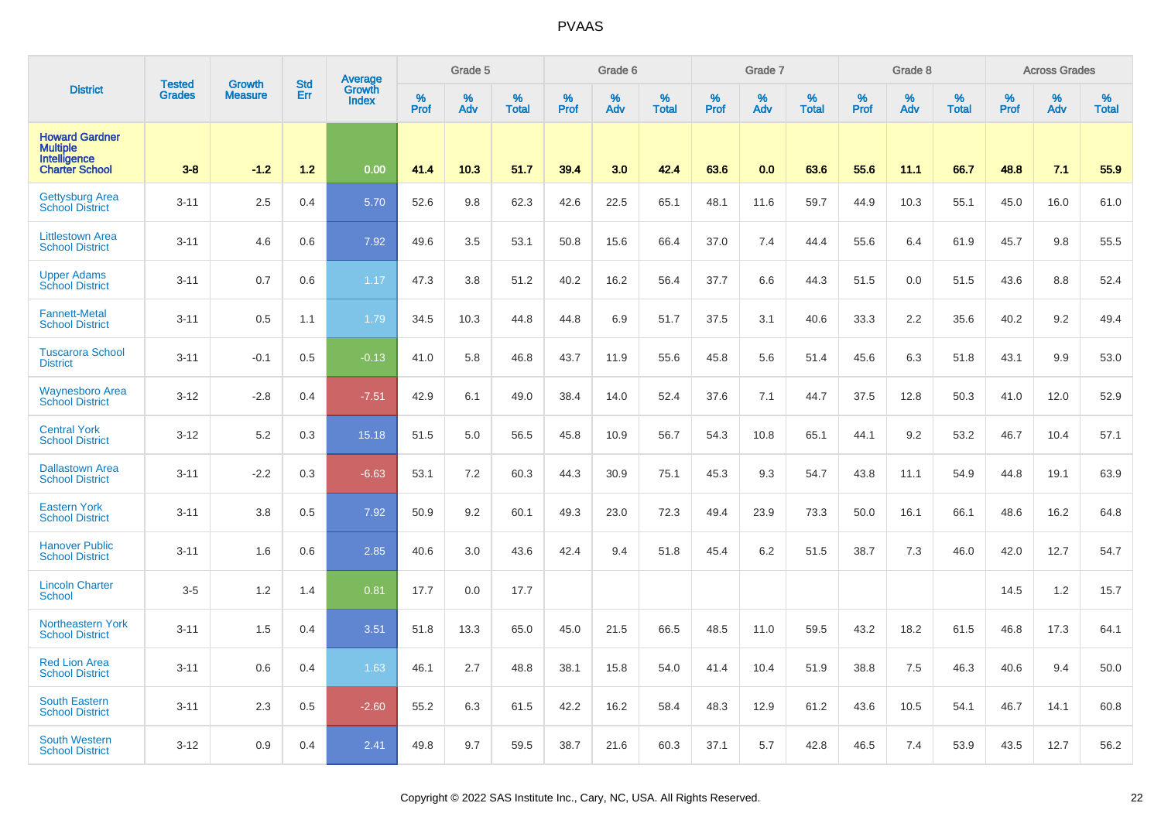|                                                                                   | <b>Tested</b> | <b>Growth</b>  | <b>Std</b> |                                   |           | Grade 5  |                   |           | Grade 6  |                   |           | Grade 7  |                   |           | Grade 8  |                   |           | <b>Across Grades</b> |                   |
|-----------------------------------------------------------------------------------|---------------|----------------|------------|-----------------------------------|-----------|----------|-------------------|-----------|----------|-------------------|-----------|----------|-------------------|-----------|----------|-------------------|-----------|----------------------|-------------------|
| <b>District</b>                                                                   | <b>Grades</b> | <b>Measure</b> | Err        | Average<br>Growth<br><b>Index</b> | %<br>Prof | %<br>Adv | %<br><b>Total</b> | %<br>Prof | %<br>Adv | %<br><b>Total</b> | %<br>Prof | %<br>Adv | %<br><b>Total</b> | %<br>Prof | %<br>Adv | %<br><b>Total</b> | %<br>Prof | %<br>Adv             | %<br><b>Total</b> |
| <b>Howard Gardner</b><br><b>Multiple</b><br>Intelligence<br><b>Charter School</b> | $3-8$         | $-1.2$         | $1.2$      | 0.00                              | 41.4      | 10.3     | 51.7              | 39.4      | 3.0      | 42.4              | 63.6      | 0.0      | 63.6              | 55.6      | 11.1     | 66.7              | 48.8      | 7.1                  | 55.9              |
| <b>Gettysburg Area</b><br><b>School District</b>                                  | $3 - 11$      | 2.5            | 0.4        | 5.70                              | 52.6      | 9.8      | 62.3              | 42.6      | 22.5     | 65.1              | 48.1      | 11.6     | 59.7              | 44.9      | 10.3     | 55.1              | 45.0      | 16.0                 | 61.0              |
| <b>Littlestown Area</b><br><b>School District</b>                                 | $3 - 11$      | 4.6            | 0.6        | 7.92                              | 49.6      | 3.5      | 53.1              | 50.8      | 15.6     | 66.4              | 37.0      | 7.4      | 44.4              | 55.6      | 6.4      | 61.9              | 45.7      | 9.8                  | 55.5              |
| <b>Upper Adams</b><br><b>School District</b>                                      | $3 - 11$      | 0.7            | 0.6        | 1.17                              | 47.3      | 3.8      | 51.2              | 40.2      | 16.2     | 56.4              | 37.7      | 6.6      | 44.3              | 51.5      | 0.0      | 51.5              | 43.6      | 8.8                  | 52.4              |
| <b>Fannett-Metal</b><br><b>School District</b>                                    | $3 - 11$      | 0.5            | 1.1        | 1.79                              | 34.5      | 10.3     | 44.8              | 44.8      | 6.9      | 51.7              | 37.5      | 3.1      | 40.6              | 33.3      | 2.2      | 35.6              | 40.2      | 9.2                  | 49.4              |
| <b>Tuscarora School</b><br><b>District</b>                                        | $3 - 11$      | $-0.1$         | 0.5        | $-0.13$                           | 41.0      | 5.8      | 46.8              | 43.7      | 11.9     | 55.6              | 45.8      | 5.6      | 51.4              | 45.6      | 6.3      | 51.8              | 43.1      | 9.9                  | 53.0              |
| Waynesboro Area<br>School District                                                | $3 - 12$      | $-2.8$         | 0.4        | $-7.51$                           | 42.9      | 6.1      | 49.0              | 38.4      | 14.0     | 52.4              | 37.6      | 7.1      | 44.7              | 37.5      | 12.8     | 50.3              | 41.0      | 12.0                 | 52.9              |
| <b>Central York</b><br><b>School District</b>                                     | $3 - 12$      | 5.2            | 0.3        | 15.18                             | 51.5      | 5.0      | 56.5              | 45.8      | 10.9     | 56.7              | 54.3      | 10.8     | 65.1              | 44.1      | 9.2      | 53.2              | 46.7      | 10.4                 | 57.1              |
| <b>Dallastown Area</b><br><b>School District</b>                                  | $3 - 11$      | $-2.2$         | 0.3        | $-6.63$                           | 53.1      | 7.2      | 60.3              | 44.3      | $30.9\,$ | 75.1              | 45.3      | 9.3      | 54.7              | 43.8      | 11.1     | 54.9              | 44.8      | 19.1                 | 63.9              |
| <b>Eastern York</b><br><b>School District</b>                                     | $3 - 11$      | 3.8            | 0.5        | 7.92                              | 50.9      | 9.2      | 60.1              | 49.3      | 23.0     | 72.3              | 49.4      | 23.9     | 73.3              | 50.0      | 16.1     | 66.1              | 48.6      | 16.2                 | 64.8              |
| <b>Hanover Public</b><br><b>School District</b>                                   | $3 - 11$      | 1.6            | 0.6        | 2.85                              | 40.6      | 3.0      | 43.6              | 42.4      | 9.4      | 51.8              | 45.4      | 6.2      | 51.5              | 38.7      | 7.3      | 46.0              | 42.0      | 12.7                 | 54.7              |
| <b>Lincoln Charter</b><br><b>School</b>                                           | $3-5$         | 1.2            | 1.4        | 0.81                              | 17.7      | 0.0      | 17.7              |           |          |                   |           |          |                   |           |          |                   | 14.5      | 1.2                  | 15.7              |
| Northeastern York<br><b>School District</b>                                       | $3 - 11$      | 1.5            | 0.4        | 3.51                              | 51.8      | 13.3     | 65.0              | 45.0      | 21.5     | 66.5              | 48.5      | 11.0     | 59.5              | 43.2      | 18.2     | 61.5              | 46.8      | 17.3                 | 64.1              |
| <b>Red Lion Area</b><br><b>School District</b>                                    | $3 - 11$      | 0.6            | 0.4        | 1.63                              | 46.1      | 2.7      | 48.8              | 38.1      | 15.8     | 54.0              | 41.4      | 10.4     | 51.9              | 38.8      | 7.5      | 46.3              | 40.6      | 9.4                  | 50.0              |
| <b>South Eastern</b><br><b>School District</b>                                    | $3 - 11$      | 2.3            | 0.5        | $-2.60$                           | 55.2      | 6.3      | 61.5              | 42.2      | 16.2     | 58.4              | 48.3      | 12.9     | 61.2              | 43.6      | 10.5     | 54.1              | 46.7      | 14.1                 | 60.8              |
| <b>South Western</b><br><b>School District</b>                                    | $3 - 12$      | 0.9            | 0.4        | 2.41                              | 49.8      | 9.7      | 59.5              | 38.7      | 21.6     | 60.3              | 37.1      | 5.7      | 42.8              | 46.5      | 7.4      | 53.9              | 43.5      | 12.7                 | 56.2              |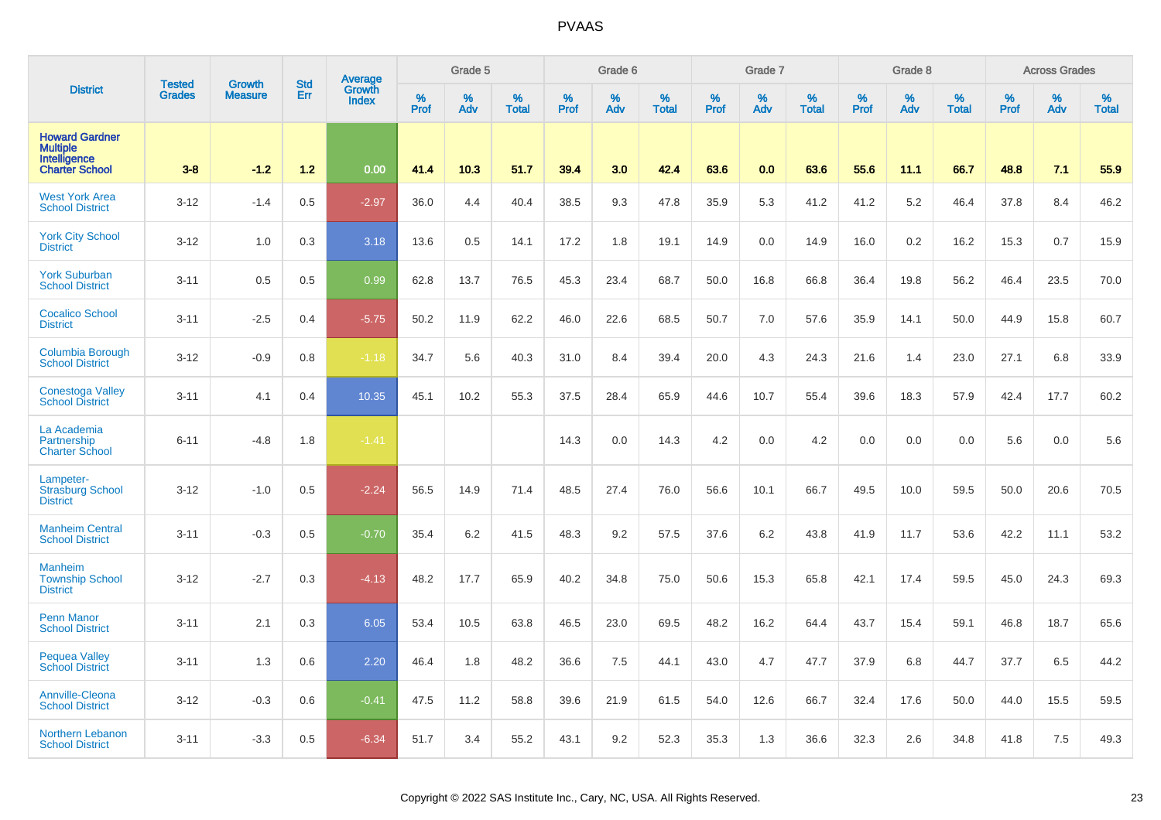|                                                                                   | <b>Tested</b> | <b>Growth</b>  | <b>Std</b> | Average                |                  | Grade 5  |                   |           | Grade 6  |                   |           | Grade 7  |                   |           | Grade 8  |                   |           | <b>Across Grades</b> |                   |
|-----------------------------------------------------------------------------------|---------------|----------------|------------|------------------------|------------------|----------|-------------------|-----------|----------|-------------------|-----------|----------|-------------------|-----------|----------|-------------------|-----------|----------------------|-------------------|
| <b>District</b>                                                                   | <b>Grades</b> | <b>Measure</b> | Err        | Growth<br><b>Index</b> | %<br><b>Prof</b> | %<br>Adv | %<br><b>Total</b> | %<br>Prof | %<br>Adv | %<br><b>Total</b> | %<br>Prof | %<br>Adv | %<br><b>Total</b> | %<br>Prof | %<br>Adv | %<br><b>Total</b> | %<br>Prof | %<br>Adv             | %<br><b>Total</b> |
| <b>Howard Gardner</b><br><b>Multiple</b><br>Intelligence<br><b>Charter School</b> | $3-8$         | $-1.2$         | 1.2        | 0.00                   | 41.4             | 10.3     | 51.7              | 39.4      | 3.0      | 42.4              | 63.6      | 0.0      | 63.6              | 55.6      | 11.1     | 66.7              | 48.8      | 7.1                  | 55.9              |
| <b>West York Area</b><br><b>School District</b>                                   | $3 - 12$      | $-1.4$         | 0.5        | $-2.97$                | 36.0             | 4.4      | 40.4              | 38.5      | 9.3      | 47.8              | 35.9      | 5.3      | 41.2              | 41.2      | 5.2      | 46.4              | 37.8      | 8.4                  | 46.2              |
| <b>York City School</b><br><b>District</b>                                        | $3 - 12$      | 1.0            | 0.3        | 3.18                   | 13.6             | 0.5      | 14.1              | 17.2      | 1.8      | 19.1              | 14.9      | 0.0      | 14.9              | 16.0      | 0.2      | 16.2              | 15.3      | 0.7                  | 15.9              |
| <b>York Suburban</b><br><b>School District</b>                                    | $3 - 11$      | 0.5            | 0.5        | 0.99                   | 62.8             | 13.7     | 76.5              | 45.3      | 23.4     | 68.7              | 50.0      | 16.8     | 66.8              | 36.4      | 19.8     | 56.2              | 46.4      | 23.5                 | 70.0              |
| <b>Cocalico School</b><br><b>District</b>                                         | $3 - 11$      | $-2.5$         | 0.4        | $-5.75$                | 50.2             | 11.9     | 62.2              | 46.0      | 22.6     | 68.5              | 50.7      | 7.0      | 57.6              | 35.9      | 14.1     | 50.0              | 44.9      | 15.8                 | 60.7              |
| Columbia Borough<br><b>School District</b>                                        | $3 - 12$      | $-0.9$         | 0.8        | $-1.18$                | 34.7             | 5.6      | 40.3              | 31.0      | 8.4      | 39.4              | 20.0      | 4.3      | 24.3              | 21.6      | 1.4      | 23.0              | 27.1      | 6.8                  | 33.9              |
| <b>Conestoga Valley</b><br><b>School District</b>                                 | $3 - 11$      | 4.1            | 0.4        | 10.35                  | 45.1             | 10.2     | 55.3              | 37.5      | 28.4     | 65.9              | 44.6      | 10.7     | 55.4              | 39.6      | 18.3     | 57.9              | 42.4      | 17.7                 | 60.2              |
| La Academia<br>Partnership<br><b>Charter School</b>                               | $6 - 11$      | $-4.8$         | 1.8        | $-1.41$                |                  |          |                   | 14.3      | 0.0      | 14.3              | 4.2       | 0.0      | 4.2               | 0.0       | 0.0      | 0.0               | 5.6       | 0.0                  | 5.6               |
| Lampeter-<br><b>Strasburg School</b><br><b>District</b>                           | $3 - 12$      | $-1.0$         | 0.5        | $-2.24$                | 56.5             | 14.9     | 71.4              | 48.5      | 27.4     | 76.0              | 56.6      | 10.1     | 66.7              | 49.5      | 10.0     | 59.5              | 50.0      | 20.6                 | 70.5              |
| <b>Manheim Central</b><br><b>School District</b>                                  | $3 - 11$      | $-0.3$         | 0.5        | $-0.70$                | 35.4             | 6.2      | 41.5              | 48.3      | 9.2      | 57.5              | 37.6      | 6.2      | 43.8              | 41.9      | 11.7     | 53.6              | 42.2      | 11.1                 | 53.2              |
| <b>Manheim</b><br><b>Township School</b><br><b>District</b>                       | $3 - 12$      | $-2.7$         | 0.3        | $-4.13$                | 48.2             | 17.7     | 65.9              | 40.2      | 34.8     | 75.0              | 50.6      | 15.3     | 65.8              | 42.1      | 17.4     | 59.5              | 45.0      | 24.3                 | 69.3              |
| <b>Penn Manor</b><br><b>School District</b>                                       | $3 - 11$      | 2.1            | 0.3        | 6.05                   | 53.4             | 10.5     | 63.8              | 46.5      | 23.0     | 69.5              | 48.2      | 16.2     | 64.4              | 43.7      | 15.4     | 59.1              | 46.8      | 18.7                 | 65.6              |
| <b>Pequea Valley</b><br><b>School District</b>                                    | $3 - 11$      | 1.3            | 0.6        | 2.20                   | 46.4             | 1.8      | 48.2              | 36.6      | 7.5      | 44.1              | 43.0      | 4.7      | 47.7              | 37.9      | 6.8      | 44.7              | 37.7      | 6.5                  | 44.2              |
| Annville-Cleona<br><b>School District</b>                                         | $3 - 12$      | $-0.3$         | 0.6        | $-0.41$                | 47.5             | 11.2     | 58.8              | 39.6      | 21.9     | 61.5              | 54.0      | 12.6     | 66.7              | 32.4      | 17.6     | 50.0              | 44.0      | 15.5                 | 59.5              |
| Northern Lebanon<br><b>School District</b>                                        | $3 - 11$      | $-3.3$         | 0.5        | $-6.34$                | 51.7             | 3.4      | 55.2              | 43.1      | 9.2      | 52.3              | 35.3      | 1.3      | 36.6              | 32.3      | 2.6      | 34.8              | 41.8      | 7.5                  | 49.3              |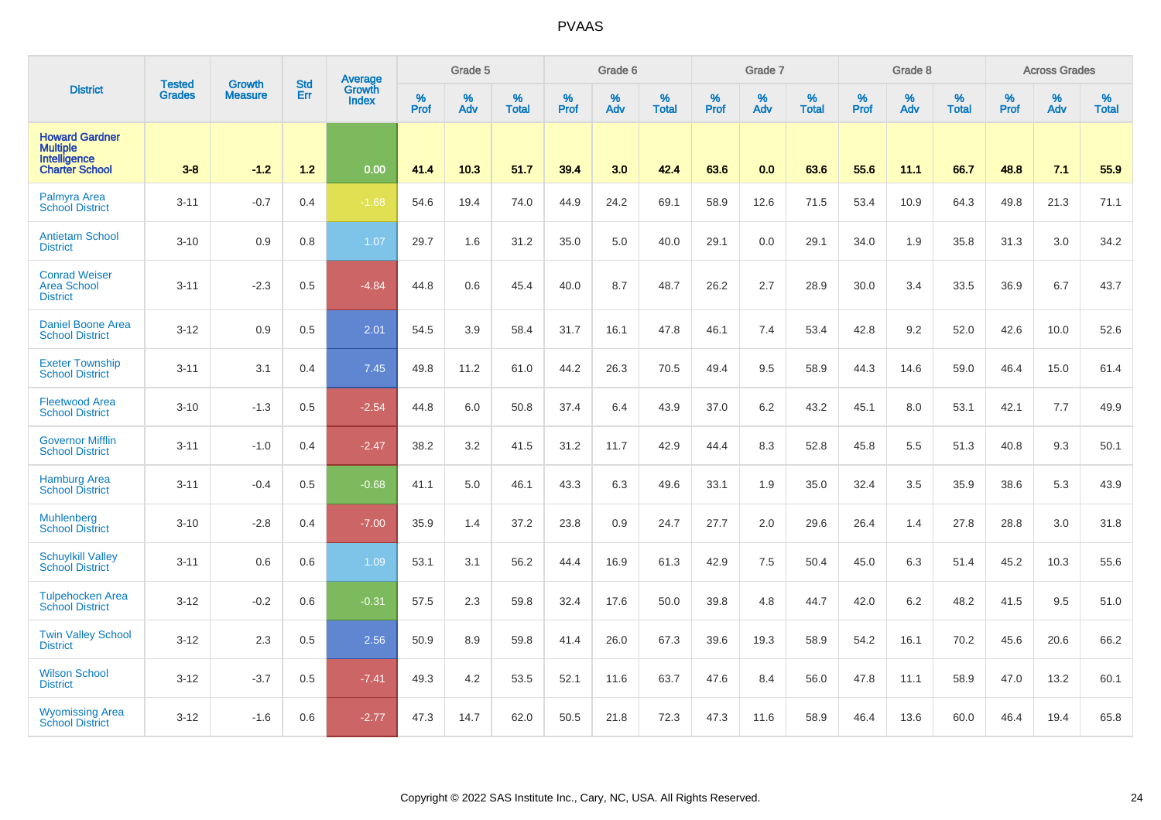|                                                                                   | <b>Tested</b> | <b>Growth</b>  | <b>Std</b> | Average                |              | Grade 5  |                   |           | Grade 6  |                   |           | Grade 7  |                   |           | Grade 8  |                   |           | <b>Across Grades</b> |                   |
|-----------------------------------------------------------------------------------|---------------|----------------|------------|------------------------|--------------|----------|-------------------|-----------|----------|-------------------|-----------|----------|-------------------|-----------|----------|-------------------|-----------|----------------------|-------------------|
| <b>District</b>                                                                   | <b>Grades</b> | <b>Measure</b> | Err        | Growth<br><b>Index</b> | $\%$<br>Prof | %<br>Adv | %<br><b>Total</b> | %<br>Prof | %<br>Adv | %<br><b>Total</b> | %<br>Prof | %<br>Adv | %<br><b>Total</b> | %<br>Prof | %<br>Adv | %<br><b>Total</b> | %<br>Prof | %<br>Adv             | %<br><b>Total</b> |
| <b>Howard Gardner</b><br><b>Multiple</b><br>Intelligence<br><b>Charter School</b> | $3-8$         | $-1.2$         | 1.2        | 0.00                   | 41.4         | 10.3     | 51.7              | 39.4      | 3.0      | 42.4              | 63.6      | 0.0      | 63.6              | 55.6      | 11.1     | 66.7              | 48.8      | 7.1                  | 55.9              |
| <b>Palmyra Area</b><br><b>School District</b>                                     | $3 - 11$      | $-0.7$         | 0.4        | $-1.68$                | 54.6         | 19.4     | 74.0              | 44.9      | 24.2     | 69.1              | 58.9      | 12.6     | 71.5              | 53.4      | 10.9     | 64.3              | 49.8      | 21.3                 | 71.1              |
| <b>Antietam School</b><br><b>District</b>                                         | $3 - 10$      | 0.9            | 0.8        | 1.07                   | 29.7         | 1.6      | 31.2              | 35.0      | 5.0      | 40.0              | 29.1      | 0.0      | 29.1              | 34.0      | 1.9      | 35.8              | 31.3      | 3.0                  | 34.2              |
| <b>Conrad Weiser</b><br><b>Area School</b><br><b>District</b>                     | $3 - 11$      | $-2.3$         | 0.5        | $-4.84$                | 44.8         | 0.6      | 45.4              | 40.0      | 8.7      | 48.7              | 26.2      | 2.7      | 28.9              | 30.0      | 3.4      | 33.5              | 36.9      | 6.7                  | 43.7              |
| <b>Daniel Boone Area</b><br><b>School District</b>                                | $3 - 12$      | 0.9            | 0.5        | 2.01                   | 54.5         | 3.9      | 58.4              | 31.7      | 16.1     | 47.8              | 46.1      | 7.4      | 53.4              | 42.8      | 9.2      | 52.0              | 42.6      | 10.0                 | 52.6              |
| <b>Exeter Township</b><br><b>School District</b>                                  | $3 - 11$      | 3.1            | 0.4        | 7.45                   | 49.8         | 11.2     | 61.0              | 44.2      | 26.3     | 70.5              | 49.4      | 9.5      | 58.9              | 44.3      | 14.6     | 59.0              | 46.4      | 15.0                 | 61.4              |
| <b>Fleetwood Area</b><br><b>School District</b>                                   | $3 - 10$      | $-1.3$         | 0.5        | $-2.54$                | 44.8         | 6.0      | 50.8              | 37.4      | 6.4      | 43.9              | 37.0      | 6.2      | 43.2              | 45.1      | 8.0      | 53.1              | 42.1      | 7.7                  | 49.9              |
| <b>Governor Mifflin</b><br><b>School District</b>                                 | $3 - 11$      | $-1.0$         | 0.4        | $-2.47$                | 38.2         | 3.2      | 41.5              | 31.2      | 11.7     | 42.9              | 44.4      | 8.3      | 52.8              | 45.8      | 5.5      | 51.3              | 40.8      | 9.3                  | 50.1              |
| <b>Hamburg Area</b><br><b>School District</b>                                     | $3 - 11$      | $-0.4$         | 0.5        | $-0.68$                | 41.1         | 5.0      | 46.1              | 43.3      | 6.3      | 49.6              | 33.1      | 1.9      | 35.0              | 32.4      | 3.5      | 35.9              | 38.6      | 5.3                  | 43.9              |
| Muhlenberg<br><b>School District</b>                                              | $3 - 10$      | $-2.8$         | 0.4        | $-7.00$                | 35.9         | 1.4      | 37.2              | 23.8      | 0.9      | 24.7              | 27.7      | 2.0      | 29.6              | 26.4      | 1.4      | 27.8              | 28.8      | 3.0                  | 31.8              |
| <b>Schuylkill Valley</b><br><b>School District</b>                                | $3 - 11$      | 0.6            | 0.6        | 1.09                   | 53.1         | 3.1      | 56.2              | 44.4      | 16.9     | 61.3              | 42.9      | 7.5      | 50.4              | 45.0      | 6.3      | 51.4              | 45.2      | 10.3                 | 55.6              |
| <b>Tulpehocken Area</b><br><b>School District</b>                                 | $3 - 12$      | $-0.2$         | 0.6        | $-0.31$                | 57.5         | 2.3      | 59.8              | 32.4      | 17.6     | 50.0              | 39.8      | 4.8      | 44.7              | 42.0      | 6.2      | 48.2              | 41.5      | 9.5                  | 51.0              |
| <b>Twin Valley School</b><br><b>District</b>                                      | $3 - 12$      | 2.3            | 0.5        | 2.56                   | 50.9         | 8.9      | 59.8              | 41.4      | 26.0     | 67.3              | 39.6      | 19.3     | 58.9              | 54.2      | 16.1     | 70.2              | 45.6      | 20.6                 | 66.2              |
| <b>Wilson School</b><br><b>District</b>                                           | $3 - 12$      | $-3.7$         | 0.5        | $-7.41$                | 49.3         | 4.2      | 53.5              | 52.1      | 11.6     | 63.7              | 47.6      | 8.4      | 56.0              | 47.8      | 11.1     | 58.9              | 47.0      | 13.2                 | 60.1              |
| <b>Wyomissing Area</b><br><b>School District</b>                                  | $3 - 12$      | $-1.6$         | 0.6        | $-2.77$                | 47.3         | 14.7     | 62.0              | 50.5      | 21.8     | 72.3              | 47.3      | 11.6     | 58.9              | 46.4      | 13.6     | 60.0              | 46.4      | 19.4                 | 65.8              |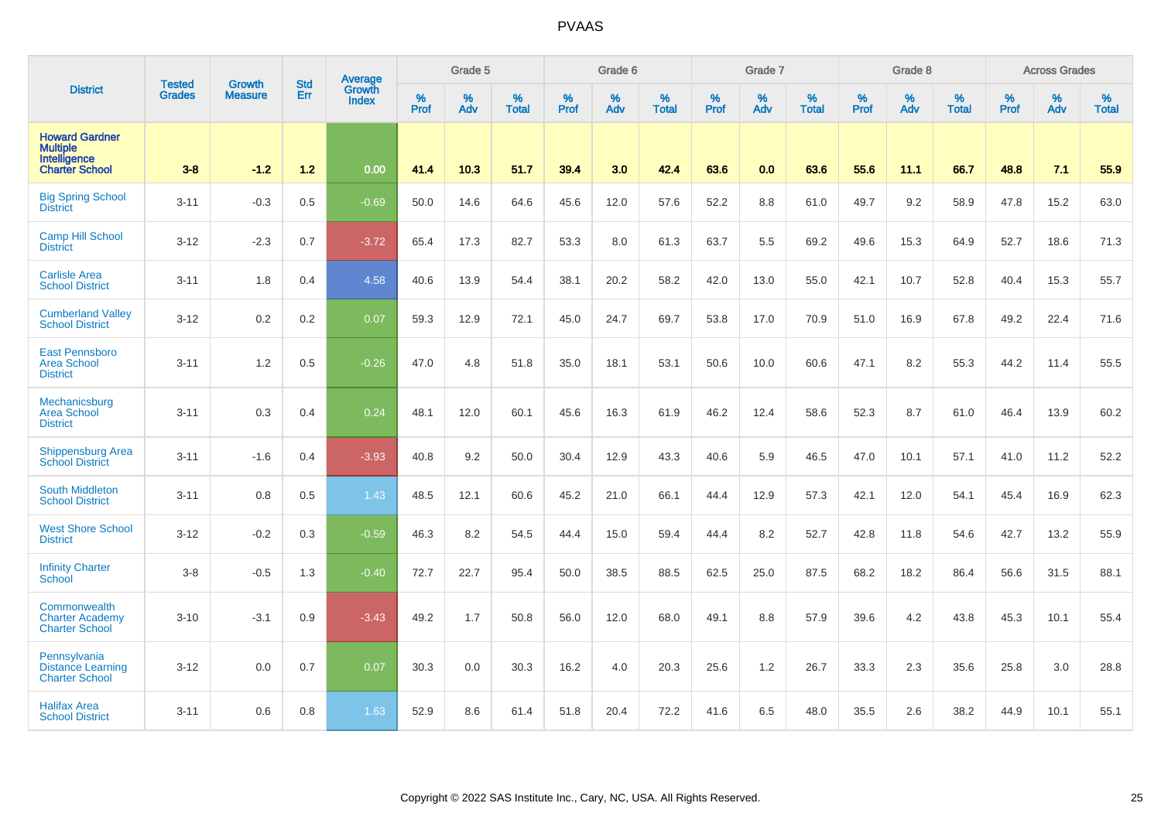|                                                                                   |                                |                                 | <b>Std</b> | Average                       |              | Grade 5  |                   |           | Grade 6  |                   |           | Grade 7  |                   |           | Grade 8  |                   |           | <b>Across Grades</b> |                   |
|-----------------------------------------------------------------------------------|--------------------------------|---------------------------------|------------|-------------------------------|--------------|----------|-------------------|-----------|----------|-------------------|-----------|----------|-------------------|-----------|----------|-------------------|-----------|----------------------|-------------------|
| <b>District</b>                                                                   | <b>Tested</b><br><b>Grades</b> | <b>Growth</b><br><b>Measure</b> | Err        | <b>Growth</b><br><b>Index</b> | $\%$<br>Prof | %<br>Adv | %<br><b>Total</b> | %<br>Prof | %<br>Adv | %<br><b>Total</b> | %<br>Prof | %<br>Adv | %<br><b>Total</b> | %<br>Prof | %<br>Adv | %<br><b>Total</b> | %<br>Prof | %<br>Adv             | %<br><b>Total</b> |
| <b>Howard Gardner</b><br><b>Multiple</b><br>Intelligence<br><b>Charter School</b> | $3-8$                          | $-1.2$                          | $1.2$      | 0.00                          | 41.4         | 10.3     | 51.7              | 39.4      | 3.0      | 42.4              | 63.6      | 0.0      | 63.6              | 55.6      | 11.1     | 66.7              | 48.8      | 7.1                  | 55.9              |
| <b>Big Spring School</b><br><b>District</b>                                       | $3 - 11$                       | $-0.3$                          | 0.5        | $-0.69$                       | 50.0         | 14.6     | 64.6              | 45.6      | 12.0     | 57.6              | 52.2      | 8.8      | 61.0              | 49.7      | 9.2      | 58.9              | 47.8      | 15.2                 | 63.0              |
| <b>Camp Hill School</b><br><b>District</b>                                        | $3 - 12$                       | $-2.3$                          | 0.7        | $-3.72$                       | 65.4         | 17.3     | 82.7              | 53.3      | 8.0      | 61.3              | 63.7      | 5.5      | 69.2              | 49.6      | 15.3     | 64.9              | 52.7      | 18.6                 | 71.3              |
| <b>Carlisle Area</b><br><b>School District</b>                                    | $3 - 11$                       | 1.8                             | 0.4        | 4.58                          | 40.6         | 13.9     | 54.4              | 38.1      | 20.2     | 58.2              | 42.0      | 13.0     | 55.0              | 42.1      | 10.7     | 52.8              | 40.4      | 15.3                 | 55.7              |
| <b>Cumberland Valley</b><br><b>School District</b>                                | $3 - 12$                       | 0.2                             | 0.2        | 0.07                          | 59.3         | 12.9     | 72.1              | 45.0      | 24.7     | 69.7              | 53.8      | 17.0     | 70.9              | 51.0      | 16.9     | 67.8              | 49.2      | 22.4                 | 71.6              |
| <b>East Pennsboro</b><br><b>Area School</b><br><b>District</b>                    | $3 - 11$                       | 1.2                             | 0.5        | $-0.26$                       | 47.0         | 4.8      | 51.8              | 35.0      | 18.1     | 53.1              | 50.6      | 10.0     | 60.6              | 47.1      | 8.2      | 55.3              | 44.2      | 11.4                 | 55.5              |
| Mechanicsburg<br><b>Area School</b><br><b>District</b>                            | $3 - 11$                       | 0.3                             | 0.4        | 0.24                          | 48.1         | 12.0     | 60.1              | 45.6      | 16.3     | 61.9              | 46.2      | 12.4     | 58.6              | 52.3      | 8.7      | 61.0              | 46.4      | 13.9                 | 60.2              |
| <b>Shippensburg Area</b><br><b>School District</b>                                | $3 - 11$                       | $-1.6$                          | 0.4        | $-3.93$                       | 40.8         | 9.2      | 50.0              | 30.4      | 12.9     | 43.3              | 40.6      | 5.9      | 46.5              | 47.0      | 10.1     | 57.1              | 41.0      | 11.2                 | 52.2              |
| <b>South Middleton</b><br><b>School District</b>                                  | $3 - 11$                       | 0.8                             | 0.5        | 1.43                          | 48.5         | 12.1     | 60.6              | 45.2      | 21.0     | 66.1              | 44.4      | 12.9     | 57.3              | 42.1      | 12.0     | 54.1              | 45.4      | 16.9                 | 62.3              |
| <b>West Shore School</b><br><b>District</b>                                       | $3 - 12$                       | $-0.2$                          | 0.3        | $-0.59$                       | 46.3         | 8.2      | 54.5              | 44.4      | 15.0     | 59.4              | 44.4      | 8.2      | 52.7              | 42.8      | 11.8     | 54.6              | 42.7      | 13.2                 | 55.9              |
| <b>Infinity Charter</b><br><b>School</b>                                          | $3 - 8$                        | $-0.5$                          | 1.3        | $-0.40$                       | 72.7         | 22.7     | 95.4              | 50.0      | 38.5     | 88.5              | 62.5      | 25.0     | 87.5              | 68.2      | 18.2     | 86.4              | 56.6      | 31.5                 | 88.1              |
| Commonwealth<br><b>Charter Academy</b><br><b>Charter School</b>                   | $3 - 10$                       | $-3.1$                          | 0.9        | $-3.43$                       | 49.2         | 1.7      | 50.8              | 56.0      | 12.0     | 68.0              | 49.1      | 8.8      | 57.9              | 39.6      | 4.2      | 43.8              | 45.3      | 10.1                 | 55.4              |
| Pennsylvania<br><b>Distance Learning</b><br><b>Charter School</b>                 | $3 - 12$                       | 0.0                             | 0.7        | 0.07                          | 30.3         | 0.0      | 30.3              | 16.2      | 4.0      | 20.3              | 25.6      | 1.2      | 26.7              | 33.3      | 2.3      | 35.6              | 25.8      | 3.0                  | 28.8              |
| <b>Halifax Area</b><br><b>School District</b>                                     | $3 - 11$                       | 0.6                             | 0.8        | 1.63                          | 52.9         | 8.6      | 61.4              | 51.8      | 20.4     | 72.2              | 41.6      | 6.5      | 48.0              | 35.5      | 2.6      | 38.2              | 44.9      | 10.1                 | 55.1              |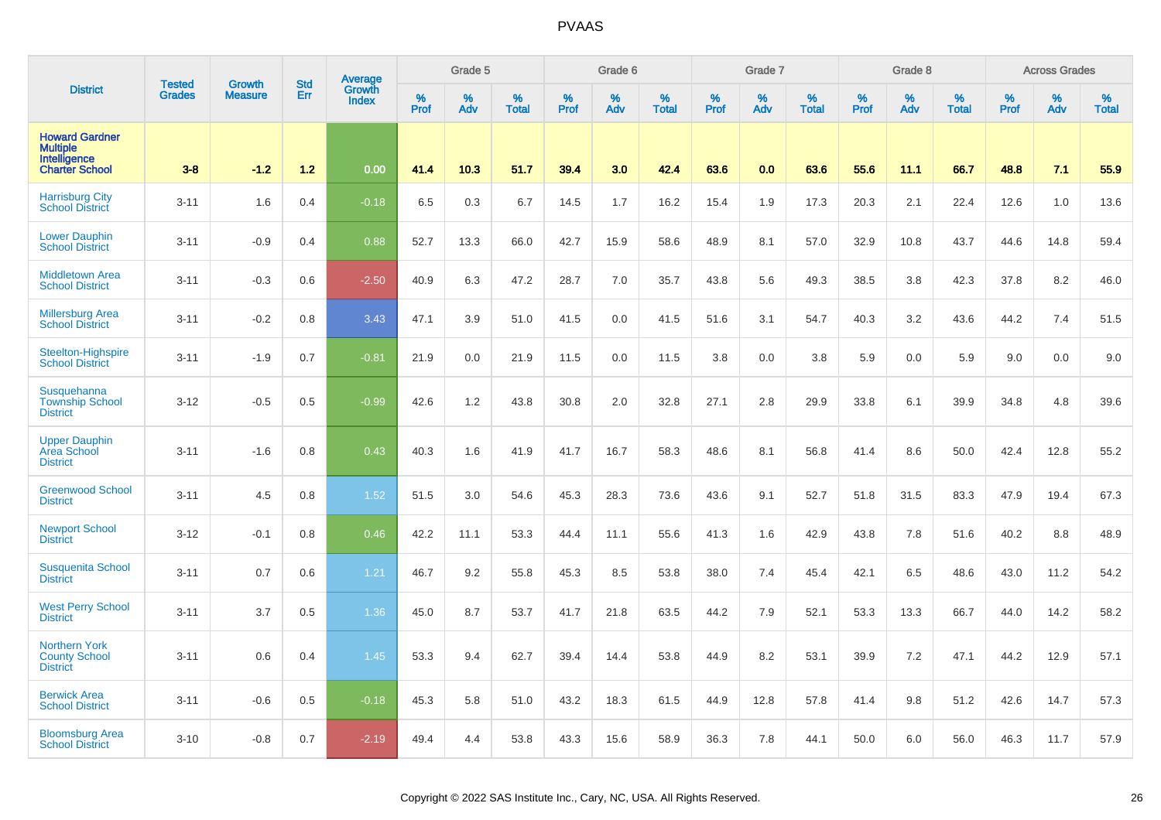|                                                                                   | <b>Tested</b> | <b>Growth</b>  | <b>Std</b> | Average                |              | Grade 5  |                   |           | Grade 6  |                   |           | Grade 7  |                   |           | Grade 8  |                   |           | <b>Across Grades</b> |                   |
|-----------------------------------------------------------------------------------|---------------|----------------|------------|------------------------|--------------|----------|-------------------|-----------|----------|-------------------|-----------|----------|-------------------|-----------|----------|-------------------|-----------|----------------------|-------------------|
| <b>District</b>                                                                   | <b>Grades</b> | <b>Measure</b> | Err        | Growth<br><b>Index</b> | $\%$<br>Prof | %<br>Adv | %<br><b>Total</b> | %<br>Prof | %<br>Adv | %<br><b>Total</b> | %<br>Prof | %<br>Adv | %<br><b>Total</b> | %<br>Prof | %<br>Adv | %<br><b>Total</b> | %<br>Prof | %<br>Adv             | %<br><b>Total</b> |
| <b>Howard Gardner</b><br><b>Multiple</b><br>Intelligence<br><b>Charter School</b> | $3 - 8$       | $-1.2$         | 1.2        | 0.00                   | 41.4         | 10.3     | 51.7              | 39.4      | 3.0      | 42.4              | 63.6      | 0.0      | 63.6              | 55.6      | 11.1     | 66.7              | 48.8      | 7.1                  | 55.9              |
| <b>Harrisburg City</b><br><b>School District</b>                                  | $3 - 11$      | 1.6            | 0.4        | $-0.18$                | 6.5          | 0.3      | 6.7               | 14.5      | 1.7      | 16.2              | 15.4      | 1.9      | 17.3              | 20.3      | 2.1      | 22.4              | 12.6      | 1.0                  | 13.6              |
| <b>Lower Dauphin</b><br><b>School District</b>                                    | $3 - 11$      | $-0.9$         | 0.4        | 0.88                   | 52.7         | 13.3     | 66.0              | 42.7      | 15.9     | 58.6              | 48.9      | 8.1      | 57.0              | 32.9      | 10.8     | 43.7              | 44.6      | 14.8                 | 59.4              |
| <b>Middletown Area</b><br><b>School District</b>                                  | $3 - 11$      | $-0.3$         | 0.6        | $-2.50$                | 40.9         | 6.3      | 47.2              | 28.7      | 7.0      | 35.7              | 43.8      | 5.6      | 49.3              | 38.5      | 3.8      | 42.3              | 37.8      | 8.2                  | 46.0              |
| <b>Millersburg Area</b><br>School District                                        | $3 - 11$      | $-0.2$         | 0.8        | 3.43                   | 47.1         | 3.9      | 51.0              | 41.5      | 0.0      | 41.5              | 51.6      | 3.1      | 54.7              | 40.3      | 3.2      | 43.6              | 44.2      | 7.4                  | 51.5              |
| Steelton-Highspire<br><b>School District</b>                                      | $3 - 11$      | $-1.9$         | 0.7        | $-0.81$                | 21.9         | 0.0      | 21.9              | 11.5      | 0.0      | 11.5              | 3.8       | 0.0      | 3.8               | 5.9       | 0.0      | 5.9               | 9.0       | 0.0                  | 9.0               |
| Susquehanna<br><b>Township School</b><br><b>District</b>                          | $3 - 12$      | $-0.5$         | 0.5        | $-0.99$                | 42.6         | 1.2      | 43.8              | 30.8      | 2.0      | 32.8              | 27.1      | 2.8      | 29.9              | 33.8      | 6.1      | 39.9              | 34.8      | 4.8                  | 39.6              |
| <b>Upper Dauphin</b><br><b>Area School</b><br><b>District</b>                     | $3 - 11$      | $-1.6$         | 0.8        | 0.43                   | 40.3         | 1.6      | 41.9              | 41.7      | 16.7     | 58.3              | 48.6      | 8.1      | 56.8              | 41.4      | 8.6      | 50.0              | 42.4      | 12.8                 | 55.2              |
| <b>Greenwood School</b><br><b>District</b>                                        | $3 - 11$      | 4.5            | 0.8        | 1.52                   | 51.5         | 3.0      | 54.6              | 45.3      | 28.3     | 73.6              | 43.6      | 9.1      | 52.7              | 51.8      | 31.5     | 83.3              | 47.9      | 19.4                 | 67.3              |
| <b>Newport School</b><br><b>District</b>                                          | $3 - 12$      | $-0.1$         | 0.8        | 0.46                   | 42.2         | 11.1     | 53.3              | 44.4      | 11.1     | 55.6              | 41.3      | 1.6      | 42.9              | 43.8      | 7.8      | 51.6              | 40.2      | 8.8                  | 48.9              |
| <b>Susquenita School</b><br><b>District</b>                                       | $3 - 11$      | 0.7            | 0.6        | 1.21                   | 46.7         | 9.2      | 55.8              | 45.3      | 8.5      | 53.8              | 38.0      | 7.4      | 45.4              | 42.1      | 6.5      | 48.6              | 43.0      | 11.2                 | 54.2              |
| <b>West Perry School</b><br><b>District</b>                                       | $3 - 11$      | 3.7            | 0.5        | 1.36                   | 45.0         | 8.7      | 53.7              | 41.7      | 21.8     | 63.5              | 44.2      | 7.9      | 52.1              | 53.3      | 13.3     | 66.7              | 44.0      | 14.2                 | 58.2              |
| <b>Northern York</b><br><b>County School</b><br><b>District</b>                   | $3 - 11$      | 0.6            | 0.4        | 1.45                   | 53.3         | 9.4      | 62.7              | 39.4      | 14.4     | 53.8              | 44.9      | 8.2      | 53.1              | 39.9      | 7.2      | 47.1              | 44.2      | 12.9                 | 57.1              |
| <b>Berwick Area</b><br><b>School District</b>                                     | $3 - 11$      | $-0.6$         | 0.5        | $-0.18$                | 45.3         | 5.8      | 51.0              | 43.2      | 18.3     | 61.5              | 44.9      | 12.8     | 57.8              | 41.4      | 9.8      | 51.2              | 42.6      | 14.7                 | 57.3              |
| <b>Bloomsburg Area</b><br><b>School District</b>                                  | $3 - 10$      | $-0.8$         | 0.7        | $-2.19$                | 49.4         | 4.4      | 53.8              | 43.3      | 15.6     | 58.9              | 36.3      | 7.8      | 44.1              | 50.0      | 6.0      | 56.0              | 46.3      | 11.7                 | 57.9              |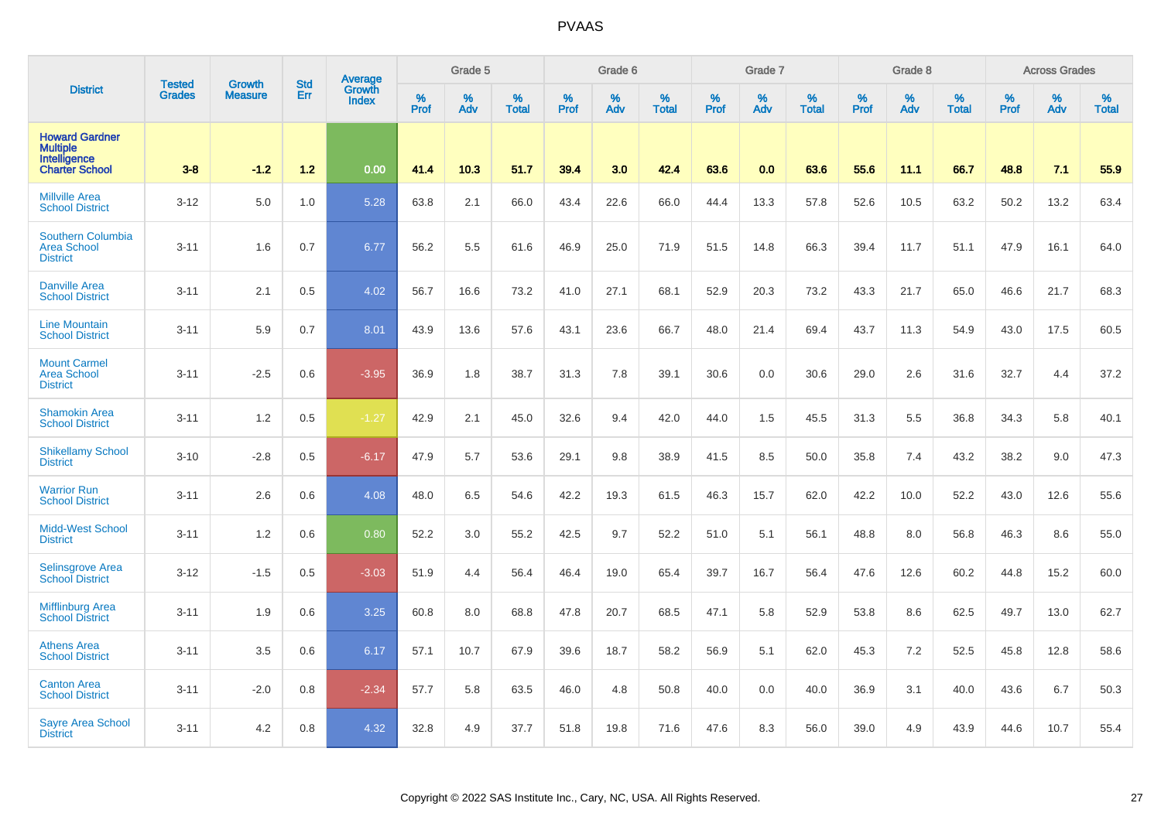|                                                                                   | <b>Tested</b> | <b>Growth</b>  | <b>Std</b> | <b>Average</b><br>Growth |                     | Grade 5  |                   |                  | Grade 6  |                   |                  | Grade 7  |                   |                  | Grade 8     |                   |                  | <b>Across Grades</b> |                   |
|-----------------------------------------------------------------------------------|---------------|----------------|------------|--------------------------|---------------------|----------|-------------------|------------------|----------|-------------------|------------------|----------|-------------------|------------------|-------------|-------------------|------------------|----------------------|-------------------|
| <b>District</b>                                                                   | <b>Grades</b> | <b>Measure</b> | Err        | <b>Index</b>             | $\%$<br><b>Prof</b> | %<br>Adv | %<br><b>Total</b> | %<br><b>Prof</b> | %<br>Adv | %<br><b>Total</b> | %<br><b>Prof</b> | %<br>Adv | %<br><b>Total</b> | %<br><b>Prof</b> | $\%$<br>Adv | %<br><b>Total</b> | %<br><b>Prof</b> | %<br>Adv             | %<br><b>Total</b> |
| <b>Howard Gardner</b><br><b>Multiple</b><br>Intelligence<br><b>Charter School</b> | $3-8$         | $-1.2$         | 1.2        | 0.00                     | 41.4                | 10.3     | 51.7              | 39.4             | 3.0      | 42.4              | 63.6             | 0.0      | 63.6              | 55.6             | 11.1        | 66.7              | 48.8             | 7.1                  | 55.9              |
| <b>Millville Area</b><br><b>School District</b>                                   | $3 - 12$      | 5.0            | 1.0        | 5.28                     | 63.8                | 2.1      | 66.0              | 43.4             | 22.6     | 66.0              | 44.4             | 13.3     | 57.8              | 52.6             | 10.5        | 63.2              | 50.2             | 13.2                 | 63.4              |
| <b>Southern Columbia</b><br><b>Area School</b><br><b>District</b>                 | $3 - 11$      | 1.6            | 0.7        | 6.77                     | 56.2                | 5.5      | 61.6              | 46.9             | 25.0     | 71.9              | 51.5             | 14.8     | 66.3              | 39.4             | 11.7        | 51.1              | 47.9             | 16.1                 | 64.0              |
| <b>Danville Area</b><br><b>School District</b>                                    | $3 - 11$      | 2.1            | 0.5        | 4.02                     | 56.7                | 16.6     | 73.2              | 41.0             | 27.1     | 68.1              | 52.9             | 20.3     | 73.2              | 43.3             | 21.7        | 65.0              | 46.6             | 21.7                 | 68.3              |
| <b>Line Mountain</b><br><b>School District</b>                                    | $3 - 11$      | 5.9            | 0.7        | 8.01                     | 43.9                | 13.6     | 57.6              | 43.1             | 23.6     | 66.7              | 48.0             | 21.4     | 69.4              | 43.7             | 11.3        | 54.9              | 43.0             | 17.5                 | 60.5              |
| <b>Mount Carmel</b><br><b>Area School</b><br><b>District</b>                      | $3 - 11$      | $-2.5$         | 0.6        | $-3.95$                  | 36.9                | 1.8      | 38.7              | 31.3             | 7.8      | 39.1              | 30.6             | 0.0      | 30.6              | 29.0             | 2.6         | 31.6              | 32.7             | 4.4                  | 37.2              |
| <b>Shamokin Area</b><br><b>School District</b>                                    | $3 - 11$      | 1.2            | 0.5        | $-1.27$                  | 42.9                | 2.1      | 45.0              | 32.6             | 9.4      | 42.0              | 44.0             | 1.5      | 45.5              | 31.3             | 5.5         | 36.8              | 34.3             | 5.8                  | 40.1              |
| <b>Shikellamy School</b><br><b>District</b>                                       | $3 - 10$      | $-2.8$         | 0.5        | $-6.17$                  | 47.9                | 5.7      | 53.6              | 29.1             | 9.8      | 38.9              | 41.5             | 8.5      | 50.0              | 35.8             | 7.4         | 43.2              | 38.2             | 9.0                  | 47.3              |
| <b>Warrior Run</b><br><b>School District</b>                                      | $3 - 11$      | 2.6            | 0.6        | 4.08                     | 48.0                | 6.5      | 54.6              | 42.2             | 19.3     | 61.5              | 46.3             | 15.7     | 62.0              | 42.2             | 10.0        | 52.2              | 43.0             | 12.6                 | 55.6              |
| <b>Midd-West School</b><br><b>District</b>                                        | $3 - 11$      | 1.2            | 0.6        | 0.80                     | 52.2                | 3.0      | 55.2              | 42.5             | 9.7      | 52.2              | 51.0             | 5.1      | 56.1              | 48.8             | 8.0         | 56.8              | 46.3             | 8.6                  | 55.0              |
| Selinsgrove Area<br>School District                                               | $3 - 12$      | $-1.5$         | 0.5        | $-3.03$                  | 51.9                | 4.4      | 56.4              | 46.4             | 19.0     | 65.4              | 39.7             | 16.7     | 56.4              | 47.6             | 12.6        | 60.2              | 44.8             | 15.2                 | 60.0              |
| <b>Mifflinburg Area</b><br><b>School District</b>                                 | $3 - 11$      | 1.9            | 0.6        | 3.25                     | 60.8                | 8.0      | 68.8              | 47.8             | 20.7     | 68.5              | 47.1             | 5.8      | 52.9              | 53.8             | 8.6         | 62.5              | 49.7             | 13.0                 | 62.7              |
| <b>Athens Area</b><br><b>School District</b>                                      | $3 - 11$      | 3.5            | 0.6        | 6.17                     | 57.1                | 10.7     | 67.9              | 39.6             | 18.7     | 58.2              | 56.9             | 5.1      | 62.0              | 45.3             | 7.2         | 52.5              | 45.8             | 12.8                 | 58.6              |
| <b>Canton Area</b><br><b>School District</b>                                      | $3 - 11$      | $-2.0$         | 0.8        | $-2.34$                  | 57.7                | 5.8      | 63.5              | 46.0             | 4.8      | 50.8              | 40.0             | 0.0      | 40.0              | 36.9             | 3.1         | 40.0              | 43.6             | 6.7                  | 50.3              |
| <b>Sayre Area School</b><br><b>District</b>                                       | $3 - 11$      | 4.2            | 0.8        | 4.32                     | 32.8                | 4.9      | 37.7              | 51.8             | 19.8     | 71.6              | 47.6             | 8.3      | 56.0              | 39.0             | 4.9         | 43.9              | 44.6             | 10.7                 | 55.4              |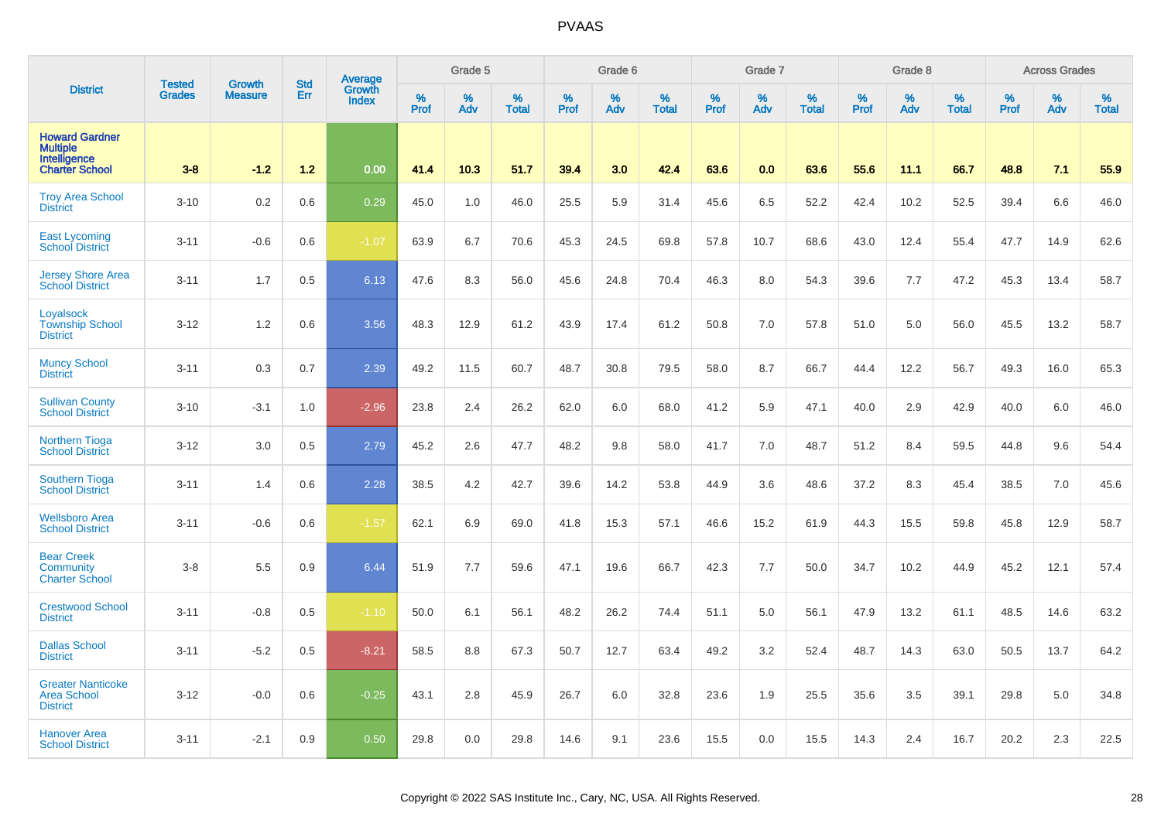|                                                                            | <b>Tested</b> |                          | <b>Std</b> | <b>Average</b>         |                     | Grade 5  |                   |           | Grade 6  |                   |           | Grade 7  |                   |           | Grade 8  |                      |              | <b>Across Grades</b> |                   |
|----------------------------------------------------------------------------|---------------|--------------------------|------------|------------------------|---------------------|----------|-------------------|-----------|----------|-------------------|-----------|----------|-------------------|-----------|----------|----------------------|--------------|----------------------|-------------------|
| <b>District</b>                                                            | <b>Grades</b> | Growth<br><b>Measure</b> | Err        | Growth<br><b>Index</b> | $\%$<br><b>Prof</b> | %<br>Adv | %<br><b>Total</b> | %<br>Prof | %<br>Adv | %<br><b>Total</b> | %<br>Prof | %<br>Adv | %<br><b>Total</b> | %<br>Prof | %<br>Adv | $\%$<br><b>Total</b> | $\%$<br>Prof | %<br>Adv             | %<br><b>Total</b> |
| <b>Howard Gardner</b><br><b>Multiple</b><br>Intelligence<br>Charter School | $3-8$         | $-1.2$                   | $1.2$      | 0.00                   | 41.4                | 10.3     | 51.7              | 39.4      | 3.0      | 42.4              | 63.6      | 0.0      | 63.6              | 55.6      | 11.1     | 66.7                 | 48.8         | 7.1                  | 55.9              |
| <b>Troy Area School</b><br><b>District</b>                                 | $3 - 10$      | 0.2                      | 0.6        | 0.29                   | 45.0                | 1.0      | 46.0              | 25.5      | 5.9      | 31.4              | 45.6      | 6.5      | 52.2              | 42.4      | 10.2     | 52.5                 | 39.4         | 6.6                  | 46.0              |
| <b>East Lycoming</b><br><b>School District</b>                             | $3 - 11$      | $-0.6$                   | 0.6        | $-1.07$                | 63.9                | 6.7      | 70.6              | 45.3      | 24.5     | 69.8              | 57.8      | 10.7     | 68.6              | 43.0      | 12.4     | 55.4                 | 47.7         | 14.9                 | 62.6              |
| <b>Jersey Shore Area</b><br><b>School District</b>                         | $3 - 11$      | 1.7                      | 0.5        | 6.13                   | 47.6                | 8.3      | 56.0              | 45.6      | 24.8     | 70.4              | 46.3      | 8.0      | 54.3              | 39.6      | 7.7      | 47.2                 | 45.3         | 13.4                 | 58.7              |
| Loyalsock<br><b>Township School</b><br><b>District</b>                     | $3 - 12$      | 1.2                      | 0.6        | 3.56                   | 48.3                | 12.9     | 61.2              | 43.9      | 17.4     | 61.2              | 50.8      | 7.0      | 57.8              | 51.0      | 5.0      | 56.0                 | 45.5         | 13.2                 | 58.7              |
| <b>Muncy School</b><br><b>District</b>                                     | $3 - 11$      | 0.3                      | 0.7        | 2.39                   | 49.2                | 11.5     | 60.7              | 48.7      | 30.8     | 79.5              | 58.0      | 8.7      | 66.7              | 44.4      | 12.2     | 56.7                 | 49.3         | 16.0                 | 65.3              |
| <b>Sullivan County</b><br><b>School District</b>                           | $3 - 10$      | $-3.1$                   | 1.0        | $-2.96$                | 23.8                | 2.4      | 26.2              | 62.0      | 6.0      | 68.0              | 41.2      | 5.9      | 47.1              | 40.0      | 2.9      | 42.9                 | 40.0         | 6.0                  | 46.0              |
| <b>Northern Tioga</b><br><b>School District</b>                            | $3 - 12$      | 3.0                      | 0.5        | 2.79                   | 45.2                | 2.6      | 47.7              | 48.2      | 9.8      | 58.0              | 41.7      | 7.0      | 48.7              | 51.2      | 8.4      | 59.5                 | 44.8         | 9.6                  | 54.4              |
| <b>Southern Tioga</b><br><b>School District</b>                            | $3 - 11$      | 1.4                      | 0.6        | 2.28                   | 38.5                | 4.2      | 42.7              | 39.6      | 14.2     | 53.8              | 44.9      | 3.6      | 48.6              | 37.2      | 8.3      | 45.4                 | 38.5         | 7.0                  | 45.6              |
| <b>Wellsboro Area</b><br><b>School District</b>                            | $3 - 11$      | $-0.6$                   | 0.6        | $-1.57$                | 62.1                | 6.9      | 69.0              | 41.8      | 15.3     | 57.1              | 46.6      | 15.2     | 61.9              | 44.3      | 15.5     | 59.8                 | 45.8         | 12.9                 | 58.7              |
| <b>Bear Creek</b><br>Community<br><b>Charter School</b>                    | $3 - 8$       | 5.5                      | 0.9        | 6.44                   | 51.9                | 7.7      | 59.6              | 47.1      | 19.6     | 66.7              | 42.3      | 7.7      | 50.0              | 34.7      | 10.2     | 44.9                 | 45.2         | 12.1                 | 57.4              |
| <b>Crestwood School</b><br><b>District</b>                                 | $3 - 11$      | $-0.8$                   | 0.5        | $-1.10$                | 50.0                | 6.1      | 56.1              | 48.2      | 26.2     | 74.4              | 51.1      | 5.0      | 56.1              | 47.9      | 13.2     | 61.1                 | 48.5         | 14.6                 | 63.2              |
| <b>Dallas School</b><br><b>District</b>                                    | $3 - 11$      | $-5.2$                   | 0.5        | $-8.21$                | 58.5                | 8.8      | 67.3              | 50.7      | 12.7     | 63.4              | 49.2      | 3.2      | 52.4              | 48.7      | 14.3     | 63.0                 | 50.5         | 13.7                 | 64.2              |
| <b>Greater Nanticoke</b><br><b>Area School</b><br><b>District</b>          | $3 - 12$      | $-0.0$                   | 0.6        | $-0.25$                | 43.1                | 2.8      | 45.9              | 26.7      | 6.0      | 32.8              | 23.6      | 1.9      | 25.5              | 35.6      | 3.5      | 39.1                 | 29.8         | 5.0                  | 34.8              |
| <b>Hanover Area</b><br><b>School District</b>                              | $3 - 11$      | $-2.1$                   | 0.9        | 0.50                   | 29.8                | 0.0      | 29.8              | 14.6      | 9.1      | 23.6              | 15.5      | 0.0      | 15.5              | 14.3      | 2.4      | 16.7                 | 20.2         | 2.3                  | 22.5              |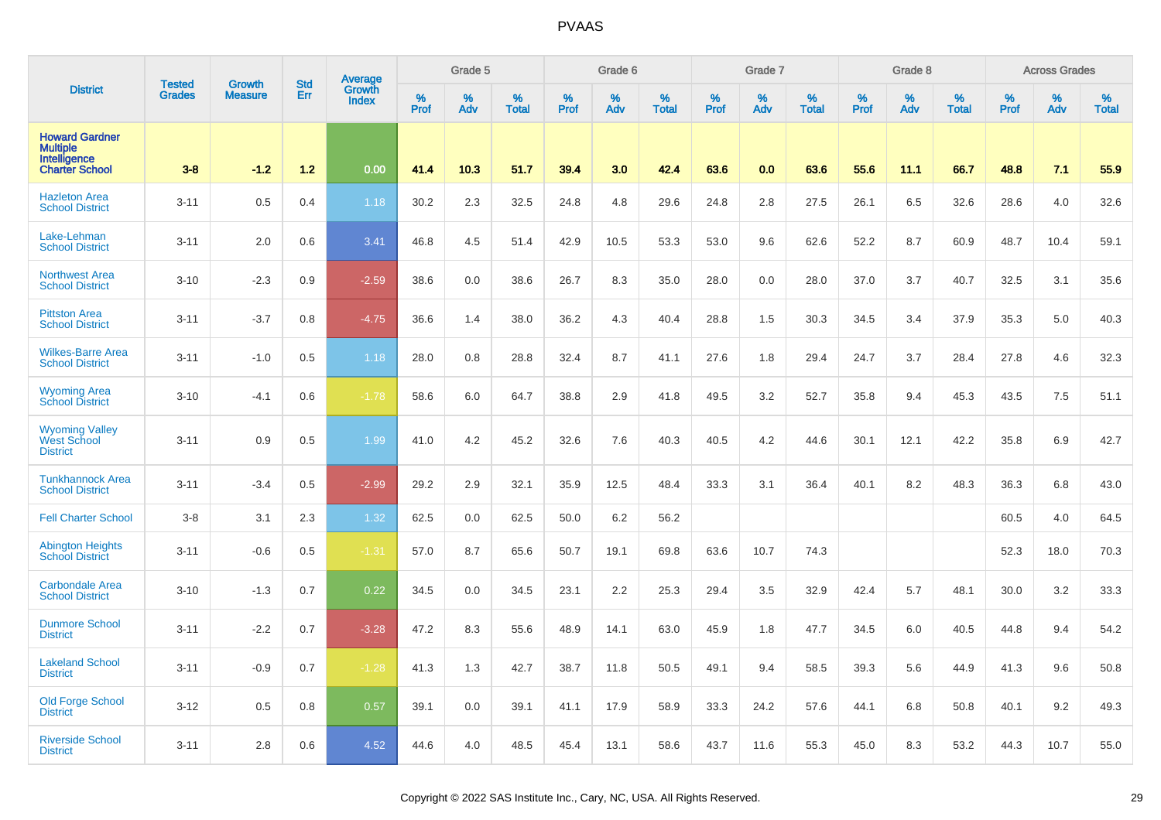|                                                                                   | <b>Tested</b> | <b>Growth</b>  | <b>Std</b> | Average                |                     | Grade 5  |                   |                  | Grade 6  |                   |                     | Grade 7  |                   |              | Grade 8  |                   |              | <b>Across Grades</b> |                   |
|-----------------------------------------------------------------------------------|---------------|----------------|------------|------------------------|---------------------|----------|-------------------|------------------|----------|-------------------|---------------------|----------|-------------------|--------------|----------|-------------------|--------------|----------------------|-------------------|
| <b>District</b>                                                                   | <b>Grades</b> | <b>Measure</b> | Err        | Growth<br><b>Index</b> | $\%$<br><b>Prof</b> | %<br>Adv | %<br><b>Total</b> | %<br><b>Prof</b> | %<br>Adv | %<br><b>Total</b> | $\%$<br><b>Prof</b> | %<br>Adv | %<br><b>Total</b> | $\%$<br>Prof | %<br>Adv | %<br><b>Total</b> | $\%$<br>Prof | %<br>Adv             | %<br><b>Total</b> |
| <b>Howard Gardner</b><br><b>Multiple</b><br>Intelligence<br><b>Charter School</b> | $3 - 8$       | $-1.2$         | $1.2$      | 0.00                   | 41.4                | 10.3     | 51.7              | 39.4             | 3.0      | 42.4              | 63.6                | 0.0      | 63.6              | 55.6         | 11.1     | 66.7              | 48.8         | 7.1                  | 55.9              |
| <b>Hazleton Area</b><br><b>School District</b>                                    | $3 - 11$      | 0.5            | 0.4        | 1.18                   | 30.2                | 2.3      | 32.5              | 24.8             | 4.8      | 29.6              | 24.8                | 2.8      | 27.5              | 26.1         | 6.5      | 32.6              | 28.6         | 4.0                  | 32.6              |
| Lake-Lehman<br><b>School District</b>                                             | $3 - 11$      | 2.0            | 0.6        | 3.41                   | 46.8                | 4.5      | 51.4              | 42.9             | 10.5     | 53.3              | 53.0                | 9.6      | 62.6              | 52.2         | 8.7      | 60.9              | 48.7         | 10.4                 | 59.1              |
| <b>Northwest Area</b><br><b>School District</b>                                   | $3 - 10$      | $-2.3$         | 0.9        | $-2.59$                | 38.6                | 0.0      | 38.6              | 26.7             | 8.3      | 35.0              | 28.0                | 0.0      | 28.0              | 37.0         | 3.7      | 40.7              | 32.5         | 3.1                  | 35.6              |
| <b>Pittston Area</b><br><b>School District</b>                                    | $3 - 11$      | $-3.7$         | 0.8        | $-4.75$                | 36.6                | 1.4      | 38.0              | 36.2             | 4.3      | 40.4              | 28.8                | 1.5      | 30.3              | 34.5         | 3.4      | 37.9              | 35.3         | 5.0                  | 40.3              |
| <b>Wilkes-Barre Area</b><br><b>School District</b>                                | $3 - 11$      | $-1.0$         | 0.5        | 1.18                   | 28.0                | 0.8      | 28.8              | 32.4             | 8.7      | 41.1              | 27.6                | 1.8      | 29.4              | 24.7         | 3.7      | 28.4              | 27.8         | 4.6                  | 32.3              |
| <b>Wyoming Area</b><br><b>School District</b>                                     | $3 - 10$      | $-4.1$         | 0.6        | $-1.78$                | 58.6                | 6.0      | 64.7              | 38.8             | 2.9      | 41.8              | 49.5                | 3.2      | 52.7              | 35.8         | 9.4      | 45.3              | 43.5         | 7.5                  | 51.1              |
| <b>Wyoming Valley</b><br>West School<br><b>District</b>                           | $3 - 11$      | 0.9            | 0.5        | 1.99                   | 41.0                | 4.2      | 45.2              | 32.6             | 7.6      | 40.3              | 40.5                | 4.2      | 44.6              | 30.1         | 12.1     | 42.2              | 35.8         | 6.9                  | 42.7              |
| <b>Tunkhannock Area</b><br><b>School District</b>                                 | $3 - 11$      | $-3.4$         | 0.5        | $-2.99$                | 29.2                | 2.9      | 32.1              | 35.9             | 12.5     | 48.4              | 33.3                | 3.1      | 36.4              | 40.1         | 8.2      | 48.3              | 36.3         | 6.8                  | 43.0              |
| <b>Fell Charter School</b>                                                        | $3 - 8$       | 3.1            | 2.3        | 1.32                   | 62.5                | 0.0      | 62.5              | 50.0             | 6.2      | 56.2              |                     |          |                   |              |          |                   | 60.5         | 4.0                  | 64.5              |
| <b>Abington Heights</b><br><b>School District</b>                                 | $3 - 11$      | $-0.6$         | 0.5        | $-1.31$                | 57.0                | 8.7      | 65.6              | 50.7             | 19.1     | 69.8              | 63.6                | 10.7     | 74.3              |              |          |                   | 52.3         | 18.0                 | 70.3              |
| <b>Carbondale Area</b><br><b>School District</b>                                  | $3 - 10$      | $-1.3$         | 0.7        | 0.22                   | 34.5                | 0.0      | 34.5              | 23.1             | 2.2      | 25.3              | 29.4                | 3.5      | 32.9              | 42.4         | 5.7      | 48.1              | 30.0         | 3.2                  | 33.3              |
| <b>Dunmore School</b><br><b>District</b>                                          | $3 - 11$      | $-2.2$         | 0.7        | $-3.28$                | 47.2                | 8.3      | 55.6              | 48.9             | 14.1     | 63.0              | 45.9                | 1.8      | 47.7              | 34.5         | 6.0      | 40.5              | 44.8         | 9.4                  | 54.2              |
| <b>Lakeland School</b><br><b>District</b>                                         | $3 - 11$      | $-0.9$         | 0.7        | $-1.28$                | 41.3                | 1.3      | 42.7              | 38.7             | 11.8     | 50.5              | 49.1                | 9.4      | 58.5              | 39.3         | 5.6      | 44.9              | 41.3         | 9.6                  | 50.8              |
| <b>Old Forge School</b><br><b>District</b>                                        | $3 - 12$      | 0.5            | 0.8        | 0.57                   | 39.1                | 0.0      | 39.1              | 41.1             | 17.9     | 58.9              | 33.3                | 24.2     | 57.6              | 44.1         | 6.8      | 50.8              | 40.1         | 9.2                  | 49.3              |
| <b>Riverside School</b><br><b>District</b>                                        | $3 - 11$      | 2.8            | 0.6        | 4.52                   | 44.6                | 4.0      | 48.5              | 45.4             | 13.1     | 58.6              | 43.7                | 11.6     | 55.3              | 45.0         | 8.3      | 53.2              | 44.3         | 10.7                 | 55.0              |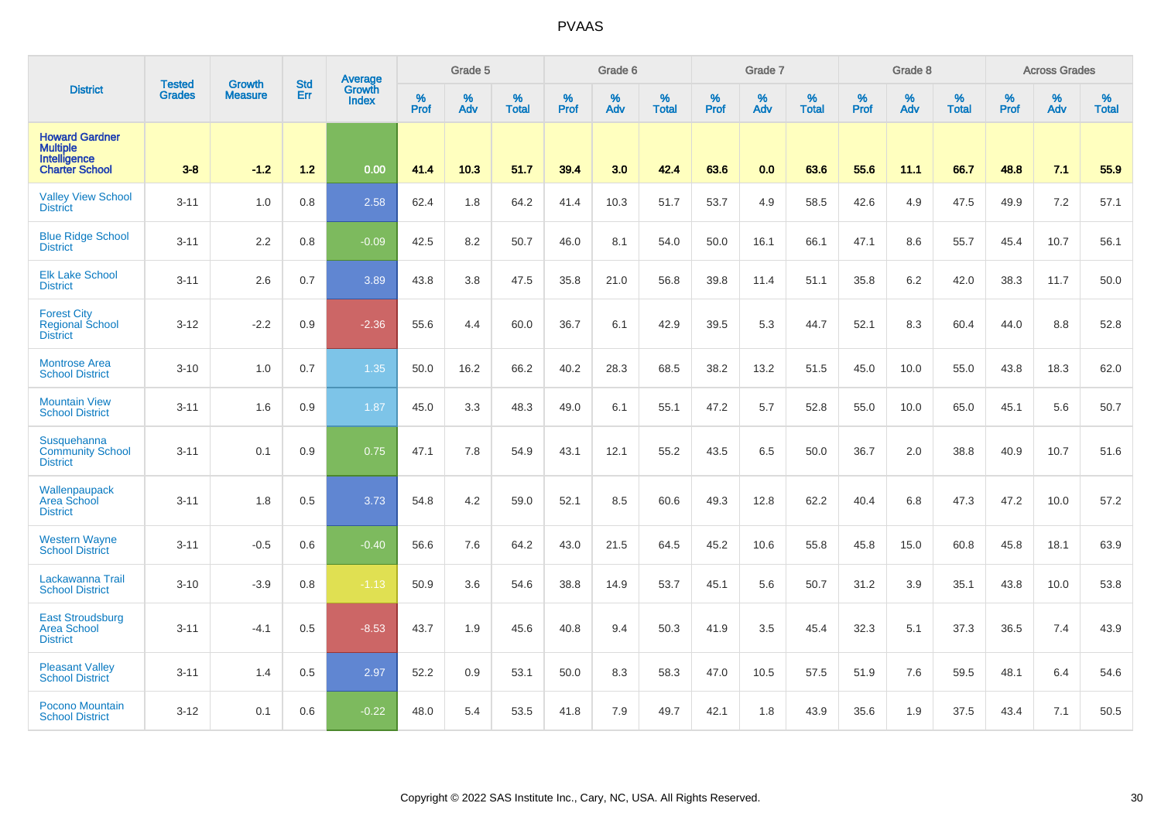|                                                                                   | <b>Tested</b> |                                 | <b>Std</b> | Average                       |              | Grade 5  |                   |           | Grade 6  |                   |           | Grade 7  |                   |           | Grade 8  |                   |           | <b>Across Grades</b> |                   |
|-----------------------------------------------------------------------------------|---------------|---------------------------------|------------|-------------------------------|--------------|----------|-------------------|-----------|----------|-------------------|-----------|----------|-------------------|-----------|----------|-------------------|-----------|----------------------|-------------------|
| <b>District</b>                                                                   | <b>Grades</b> | <b>Growth</b><br><b>Measure</b> | Err        | <b>Growth</b><br><b>Index</b> | $\%$<br>Prof | %<br>Adv | %<br><b>Total</b> | %<br>Prof | %<br>Adv | %<br><b>Total</b> | %<br>Prof | %<br>Adv | %<br><b>Total</b> | %<br>Prof | %<br>Adv | %<br><b>Total</b> | %<br>Prof | %<br>Adv             | %<br><b>Total</b> |
| <b>Howard Gardner</b><br><b>Multiple</b><br>Intelligence<br><b>Charter School</b> | $3-8$         | $-1.2$                          | $1.2$      | 0.00                          | 41.4         | 10.3     | 51.7              | 39.4      | 3.0      | 42.4              | 63.6      | 0.0      | 63.6              | 55.6      | 11.1     | 66.7              | 48.8      | 7.1                  | 55.9              |
| <b>Valley View School</b><br><b>District</b>                                      | $3 - 11$      | 1.0                             | 0.8        | 2.58                          | 62.4         | 1.8      | 64.2              | 41.4      | 10.3     | 51.7              | 53.7      | 4.9      | 58.5              | 42.6      | 4.9      | 47.5              | 49.9      | 7.2                  | 57.1              |
| <b>Blue Ridge School</b><br><b>District</b>                                       | $3 - 11$      | 2.2                             | 0.8        | $-0.09$                       | 42.5         | 8.2      | 50.7              | 46.0      | 8.1      | 54.0              | 50.0      | 16.1     | 66.1              | 47.1      | 8.6      | 55.7              | 45.4      | 10.7                 | 56.1              |
| <b>Elk Lake School</b><br><b>District</b>                                         | $3 - 11$      | 2.6                             | 0.7        | 3.89                          | 43.8         | 3.8      | 47.5              | 35.8      | 21.0     | 56.8              | 39.8      | 11.4     | 51.1              | 35.8      | 6.2      | 42.0              | 38.3      | 11.7                 | 50.0              |
| <b>Forest City</b><br>Regional School<br><b>District</b>                          | $3 - 12$      | $-2.2$                          | 0.9        | $-2.36$                       | 55.6         | 4.4      | 60.0              | 36.7      | 6.1      | 42.9              | 39.5      | 5.3      | 44.7              | 52.1      | 8.3      | 60.4              | 44.0      | 8.8                  | 52.8              |
| <b>Montrose Area</b><br><b>School District</b>                                    | $3 - 10$      | 1.0                             | 0.7        | 1.35                          | 50.0         | 16.2     | 66.2              | 40.2      | 28.3     | 68.5              | 38.2      | 13.2     | 51.5              | 45.0      | 10.0     | 55.0              | 43.8      | 18.3                 | 62.0              |
| <b>Mountain View</b><br><b>School District</b>                                    | $3 - 11$      | 1.6                             | 0.9        | 1.87                          | 45.0         | 3.3      | 48.3              | 49.0      | 6.1      | 55.1              | 47.2      | 5.7      | 52.8              | 55.0      | 10.0     | 65.0              | 45.1      | 5.6                  | 50.7              |
| Susquehanna<br><b>Community School</b><br><b>District</b>                         | $3 - 11$      | 0.1                             | 0.9        | 0.75                          | 47.1         | 7.8      | 54.9              | 43.1      | 12.1     | 55.2              | 43.5      | 6.5      | 50.0              | 36.7      | 2.0      | 38.8              | 40.9      | 10.7                 | 51.6              |
| Wallenpaupack<br>Area School<br><b>District</b>                                   | $3 - 11$      | 1.8                             | 0.5        | 3.73                          | 54.8         | 4.2      | 59.0              | 52.1      | 8.5      | 60.6              | 49.3      | 12.8     | 62.2              | 40.4      | 6.8      | 47.3              | 47.2      | 10.0                 | 57.2              |
| <b>Western Wayne</b><br><b>School District</b>                                    | $3 - 11$      | $-0.5$                          | 0.6        | $-0.40$                       | 56.6         | 7.6      | 64.2              | 43.0      | 21.5     | 64.5              | 45.2      | 10.6     | 55.8              | 45.8      | 15.0     | 60.8              | 45.8      | 18.1                 | 63.9              |
| Lackawanna Trail<br><b>School District</b>                                        | $3 - 10$      | $-3.9$                          | 0.8        | $-1.13$                       | 50.9         | 3.6      | 54.6              | 38.8      | 14.9     | 53.7              | 45.1      | 5.6      | 50.7              | 31.2      | 3.9      | 35.1              | 43.8      | 10.0                 | 53.8              |
| <b>East Stroudsburg</b><br><b>Area School</b><br><b>District</b>                  | $3 - 11$      | $-4.1$                          | 0.5        | $-8.53$                       | 43.7         | 1.9      | 45.6              | 40.8      | 9.4      | 50.3              | 41.9      | 3.5      | 45.4              | 32.3      | 5.1      | 37.3              | 36.5      | 7.4                  | 43.9              |
| <b>Pleasant Valley</b><br><b>School District</b>                                  | $3 - 11$      | 1.4                             | 0.5        | 2.97                          | 52.2         | 0.9      | 53.1              | 50.0      | 8.3      | 58.3              | 47.0      | 10.5     | 57.5              | 51.9      | 7.6      | 59.5              | 48.1      | 6.4                  | 54.6              |
| <b>Pocono Mountain</b><br><b>School District</b>                                  | $3 - 12$      | 0.1                             | 0.6        | $-0.22$                       | 48.0         | 5.4      | 53.5              | 41.8      | 7.9      | 49.7              | 42.1      | 1.8      | 43.9              | 35.6      | 1.9      | 37.5              | 43.4      | 7.1                  | 50.5              |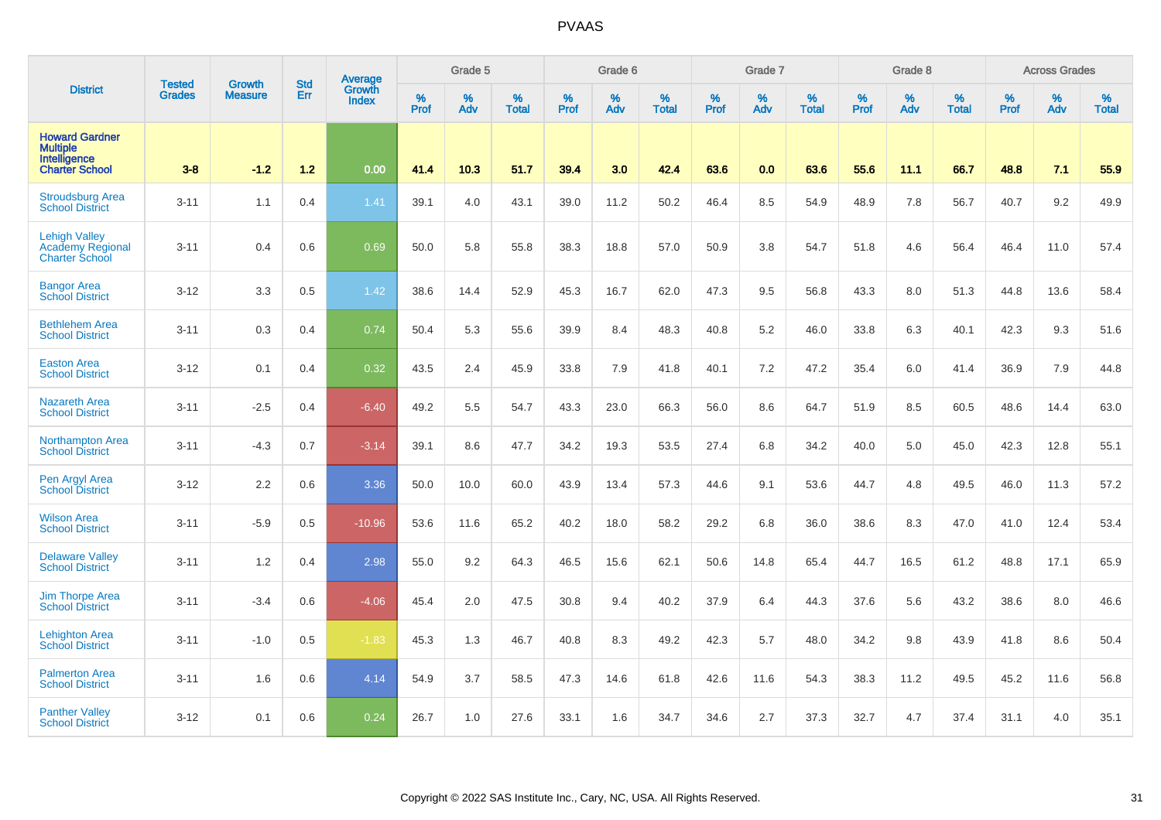|                                                                                   | <b>Tested</b> | <b>Growth</b>  | <b>Std</b> | Average                |           | Grade 5  |                      |           | Grade 6  |                   |           | Grade 7  |                   |           | Grade 8  |                   |           | <b>Across Grades</b> |                   |
|-----------------------------------------------------------------------------------|---------------|----------------|------------|------------------------|-----------|----------|----------------------|-----------|----------|-------------------|-----------|----------|-------------------|-----------|----------|-------------------|-----------|----------------------|-------------------|
| <b>District</b>                                                                   | <b>Grades</b> | <b>Measure</b> | Err        | Growth<br><b>Index</b> | %<br>Prof | %<br>Adv | $\%$<br><b>Total</b> | %<br>Prof | %<br>Adv | %<br><b>Total</b> | %<br>Prof | %<br>Adv | %<br><b>Total</b> | %<br>Prof | %<br>Adv | %<br><b>Total</b> | %<br>Prof | %<br>Adv             | %<br><b>Total</b> |
| <b>Howard Gardner</b><br><b>Multiple</b><br>Intelligence<br><b>Charter School</b> | $3-8$         | $-1.2$         | 1.2        | 0.00                   | 41.4      | 10.3     | 51.7                 | 39.4      | 3.0      | 42.4              | 63.6      | 0.0      | 63.6              | 55.6      | 11.1     | 66.7              | 48.8      | 7.1                  | 55.9              |
| <b>Stroudsburg Area</b><br><b>School District</b>                                 | $3 - 11$      | 1.1            | 0.4        | 1.41                   | 39.1      | 4.0      | 43.1                 | 39.0      | 11.2     | 50.2              | 46.4      | 8.5      | 54.9              | 48.9      | 7.8      | 56.7              | 40.7      | 9.2                  | 49.9              |
| <b>Lehigh Valley</b><br>Academy Regional<br><b>Charter School</b>                 | $3 - 11$      | 0.4            | 0.6        | 0.69                   | 50.0      | 5.8      | 55.8                 | 38.3      | 18.8     | 57.0              | 50.9      | 3.8      | 54.7              | 51.8      | 4.6      | 56.4              | 46.4      | 11.0                 | 57.4              |
| <b>Bangor Area</b><br><b>School District</b>                                      | $3 - 12$      | 3.3            | 0.5        | 1.42                   | 38.6      | 14.4     | 52.9                 | 45.3      | 16.7     | 62.0              | 47.3      | 9.5      | 56.8              | 43.3      | 8.0      | 51.3              | 44.8      | 13.6                 | 58.4              |
| <b>Bethlehem Area</b><br><b>School District</b>                                   | $3 - 11$      | 0.3            | 0.4        | 0.74                   | 50.4      | 5.3      | 55.6                 | 39.9      | 8.4      | 48.3              | 40.8      | 5.2      | 46.0              | 33.8      | 6.3      | 40.1              | 42.3      | 9.3                  | 51.6              |
| <b>Easton Area</b><br><b>School District</b>                                      | $3 - 12$      | 0.1            | 0.4        | 0.32                   | 43.5      | 2.4      | 45.9                 | 33.8      | 7.9      | 41.8              | 40.1      | 7.2      | 47.2              | 35.4      | 6.0      | 41.4              | 36.9      | 7.9                  | 44.8              |
| <b>Nazareth Area</b><br><b>School District</b>                                    | $3 - 11$      | $-2.5$         | 0.4        | $-6.40$                | 49.2      | 5.5      | 54.7                 | 43.3      | 23.0     | 66.3              | 56.0      | 8.6      | 64.7              | 51.9      | 8.5      | 60.5              | 48.6      | 14.4                 | 63.0              |
| <b>Northampton Area</b><br><b>School District</b>                                 | $3 - 11$      | $-4.3$         | 0.7        | $-3.14$                | 39.1      | 8.6      | 47.7                 | 34.2      | 19.3     | 53.5              | 27.4      | 6.8      | 34.2              | 40.0      | 5.0      | 45.0              | 42.3      | 12.8                 | 55.1              |
| Pen Argyl Area<br><b>School District</b>                                          | $3 - 12$      | 2.2            | 0.6        | 3.36                   | 50.0      | 10.0     | 60.0                 | 43.9      | 13.4     | 57.3              | 44.6      | 9.1      | 53.6              | 44.7      | 4.8      | 49.5              | 46.0      | 11.3                 | 57.2              |
| <b>Wilson Area</b><br><b>School District</b>                                      | $3 - 11$      | $-5.9$         | 0.5        | $-10.96$               | 53.6      | 11.6     | 65.2                 | 40.2      | 18.0     | 58.2              | 29.2      | 6.8      | 36.0              | 38.6      | 8.3      | 47.0              | 41.0      | 12.4                 | 53.4              |
| <b>Delaware Valley</b><br><b>School District</b>                                  | $3 - 11$      | 1.2            | 0.4        | 2.98                   | 55.0      | 9.2      | 64.3                 | 46.5      | 15.6     | 62.1              | 50.6      | 14.8     | 65.4              | 44.7      | 16.5     | 61.2              | 48.8      | 17.1                 | 65.9              |
| <b>Jim Thorpe Area</b><br><b>School District</b>                                  | $3 - 11$      | $-3.4$         | 0.6        | $-4.06$                | 45.4      | 2.0      | 47.5                 | 30.8      | 9.4      | 40.2              | 37.9      | 6.4      | 44.3              | 37.6      | 5.6      | 43.2              | 38.6      | 8.0                  | 46.6              |
| <b>Lehighton Area</b><br><b>School District</b>                                   | $3 - 11$      | $-1.0$         | 0.5        | $-1.83$                | 45.3      | 1.3      | 46.7                 | 40.8      | 8.3      | 49.2              | 42.3      | 5.7      | 48.0              | 34.2      | 9.8      | 43.9              | 41.8      | 8.6                  | 50.4              |
| <b>Palmerton Area</b><br><b>School District</b>                                   | $3 - 11$      | 1.6            | 0.6        | 4.14                   | 54.9      | 3.7      | 58.5                 | 47.3      | 14.6     | 61.8              | 42.6      | 11.6     | 54.3              | 38.3      | 11.2     | 49.5              | 45.2      | 11.6                 | 56.8              |
| <b>Panther Valley</b><br><b>School District</b>                                   | $3 - 12$      | 0.1            | 0.6        | 0.24                   | 26.7      | 1.0      | 27.6                 | 33.1      | 1.6      | 34.7              | 34.6      | 2.7      | 37.3              | 32.7      | 4.7      | 37.4              | 31.1      | 4.0                  | 35.1              |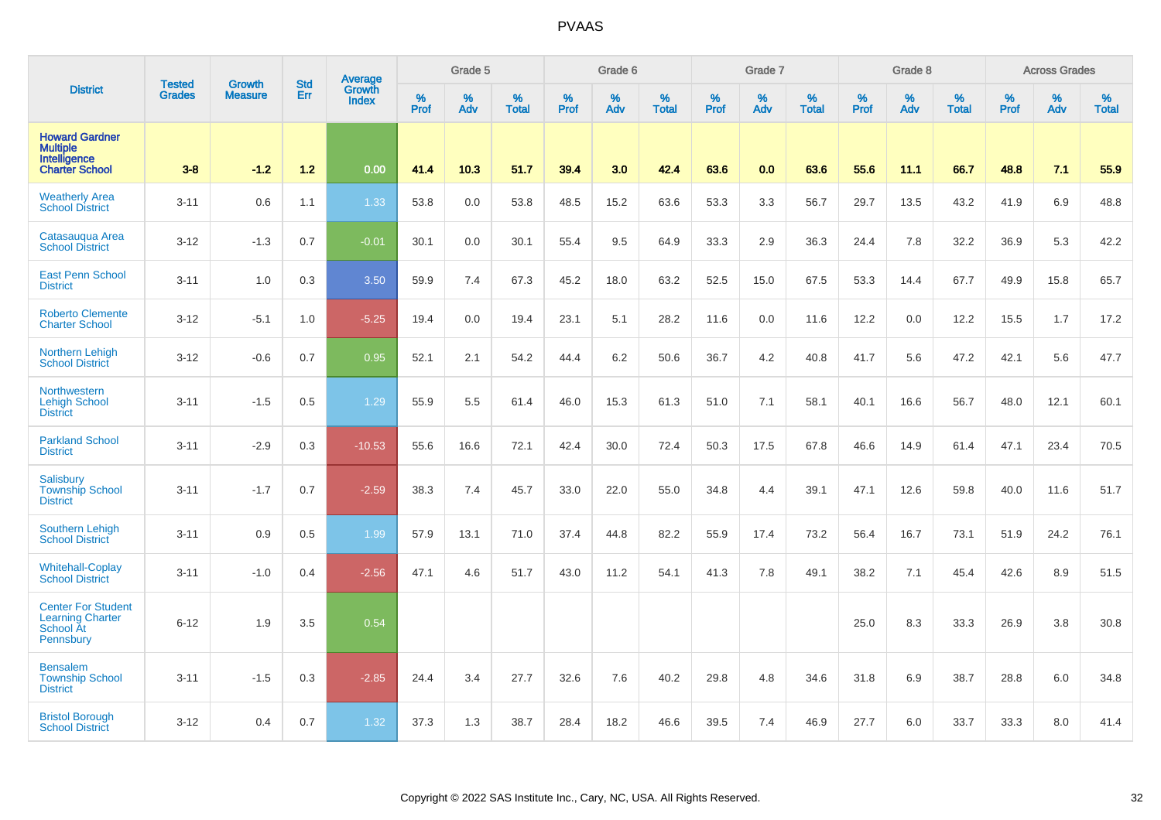|                                                                                | <b>Tested</b> | <b>Growth</b>  | <b>Std</b> | Average                |                     | Grade 5  |                   |              | Grade 6  |                   |              | Grade 7  |                   |              | Grade 8  |                   |              | <b>Across Grades</b> |                   |
|--------------------------------------------------------------------------------|---------------|----------------|------------|------------------------|---------------------|----------|-------------------|--------------|----------|-------------------|--------------|----------|-------------------|--------------|----------|-------------------|--------------|----------------------|-------------------|
| <b>District</b>                                                                | <b>Grades</b> | <b>Measure</b> | Err        | Growth<br><b>Index</b> | $\%$<br><b>Prof</b> | %<br>Adv | %<br><b>Total</b> | $\%$<br>Prof | %<br>Adv | %<br><b>Total</b> | $\%$<br>Prof | %<br>Adv | %<br><b>Total</b> | $\%$<br>Prof | %<br>Adv | %<br><b>Total</b> | $\%$<br>Prof | %<br>Adv             | %<br><b>Total</b> |
| <b>Howard Gardner</b><br>Multiple<br>Intelligence<br><b>Charter School</b>     | $3 - 8$       | $-1.2$         | 1.2        | 0.00                   | 41.4                | 10.3     | 51.7              | 39.4         | 3.0      | 42.4              | 63.6         | 0.0      | 63.6              | 55.6         | 11.1     | 66.7              | 48.8         | 7.1                  | 55.9              |
| <b>Weatherly Area</b><br><b>School District</b>                                | $3 - 11$      | 0.6            | 1.1        | 1.33                   | 53.8                | 0.0      | 53.8              | 48.5         | 15.2     | 63.6              | 53.3         | 3.3      | 56.7              | 29.7         | 13.5     | 43.2              | 41.9         | 6.9                  | 48.8              |
| Catasaugua Area<br><b>School District</b>                                      | $3 - 12$      | $-1.3$         | 0.7        | $-0.01$                | 30.1                | 0.0      | 30.1              | 55.4         | 9.5      | 64.9              | 33.3         | 2.9      | 36.3              | 24.4         | 7.8      | 32.2              | 36.9         | 5.3                  | 42.2              |
| <b>East Penn School</b><br><b>District</b>                                     | $3 - 11$      | 1.0            | 0.3        | 3.50                   | 59.9                | 7.4      | 67.3              | 45.2         | 18.0     | 63.2              | 52.5         | 15.0     | 67.5              | 53.3         | 14.4     | 67.7              | 49.9         | 15.8                 | 65.7              |
| <b>Roberto Clemente</b><br><b>Charter School</b>                               | $3 - 12$      | $-5.1$         | 1.0        | $-5.25$                | 19.4                | 0.0      | 19.4              | 23.1         | 5.1      | 28.2              | 11.6         | 0.0      | 11.6              | 12.2         | 0.0      | 12.2              | 15.5         | 1.7                  | 17.2              |
| <b>Northern Lehigh</b><br><b>School District</b>                               | $3 - 12$      | $-0.6$         | 0.7        | 0.95                   | 52.1                | 2.1      | 54.2              | 44.4         | 6.2      | 50.6              | 36.7         | 4.2      | 40.8              | 41.7         | 5.6      | 47.2              | 42.1         | 5.6                  | 47.7              |
| Northwestern<br><b>Lehigh School</b><br><b>District</b>                        | $3 - 11$      | $-1.5$         | 0.5        | 1.29                   | 55.9                | 5.5      | 61.4              | 46.0         | 15.3     | 61.3              | 51.0         | 7.1      | 58.1              | 40.1         | 16.6     | 56.7              | 48.0         | 12.1                 | 60.1              |
| <b>Parkland School</b><br><b>District</b>                                      | $3 - 11$      | $-2.9$         | 0.3        | $-10.53$               | 55.6                | 16.6     | 72.1              | 42.4         | 30.0     | 72.4              | 50.3         | 17.5     | 67.8              | 46.6         | 14.9     | 61.4              | 47.1         | 23.4                 | 70.5              |
| Salisbury<br><b>Township School</b><br><b>District</b>                         | $3 - 11$      | $-1.7$         | 0.7        | $-2.59$                | 38.3                | 7.4      | 45.7              | 33.0         | 22.0     | 55.0              | 34.8         | 4.4      | 39.1              | 47.1         | 12.6     | 59.8              | 40.0         | 11.6                 | 51.7              |
| Southern Lehigh<br><b>School District</b>                                      | $3 - 11$      | 0.9            | 0.5        | 1.99                   | 57.9                | 13.1     | 71.0              | 37.4         | 44.8     | 82.2              | 55.9         | 17.4     | 73.2              | 56.4         | 16.7     | 73.1              | 51.9         | 24.2                 | 76.1              |
| <b>Whitehall-Coplay</b><br><b>School District</b>                              | $3 - 11$      | $-1.0$         | 0.4        | $-2.56$                | 47.1                | 4.6      | 51.7              | 43.0         | 11.2     | 54.1              | 41.3         | 7.8      | 49.1              | 38.2         | 7.1      | 45.4              | 42.6         | 8.9                  | 51.5              |
| <b>Center For Student</b><br><b>Learning Charter</b><br>School At<br>Pennsbury | $6 - 12$      | 1.9            | 3.5        | 0.54                   |                     |          |                   |              |          |                   |              |          |                   | 25.0         | 8.3      | 33.3              | 26.9         | 3.8                  | 30.8              |
| <b>Bensalem</b><br><b>Township School</b><br><b>District</b>                   | $3 - 11$      | $-1.5$         | 0.3        | $-2.85$                | 24.4                | 3.4      | 27.7              | 32.6         | 7.6      | 40.2              | 29.8         | 4.8      | 34.6              | 31.8         | 6.9      | 38.7              | 28.8         | 6.0                  | 34.8              |
| <b>Bristol Borough</b><br><b>School District</b>                               | $3 - 12$      | 0.4            | 0.7        | 1.32                   | 37.3                | 1.3      | 38.7              | 28.4         | 18.2     | 46.6              | 39.5         | 7.4      | 46.9              | 27.7         | 6.0      | 33.7              | 33.3         | 8.0                  | 41.4              |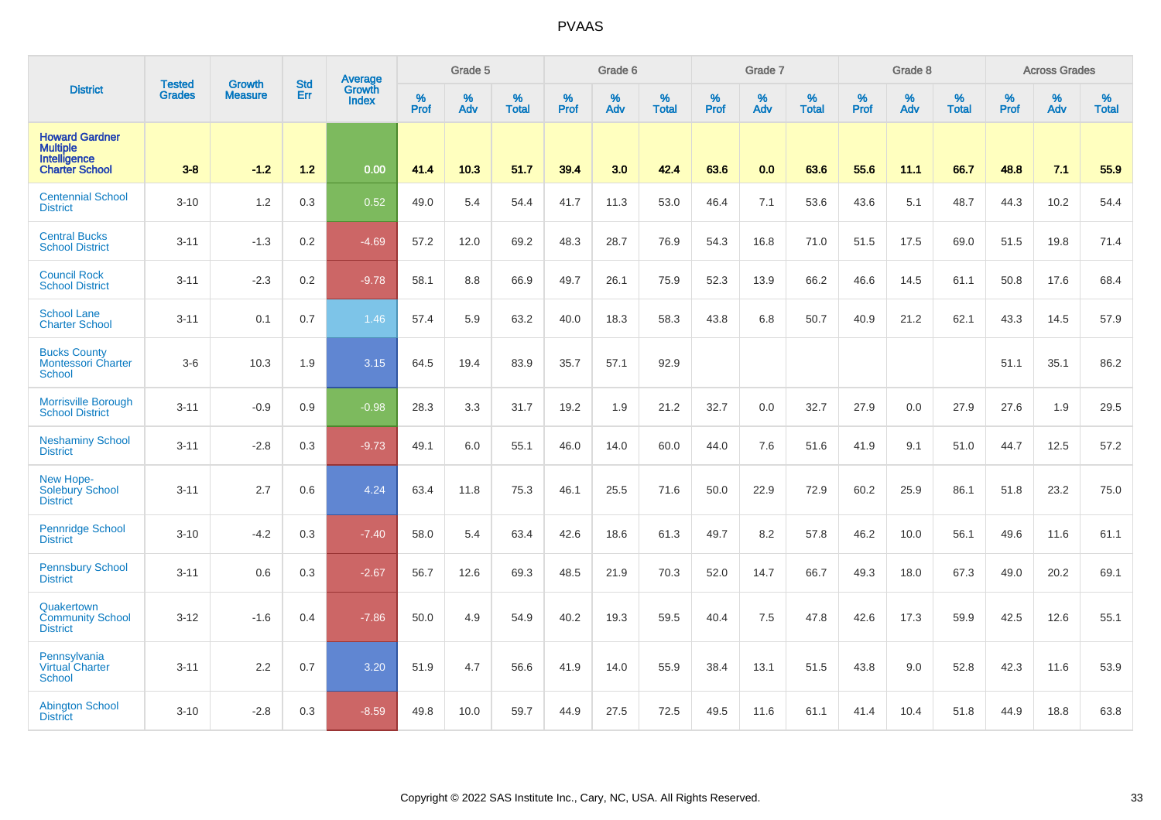|                                                                            | <b>Tested</b> |                                 | <b>Std</b> | Average                       |              | Grade 5  |                   |           | Grade 6  |                   |           | Grade 7  |                   |           | Grade 8  |                   |           | <b>Across Grades</b> |                   |
|----------------------------------------------------------------------------|---------------|---------------------------------|------------|-------------------------------|--------------|----------|-------------------|-----------|----------|-------------------|-----------|----------|-------------------|-----------|----------|-------------------|-----------|----------------------|-------------------|
| <b>District</b>                                                            | <b>Grades</b> | <b>Growth</b><br><b>Measure</b> | Err        | <b>Growth</b><br><b>Index</b> | $\%$<br>Prof | %<br>Adv | %<br><b>Total</b> | %<br>Prof | %<br>Adv | %<br><b>Total</b> | %<br>Prof | %<br>Adv | %<br><b>Total</b> | %<br>Prof | %<br>Adv | %<br><b>Total</b> | %<br>Prof | %<br>Adv             | %<br><b>Total</b> |
| <b>Howard Gardner</b><br><b>Multiple</b><br>Intelligence<br>Charter School | $3-8$         | $-1.2$                          | $1.2$      | 0.00                          | 41.4         | 10.3     | 51.7              | 39.4      | 3.0      | 42.4              | 63.6      | 0.0      | 63.6              | 55.6      | 11.1     | 66.7              | 48.8      | 7.1                  | 55.9              |
| <b>Centennial School</b><br><b>District</b>                                | $3 - 10$      | 1.2                             | 0.3        | 0.52                          | 49.0         | 5.4      | 54.4              | 41.7      | 11.3     | 53.0              | 46.4      | 7.1      | 53.6              | 43.6      | 5.1      | 48.7              | 44.3      | 10.2                 | 54.4              |
| <b>Central Bucks</b><br><b>School District</b>                             | $3 - 11$      | $-1.3$                          | 0.2        | $-4.69$                       | 57.2         | 12.0     | 69.2              | 48.3      | 28.7     | 76.9              | 54.3      | 16.8     | 71.0              | 51.5      | 17.5     | 69.0              | 51.5      | 19.8                 | 71.4              |
| <b>Council Rock</b><br><b>School District</b>                              | $3 - 11$      | $-2.3$                          | 0.2        | $-9.78$                       | 58.1         | 8.8      | 66.9              | 49.7      | 26.1     | 75.9              | 52.3      | 13.9     | 66.2              | 46.6      | 14.5     | 61.1              | 50.8      | 17.6                 | 68.4              |
| <b>School Lane</b><br><b>Charter School</b>                                | $3 - 11$      | 0.1                             | 0.7        | 1.46                          | 57.4         | 5.9      | 63.2              | 40.0      | 18.3     | 58.3              | 43.8      | 6.8      | 50.7              | 40.9      | 21.2     | 62.1              | 43.3      | 14.5                 | 57.9              |
| <b>Bucks County</b><br><b>Montessori Charter</b><br><b>School</b>          | $3-6$         | 10.3                            | 1.9        | 3.15                          | 64.5         | 19.4     | 83.9              | 35.7      | 57.1     | 92.9              |           |          |                   |           |          |                   | 51.1      | 35.1                 | 86.2              |
| <b>Morrisville Borough</b><br><b>School District</b>                       | $3 - 11$      | $-0.9$                          | 0.9        | $-0.98$                       | 28.3         | 3.3      | 31.7              | 19.2      | 1.9      | 21.2              | 32.7      | 0.0      | 32.7              | 27.9      | 0.0      | 27.9              | 27.6      | 1.9                  | 29.5              |
| <b>Neshaminy School</b><br><b>District</b>                                 | $3 - 11$      | $-2.8$                          | 0.3        | $-9.73$                       | 49.1         | 6.0      | 55.1              | 46.0      | 14.0     | 60.0              | 44.0      | 7.6      | 51.6              | 41.9      | 9.1      | 51.0              | 44.7      | 12.5                 | 57.2              |
| New Hope-<br>Solebury School<br><b>District</b>                            | $3 - 11$      | 2.7                             | 0.6        | 4.24                          | 63.4         | 11.8     | 75.3              | 46.1      | 25.5     | 71.6              | 50.0      | 22.9     | 72.9              | 60.2      | 25.9     | 86.1              | 51.8      | 23.2                 | 75.0              |
| <b>Pennridge School</b><br><b>District</b>                                 | $3 - 10$      | $-4.2$                          | 0.3        | $-7.40$                       | 58.0         | 5.4      | 63.4              | 42.6      | 18.6     | 61.3              | 49.7      | 8.2      | 57.8              | 46.2      | 10.0     | 56.1              | 49.6      | 11.6                 | 61.1              |
| <b>Pennsbury School</b><br><b>District</b>                                 | $3 - 11$      | 0.6                             | 0.3        | $-2.67$                       | 56.7         | 12.6     | 69.3              | 48.5      | 21.9     | 70.3              | 52.0      | 14.7     | 66.7              | 49.3      | 18.0     | 67.3              | 49.0      | 20.2                 | 69.1              |
| Quakertown<br><b>Community School</b><br><b>District</b>                   | $3 - 12$      | $-1.6$                          | 0.4        | $-7.86$                       | 50.0         | 4.9      | 54.9              | 40.2      | 19.3     | 59.5              | 40.4      | 7.5      | 47.8              | 42.6      | 17.3     | 59.9              | 42.5      | 12.6                 | 55.1              |
| Pennsylvania<br><b>Virtual Charter</b><br><b>School</b>                    | $3 - 11$      | 2.2                             | 0.7        | 3.20                          | 51.9         | 4.7      | 56.6              | 41.9      | 14.0     | 55.9              | 38.4      | 13.1     | 51.5              | 43.8      | 9.0      | 52.8              | 42.3      | 11.6                 | 53.9              |
| <b>Abington School</b><br><b>District</b>                                  | $3 - 10$      | $-2.8$                          | 0.3        | $-8.59$                       | 49.8         | 10.0     | 59.7              | 44.9      | 27.5     | 72.5              | 49.5      | 11.6     | 61.1              | 41.4      | 10.4     | 51.8              | 44.9      | 18.8                 | 63.8              |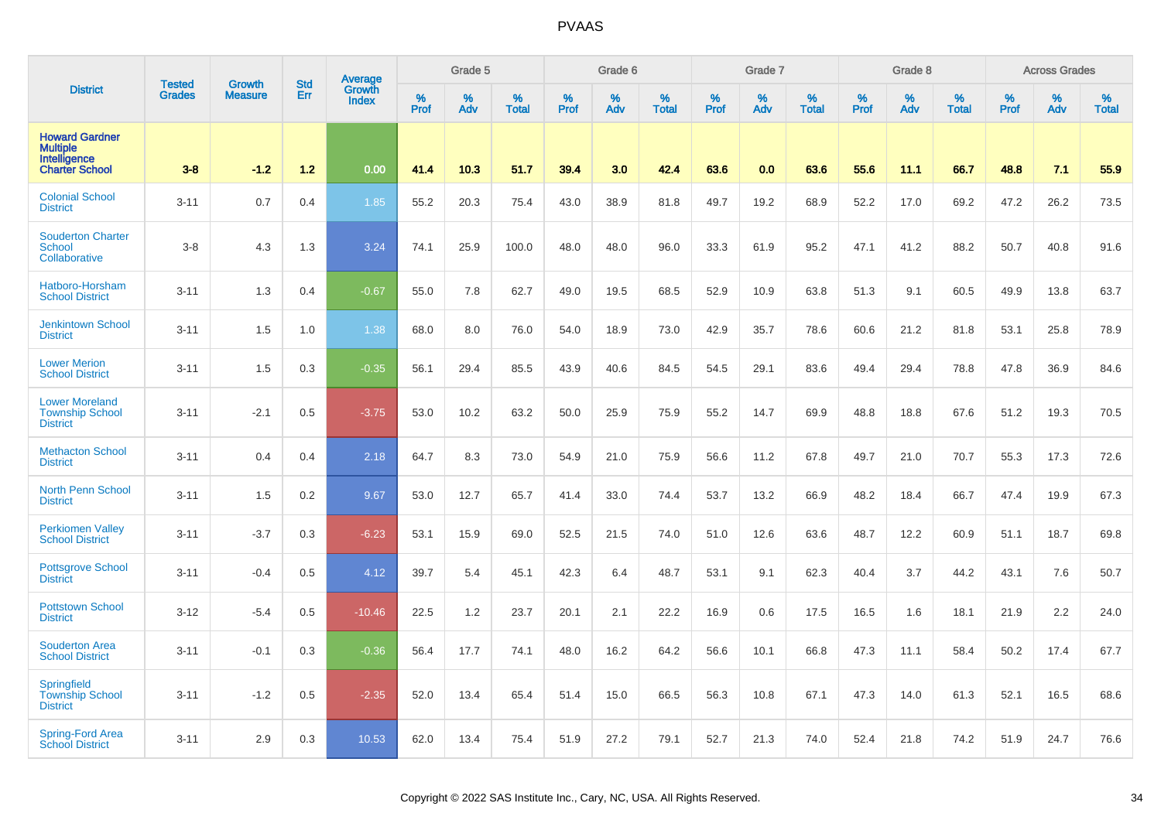|                                                                                   | <b>Tested</b> | <b>Growth</b>  | <b>Std</b> | Average                |           | Grade 5  |                   |           | Grade 6  |                   |           | Grade 7  |                   |           | Grade 8  |                   |           | <b>Across Grades</b> |                   |
|-----------------------------------------------------------------------------------|---------------|----------------|------------|------------------------|-----------|----------|-------------------|-----------|----------|-------------------|-----------|----------|-------------------|-----------|----------|-------------------|-----------|----------------------|-------------------|
| <b>District</b>                                                                   | <b>Grades</b> | <b>Measure</b> | Err        | Growth<br><b>Index</b> | %<br>Prof | %<br>Adv | %<br><b>Total</b> | %<br>Prof | %<br>Adv | %<br><b>Total</b> | %<br>Prof | %<br>Adv | %<br><b>Total</b> | %<br>Prof | %<br>Adv | %<br><b>Total</b> | %<br>Prof | %<br>Adv             | %<br><b>Total</b> |
| <b>Howard Gardner</b><br><b>Multiple</b><br>Intelligence<br><b>Charter School</b> | $3-8$         | $-1.2$         | $1.2$      | 0.00                   | 41.4      | 10.3     | 51.7              | 39.4      | 3.0      | 42.4              | 63.6      | 0.0      | 63.6              | 55.6      | 11.1     | 66.7              | 48.8      | 7.1                  | 55.9              |
| <b>Colonial School</b><br><b>District</b>                                         | $3 - 11$      | 0.7            | 0.4        | 1.85                   | 55.2      | 20.3     | 75.4              | 43.0      | 38.9     | 81.8              | 49.7      | 19.2     | 68.9              | 52.2      | 17.0     | 69.2              | 47.2      | 26.2                 | 73.5              |
| <b>Souderton Charter</b><br><b>School</b><br>Collaborative                        | $3-8$         | 4.3            | 1.3        | 3.24                   | 74.1      | 25.9     | 100.0             | 48.0      | 48.0     | 96.0              | 33.3      | 61.9     | 95.2              | 47.1      | 41.2     | 88.2              | 50.7      | 40.8                 | 91.6              |
| Hatboro-Horsham<br><b>School District</b>                                         | $3 - 11$      | 1.3            | 0.4        | $-0.67$                | 55.0      | 7.8      | 62.7              | 49.0      | 19.5     | 68.5              | 52.9      | 10.9     | 63.8              | 51.3      | 9.1      | 60.5              | 49.9      | 13.8                 | 63.7              |
| <b>Jenkintown School</b><br><b>District</b>                                       | $3 - 11$      | 1.5            | 1.0        | 1.38                   | 68.0      | 8.0      | 76.0              | 54.0      | 18.9     | 73.0              | 42.9      | 35.7     | 78.6              | 60.6      | 21.2     | 81.8              | 53.1      | 25.8                 | 78.9              |
| <b>Lower Merion</b><br><b>School District</b>                                     | $3 - 11$      | 1.5            | 0.3        | $-0.35$                | 56.1      | 29.4     | 85.5              | 43.9      | 40.6     | 84.5              | 54.5      | 29.1     | 83.6              | 49.4      | 29.4     | 78.8              | 47.8      | 36.9                 | 84.6              |
| <b>Lower Moreland</b><br><b>Township School</b><br><b>District</b>                | $3 - 11$      | $-2.1$         | 0.5        | $-3.75$                | 53.0      | 10.2     | 63.2              | 50.0      | 25.9     | 75.9              | 55.2      | 14.7     | 69.9              | 48.8      | 18.8     | 67.6              | 51.2      | 19.3                 | 70.5              |
| <b>Methacton School</b><br><b>District</b>                                        | $3 - 11$      | 0.4            | 0.4        | 2.18                   | 64.7      | 8.3      | 73.0              | 54.9      | 21.0     | 75.9              | 56.6      | 11.2     | 67.8              | 49.7      | 21.0     | 70.7              | 55.3      | 17.3                 | 72.6              |
| North Penn School<br><b>District</b>                                              | $3 - 11$      | 1.5            | 0.2        | 9.67                   | 53.0      | 12.7     | 65.7              | 41.4      | 33.0     | 74.4              | 53.7      | 13.2     | 66.9              | 48.2      | 18.4     | 66.7              | 47.4      | 19.9                 | 67.3              |
| <b>Perkiomen Valley</b><br><b>School District</b>                                 | $3 - 11$      | $-3.7$         | 0.3        | $-6.23$                | 53.1      | 15.9     | 69.0              | 52.5      | 21.5     | 74.0              | 51.0      | 12.6     | 63.6              | 48.7      | 12.2     | 60.9              | 51.1      | 18.7                 | 69.8              |
| <b>Pottsgrove School</b><br><b>District</b>                                       | $3 - 11$      | $-0.4$         | 0.5        | 4.12                   | 39.7      | 5.4      | 45.1              | 42.3      | 6.4      | 48.7              | 53.1      | 9.1      | 62.3              | 40.4      | 3.7      | 44.2              | 43.1      | 7.6                  | 50.7              |
| <b>Pottstown School</b><br><b>District</b>                                        | $3 - 12$      | $-5.4$         | 0.5        | $-10.46$               | 22.5      | 1.2      | 23.7              | 20.1      | 2.1      | 22.2              | 16.9      | 0.6      | 17.5              | 16.5      | 1.6      | 18.1              | 21.9      | 2.2                  | 24.0              |
| <b>Souderton Area</b><br><b>School District</b>                                   | $3 - 11$      | $-0.1$         | 0.3        | $-0.36$                | 56.4      | 17.7     | 74.1              | 48.0      | 16.2     | 64.2              | 56.6      | 10.1     | 66.8              | 47.3      | 11.1     | 58.4              | 50.2      | 17.4                 | 67.7              |
| Springfield<br><b>Township School</b><br><b>District</b>                          | $3 - 11$      | $-1.2$         | 0.5        | $-2.35$                | 52.0      | 13.4     | 65.4              | 51.4      | 15.0     | 66.5              | 56.3      | 10.8     | 67.1              | 47.3      | 14.0     | 61.3              | 52.1      | 16.5                 | 68.6              |
| <b>Spring-Ford Area</b><br>School District                                        | $3 - 11$      | 2.9            | 0.3        | 10.53                  | 62.0      | 13.4     | 75.4              | 51.9      | 27.2     | 79.1              | 52.7      | 21.3     | 74.0              | 52.4      | 21.8     | 74.2              | 51.9      | 24.7                 | 76.6              |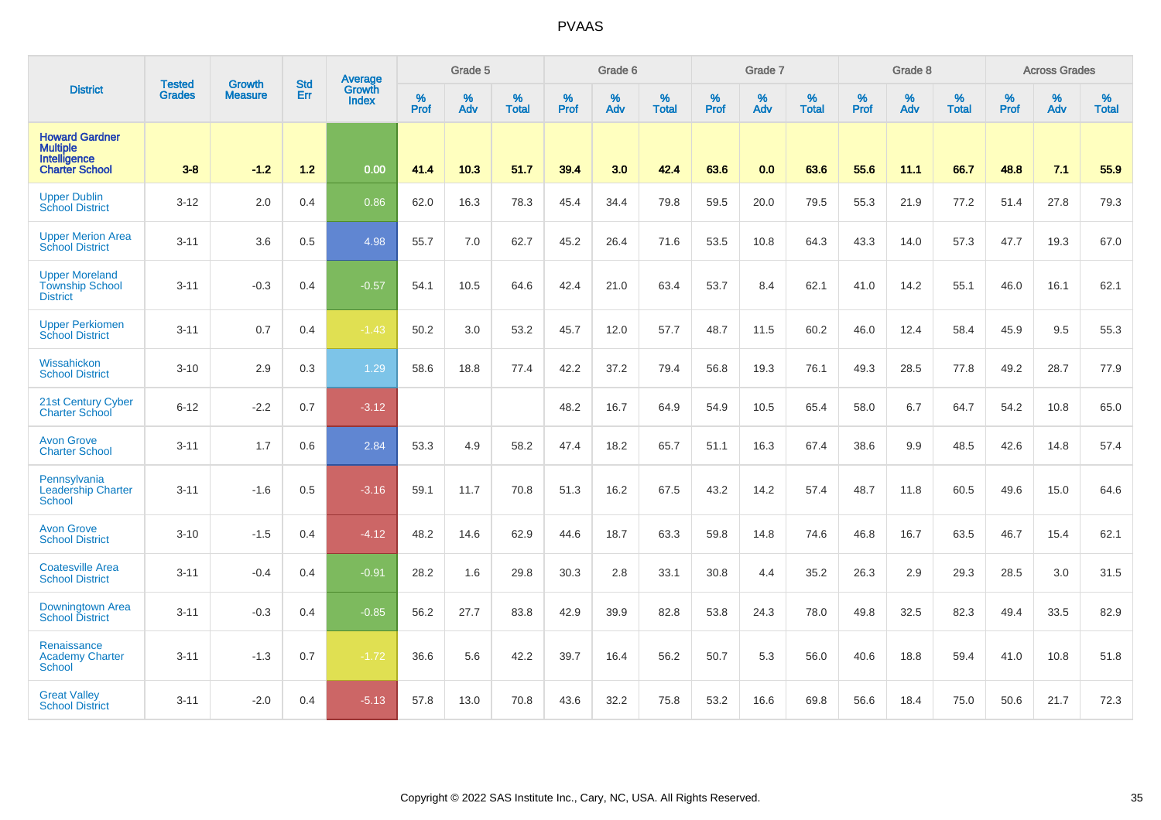|                                                                                   |                                | <b>Growth</b>  | <b>Std</b> | Average                       |                     | Grade 5  |                   |                  | Grade 6  |                   |           | Grade 7  |                   |                  | Grade 8  |                   |                  | <b>Across Grades</b> |                   |
|-----------------------------------------------------------------------------------|--------------------------------|----------------|------------|-------------------------------|---------------------|----------|-------------------|------------------|----------|-------------------|-----------|----------|-------------------|------------------|----------|-------------------|------------------|----------------------|-------------------|
| <b>District</b>                                                                   | <b>Tested</b><br><b>Grades</b> | <b>Measure</b> | Err        | <b>Growth</b><br><b>Index</b> | $\%$<br><b>Prof</b> | %<br>Adv | %<br><b>Total</b> | %<br><b>Prof</b> | %<br>Adv | %<br><b>Total</b> | %<br>Prof | %<br>Adv | %<br><b>Total</b> | %<br><b>Prof</b> | %<br>Adv | %<br><b>Total</b> | %<br><b>Prof</b> | %<br>Adv             | %<br><b>Total</b> |
| <b>Howard Gardner</b><br><b>Multiple</b><br>Intelligence<br><b>Charter School</b> | $3 - 8$                        | $-1.2$         | $1.2$      | 0.00                          | 41.4                | 10.3     | 51.7              | 39.4             | 3.0      | 42.4              | 63.6      | 0.0      | 63.6              | 55.6             | 11.1     | 66.7              | 48.8             | 7.1                  | 55.9              |
| <b>Upper Dublin</b><br><b>School District</b>                                     | $3 - 12$                       | 2.0            | 0.4        | 0.86                          | 62.0                | 16.3     | 78.3              | 45.4             | 34.4     | 79.8              | 59.5      | 20.0     | 79.5              | 55.3             | 21.9     | 77.2              | 51.4             | 27.8                 | 79.3              |
| <b>Upper Merion Area</b><br><b>School District</b>                                | $3 - 11$                       | 3.6            | 0.5        | 4.98                          | 55.7                | 7.0      | 62.7              | 45.2             | 26.4     | 71.6              | 53.5      | 10.8     | 64.3              | 43.3             | 14.0     | 57.3              | 47.7             | 19.3                 | 67.0              |
| <b>Upper Moreland</b><br><b>Township School</b><br><b>District</b>                | $3 - 11$                       | $-0.3$         | 0.4        | $-0.57$                       | 54.1                | 10.5     | 64.6              | 42.4             | 21.0     | 63.4              | 53.7      | 8.4      | 62.1              | 41.0             | 14.2     | 55.1              | 46.0             | 16.1                 | 62.1              |
| <b>Upper Perkiomen</b><br><b>School District</b>                                  | $3 - 11$                       | 0.7            | 0.4        | $-1.43$                       | 50.2                | 3.0      | 53.2              | 45.7             | 12.0     | 57.7              | 48.7      | 11.5     | 60.2              | 46.0             | 12.4     | 58.4              | 45.9             | 9.5                  | 55.3              |
| Wissahickon<br><b>School District</b>                                             | $3 - 10$                       | 2.9            | 0.3        | 1.29                          | 58.6                | 18.8     | 77.4              | 42.2             | 37.2     | 79.4              | 56.8      | 19.3     | 76.1              | 49.3             | 28.5     | 77.8              | 49.2             | 28.7                 | 77.9              |
| 21st Century Cyber<br><b>Charter School</b>                                       | $6 - 12$                       | $-2.2$         | 0.7        | $-3.12$                       |                     |          |                   | 48.2             | 16.7     | 64.9              | 54.9      | 10.5     | 65.4              | 58.0             | 6.7      | 64.7              | 54.2             | 10.8                 | 65.0              |
| <b>Avon Grove</b><br><b>Charter School</b>                                        | $3 - 11$                       | 1.7            | 0.6        | 2.84                          | 53.3                | 4.9      | 58.2              | 47.4             | 18.2     | 65.7              | 51.1      | 16.3     | 67.4              | 38.6             | 9.9      | 48.5              | 42.6             | 14.8                 | 57.4              |
| Pennsylvania<br><b>Leadership Charter</b><br><b>School</b>                        | $3 - 11$                       | $-1.6$         | 0.5        | $-3.16$                       | 59.1                | 11.7     | 70.8              | 51.3             | 16.2     | 67.5              | 43.2      | 14.2     | 57.4              | 48.7             | 11.8     | 60.5              | 49.6             | 15.0                 | 64.6              |
| <b>Avon Grove</b><br><b>School District</b>                                       | $3 - 10$                       | $-1.5$         | 0.4        | $-4.12$                       | 48.2                | 14.6     | 62.9              | 44.6             | 18.7     | 63.3              | 59.8      | 14.8     | 74.6              | 46.8             | 16.7     | 63.5              | 46.7             | 15.4                 | 62.1              |
| <b>Coatesville Area</b><br><b>School District</b>                                 | $3 - 11$                       | $-0.4$         | 0.4        | $-0.91$                       | 28.2                | 1.6      | 29.8              | 30.3             | 2.8      | 33.1              | 30.8      | 4.4      | 35.2              | 26.3             | 2.9      | 29.3              | 28.5             | 3.0                  | 31.5              |
| Downingtown Area<br><b>School District</b>                                        | $3 - 11$                       | $-0.3$         | 0.4        | $-0.85$                       | 56.2                | 27.7     | 83.8              | 42.9             | 39.9     | 82.8              | 53.8      | 24.3     | 78.0              | 49.8             | 32.5     | 82.3              | 49.4             | 33.5                 | 82.9              |
| Renaissance<br><b>Academy Charter</b><br><b>School</b>                            | $3 - 11$                       | $-1.3$         | 0.7        | $-1.72$                       | 36.6                | 5.6      | 42.2              | 39.7             | 16.4     | 56.2              | 50.7      | 5.3      | 56.0              | 40.6             | 18.8     | 59.4              | 41.0             | 10.8                 | 51.8              |
| <b>Great Valley</b><br><b>School District</b>                                     | $3 - 11$                       | $-2.0$         | 0.4        | $-5.13$                       | 57.8                | 13.0     | 70.8              | 43.6             | 32.2     | 75.8              | 53.2      | 16.6     | 69.8              | 56.6             | 18.4     | 75.0              | 50.6             | 21.7                 | 72.3              |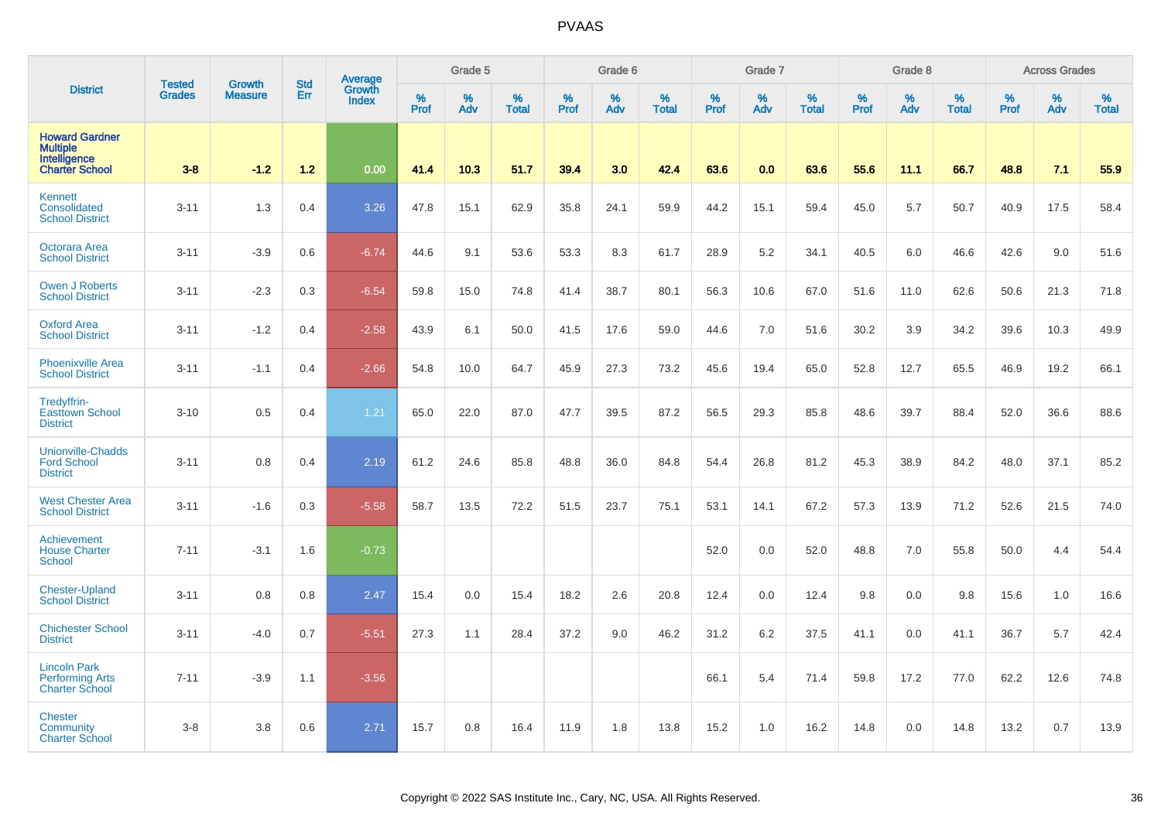|                                                                            | <b>Tested</b> |                          | <b>Std</b> | Average                |              | Grade 5     |                   |           | Grade 6  |                   |           | Grade 7  |                   |              | Grade 8  |                   |              | <b>Across Grades</b> |                   |
|----------------------------------------------------------------------------|---------------|--------------------------|------------|------------------------|--------------|-------------|-------------------|-----------|----------|-------------------|-----------|----------|-------------------|--------------|----------|-------------------|--------------|----------------------|-------------------|
| <b>District</b>                                                            | <b>Grades</b> | Growth<br><b>Measure</b> | Err        | Growth<br><b>Index</b> | $\%$<br>Prof | $\%$<br>Adv | %<br><b>Total</b> | %<br>Prof | %<br>Adv | %<br><b>Total</b> | %<br>Prof | %<br>Adv | %<br><b>Total</b> | $\%$<br>Prof | %<br>Adv | %<br><b>Total</b> | $\%$<br>Prof | %<br>Adv             | %<br><b>Total</b> |
| <b>Howard Gardner</b><br>Multiple<br>Intelligence<br><b>Charter School</b> | $3 - 8$       | $-1.2$                   | $1.2$      | 0.00                   | 41.4         | 10.3        | 51.7              | 39.4      | 3.0      | 42.4              | 63.6      | 0.0      | 63.6              | 55.6         | 11.1     | 66.7              | 48.8         | 7.1                  | 55.9              |
| <b>Kennett</b><br>Consolidated<br><b>School District</b>                   | $3 - 11$      | 1.3                      | 0.4        | 3.26                   | 47.8         | 15.1        | 62.9              | 35.8      | 24.1     | 59.9              | 44.2      | 15.1     | 59.4              | 45.0         | 5.7      | 50.7              | 40.9         | 17.5                 | 58.4              |
| Octorara Area<br><b>School District</b>                                    | $3 - 11$      | $-3.9$                   | 0.6        | $-6.74$                | 44.6         | 9.1         | 53.6              | 53.3      | 8.3      | 61.7              | 28.9      | 5.2      | 34.1              | 40.5         | 6.0      | 46.6              | 42.6         | 9.0                  | 51.6              |
| <b>Owen J Roberts</b><br><b>School District</b>                            | $3 - 11$      | $-2.3$                   | 0.3        | $-6.54$                | 59.8         | 15.0        | 74.8              | 41.4      | 38.7     | 80.1              | 56.3      | 10.6     | 67.0              | 51.6         | 11.0     | 62.6              | 50.6         | 21.3                 | 71.8              |
| <b>Oxford Area</b><br><b>School District</b>                               | $3 - 11$      | $-1.2$                   | 0.4        | $-2.58$                | 43.9         | 6.1         | 50.0              | 41.5      | 17.6     | 59.0              | 44.6      | 7.0      | 51.6              | 30.2         | 3.9      | 34.2              | 39.6         | 10.3                 | 49.9              |
| <b>Phoenixville Area</b><br><b>School District</b>                         | $3 - 11$      | $-1.1$                   | 0.4        | $-2.66$                | 54.8         | 10.0        | 64.7              | 45.9      | 27.3     | 73.2              | 45.6      | 19.4     | 65.0              | 52.8         | 12.7     | 65.5              | 46.9         | 19.2                 | 66.1              |
| Tredyffrin-<br><b>Easttown School</b><br><b>District</b>                   | $3 - 10$      | 0.5                      | 0.4        | 1.21                   | 65.0         | 22.0        | 87.0              | 47.7      | 39.5     | 87.2              | 56.5      | 29.3     | 85.8              | 48.6         | 39.7     | 88.4              | 52.0         | 36.6                 | 88.6              |
| <b>Unionville-Chadds</b><br><b>Ford School</b><br><b>District</b>          | $3 - 11$      | 0.8                      | 0.4        | 2.19                   | 61.2         | 24.6        | 85.8              | 48.8      | 36.0     | 84.8              | 54.4      | 26.8     | 81.2              | 45.3         | 38.9     | 84.2              | 48.0         | 37.1                 | 85.2              |
| <b>West Chester Area</b><br><b>School District</b>                         | $3 - 11$      | $-1.6$                   | 0.3        | $-5.58$                | 58.7         | 13.5        | 72.2              | 51.5      | 23.7     | 75.1              | 53.1      | 14.1     | 67.2              | 57.3         | 13.9     | 71.2              | 52.6         | 21.5                 | 74.0              |
| Achievement<br><b>House Charter</b><br><b>School</b>                       | $7 - 11$      | $-3.1$                   | 1.6        | $-0.73$                |              |             |                   |           |          |                   | 52.0      | 0.0      | 52.0              | 48.8         | 7.0      | 55.8              | 50.0         | 4.4                  | 54.4              |
| <b>Chester-Upland</b><br><b>School District</b>                            | $3 - 11$      | 0.8                      | 0.8        | 2.47                   | 15.4         | 0.0         | 15.4              | 18.2      | 2.6      | 20.8              | 12.4      | 0.0      | 12.4              | 9.8          | 0.0      | 9.8               | 15.6         | 1.0                  | 16.6              |
| <b>Chichester School</b><br><b>District</b>                                | $3 - 11$      | $-4.0$                   | 0.7        | $-5.51$                | 27.3         | 1.1         | 28.4              | 37.2      | 9.0      | 46.2              | 31.2      | 6.2      | 37.5              | 41.1         | 0.0      | 41.1              | 36.7         | $5.7\,$              | 42.4              |
| <b>Lincoln Park</b><br><b>Performing Arts</b><br><b>Charter School</b>     | $7 - 11$      | $-3.9$                   | 1.1        | $-3.56$                |              |             |                   |           |          |                   | 66.1      | 5.4      | 71.4              | 59.8         | 17.2     | 77.0              | 62.2         | 12.6                 | 74.8              |
| <b>Chester</b><br>Community<br><b>Charter School</b>                       | $3 - 8$       | 3.8                      | 0.6        | 2.71                   | 15.7         | 0.8         | 16.4              | 11.9      | 1.8      | 13.8              | 15.2      | 1.0      | 16.2              | 14.8         | 0.0      | 14.8              | 13.2         | 0.7                  | 13.9              |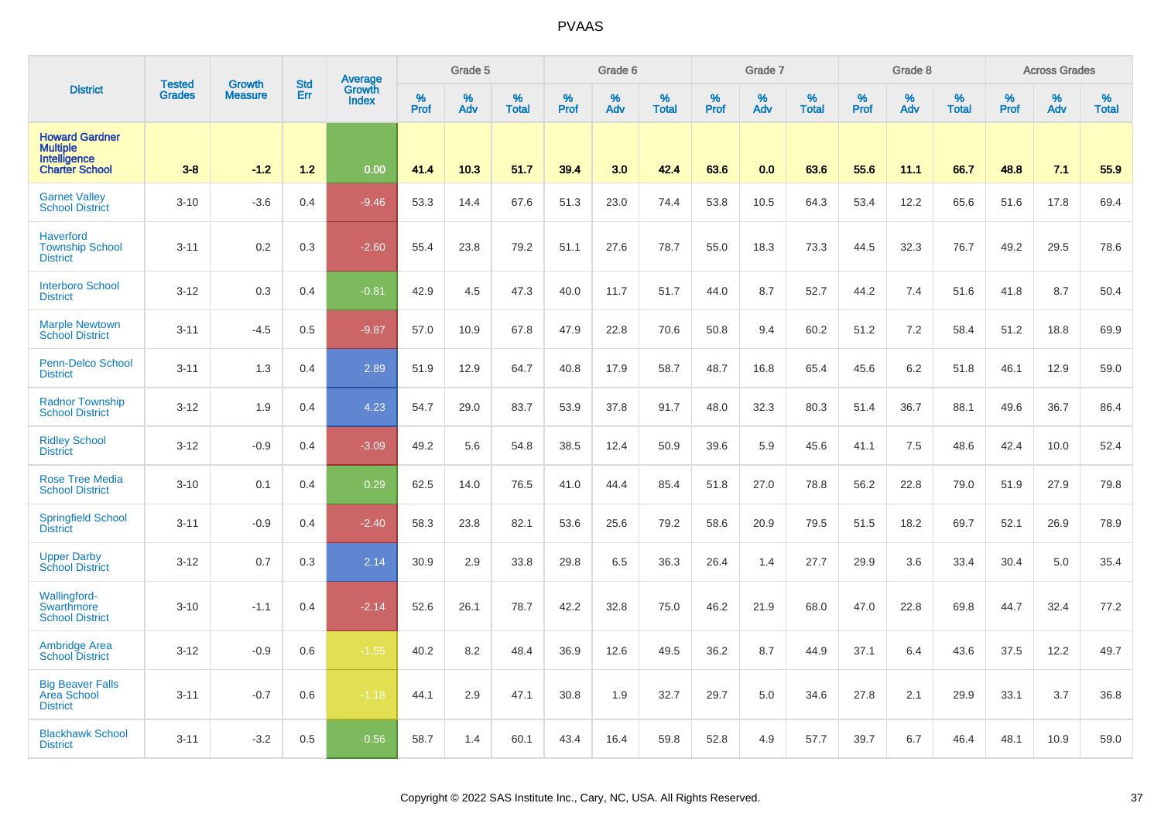|                                                                                   | <b>Tested</b> | <b>Growth</b>  | <b>Std</b> | Average                |              | Grade 5  |                   |                  | Grade 6  |                   |           | Grade 7  |                   |           | Grade 8  |                   |           | <b>Across Grades</b> |                   |
|-----------------------------------------------------------------------------------|---------------|----------------|------------|------------------------|--------------|----------|-------------------|------------------|----------|-------------------|-----------|----------|-------------------|-----------|----------|-------------------|-----------|----------------------|-------------------|
| <b>District</b>                                                                   | <b>Grades</b> | <b>Measure</b> | Err        | Growth<br><b>Index</b> | $\%$<br>Prof | %<br>Adv | %<br><b>Total</b> | %<br><b>Prof</b> | %<br>Adv | %<br><b>Total</b> | %<br>Prof | %<br>Adv | %<br><b>Total</b> | %<br>Prof | %<br>Adv | %<br><b>Total</b> | %<br>Prof | %<br>Adv             | %<br><b>Total</b> |
| <b>Howard Gardner</b><br><b>Multiple</b><br>Intelligence<br><b>Charter School</b> | $3 - 8$       | $-1.2$         | $1.2$      | 0.00                   | 41.4         | 10.3     | 51.7              | 39.4             | 3.0      | 42.4              | 63.6      | 0.0      | 63.6              | 55.6      | 11.1     | 66.7              | 48.8      | 7.1                  | 55.9              |
| <b>Garnet Valley</b><br><b>School District</b>                                    | $3 - 10$      | $-3.6$         | 0.4        | $-9.46$                | 53.3         | 14.4     | 67.6              | 51.3             | 23.0     | 74.4              | 53.8      | 10.5     | 64.3              | 53.4      | 12.2     | 65.6              | 51.6      | 17.8                 | 69.4              |
| <b>Haverford</b><br><b>Township School</b><br><b>District</b>                     | $3 - 11$      | 0.2            | 0.3        | $-2.60$                | 55.4         | 23.8     | 79.2              | 51.1             | 27.6     | 78.7              | 55.0      | 18.3     | 73.3              | 44.5      | 32.3     | 76.7              | 49.2      | 29.5                 | 78.6              |
| <b>Interboro School</b><br><b>District</b>                                        | $3 - 12$      | 0.3            | 0.4        | $-0.81$                | 42.9         | 4.5      | 47.3              | 40.0             | 11.7     | 51.7              | 44.0      | 8.7      | 52.7              | 44.2      | 7.4      | 51.6              | 41.8      | 8.7                  | 50.4              |
| <b>Marple Newtown</b><br><b>School District</b>                                   | $3 - 11$      | $-4.5$         | 0.5        | $-9.87$                | 57.0         | 10.9     | 67.8              | 47.9             | 22.8     | 70.6              | 50.8      | 9.4      | 60.2              | 51.2      | 7.2      | 58.4              | 51.2      | 18.8                 | 69.9              |
| <b>Penn-Delco School</b><br><b>District</b>                                       | $3 - 11$      | 1.3            | 0.4        | 2.89                   | 51.9         | 12.9     | 64.7              | 40.8             | 17.9     | 58.7              | 48.7      | 16.8     | 65.4              | 45.6      | 6.2      | 51.8              | 46.1      | 12.9                 | 59.0              |
| <b>Radnor Township</b><br><b>School District</b>                                  | $3 - 12$      | 1.9            | 0.4        | 4.23                   | 54.7         | 29.0     | 83.7              | 53.9             | 37.8     | 91.7              | 48.0      | 32.3     | 80.3              | 51.4      | 36.7     | 88.1              | 49.6      | 36.7                 | 86.4              |
| <b>Ridley School</b><br><b>District</b>                                           | $3 - 12$      | $-0.9$         | 0.4        | $-3.09$                | 49.2         | 5.6      | 54.8              | 38.5             | 12.4     | 50.9              | 39.6      | 5.9      | 45.6              | 41.1      | 7.5      | 48.6              | 42.4      | 10.0                 | 52.4              |
| <b>Rose Tree Media</b><br><b>School District</b>                                  | $3 - 10$      | 0.1            | 0.4        | 0.29                   | 62.5         | 14.0     | 76.5              | 41.0             | 44.4     | 85.4              | 51.8      | 27.0     | 78.8              | 56.2      | 22.8     | 79.0              | 51.9      | 27.9                 | 79.8              |
| <b>Springfield School</b><br><b>District</b>                                      | $3 - 11$      | $-0.9$         | 0.4        | $-2.40$                | 58.3         | 23.8     | 82.1              | 53.6             | 25.6     | 79.2              | 58.6      | 20.9     | 79.5              | 51.5      | 18.2     | 69.7              | 52.1      | 26.9                 | 78.9              |
| <b>Upper Darby</b><br><b>School District</b>                                      | $3 - 12$      | 0.7            | 0.3        | 2.14                   | 30.9         | 2.9      | 33.8              | 29.8             | 6.5      | 36.3              | 26.4      | 1.4      | 27.7              | 29.9      | 3.6      | 33.4              | 30.4      | 5.0                  | 35.4              |
| Wallingford-<br>Swarthmore<br><b>School District</b>                              | $3 - 10$      | $-1.1$         | 0.4        | $-2.14$                | 52.6         | 26.1     | 78.7              | 42.2             | 32.8     | 75.0              | 46.2      | 21.9     | 68.0              | 47.0      | 22.8     | 69.8              | 44.7      | 32.4                 | 77.2              |
| <b>Ambridge Area</b><br><b>School District</b>                                    | $3 - 12$      | $-0.9$         | 0.6        | $-1.55$                | 40.2         | 8.2      | 48.4              | 36.9             | 12.6     | 49.5              | 36.2      | 8.7      | 44.9              | 37.1      | 6.4      | 43.6              | 37.5      | 12.2                 | 49.7              |
| <b>Big Beaver Falls</b><br>Area School<br><b>District</b>                         | $3 - 11$      | $-0.7$         | 0.6        | $-1.18$                | 44.1         | 2.9      | 47.1              | 30.8             | 1.9      | 32.7              | 29.7      | 5.0      | 34.6              | 27.8      | 2.1      | 29.9              | 33.1      | 3.7                  | 36.8              |
| <b>Blackhawk School</b><br><b>District</b>                                        | $3 - 11$      | $-3.2$         | 0.5        | 0.56                   | 58.7         | 1.4      | 60.1              | 43.4             | 16.4     | 59.8              | 52.8      | 4.9      | 57.7              | 39.7      | 6.7      | 46.4              | 48.1      | 10.9                 | 59.0              |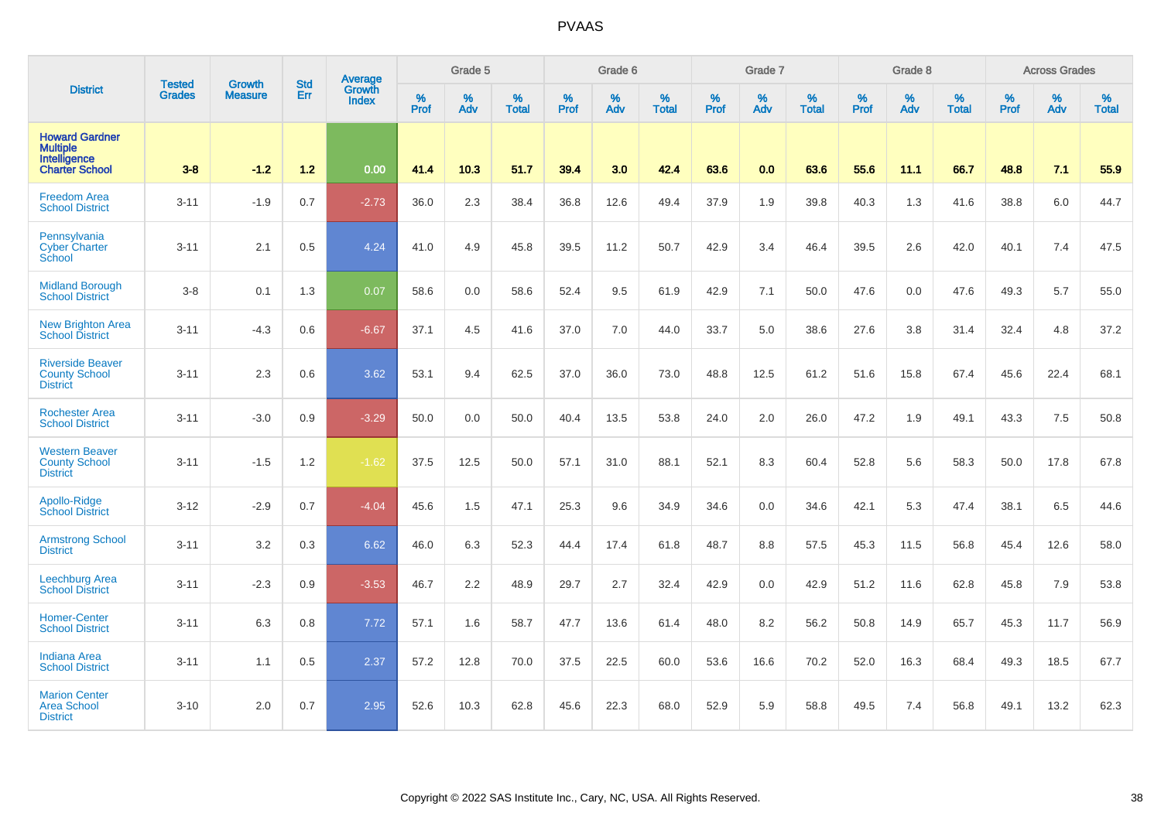|                                                                                   | <b>Tested</b> | <b>Growth</b>  | <b>Std</b> | Average                |                     | Grade 5     |                   |           | Grade 6  |                   |              | Grade 7  |                   |           | Grade 8  |                   |                  | <b>Across Grades</b> |                   |
|-----------------------------------------------------------------------------------|---------------|----------------|------------|------------------------|---------------------|-------------|-------------------|-----------|----------|-------------------|--------------|----------|-------------------|-----------|----------|-------------------|------------------|----------------------|-------------------|
| <b>District</b>                                                                   | <b>Grades</b> | <b>Measure</b> | Err        | Growth<br><b>Index</b> | $\%$<br><b>Prof</b> | $\%$<br>Adv | %<br><b>Total</b> | %<br>Prof | %<br>Adv | %<br><b>Total</b> | $\%$<br>Prof | %<br>Adv | %<br><b>Total</b> | %<br>Prof | %<br>Adv | %<br><b>Total</b> | %<br><b>Prof</b> | %<br>Adv             | %<br><b>Total</b> |
| <b>Howard Gardner</b><br><b>Multiple</b><br>Intelligence<br><b>Charter School</b> | $3 - 8$       | $-1.2$         | 1.2        | 0.00                   | 41.4                | 10.3        | 51.7              | 39.4      | 3.0      | 42.4              | 63.6         | 0.0      | 63.6              | 55.6      | 11.1     | 66.7              | 48.8             | 7.1                  | 55.9              |
| <b>Freedom Area</b><br><b>School District</b>                                     | $3 - 11$      | $-1.9$         | 0.7        | $-2.73$                | 36.0                | 2.3         | 38.4              | 36.8      | 12.6     | 49.4              | 37.9         | 1.9      | 39.8              | 40.3      | 1.3      | 41.6              | 38.8             | 6.0                  | 44.7              |
| Pennsylvania<br><b>Cyber Charter</b><br>School                                    | $3 - 11$      | 2.1            | 0.5        | 4.24                   | 41.0                | 4.9         | 45.8              | 39.5      | 11.2     | 50.7              | 42.9         | 3.4      | 46.4              | 39.5      | 2.6      | 42.0              | 40.1             | 7.4                  | 47.5              |
| <b>Midland Borough</b><br><b>School District</b>                                  | $3 - 8$       | 0.1            | 1.3        | 0.07                   | 58.6                | 0.0         | 58.6              | 52.4      | 9.5      | 61.9              | 42.9         | 7.1      | 50.0              | 47.6      | 0.0      | 47.6              | 49.3             | 5.7                  | 55.0              |
| <b>New Brighton Area</b><br><b>School District</b>                                | $3 - 11$      | $-4.3$         | 0.6        | $-6.67$                | 37.1                | 4.5         | 41.6              | 37.0      | 7.0      | 44.0              | 33.7         | 5.0      | 38.6              | 27.6      | 3.8      | 31.4              | 32.4             | 4.8                  | 37.2              |
| <b>Riverside Beaver</b><br><b>County School</b><br><b>District</b>                | $3 - 11$      | 2.3            | 0.6        | 3.62                   | 53.1                | 9.4         | 62.5              | 37.0      | 36.0     | 73.0              | 48.8         | 12.5     | 61.2              | 51.6      | 15.8     | 67.4              | 45.6             | 22.4                 | 68.1              |
| <b>Rochester Area</b><br><b>School District</b>                                   | $3 - 11$      | $-3.0$         | 0.9        | $-3.29$                | 50.0                | 0.0         | 50.0              | 40.4      | 13.5     | 53.8              | 24.0         | 2.0      | 26.0              | 47.2      | 1.9      | 49.1              | 43.3             | 7.5                  | 50.8              |
| <b>Western Beaver</b><br><b>County School</b><br><b>District</b>                  | $3 - 11$      | $-1.5$         | 1.2        | $-1.62$                | 37.5                | 12.5        | 50.0              | 57.1      | 31.0     | 88.1              | 52.1         | 8.3      | 60.4              | 52.8      | 5.6      | 58.3              | 50.0             | 17.8                 | 67.8              |
| Apollo-Ridge<br><b>School District</b>                                            | $3 - 12$      | $-2.9$         | 0.7        | $-4.04$                | 45.6                | 1.5         | 47.1              | 25.3      | 9.6      | 34.9              | 34.6         | 0.0      | 34.6              | 42.1      | 5.3      | 47.4              | 38.1             | 6.5                  | 44.6              |
| <b>Armstrong School</b><br><b>District</b>                                        | $3 - 11$      | 3.2            | 0.3        | 6.62                   | 46.0                | 6.3         | 52.3              | 44.4      | 17.4     | 61.8              | 48.7         | 8.8      | 57.5              | 45.3      | 11.5     | 56.8              | 45.4             | 12.6                 | 58.0              |
| <b>Leechburg Area</b><br><b>School District</b>                                   | $3 - 11$      | $-2.3$         | 0.9        | $-3.53$                | 46.7                | 2.2         | 48.9              | 29.7      | 2.7      | 32.4              | 42.9         | 0.0      | 42.9              | 51.2      | 11.6     | 62.8              | 45.8             | 7.9                  | 53.8              |
| <b>Homer-Center</b><br><b>School District</b>                                     | $3 - 11$      | 6.3            | 0.8        | 7.72                   | 57.1                | 1.6         | 58.7              | 47.7      | 13.6     | 61.4              | 48.0         | 8.2      | 56.2              | 50.8      | 14.9     | 65.7              | 45.3             | 11.7                 | 56.9              |
| <b>Indiana Area</b><br><b>School District</b>                                     | $3 - 11$      | 1.1            | 0.5        | 2.37                   | 57.2                | 12.8        | 70.0              | 37.5      | 22.5     | 60.0              | 53.6         | 16.6     | 70.2              | 52.0      | 16.3     | 68.4              | 49.3             | 18.5                 | 67.7              |
| <b>Marion Center</b><br><b>Area School</b><br><b>District</b>                     | $3 - 10$      | 2.0            | 0.7        | 2.95                   | 52.6                | 10.3        | 62.8              | 45.6      | 22.3     | 68.0              | 52.9         | 5.9      | 58.8              | 49.5      | 7.4      | 56.8              | 49.1             | 13.2                 | 62.3              |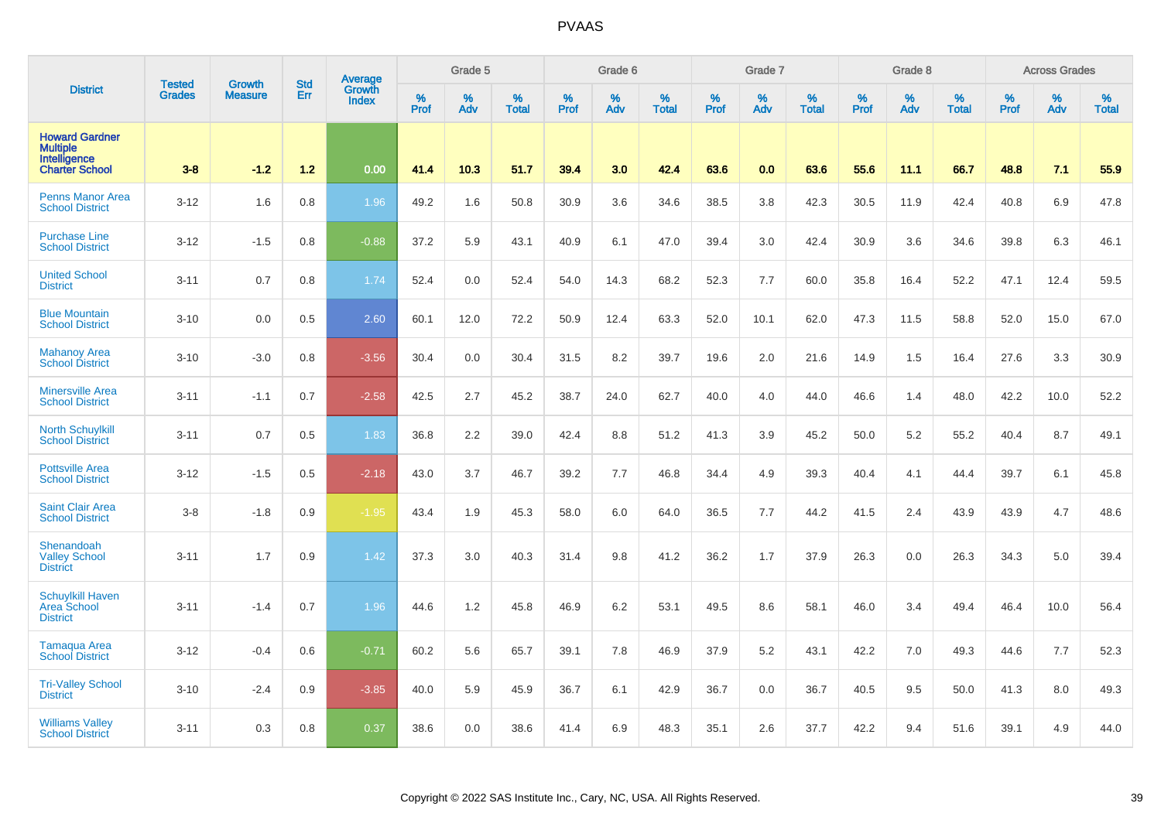|                                                                                   | <b>Tested</b> | <b>Growth</b>  | <b>Std</b> | <b>Average</b><br>Growth |                  | Grade 5  |                   |                  | Grade 6  |                   |           | Grade 7  |                   |           | Grade 8  |                   |                  | <b>Across Grades</b> |                   |
|-----------------------------------------------------------------------------------|---------------|----------------|------------|--------------------------|------------------|----------|-------------------|------------------|----------|-------------------|-----------|----------|-------------------|-----------|----------|-------------------|------------------|----------------------|-------------------|
| <b>District</b>                                                                   | <b>Grades</b> | <b>Measure</b> | Err        | <b>Index</b>             | %<br><b>Prof</b> | %<br>Adv | %<br><b>Total</b> | %<br><b>Prof</b> | %<br>Adv | %<br><b>Total</b> | %<br>Prof | %<br>Adv | %<br><b>Total</b> | %<br>Prof | %<br>Adv | %<br><b>Total</b> | %<br><b>Prof</b> | %<br>Adv             | %<br><b>Total</b> |
| <b>Howard Gardner</b><br><b>Multiple</b><br>Intelligence<br><b>Charter School</b> | $3 - 8$       | $-1.2$         | 1.2        | 0.00                     | 41.4             | 10.3     | 51.7              | 39.4             | 3.0      | 42.4              | 63.6      | 0.0      | 63.6              | 55.6      | 11.1     | 66.7              | 48.8             | 7.1                  | 55.9              |
| <b>Penns Manor Area</b><br><b>School District</b>                                 | $3 - 12$      | 1.6            | 0.8        | 1.96                     | 49.2             | 1.6      | 50.8              | 30.9             | 3.6      | 34.6              | 38.5      | 3.8      | 42.3              | 30.5      | 11.9     | 42.4              | 40.8             | 6.9                  | 47.8              |
| <b>Purchase Line</b><br><b>School District</b>                                    | $3 - 12$      | $-1.5$         | 0.8        | $-0.88$                  | 37.2             | 5.9      | 43.1              | 40.9             | 6.1      | 47.0              | 39.4      | 3.0      | 42.4              | 30.9      | 3.6      | 34.6              | 39.8             | 6.3                  | 46.1              |
| <b>United School</b><br><b>District</b>                                           | $3 - 11$      | 0.7            | 0.8        | 1.74                     | 52.4             | 0.0      | 52.4              | 54.0             | 14.3     | 68.2              | 52.3      | 7.7      | 60.0              | 35.8      | 16.4     | 52.2              | 47.1             | 12.4                 | 59.5              |
| <b>Blue Mountain</b><br><b>School District</b>                                    | $3 - 10$      | 0.0            | 0.5        | 2.60                     | 60.1             | 12.0     | 72.2              | 50.9             | 12.4     | 63.3              | 52.0      | 10.1     | 62.0              | 47.3      | 11.5     | 58.8              | 52.0             | 15.0                 | 67.0              |
| <b>Mahanoy Area</b><br><b>School District</b>                                     | $3 - 10$      | $-3.0$         | 0.8        | $-3.56$                  | 30.4             | 0.0      | 30.4              | 31.5             | 8.2      | 39.7              | 19.6      | 2.0      | 21.6              | 14.9      | 1.5      | 16.4              | 27.6             | 3.3                  | 30.9              |
| <b>Minersville Area</b><br><b>School District</b>                                 | $3 - 11$      | $-1.1$         | 0.7        | $-2.58$                  | 42.5             | 2.7      | 45.2              | 38.7             | 24.0     | 62.7              | 40.0      | 4.0      | 44.0              | 46.6      | 1.4      | 48.0              | 42.2             | 10.0                 | 52.2              |
| <b>North Schuylkill</b><br><b>School District</b>                                 | $3 - 11$      | 0.7            | 0.5        | 1.83                     | 36.8             | 2.2      | 39.0              | 42.4             | 8.8      | 51.2              | 41.3      | 3.9      | 45.2              | 50.0      | 5.2      | 55.2              | 40.4             | 8.7                  | 49.1              |
| <b>Pottsville Area</b><br><b>School District</b>                                  | $3 - 12$      | $-1.5$         | 0.5        | $-2.18$                  | 43.0             | 3.7      | 46.7              | 39.2             | 7.7      | 46.8              | 34.4      | 4.9      | 39.3              | 40.4      | 4.1      | 44.4              | 39.7             | 6.1                  | 45.8              |
| <b>Saint Clair Area</b><br><b>School District</b>                                 | $3 - 8$       | $-1.8$         | 0.9        | $-1.95$                  | 43.4             | 1.9      | 45.3              | 58.0             | 6.0      | 64.0              | 36.5      | 7.7      | 44.2              | 41.5      | 2.4      | 43.9              | 43.9             | 4.7                  | 48.6              |
| Shenandoah<br><b>Valley School</b><br><b>District</b>                             | $3 - 11$      | 1.7            | 0.9        | 1.42                     | 37.3             | 3.0      | 40.3              | 31.4             | 9.8      | 41.2              | 36.2      | 1.7      | 37.9              | 26.3      | 0.0      | 26.3              | 34.3             | 5.0                  | 39.4              |
| <b>Schuylkill Haven</b><br>Area School<br><b>District</b>                         | $3 - 11$      | $-1.4$         | 0.7        | 1.96                     | 44.6             | 1.2      | 45.8              | 46.9             | 6.2      | 53.1              | 49.5      | 8.6      | 58.1              | 46.0      | 3.4      | 49.4              | 46.4             | 10.0                 | 56.4              |
| Tamaqua Area<br><b>School District</b>                                            | $3 - 12$      | $-0.4$         | 0.6        | $-0.71$                  | 60.2             | 5.6      | 65.7              | 39.1             | 7.8      | 46.9              | 37.9      | 5.2      | 43.1              | 42.2      | 7.0      | 49.3              | 44.6             | 7.7                  | 52.3              |
| <b>Tri-Valley School</b><br><b>District</b>                                       | $3 - 10$      | $-2.4$         | 0.9        | $-3.85$                  | 40.0             | 5.9      | 45.9              | 36.7             | 6.1      | 42.9              | 36.7      | 0.0      | 36.7              | 40.5      | 9.5      | 50.0              | 41.3             | 8.0                  | 49.3              |
| <b>Williams Valley</b><br><b>School District</b>                                  | $3 - 11$      | 0.3            | 0.8        | 0.37                     | 38.6             | 0.0      | 38.6              | 41.4             | 6.9      | 48.3              | 35.1      | 2.6      | 37.7              | 42.2      | 9.4      | 51.6              | 39.1             | 4.9                  | 44.0              |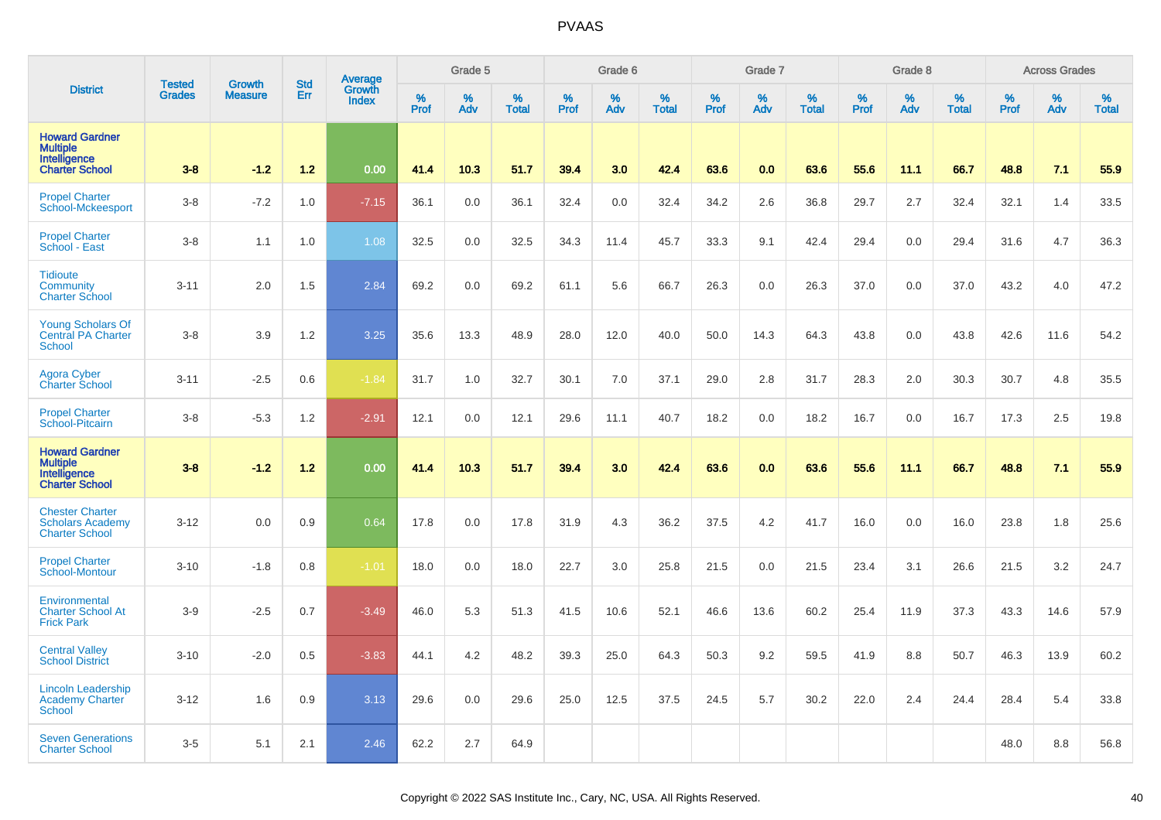|                                                                                   | <b>Tested</b> | <b>Growth</b>  | <b>Std</b> |                                          |           | Grade 5  |                   |           | Grade 6  |                   |           | Grade 7  |                   |           | Grade 8  |                   |           | <b>Across Grades</b> |                   |
|-----------------------------------------------------------------------------------|---------------|----------------|------------|------------------------------------------|-----------|----------|-------------------|-----------|----------|-------------------|-----------|----------|-------------------|-----------|----------|-------------------|-----------|----------------------|-------------------|
| <b>District</b>                                                                   | <b>Grades</b> | <b>Measure</b> | Err        | <b>Average</b><br>Growth<br><b>Index</b> | %<br>Prof | %<br>Adv | %<br><b>Total</b> | %<br>Prof | %<br>Adv | %<br><b>Total</b> | %<br>Prof | %<br>Adv | %<br><b>Total</b> | %<br>Prof | %<br>Adv | %<br><b>Total</b> | %<br>Prof | %<br>Adv             | %<br><b>Total</b> |
| <b>Howard Gardner</b><br><b>Multiple</b><br>Intelligence<br><b>Charter School</b> | $3-8$         | $-1.2$         | $1.2$      | 0.00                                     | 41.4      | 10.3     | 51.7              | 39.4      | 3.0      | 42.4              | 63.6      | 0.0      | 63.6              | 55.6      | 11.1     | 66.7              | 48.8      | 7.1                  | 55.9              |
| <b>Propel Charter</b><br><b>School-Mckeesport</b>                                 | $3-8$         | $-7.2$         | 1.0        | $-7.15$                                  | 36.1      | 0.0      | 36.1              | 32.4      | 0.0      | 32.4              | 34.2      | 2.6      | 36.8              | 29.7      | 2.7      | 32.4              | 32.1      | 1.4                  | 33.5              |
| <b>Propel Charter</b><br>School - East                                            | $3-8$         | 1.1            | 1.0        | 1.08                                     | 32.5      | 0.0      | 32.5              | 34.3      | 11.4     | 45.7              | 33.3      | 9.1      | 42.4              | 29.4      | 0.0      | 29.4              | 31.6      | 4.7                  | 36.3              |
| <b>Tidioute</b><br>Community<br><b>Charter School</b>                             | $3 - 11$      | 2.0            | 1.5        | 2.84                                     | 69.2      | 0.0      | 69.2              | 61.1      | 5.6      | 66.7              | 26.3      | 0.0      | 26.3              | 37.0      | 0.0      | 37.0              | 43.2      | 4.0                  | 47.2              |
| <b>Young Scholars Of</b><br><b>Central PA Charter</b><br><b>School</b>            | $3 - 8$       | 3.9            | 1.2        | 3.25                                     | 35.6      | 13.3     | 48.9              | 28.0      | 12.0     | 40.0              | 50.0      | 14.3     | 64.3              | 43.8      | 0.0      | 43.8              | 42.6      | 11.6                 | 54.2              |
| <b>Agora Cyber</b><br><b>Charter School</b>                                       | $3 - 11$      | $-2.5$         | 0.6        | $-1.84$                                  | 31.7      | 1.0      | 32.7              | 30.1      | 7.0      | 37.1              | 29.0      | 2.8      | 31.7              | 28.3      | 2.0      | 30.3              | 30.7      | 4.8                  | 35.5              |
| <b>Propel Charter</b><br>School-Pitcairn                                          | $3 - 8$       | $-5.3$         | 1.2        | $-2.91$                                  | 12.1      | 0.0      | 12.1              | 29.6      | 11.1     | 40.7              | 18.2      | 0.0      | 18.2              | 16.7      | 0.0      | 16.7              | 17.3      | 2.5                  | 19.8              |
| <b>Howard Gardner</b><br><b>Multiple</b><br>Intelligence<br><b>Charter School</b> | $3 - 8$       | $-1.2$         | $1.2$      | 0.00                                     | 41.4      | 10.3     | 51.7              | 39.4      | 3.0      | 42.4              | 63.6      | 0.0      | 63.6              | 55.6      | 11.1     | 66.7              | 48.8      | 7.1                  | 55.9              |
| <b>Chester Charter</b><br><b>Scholars Academy</b><br><b>Charter School</b>        | $3 - 12$      | 0.0            | 0.9        | 0.64                                     | 17.8      | 0.0      | 17.8              | 31.9      | 4.3      | 36.2              | 37.5      | 4.2      | 41.7              | 16.0      | 0.0      | 16.0              | 23.8      | 1.8                  | 25.6              |
| <b>Propel Charter</b><br>School-Montour                                           | $3 - 10$      | $-1.8$         | 0.8        | $-1.01$                                  | 18.0      | 0.0      | 18.0              | 22.7      | 3.0      | 25.8              | 21.5      | 0.0      | 21.5              | 23.4      | 3.1      | 26.6              | 21.5      | 3.2                  | 24.7              |
| Environmental<br><b>Charter School At</b><br><b>Frick Park</b>                    | $3-9$         | $-2.5$         | 0.7        | $-3.49$                                  | 46.0      | 5.3      | 51.3              | 41.5      | 10.6     | 52.1              | 46.6      | 13.6     | 60.2              | 25.4      | 11.9     | 37.3              | 43.3      | 14.6                 | 57.9              |
| <b>Central Valley</b><br><b>School District</b>                                   | $3 - 10$      | $-2.0$         | 0.5        | $-3.83$                                  | 44.1      | 4.2      | 48.2              | 39.3      | 25.0     | 64.3              | 50.3      | 9.2      | 59.5              | 41.9      | 8.8      | 50.7              | 46.3      | 13.9                 | 60.2              |
| <b>Lincoln Leadership</b><br>Academy Charter<br><b>School</b>                     | $3 - 12$      | 1.6            | 0.9        | 3.13                                     | 29.6      | 0.0      | 29.6              | 25.0      | 12.5     | 37.5              | 24.5      | 5.7      | 30.2              | 22.0      | 2.4      | 24.4              | 28.4      | 5.4                  | 33.8              |
| <b>Seven Generations</b><br><b>Charter School</b>                                 | $3-5$         | 5.1            | 2.1        | 2.46                                     | 62.2      | 2.7      | 64.9              |           |          |                   |           |          |                   |           |          |                   | 48.0      | 8.8                  | 56.8              |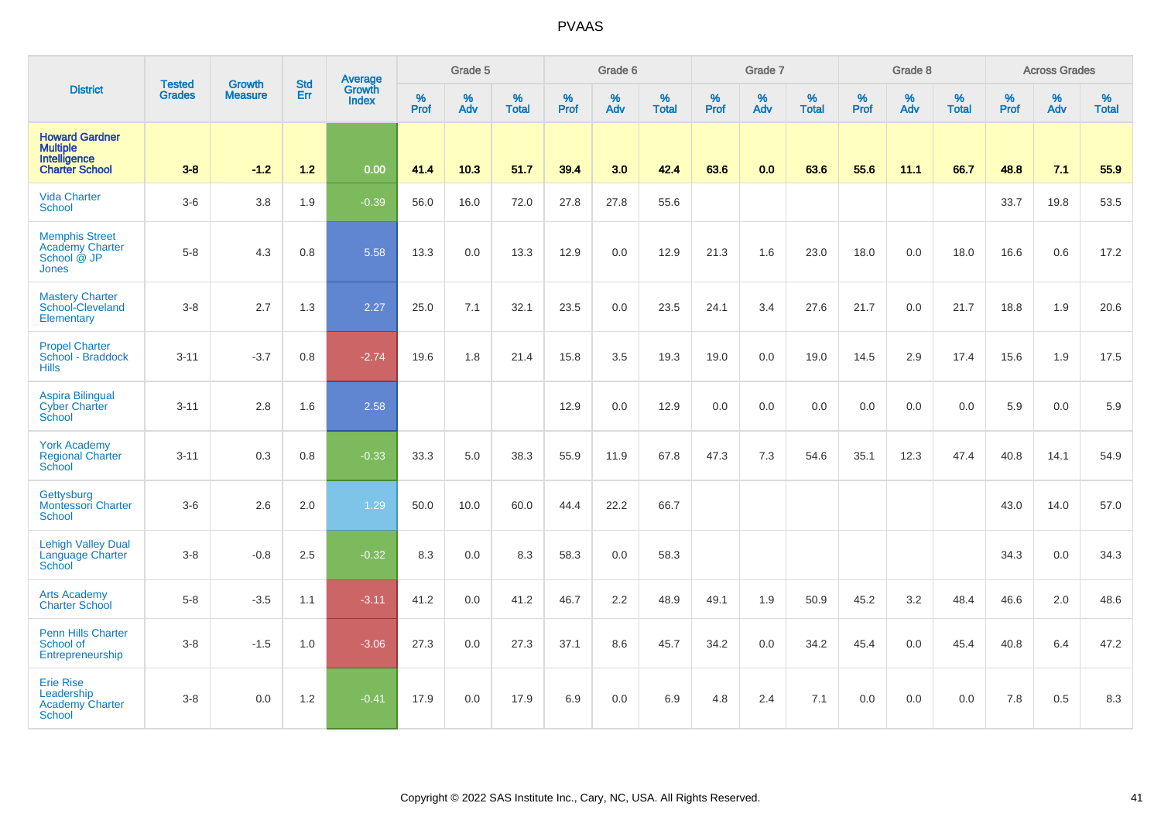|                                                                                |                                |                                 | <b>Std</b> | Average                       |              | Grade 5  |                   |           | Grade 6  |                   |           | Grade 7  |                   |           | Grade 8  |                   |           | <b>Across Grades</b> |                   |
|--------------------------------------------------------------------------------|--------------------------------|---------------------------------|------------|-------------------------------|--------------|----------|-------------------|-----------|----------|-------------------|-----------|----------|-------------------|-----------|----------|-------------------|-----------|----------------------|-------------------|
| <b>District</b>                                                                | <b>Tested</b><br><b>Grades</b> | <b>Growth</b><br><b>Measure</b> | <b>Err</b> | <b>Growth</b><br><b>Index</b> | $\%$<br>Prof | %<br>Adv | %<br><b>Total</b> | %<br>Prof | %<br>Adv | %<br><b>Total</b> | %<br>Prof | %<br>Adv | %<br><b>Total</b> | %<br>Prof | %<br>Adv | %<br><b>Total</b> | %<br>Prof | %<br>Adv             | %<br><b>Total</b> |
| <b>Howard Gardner</b><br>Multiple<br>Intelligence<br><b>Charter School</b>     | $3 - 8$                        | $-1.2$                          | $1.2$      | 0.00                          | 41.4         | 10.3     | 51.7              | 39.4      | 3.0      | 42.4              | 63.6      | 0.0      | 63.6              | 55.6      | 11.1     | 66.7              | 48.8      | 7.1                  | 55.9              |
| <b>Vida Charter</b><br><b>School</b>                                           | $3-6$                          | 3.8                             | 1.9        | $-0.39$                       | 56.0         | 16.0     | 72.0              | 27.8      | 27.8     | 55.6              |           |          |                   |           |          |                   | 33.7      | 19.8                 | 53.5              |
| <b>Memphis Street</b><br><b>Academy Charter</b><br>School @ JP<br><b>Jones</b> | $5-8$                          | 4.3                             | 0.8        | 5.58                          | 13.3         | 0.0      | 13.3              | 12.9      | 0.0      | 12.9              | 21.3      | 1.6      | 23.0              | 18.0      | 0.0      | 18.0              | 16.6      | 0.6                  | 17.2              |
| <b>Mastery Charter</b><br>School-Cleveland<br>Elementary                       | $3-8$                          | 2.7                             | 1.3        | 2.27                          | 25.0         | 7.1      | 32.1              | 23.5      | 0.0      | 23.5              | 24.1      | 3.4      | 27.6              | 21.7      | 0.0      | 21.7              | 18.8      | 1.9                  | 20.6              |
| <b>Propel Charter</b><br>School - Braddock<br><b>Hills</b>                     | $3 - 11$                       | $-3.7$                          | 0.8        | $-2.74$                       | 19.6         | 1.8      | 21.4              | 15.8      | 3.5      | 19.3              | 19.0      | 0.0      | 19.0              | 14.5      | 2.9      | 17.4              | 15.6      | 1.9                  | 17.5              |
| <b>Aspira Bilingual</b><br><b>Cyber Charter</b><br>School                      | $3 - 11$                       | 2.8                             | 1.6        | 2.58                          |              |          |                   | 12.9      | 0.0      | 12.9              | 0.0       | 0.0      | 0.0               | 0.0       | 0.0      | 0.0               | 5.9       | 0.0                  | 5.9               |
| <b>York Academy</b><br><b>Regional Charter</b><br>School                       | $3 - 11$                       | 0.3                             | 0.8        | $-0.33$                       | 33.3         | 5.0      | 38.3              | 55.9      | 11.9     | 67.8              | 47.3      | 7.3      | 54.6              | 35.1      | 12.3     | 47.4              | 40.8      | 14.1                 | 54.9              |
| Gettysburg<br><b>Montessori Charter</b><br>School                              | $3-6$                          | 2.6                             | 2.0        | 1.29                          | 50.0         | 10.0     | 60.0              | 44.4      | 22.2     | 66.7              |           |          |                   |           |          |                   | 43.0      | 14.0                 | 57.0              |
| <b>Lehigh Valley Dual</b><br>Language Charter<br>School                        | $3 - 8$                        | $-0.8$                          | 2.5        | $-0.32$                       | 8.3          | 0.0      | 8.3               | 58.3      | 0.0      | 58.3              |           |          |                   |           |          |                   | 34.3      | 0.0                  | 34.3              |
| <b>Arts Academy</b><br><b>Charter School</b>                                   | $5-8$                          | $-3.5$                          | 1.1        | $-3.11$                       | 41.2         | 0.0      | 41.2              | 46.7      | 2.2      | 48.9              | 49.1      | 1.9      | 50.9              | 45.2      | 3.2      | 48.4              | 46.6      | 2.0                  | 48.6              |
| <b>Penn Hills Charter</b><br>School of<br>Entrepreneurship                     | $3 - 8$                        | $-1.5$                          | 1.0        | $-3.06$                       | 27.3         | 0.0      | 27.3              | 37.1      | 8.6      | 45.7              | 34.2      | 0.0      | 34.2              | 45.4      | 0.0      | 45.4              | 40.8      | 6.4                  | 47.2              |
| <b>Erie Rise</b><br>Leadership<br><b>Academy Charter</b><br><b>School</b>      | $3-8$                          | 0.0                             | 1.2        | $-0.41$                       | 17.9         | 0.0      | 17.9              | 6.9       | 0.0      | 6.9               | 4.8       | 2.4      | 7.1               | 0.0       | 0.0      | 0.0               | 7.8       | 0.5                  | 8.3               |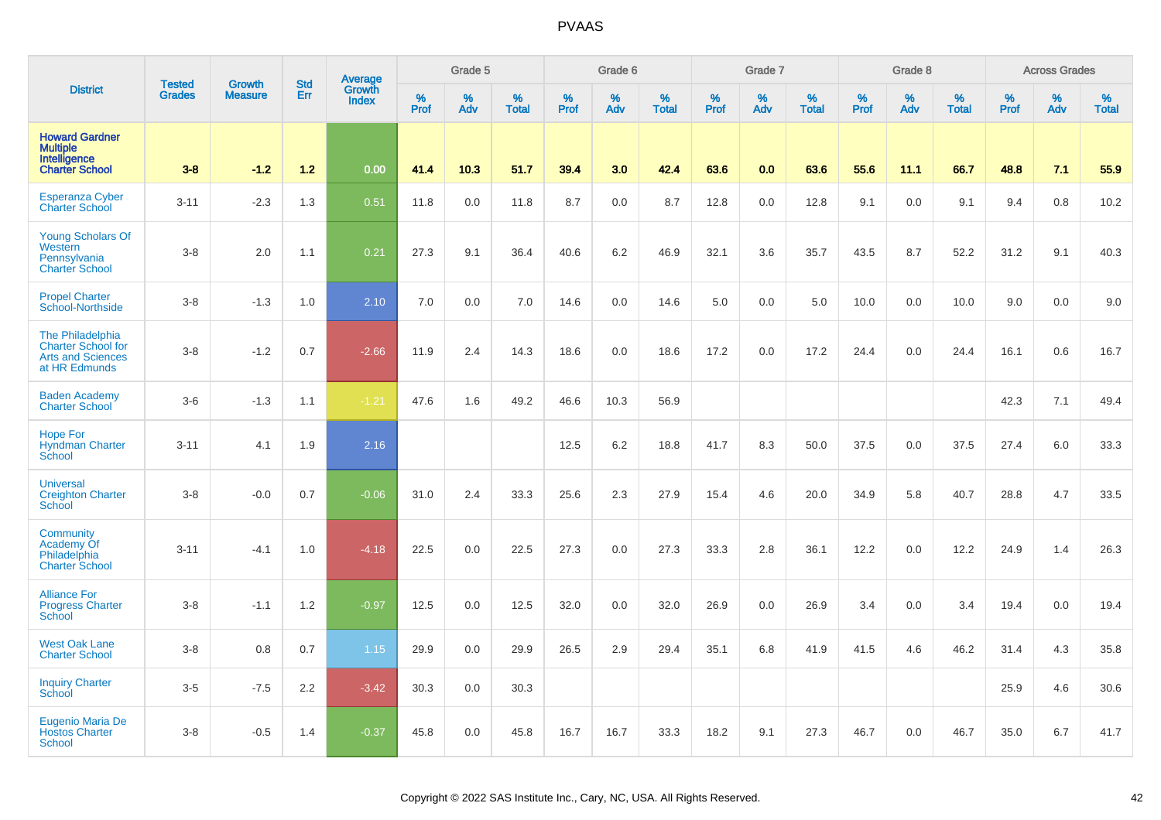|                                                                                            | <b>Tested</b> | <b>Growth</b>  | <b>Std</b> | Average<br>Growth |                     | Grade 5  |                   |           | Grade 6  |                   |              | Grade 7  |                   |              | Grade 8  |                   |              | <b>Across Grades</b> |                   |
|--------------------------------------------------------------------------------------------|---------------|----------------|------------|-------------------|---------------------|----------|-------------------|-----------|----------|-------------------|--------------|----------|-------------------|--------------|----------|-------------------|--------------|----------------------|-------------------|
| <b>District</b>                                                                            | <b>Grades</b> | <b>Measure</b> | Err        | <b>Index</b>      | $\%$<br><b>Prof</b> | %<br>Adv | %<br><b>Total</b> | %<br>Prof | %<br>Adv | %<br><b>Total</b> | $\%$<br>Prof | %<br>Adv | %<br><b>Total</b> | $\%$<br>Prof | %<br>Adv | %<br><b>Total</b> | $\%$<br>Prof | $\%$<br>Adv          | %<br><b>Total</b> |
| <b>Howard Gardner</b><br><b>Multiple</b><br>Intelligence<br><b>Charter School</b>          | $3 - 8$       | $-1.2$         | $1.2$      | 0.00              | 41.4                | 10.3     | 51.7              | 39.4      | 3.0      | 42.4              | 63.6         | 0.0      | 63.6              | 55.6         | 11.1     | 66.7              | 48.8         | 7.1                  | 55.9              |
| <b>Esperanza Cyber</b><br><b>Charter School</b>                                            | $3 - 11$      | $-2.3$         | 1.3        | 0.51              | 11.8                | 0.0      | 11.8              | 8.7       | 0.0      | 8.7               | 12.8         | 0.0      | 12.8              | 9.1          | 0.0      | 9.1               | 9.4          | 0.8                  | 10.2              |
| <b>Young Scholars Of</b><br>Western<br>Pennsylvania<br><b>Charter School</b>               | $3 - 8$       | 2.0            | 1.1        | 0.21              | 27.3                | 9.1      | 36.4              | 40.6      | 6.2      | 46.9              | 32.1         | 3.6      | 35.7              | 43.5         | 8.7      | 52.2              | 31.2         | 9.1                  | 40.3              |
| <b>Propel Charter</b><br>School-Northside                                                  | $3 - 8$       | $-1.3$         | 1.0        | 2.10              | 7.0                 | 0.0      | 7.0               | 14.6      | 0.0      | 14.6              | 5.0          | 0.0      | 5.0               | 10.0         | 0.0      | 10.0              | 9.0          | 0.0                  | 9.0               |
| The Philadelphia<br><b>Charter School for</b><br><b>Arts and Sciences</b><br>at HR Edmunds | $3 - 8$       | $-1.2$         | 0.7        | $-2.66$           | 11.9                | 2.4      | 14.3              | 18.6      | 0.0      | 18.6              | 17.2         | 0.0      | 17.2              | 24.4         | 0.0      | 24.4              | 16.1         | 0.6                  | 16.7              |
| <b>Baden Academy</b><br><b>Charter School</b>                                              | $3-6$         | $-1.3$         | 1.1        | $-1.21$           | 47.6                | 1.6      | 49.2              | 46.6      | 10.3     | 56.9              |              |          |                   |              |          |                   | 42.3         | 7.1                  | 49.4              |
| Hope For<br><b>Hyndman Charter</b><br>School                                               | $3 - 11$      | 4.1            | 1.9        | 2.16              |                     |          |                   | 12.5      | 6.2      | 18.8              | 41.7         | 8.3      | 50.0              | 37.5         | 0.0      | 37.5              | 27.4         | 6.0                  | 33.3              |
| <b>Universal</b><br><b>Creighton Charter</b><br>School                                     | $3 - 8$       | $-0.0$         | 0.7        | $-0.06$           | 31.0                | 2.4      | 33.3              | 25.6      | 2.3      | 27.9              | 15.4         | 4.6      | 20.0              | 34.9         | 5.8      | 40.7              | 28.8         | 4.7                  | 33.5              |
| Community<br>Academy Of<br>Philadelphia<br><b>Charter School</b>                           | $3 - 11$      | $-4.1$         | 1.0        | $-4.18$           | 22.5                | 0.0      | 22.5              | 27.3      | 0.0      | 27.3              | 33.3         | 2.8      | 36.1              | 12.2         | 0.0      | 12.2              | 24.9         | 1.4                  | 26.3              |
| <b>Alliance For</b><br><b>Progress Charter</b><br><b>School</b>                            | $3 - 8$       | $-1.1$         | 1.2        | $-0.97$           | 12.5                | 0.0      | 12.5              | 32.0      | 0.0      | 32.0              | 26.9         | 0.0      | 26.9              | 3.4          | 0.0      | 3.4               | 19.4         | 0.0                  | 19.4              |
| <b>West Oak Lane</b><br><b>Charter School</b>                                              | $3-8$         | 0.8            | 0.7        | 1.15              | 29.9                | 0.0      | 29.9              | 26.5      | 2.9      | 29.4              | 35.1         | 6.8      | 41.9              | 41.5         | 4.6      | 46.2              | 31.4         | 4.3                  | 35.8              |
| <b>Inquiry Charter</b><br>School                                                           | $3-5$         | $-7.5$         | 2.2        | $-3.42$           | 30.3                | 0.0      | 30.3              |           |          |                   |              |          |                   |              |          |                   | 25.9         | 4.6                  | 30.6              |
| Eugenio Maria De<br><b>Hostos Charter</b><br><b>School</b>                                 | $3-8$         | $-0.5$         | 1.4        | $-0.37$           | 45.8                | 0.0      | 45.8              | 16.7      | 16.7     | 33.3              | 18.2         | 9.1      | 27.3              | 46.7         | 0.0      | 46.7              | 35.0         | 6.7                  | 41.7              |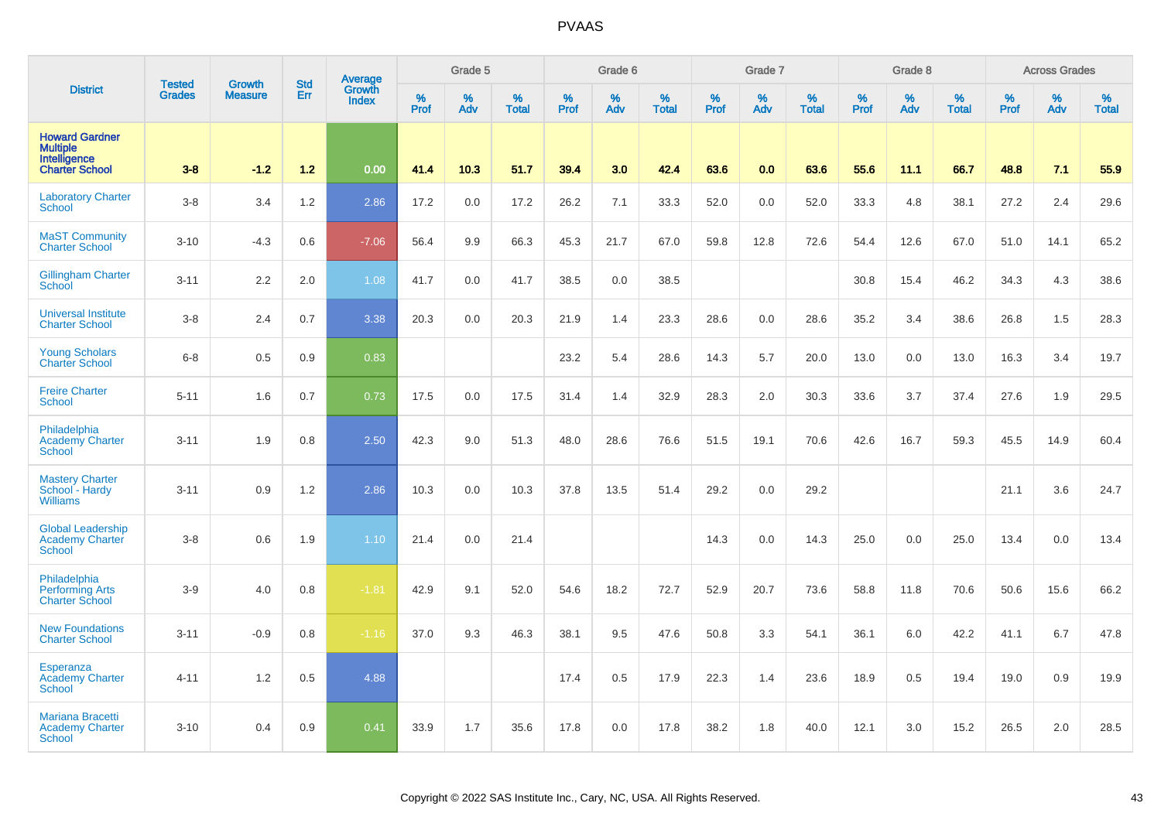|                                                                                   | <b>Tested</b> | <b>Growth</b>  | <b>Std</b> |                                   |                     | Grade 5  |                   |                  | Grade 6  |                   |              | Grade 7  |                   |              | Grade 8  |                   |              | <b>Across Grades</b> |                   |
|-----------------------------------------------------------------------------------|---------------|----------------|------------|-----------------------------------|---------------------|----------|-------------------|------------------|----------|-------------------|--------------|----------|-------------------|--------------|----------|-------------------|--------------|----------------------|-------------------|
| <b>District</b>                                                                   | Grades        | <b>Measure</b> | Err        | Average<br>Growth<br><b>Index</b> | $\%$<br><b>Prof</b> | %<br>Adv | %<br><b>Total</b> | %<br><b>Prof</b> | %<br>Adv | %<br><b>Total</b> | $\%$<br>Prof | %<br>Adv | %<br><b>Total</b> | $\%$<br>Prof | %<br>Adv | %<br><b>Total</b> | $\%$<br>Prof | %<br>Adv             | %<br><b>Total</b> |
| <b>Howard Gardner</b><br><b>Multiple</b><br>Intelligence<br><b>Charter School</b> | $3-8$         | $-1.2$         | $1.2$      | 0.00                              | 41.4                | 10.3     | 51.7              | 39.4             | 3.0      | 42.4              | 63.6         | 0.0      | 63.6              | 55.6         | 11.1     | 66.7              | 48.8         | 7.1                  | 55.9              |
| <b>Laboratory Charter</b><br><b>School</b>                                        | $3 - 8$       | 3.4            | 1.2        | 2.86                              | 17.2                | 0.0      | 17.2              | 26.2             | 7.1      | 33.3              | 52.0         | 0.0      | 52.0              | 33.3         | 4.8      | 38.1              | 27.2         | 2.4                  | 29.6              |
| <b>MaST Community</b><br><b>Charter School</b>                                    | $3 - 10$      | $-4.3$         | 0.6        | $-7.06$                           | 56.4                | 9.9      | 66.3              | 45.3             | 21.7     | 67.0              | 59.8         | 12.8     | 72.6              | 54.4         | 12.6     | 67.0              | 51.0         | 14.1                 | 65.2              |
| <b>Gillingham Charter</b><br>School                                               | $3 - 11$      | 2.2            | 2.0        | 1.08                              | 41.7                | 0.0      | 41.7              | 38.5             | 0.0      | 38.5              |              |          |                   | 30.8         | 15.4     | 46.2              | 34.3         | 4.3                  | 38.6              |
| <b>Universal Institute</b><br><b>Charter School</b>                               | $3 - 8$       | 2.4            | 0.7        | 3.38                              | 20.3                | 0.0      | 20.3              | 21.9             | 1.4      | 23.3              | 28.6         | 0.0      | 28.6              | 35.2         | 3.4      | 38.6              | 26.8         | 1.5                  | 28.3              |
| <b>Young Scholars</b><br><b>Charter School</b>                                    | $6 - 8$       | 0.5            | 0.9        | 0.83                              |                     |          |                   | 23.2             | 5.4      | 28.6              | 14.3         | 5.7      | 20.0              | 13.0         | 0.0      | 13.0              | 16.3         | 3.4                  | 19.7              |
| <b>Freire Charter</b><br><b>School</b>                                            | $5 - 11$      | 1.6            | 0.7        | 0.73                              | 17.5                | 0.0      | 17.5              | 31.4             | 1.4      | 32.9              | 28.3         | 2.0      | 30.3              | 33.6         | 3.7      | 37.4              | 27.6         | 1.9                  | 29.5              |
| Philadelphia<br><b>Academy Charter</b><br><b>School</b>                           | $3 - 11$      | 1.9            | 0.8        | 2.50                              | 42.3                | 9.0      | 51.3              | 48.0             | 28.6     | 76.6              | 51.5         | 19.1     | 70.6              | 42.6         | 16.7     | 59.3              | 45.5         | 14.9                 | 60.4              |
| <b>Mastery Charter</b><br>School - Hardy<br><b>Williams</b>                       | $3 - 11$      | 0.9            | 1.2        | 2.86                              | 10.3                | 0.0      | 10.3              | 37.8             | 13.5     | 51.4              | 29.2         | 0.0      | 29.2              |              |          |                   | 21.1         | 3.6                  | 24.7              |
| <b>Global Leadership</b><br><b>Academy Charter</b><br><b>School</b>               | $3 - 8$       | 0.6            | 1.9        | 1.10                              | 21.4                | 0.0      | 21.4              |                  |          |                   | 14.3         | 0.0      | 14.3              | 25.0         | 0.0      | 25.0              | 13.4         | 0.0                  | 13.4              |
| Philadelphia<br><b>Performing Arts</b><br><b>Charter School</b>                   | $3-9$         | 4.0            | 0.8        | $-1.81$                           | 42.9                | 9.1      | 52.0              | 54.6             | 18.2     | 72.7              | 52.9         | 20.7     | 73.6              | 58.8         | 11.8     | 70.6              | 50.6         | 15.6                 | 66.2              |
| <b>New Foundations</b><br><b>Charter School</b>                                   | $3 - 11$      | $-0.9$         | 0.8        | $-1.16$                           | 37.0                | 9.3      | 46.3              | 38.1             | 9.5      | 47.6              | 50.8         | 3.3      | 54.1              | 36.1         | 6.0      | 42.2              | 41.1         | 6.7                  | 47.8              |
| Esperanza<br><b>Academy Charter</b><br><b>School</b>                              | $4 - 11$      | 1.2            | 0.5        | 4.88                              |                     |          |                   | 17.4             | 0.5      | 17.9              | 22.3         | 1.4      | 23.6              | 18.9         | 0.5      | 19.4              | 19.0         | 0.9                  | 19.9              |
| Mariana Bracetti<br><b>Academy Charter</b><br><b>School</b>                       | $3 - 10$      | 0.4            | 0.9        | 0.41                              | 33.9                | 1.7      | 35.6              | 17.8             | 0.0      | 17.8              | 38.2         | 1.8      | 40.0              | 12.1         | 3.0      | 15.2              | 26.5         | 2.0                  | 28.5              |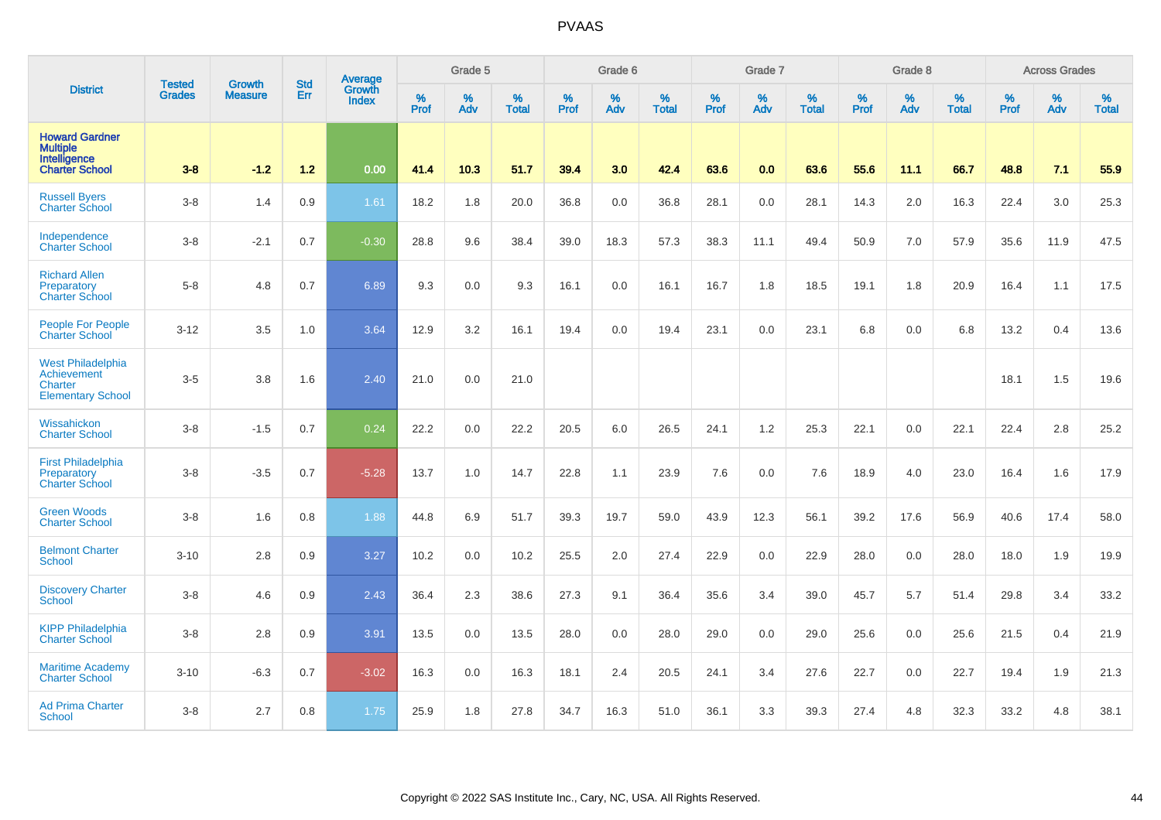|                                                                                   | <b>Tested</b> | <b>Growth</b>  | <b>Std</b> | Average                       |              | Grade 5  |                   |           | Grade 6  |                   |           | Grade 7  |                   |           | Grade 8  |                   |           | <b>Across Grades</b> |                   |
|-----------------------------------------------------------------------------------|---------------|----------------|------------|-------------------------------|--------------|----------|-------------------|-----------|----------|-------------------|-----------|----------|-------------------|-----------|----------|-------------------|-----------|----------------------|-------------------|
| <b>District</b>                                                                   | <b>Grades</b> | <b>Measure</b> | Err        | <b>Growth</b><br><b>Index</b> | $\%$<br>Prof | %<br>Adv | %<br><b>Total</b> | %<br>Prof | %<br>Adv | %<br><b>Total</b> | %<br>Prof | %<br>Adv | %<br><b>Total</b> | %<br>Prof | %<br>Adv | %<br><b>Total</b> | %<br>Prof | %<br>Adv             | %<br><b>Total</b> |
| <b>Howard Gardner</b><br><b>Multiple</b><br>Intelligence<br><b>Charter School</b> | $3-8$         | $-1.2$         | $1.2$      | 0.00                          | 41.4         | 10.3     | 51.7              | 39.4      | 3.0      | 42.4              | 63.6      | 0.0      | 63.6              | 55.6      | 11.1     | 66.7              | 48.8      | 7.1                  | 55.9              |
| <b>Russell Byers</b><br><b>Charter School</b>                                     | $3-8$         | 1.4            | 0.9        | 1.61                          | 18.2         | 1.8      | 20.0              | 36.8      | 0.0      | 36.8              | 28.1      | 0.0      | 28.1              | 14.3      | 2.0      | 16.3              | 22.4      | 3.0                  | 25.3              |
| Independence<br><b>Charter School</b>                                             | $3-8$         | $-2.1$         | 0.7        | $-0.30$                       | 28.8         | 9.6      | 38.4              | 39.0      | 18.3     | 57.3              | 38.3      | 11.1     | 49.4              | 50.9      | 7.0      | 57.9              | 35.6      | 11.9                 | 47.5              |
| <b>Richard Allen</b><br>Preparatory<br><b>Charter School</b>                      | $5-8$         | 4.8            | 0.7        | 6.89                          | 9.3          | 0.0      | 9.3               | 16.1      | 0.0      | 16.1              | 16.7      | 1.8      | 18.5              | 19.1      | 1.8      | 20.9              | 16.4      | 1.1                  | 17.5              |
| <b>People For People</b><br><b>Charter School</b>                                 | $3 - 12$      | 3.5            | 1.0        | 3.64                          | 12.9         | 3.2      | 16.1              | 19.4      | 0.0      | 19.4              | 23.1      | 0.0      | 23.1              | 6.8       | 0.0      | 6.8               | 13.2      | 0.4                  | 13.6              |
| <b>West Philadelphia</b><br>Achievement<br>Charter<br><b>Elementary School</b>    | $3-5$         | 3.8            | 1.6        | 2.40                          | 21.0         | 0.0      | 21.0              |           |          |                   |           |          |                   |           |          |                   | 18.1      | 1.5                  | 19.6              |
| Wissahickon<br><b>Charter School</b>                                              | $3 - 8$       | $-1.5$         | 0.7        | 0.24                          | 22.2         | 0.0      | 22.2              | 20.5      | 6.0      | 26.5              | 24.1      | 1.2      | 25.3              | 22.1      | 0.0      | 22.1              | 22.4      | 2.8                  | 25.2              |
| <b>First Philadelphia</b><br>Preparatory<br><b>Charter School</b>                 | $3-8$         | $-3.5$         | 0.7        | $-5.28$                       | 13.7         | 1.0      | 14.7              | 22.8      | 1.1      | 23.9              | 7.6       | 0.0      | 7.6               | 18.9      | 4.0      | 23.0              | 16.4      | 1.6                  | 17.9              |
| <b>Green Woods</b><br><b>Charter School</b>                                       | $3-8$         | 1.6            | 0.8        | 1.88                          | 44.8         | 6.9      | 51.7              | 39.3      | 19.7     | 59.0              | 43.9      | 12.3     | 56.1              | 39.2      | 17.6     | 56.9              | 40.6      | 17.4                 | 58.0              |
| <b>Belmont Charter</b><br>School                                                  | $3 - 10$      | 2.8            | 0.9        | 3.27                          | 10.2         | 0.0      | 10.2              | 25.5      | 2.0      | 27.4              | 22.9      | 0.0      | 22.9              | 28.0      | 0.0      | 28.0              | 18.0      | 1.9                  | 19.9              |
| <b>Discovery Charter</b><br>School                                                | $3-8$         | 4.6            | 0.9        | 2.43                          | 36.4         | 2.3      | 38.6              | 27.3      | 9.1      | 36.4              | 35.6      | 3.4      | 39.0              | 45.7      | 5.7      | 51.4              | 29.8      | 3.4                  | 33.2              |
| <b>KIPP Philadelphia</b><br><b>Charter School</b>                                 | $3-8$         | 2.8            | 0.9        | 3.91                          | 13.5         | 0.0      | 13.5              | 28.0      | 0.0      | 28.0              | 29.0      | 0.0      | 29.0              | 25.6      | 0.0      | 25.6              | 21.5      | 0.4                  | 21.9              |
| <b>Maritime Academy</b><br><b>Charter School</b>                                  | $3 - 10$      | $-6.3$         | 0.7        | $-3.02$                       | 16.3         | 0.0      | 16.3              | 18.1      | 2.4      | 20.5              | 24.1      | 3.4      | 27.6              | 22.7      | 0.0      | 22.7              | 19.4      | 1.9                  | 21.3              |
| <b>Ad Prima Charter</b><br><b>School</b>                                          | $3-8$         | 2.7            | 0.8        | 1.75                          | 25.9         | 1.8      | 27.8              | 34.7      | 16.3     | 51.0              | 36.1      | 3.3      | 39.3              | 27.4      | 4.8      | 32.3              | 33.2      | 4.8                  | 38.1              |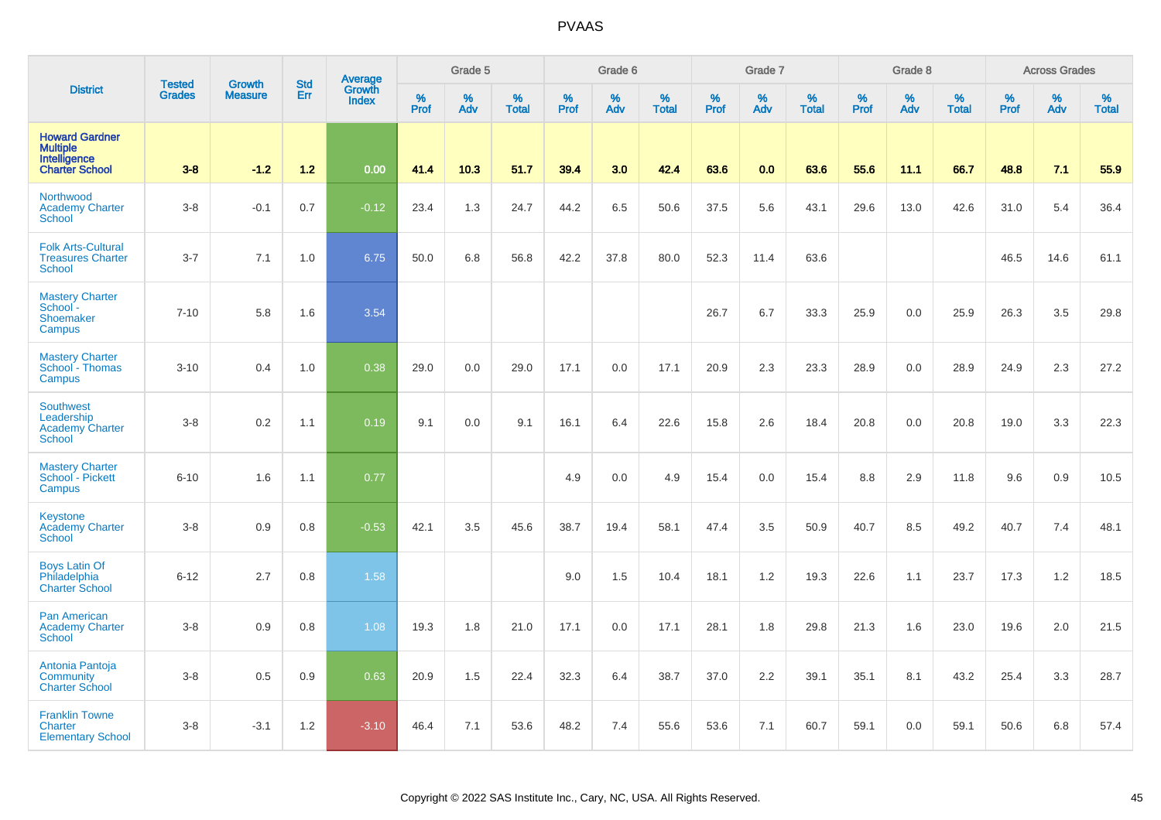|                                                                            | <b>Tested</b> |                                 | <b>Std</b> | Average                |           | Grade 5  |                   |           | Grade 6  |                   |           | Grade 7  |                   |           | Grade 8  |                   |           | <b>Across Grades</b> |                   |
|----------------------------------------------------------------------------|---------------|---------------------------------|------------|------------------------|-----------|----------|-------------------|-----------|----------|-------------------|-----------|----------|-------------------|-----------|----------|-------------------|-----------|----------------------|-------------------|
| <b>District</b>                                                            | <b>Grades</b> | <b>Growth</b><br><b>Measure</b> | Err        | Growth<br><b>Index</b> | %<br>Prof | %<br>Adv | %<br><b>Total</b> | %<br>Prof | %<br>Adv | %<br><b>Total</b> | %<br>Prof | %<br>Adv | %<br><b>Total</b> | %<br>Prof | %<br>Adv | %<br><b>Total</b> | %<br>Prof | %<br>Adv             | %<br><b>Total</b> |
| <b>Howard Gardner</b><br>Multiple<br>Intelligence<br><b>Charter School</b> | $3 - 8$       | $-1.2$                          | $1.2$      | 0.00                   | 41.4      | 10.3     | 51.7              | 39.4      | 3.0      | 42.4              | 63.6      | 0.0      | 63.6              | 55.6      | 11.1     | 66.7              | 48.8      | 7.1                  | 55.9              |
| Northwood<br><b>Academy Charter</b><br><b>School</b>                       | $3 - 8$       | $-0.1$                          | 0.7        | $-0.12$                | 23.4      | 1.3      | 24.7              | 44.2      | 6.5      | 50.6              | 37.5      | 5.6      | 43.1              | 29.6      | 13.0     | 42.6              | 31.0      | 5.4                  | 36.4              |
| <b>Folk Arts-Cultural</b><br><b>Treasures Charter</b><br><b>School</b>     | $3 - 7$       | 7.1                             | 1.0        | 6.75                   | 50.0      | 6.8      | 56.8              | 42.2      | 37.8     | 80.0              | 52.3      | 11.4     | 63.6              |           |          |                   | 46.5      | 14.6                 | 61.1              |
| <b>Mastery Charter</b><br>School -<br>Shoemaker<br>Campus                  | $7 - 10$      | 5.8                             | 1.6        | 3.54                   |           |          |                   |           |          |                   | 26.7      | 6.7      | 33.3              | 25.9      | 0.0      | 25.9              | 26.3      | 3.5                  | 29.8              |
| <b>Mastery Charter</b><br>School - Thomas<br>Campus                        | $3 - 10$      | 0.4                             | 1.0        | 0.38                   | 29.0      | 0.0      | 29.0              | 17.1      | 0.0      | 17.1              | 20.9      | 2.3      | 23.3              | 28.9      | 0.0      | 28.9              | 24.9      | 2.3                  | 27.2              |
| <b>Southwest</b><br>Leadership<br><b>Academy Charter</b><br><b>School</b>  | $3 - 8$       | 0.2                             | 1.1        | 0.19                   | 9.1       | 0.0      | 9.1               | 16.1      | 6.4      | 22.6              | 15.8      | 2.6      | 18.4              | 20.8      | 0.0      | 20.8              | 19.0      | 3.3                  | 22.3              |
| <b>Mastery Charter</b><br>School - Pickett<br>Campus                       | $6 - 10$      | 1.6                             | 1.1        | 0.77                   |           |          |                   | 4.9       | 0.0      | 4.9               | 15.4      | 0.0      | 15.4              | 8.8       | 2.9      | 11.8              | 9.6       | 0.9                  | 10.5              |
| Keystone<br><b>Academy Charter</b><br><b>School</b>                        | $3 - 8$       | 0.9                             | 0.8        | $-0.53$                | 42.1      | 3.5      | 45.6              | 38.7      | 19.4     | 58.1              | 47.4      | 3.5      | 50.9              | 40.7      | 8.5      | 49.2              | 40.7      | 7.4                  | 48.1              |
| <b>Boys Latin Of</b><br>Philadelphia<br><b>Charter School</b>              | $6 - 12$      | 2.7                             | 0.8        | 1.58                   |           |          |                   | 9.0       | 1.5      | 10.4              | 18.1      | 1.2      | 19.3              | 22.6      | 1.1      | 23.7              | 17.3      | $1.2$                | 18.5              |
| Pan American<br><b>Academy Charter</b><br><b>School</b>                    | $3 - 8$       | 0.9                             | 0.8        | 1.08                   | 19.3      | 1.8      | 21.0              | 17.1      | 0.0      | 17.1              | 28.1      | 1.8      | 29.8              | 21.3      | 1.6      | 23.0              | 19.6      | 2.0                  | 21.5              |
| Antonia Pantoja<br><b>Community</b><br><b>Charter School</b>               | $3 - 8$       | 0.5                             | 0.9        | 0.63                   | 20.9      | 1.5      | 22.4              | 32.3      | 6.4      | 38.7              | 37.0      | 2.2      | 39.1              | 35.1      | 8.1      | 43.2              | 25.4      | 3.3                  | 28.7              |
| <b>Franklin Towne</b><br>Charter<br><b>Elementary School</b>               | $3 - 8$       | $-3.1$                          | 1.2        | $-3.10$                | 46.4      | 7.1      | 53.6              | 48.2      | 7.4      | 55.6              | 53.6      | 7.1      | 60.7              | 59.1      | 0.0      | 59.1              | 50.6      | 6.8                  | 57.4              |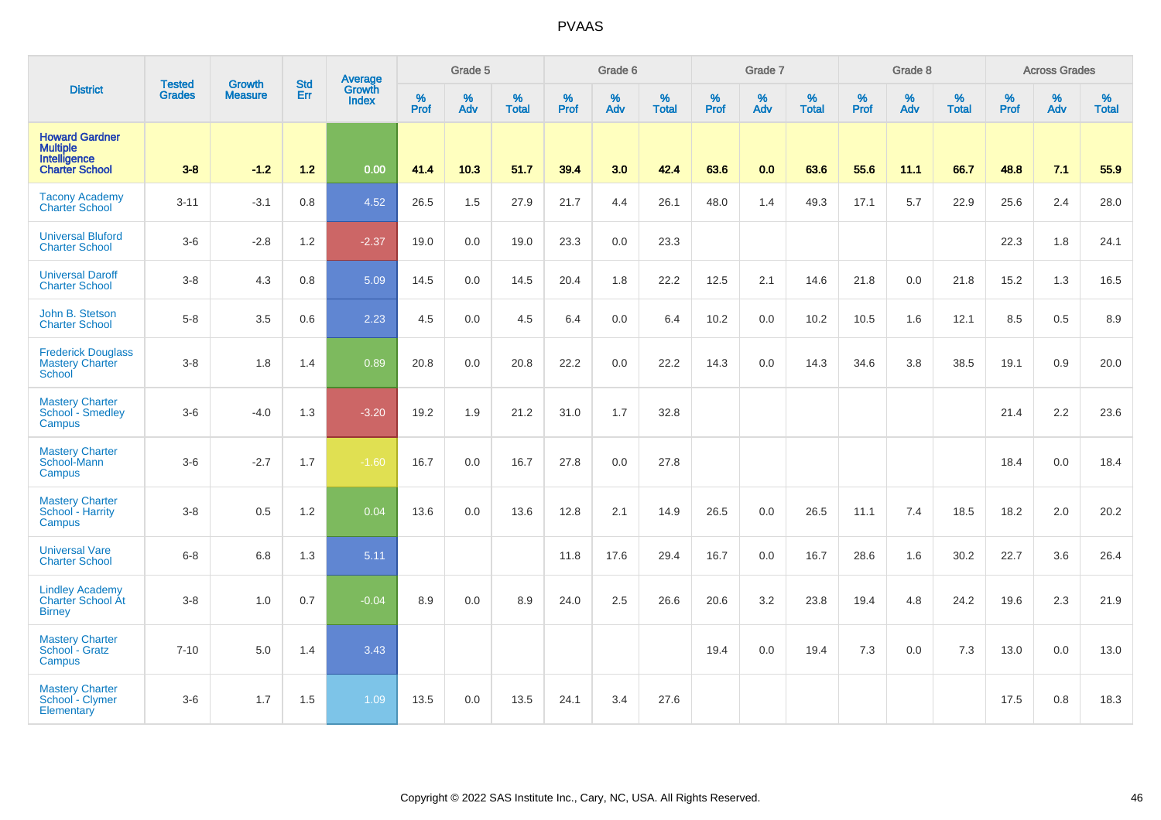|                                                                            | <b>Tested</b> | <b>Growth</b>  | <b>Std</b> | Average                       |                  | Grade 5  |                   |                  | Grade 6  |                   |           | Grade 7  |                   |           | Grade 8  |                   |                  | <b>Across Grades</b> |                   |
|----------------------------------------------------------------------------|---------------|----------------|------------|-------------------------------|------------------|----------|-------------------|------------------|----------|-------------------|-----------|----------|-------------------|-----------|----------|-------------------|------------------|----------------------|-------------------|
| <b>District</b>                                                            | <b>Grades</b> | <b>Measure</b> | Err        | <b>Growth</b><br><b>Index</b> | %<br><b>Prof</b> | %<br>Adv | %<br><b>Total</b> | %<br><b>Prof</b> | %<br>Adv | %<br><b>Total</b> | %<br>Prof | %<br>Adv | %<br><b>Total</b> | %<br>Prof | %<br>Adv | %<br><b>Total</b> | %<br><b>Prof</b> | %<br>Adv             | %<br><b>Total</b> |
| <b>Howard Gardner</b><br>Multiple<br>Intelligence<br><b>Charter School</b> | $3-8$         | $-1.2$         | $1.2$      | 0.00                          | 41.4             | 10.3     | 51.7              | 39.4             | 3.0      | 42.4              | 63.6      | 0.0      | 63.6              | 55.6      | 11.1     | 66.7              | 48.8             | 7.1                  | 55.9              |
| <b>Tacony Academy</b><br><b>Charter School</b>                             | $3 - 11$      | $-3.1$         | 0.8        | 4.52                          | 26.5             | 1.5      | 27.9              | 21.7             | 4.4      | 26.1              | 48.0      | 1.4      | 49.3              | 17.1      | 5.7      | 22.9              | 25.6             | 2.4                  | 28.0              |
| <b>Universal Bluford</b><br><b>Charter School</b>                          | $3-6$         | $-2.8$         | 1.2        | $-2.37$                       | 19.0             | 0.0      | 19.0              | 23.3             | 0.0      | 23.3              |           |          |                   |           |          |                   | 22.3             | 1.8                  | 24.1              |
| <b>Universal Daroff</b><br><b>Charter School</b>                           | $3 - 8$       | 4.3            | 0.8        | 5.09                          | 14.5             | 0.0      | 14.5              | 20.4             | 1.8      | 22.2              | 12.5      | 2.1      | 14.6              | 21.8      | 0.0      | 21.8              | 15.2             | 1.3                  | 16.5              |
| John B. Stetson<br><b>Charter School</b>                                   | $5 - 8$       | 3.5            | 0.6        | 2.23                          | 4.5              | 0.0      | 4.5               | 6.4              | $0.0\,$  | 6.4               | 10.2      | 0.0      | 10.2              | 10.5      | 1.6      | 12.1              | 8.5              | 0.5                  | 8.9               |
| <b>Frederick Douglass</b><br><b>Mastery Charter</b><br>School              | $3 - 8$       | 1.8            | 1.4        | 0.89                          | 20.8             | 0.0      | 20.8              | 22.2             | 0.0      | 22.2              | 14.3      | 0.0      | 14.3              | 34.6      | 3.8      | 38.5              | 19.1             | 0.9                  | 20.0              |
| <b>Mastery Charter</b><br>School - Smedley<br><b>Campus</b>                | $3-6$         | $-4.0$         | 1.3        | $-3.20$                       | 19.2             | 1.9      | 21.2              | 31.0             | 1.7      | 32.8              |           |          |                   |           |          |                   | 21.4             | 2.2                  | 23.6              |
| <b>Mastery Charter</b><br>School-Mann<br>Campus                            | $3-6$         | $-2.7$         | 1.7        | $-1.60$                       | 16.7             | 0.0      | 16.7              | 27.8             | 0.0      | 27.8              |           |          |                   |           |          |                   | 18.4             | 0.0                  | 18.4              |
| <b>Mastery Charter</b><br>School - Harrity<br>Campus                       | $3 - 8$       | 0.5            | 1.2        | 0.04                          | 13.6             | 0.0      | 13.6              | 12.8             | 2.1      | 14.9              | 26.5      | 0.0      | 26.5              | 11.1      | 7.4      | 18.5              | 18.2             | 2.0                  | 20.2              |
| <b>Universal Vare</b><br><b>Charter School</b>                             | $6 - 8$       | 6.8            | 1.3        | 5.11                          |                  |          |                   | 11.8             | 17.6     | 29.4              | 16.7      | 0.0      | 16.7              | 28.6      | 1.6      | 30.2              | 22.7             | 3.6                  | 26.4              |
| <b>Lindley Academy</b><br>Charter School Át<br><b>Birney</b>               | $3-8$         | 1.0            | 0.7        | $-0.04$                       | 8.9              | 0.0      | 8.9               | 24.0             | 2.5      | 26.6              | 20.6      | 3.2      | 23.8              | 19.4      | 4.8      | 24.2              | 19.6             | 2.3                  | 21.9              |
| <b>Mastery Charter</b><br>School - Gratz<br>Campus                         | $7 - 10$      | 5.0            | 1.4        | 3.43                          |                  |          |                   |                  |          |                   | 19.4      | 0.0      | 19.4              | 7.3       | 0.0      | 7.3               | 13.0             | 0.0                  | 13.0              |
| <b>Mastery Charter</b><br>School - Clymer<br><b>Elementary</b>             | $3-6$         | 1.7            | 1.5        | 1.09                          | 13.5             | 0.0      | 13.5              | 24.1             | 3.4      | 27.6              |           |          |                   |           |          |                   | 17.5             | 0.8                  | 18.3              |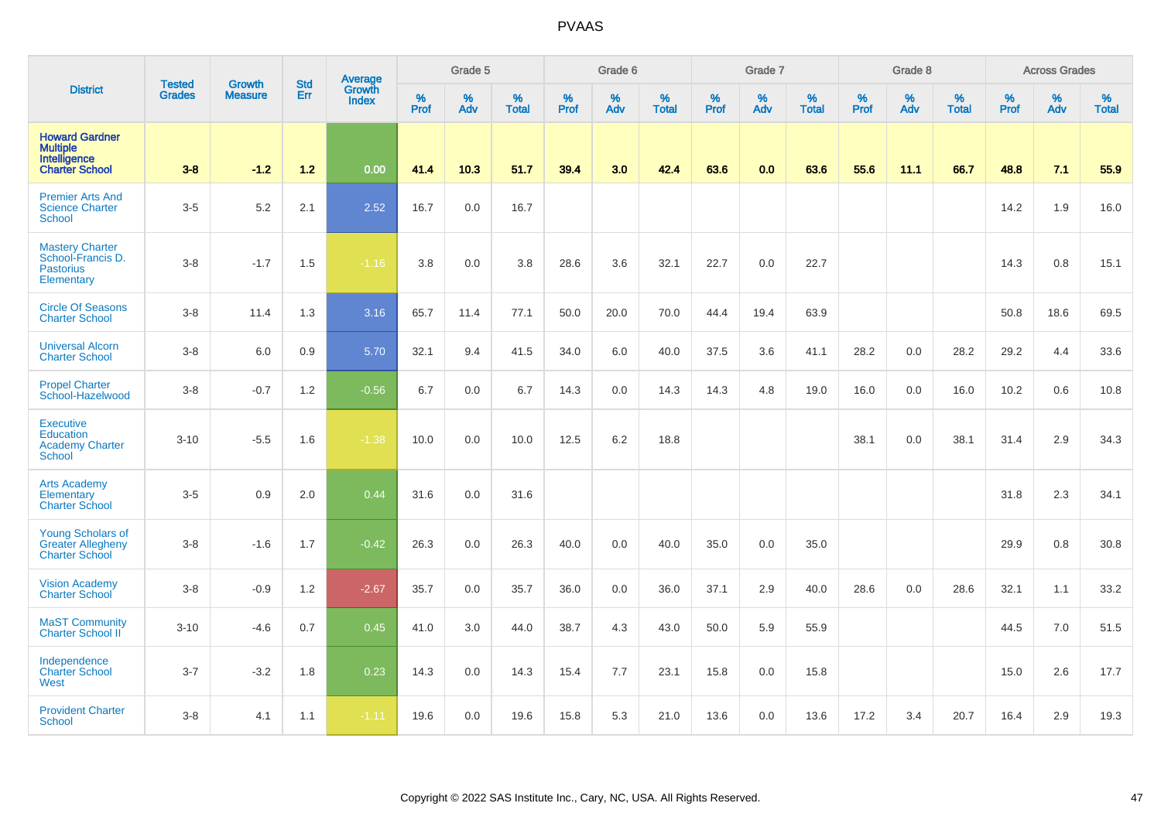|                                                                                   | <b>Tested</b> | <b>Growth</b>  | <b>Std</b> | Average                |                     | Grade 5  |                   |           | Grade 6  |                   |           | Grade 7  |                   |           | Grade 8  |                   |                  | <b>Across Grades</b> |                   |
|-----------------------------------------------------------------------------------|---------------|----------------|------------|------------------------|---------------------|----------|-------------------|-----------|----------|-------------------|-----------|----------|-------------------|-----------|----------|-------------------|------------------|----------------------|-------------------|
| <b>District</b>                                                                   | <b>Grades</b> | <b>Measure</b> | Err        | Growth<br><b>Index</b> | $\%$<br><b>Prof</b> | %<br>Adv | %<br><b>Total</b> | %<br>Prof | %<br>Adv | %<br><b>Total</b> | %<br>Prof | %<br>Adv | %<br><b>Total</b> | %<br>Prof | %<br>Adv | %<br><b>Total</b> | %<br><b>Prof</b> | %<br>Adv             | %<br><b>Total</b> |
| <b>Howard Gardner</b><br><b>Multiple</b><br>Intelligence<br><b>Charter School</b> | $3-8$         | $-1.2$         | $1.2$      | 0.00                   | 41.4                | 10.3     | 51.7              | 39.4      | 3.0      | 42.4              | 63.6      | 0.0      | 63.6              | 55.6      | 11.1     | 66.7              | 48.8             | 7.1                  | 55.9              |
| <b>Premier Arts And</b><br><b>Science Charter</b><br>School                       | $3-5$         | 5.2            | 2.1        | 2.52                   | 16.7                | 0.0      | 16.7              |           |          |                   |           |          |                   |           |          |                   | 14.2             | 1.9                  | 16.0              |
| <b>Mastery Charter</b><br>School-Francis D.<br><b>Pastorius</b><br>Elementary     | $3-8$         | $-1.7$         | 1.5        | $-1.16$                | 3.8                 | 0.0      | 3.8               | 28.6      | 3.6      | 32.1              | 22.7      | 0.0      | 22.7              |           |          |                   | 14.3             | 0.8                  | 15.1              |
| <b>Circle Of Seasons</b><br><b>Charter School</b>                                 | $3 - 8$       | 11.4           | 1.3        | 3.16                   | 65.7                | 11.4     | 77.1              | 50.0      | 20.0     | 70.0              | 44.4      | 19.4     | 63.9              |           |          |                   | 50.8             | 18.6                 | 69.5              |
| <b>Universal Alcorn</b><br><b>Charter School</b>                                  | $3-8$         | 6.0            | 0.9        | 5.70                   | 32.1                | 9.4      | 41.5              | 34.0      | 6.0      | 40.0              | 37.5      | 3.6      | 41.1              | 28.2      | 0.0      | 28.2              | 29.2             | 4.4                  | 33.6              |
| <b>Propel Charter</b><br>School-Hazelwood                                         | $3-8$         | $-0.7$         | 1.2        | $-0.56$                | 6.7                 | 0.0      | 6.7               | 14.3      | 0.0      | 14.3              | 14.3      | 4.8      | 19.0              | 16.0      | 0.0      | 16.0              | 10.2             | 0.6                  | 10.8              |
| <b>Executive</b><br><b>Education</b><br><b>Academy Charter</b><br><b>School</b>   | $3 - 10$      | $-5.5$         | 1.6        | $-1.38$                | 10.0                | 0.0      | 10.0              | 12.5      | 6.2      | 18.8              |           |          |                   | 38.1      | 0.0      | 38.1              | 31.4             | 2.9                  | 34.3              |
| <b>Arts Academy</b><br>Elementary<br><b>Charter School</b>                        | $3-5$         | 0.9            | 2.0        | 0.44                   | 31.6                | 0.0      | 31.6              |           |          |                   |           |          |                   |           |          |                   | 31.8             | 2.3                  | 34.1              |
| <b>Young Scholars of</b><br><b>Greater Allegheny</b><br><b>Charter School</b>     | $3-8$         | $-1.6$         | 1.7        | $-0.42$                | 26.3                | 0.0      | 26.3              | 40.0      | 0.0      | 40.0              | 35.0      | 0.0      | 35.0              |           |          |                   | 29.9             | 0.8                  | 30.8              |
| <b>Vision Academy</b><br><b>Charter School</b>                                    | $3-8$         | $-0.9$         | 1.2        | $-2.67$                | 35.7                | 0.0      | 35.7              | 36.0      | 0.0      | 36.0              | 37.1      | 2.9      | 40.0              | 28.6      | 0.0      | 28.6              | 32.1             | 1.1                  | 33.2              |
| <b>MaST Community</b><br>Charter School II                                        | $3 - 10$      | $-4.6$         | 0.7        | 0.45                   | 41.0                | 3.0      | 44.0              | 38.7      | 4.3      | 43.0              | 50.0      | 5.9      | 55.9              |           |          |                   | 44.5             | 7.0                  | 51.5              |
| Independence<br><b>Charter School</b><br>West                                     | $3 - 7$       | $-3.2$         | 1.8        | 0.23                   | 14.3                | 0.0      | 14.3              | 15.4      | 7.7      | 23.1              | 15.8      | 0.0      | 15.8              |           |          |                   | 15.0             | 2.6                  | 17.7              |
| <b>Provident Charter</b><br><b>School</b>                                         | $3 - 8$       | 4.1            | 1.1        | $-1.11$                | 19.6                | 0.0      | 19.6              | 15.8      | 5.3      | 21.0              | 13.6      | 0.0      | 13.6              | 17.2      | 3.4      | 20.7              | 16.4             | 2.9                  | 19.3              |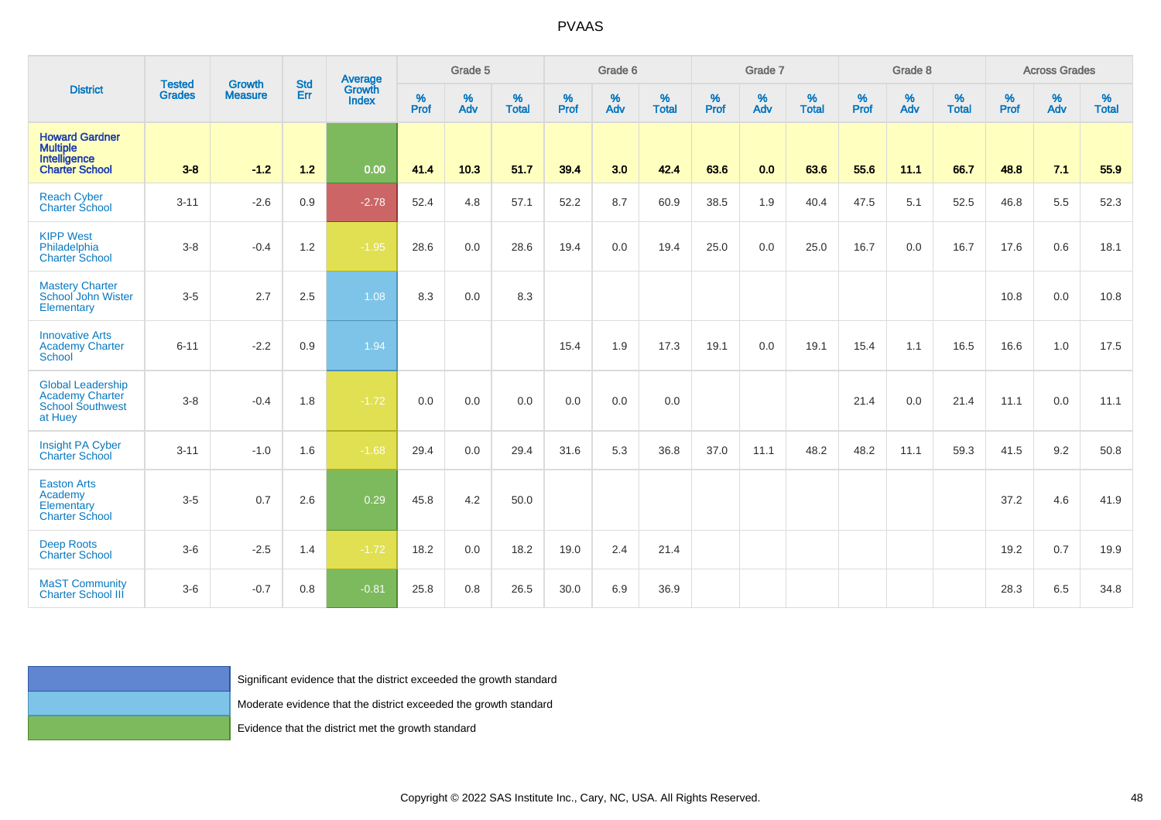| <b>District</b>                                                                   | <b>Tested</b><br>Grades | Growth<br><b>Measure</b> | <b>Std</b><br>Err | Average<br>Growth<br>Index                                          | Grade 5   |          |                   | Grade 6  |          |                   | Grade 7  |          |                   | Grade 8  |          |                   | <b>Across Grades</b> |          |                   |
|-----------------------------------------------------------------------------------|-------------------------|--------------------------|-------------------|---------------------------------------------------------------------|-----------|----------|-------------------|----------|----------|-------------------|----------|----------|-------------------|----------|----------|-------------------|----------------------|----------|-------------------|
|                                                                                   |                         |                          |                   |                                                                     | %<br>Prof | %<br>Adv | %<br><b>Total</b> | $%$ Prof | %<br>Adv | %<br><b>Total</b> | $%$ Prof | %<br>Adv | %<br><b>Total</b> | $%$ Prof | %<br>Adv | %<br><b>Total</b> | $\%$<br>Prof         | %<br>Adv | %<br><b>Total</b> |
| <b>Howard Gardner</b><br>Multiple<br>Intelligence<br><b>Charter School</b>        | $3 - 8$                 | $-1.2$                   | $1.2$             | 0.00                                                                | 41.4      | 10.3     | 51.7              | 39.4     | 3.0      | 42.4              | 63.6     | 0.0      | 63.6              | 55.6     | 11.1     | 66.7              | 48.8                 | 7.1      | 55.9              |
| <b>Reach Cyber</b><br><b>Charter School</b>                                       | $3 - 11$                | $-2.6$                   | $0.9\,$           | $-2.78$                                                             | 52.4      | 4.8      | 57.1              | 52.2     | $8.7\,$  | 60.9              | 38.5     | 1.9      | 40.4              | 47.5     | 5.1      | 52.5              | 46.8                 | 5.5      | 52.3              |
| <b>KIPP West</b><br>Philadelphia<br><b>Charter School</b>                         | $3-8$                   | $-0.4$                   | $1.2$             | $-1.95$                                                             | 28.6      | 0.0      | 28.6              | 19.4     | 0.0      | 19.4              | 25.0     | 0.0      | 25.0              | 16.7     | 0.0      | 16.7              | 17.6                 | 0.6      | 18.1              |
| <b>Mastery Charter</b><br>School John Wister<br>Elementary                        | $3-5$                   | 2.7                      | 2.5               | 1.08                                                                | 8.3       | 0.0      | 8.3               |          |          |                   |          |          |                   |          |          |                   | 10.8                 | $0.0\,$  | 10.8              |
| <b>Innovative Arts</b><br><b>Academy Charter</b><br><b>School</b>                 | $6 - 11$                | $-2.2$                   | $0.9\,$           | 1.94                                                                |           |          |                   | 15.4     | 1.9      | 17.3              | 19.1     | $0.0\,$  | 19.1              | 15.4     | 1.1      | 16.5              | 16.6                 | $1.0$    | 17.5              |
| <b>Global Leadership</b><br>Academy Charter<br><b>School Southwest</b><br>at Huey | $3-8$                   | $-0.4$                   | 1.8               | $-1.72$                                                             | 0.0       | 0.0      | 0.0               | 0.0      | 0.0      | 0.0               |          |          |                   | 21.4     | 0.0      | 21.4              | 11.1                 | 0.0      | 11.1              |
| Insight PA Cyber<br><b>Charter School</b>                                         | $3 - 11$                | $-1.0$                   | 1.6               | $-1.68$                                                             | 29.4      | 0.0      | 29.4              | 31.6     | 5.3      | 36.8              | 37.0     | 11.1     | 48.2              | 48.2     | 11.1     | 59.3              | 41.5                 | 9.2      | 50.8              |
| <b>Easton Arts</b><br>Academy<br>Elementary<br><b>Charter School</b>              | $3-5$                   | 0.7                      | 2.6               | 0.29                                                                | 45.8      | 4.2      | 50.0              |          |          |                   |          |          |                   |          |          |                   | 37.2                 | 4.6      | 41.9              |
| <b>Deep Roots</b><br><b>Charter School</b>                                        | $3-6$                   | $-2.5$                   | 1.4               | $-1.72$                                                             | 18.2      | 0.0      | 18.2              | 19.0     | 2.4      | 21.4              |          |          |                   |          |          |                   | 19.2                 | 0.7      | 19.9              |
| <b>MaST Community</b><br><b>Charter School III</b>                                | $3-6$                   | $-0.7$                   | 0.8               | $-0.81$                                                             | 25.8      | 0.8      | 26.5              | 30.0     | 6.9      | 36.9              |          |          |                   |          |          |                   | 28.3                 | 6.5      | 34.8              |
|                                                                                   |                         |                          |                   |                                                                     |           |          |                   |          |          |                   |          |          |                   |          |          |                   |                      |          |                   |
|                                                                                   |                         |                          |                   | Significant evidence that the district exceeded the growth standard |           |          |                   |          |          |                   |          |          |                   |          |          |                   |                      |          |                   |
|                                                                                   |                         |                          |                   | Moderate evidence that the district exceeded the growth standard    |           |          |                   |          |          |                   |          |          |                   |          |          |                   |                      |          |                   |
|                                                                                   |                         |                          |                   | Evidence that the district met the growth standard                  |           |          |                   |          |          |                   |          |          |                   |          |          |                   |                      |          |                   |